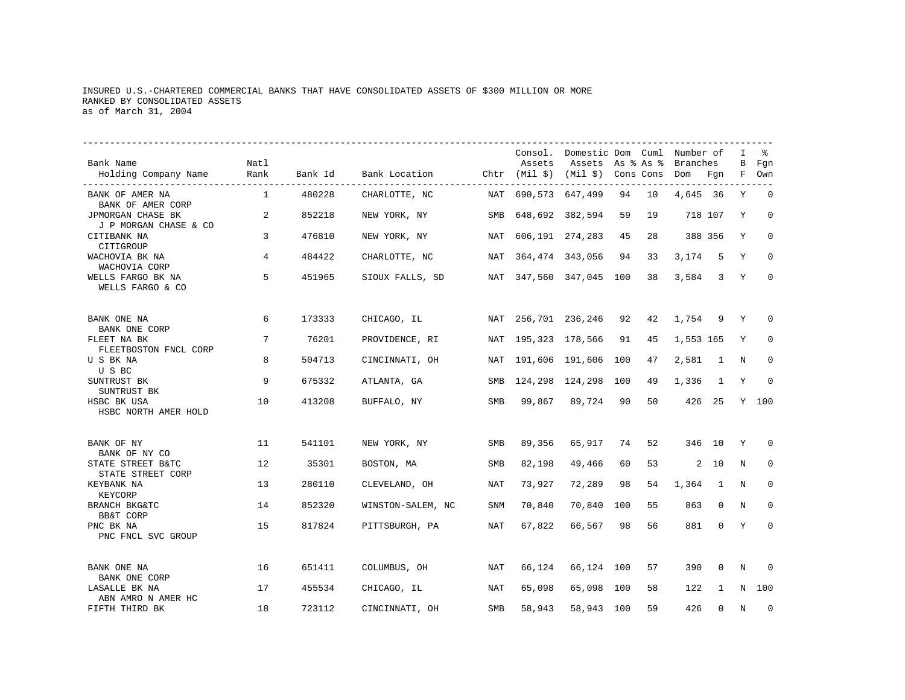# INSURED U.S.-CHARTERED COMMERCIAL BANKS THAT HAVE CONSOLIDATED ASSETS OF \$300 MILLION OR MORE RANKED BY CONSOLIDATED ASSETS as of March 31, 2004

|                                                         |              |         |                                                    |            |                 | Consol. Domestic Dom Cuml Number of |     |    |           |          | I      | ႜ            |
|---------------------------------------------------------|--------------|---------|----------------------------------------------------|------------|-----------------|-------------------------------------|-----|----|-----------|----------|--------|--------------|
| Bank Name<br>Holding Company Name                       | Natl<br>Rank | Bank Id | Bank Location Chtr (Mil \$) (Mil \$) Cons Cons Dom |            | Assets          | Assets As % As %                    |     |    | Branches  | Fqn      | В<br>F | Fqn<br>Own   |
| BANK OF AMER NA<br>BANK OF AMER CORP                    | 1            | 480228  | CHARLOTTE, NC                                      | NAT        | 690,573 647,499 |                                     | 94  | 10 | 4,645 36  |          | Y      | $\mathbf 0$  |
| JPMORGAN CHASE BK<br>J P MORGAN CHASE & CO              | 2            | 852218  | NEW YORK, NY                                       | SMB        |                 | 648,692 382,594                     | 59  | 19 |           | 718 107  | Y      | $\Omega$     |
| CITIBANK NA<br>CITIGROUP                                | 3            | 476810  | NEW YORK, NY                                       | NAT        |                 | 606,191 274,283                     | 45  | 28 |           | 388 356  | Y      | $\Omega$     |
| WACHOVIA BK NA<br>WACHOVIA CORP                         | 4            | 484422  | CHARLOTTE, NC                                      | NAT        |                 | 364, 474 343, 056                   | 94  | 33 | 3,174     | 5        | Υ      | $\mathbf 0$  |
| WELLS FARGO BK NA<br>WELLS FARGO & CO                   | 5            | 451965  | SIOUX FALLS, SD                                    |            |                 | NAT 347,560 347,045 100             |     | 38 | 3,584     | 3        | Y      | $\mathbf{0}$ |
| BANK ONE NA                                             | 6            | 173333  | CHICAGO, IL                                        | NAT        | 256,701 236,246 |                                     | 92  | 42 | 1,754     | 9        | Y      | $\Omega$     |
| BANK ONE CORP<br>FLEET NA BK<br>FLEETBOSTON FNCL CORP   | 7            | 76201   | PROVIDENCE, RI                                     | NAT        | 195,323 178,566 |                                     | 91  | 45 | 1,553 165 |          | Y      | $\Omega$     |
| U S BK NA<br>U S BC                                     | 8            | 504713  | CINCINNATI, OH                                     | NAT        | 191,606 191,606 |                                     | 100 | 47 | 2,581     | 1        | N      | $\mathbf 0$  |
| SUNTRUST BK<br>SUNTRUST BK                              | 9            | 675332  | ATLANTA, GA                                        | SMB        | 124,298         | 124,298                             | 100 | 49 | 1,336     | 1        | Y      | $\Omega$     |
| HSBC BK USA<br>HSBC NORTH AMER HOLD                     | 10           | 413208  | BUFFALO, NY                                        | SMB        | 99,867          | 89,724                              | 90  | 50 |           | 426 25   |        | Y 100        |
| BANK OF NY                                              | 11           | 541101  | NEW YORK, NY                                       | <b>SMB</b> | 89,356          | 65,917                              | 74  | 52 |           | 346 10   | Υ      | 0            |
| BANK OF NY CO<br>STATE STREET B&TC<br>STATE STREET CORP | 12           | 35301   | BOSTON, MA                                         | SMB        | 82,198          | 49,466                              | 60  | 53 |           | $2 - 10$ | N      | $\mathbf 0$  |
| KEYBANK NA<br>KEYCORP                                   | 13           | 280110  | CLEVELAND, OH                                      | NAT        | 73,927          | 72,289                              | 98  | 54 | 1,364     | 1        | N      | $\mathbf 0$  |
| BRANCH BKG&TC<br><b>BB&amp;T CORP</b>                   | 14           | 852320  | WINSTON-SALEM, NC                                  | SNM        | 70,840          | 70,840                              | 100 | 55 | 863       | $\Omega$ | N      | 0            |
| PNC BK NA<br>PNC FNCL SVC GROUP                         | 15           | 817824  | PITTSBURGH, PA                                     | NAT        | 67,822          | 66,567                              | 98  | 56 | 881       | $\Omega$ | Y      | $\Omega$     |
| BANK ONE NA                                             | 16           | 651411  | COLUMBUS, OH                                       | NAT        | 66,124          | 66,124 100                          |     | 57 | 390       | 0        | N      | $\Omega$     |
| BANK ONE CORP<br>LASALLE BK NA                          | 17           | 455534  | CHICAGO, IL                                        | NAT        | 65,098          | 65,098                              | 100 | 58 | 122       | 1        | N      | 100          |
| ABN AMRO N AMER HC<br>FIFTH THIRD BK                    | 18           | 723112  | CINCINNATI, OH                                     | SMB        | 58,943          | 58,943                              | 100 | 59 | 426       | $\Omega$ | N      | $\mathbf 0$  |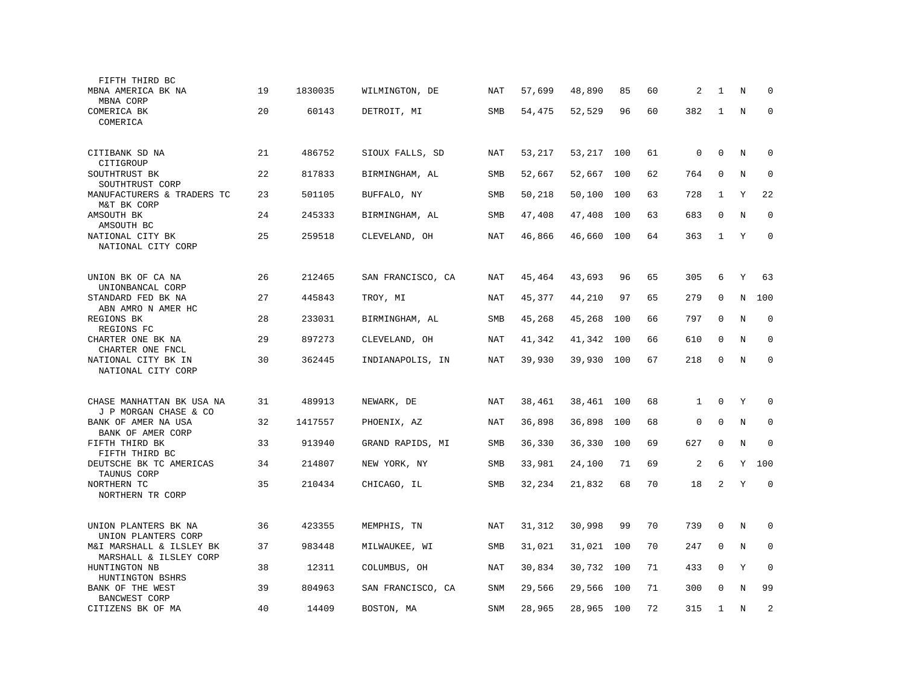| FIFTH THIRD BC                                     |    |         |                   |            |        |        |     |    |                |              |         |             |
|----------------------------------------------------|----|---------|-------------------|------------|--------|--------|-----|----|----------------|--------------|---------|-------------|
| MBNA AMERICA BK NA<br>MBNA CORP                    | 19 | 1830035 | WILMINGTON, DE    | NAT        | 57,699 | 48,890 | 85  | 60 | 2              | 1            | N       | $\Omega$    |
| COMERICA BK<br>COMERICA                            | 20 | 60143   | DETROIT, MI       | <b>SMB</b> | 54,475 | 52,529 | 96  | 60 | 382            | 1            | N       | $\Omega$    |
| CITIBANK SD NA<br>CITIGROUP                        | 21 | 486752  | SIOUX FALLS, SD   | NAT        | 53,217 | 53,217 | 100 | 61 | 0              | $\mathbf{0}$ | N       | $\mathbf 0$ |
| SOUTHTRUST BK<br>SOUTHTRUST CORP                   | 22 | 817833  | BIRMINGHAM, AL    | SMB        | 52,667 | 52,667 | 100 | 62 | 764            | $\mathbf 0$  | N       | $\mathbf 0$ |
| MANUFACTURERS & TRADERS TC<br>M&T BK CORP          | 23 | 501105  | BUFFALO, NY       | SMB        | 50,218 | 50,100 | 100 | 63 | 728            | 1            | Υ       | 22          |
| AMSOUTH BK<br>AMSOUTH BC                           | 24 | 245333  | BIRMINGHAM, AL    | <b>SMB</b> | 47,408 | 47,408 | 100 | 63 | 683            | $\Omega$     | N       | $\mathbf 0$ |
| NATIONAL CITY BK<br>NATIONAL CITY CORP             | 25 | 259518  | CLEVELAND, OH     | NAT        | 46,866 | 46,660 | 100 | 64 | 363            | 1            | Y       | $\Omega$    |
| UNION BK OF CA NA<br>UNIONBANCAL CORP              | 26 | 212465  | SAN FRANCISCO, CA | NAT        | 45,464 | 43,693 | 96  | 65 | 305            | 6            | Υ       | 63          |
| STANDARD FED BK NA<br>ABN AMRO N AMER HC           | 27 | 445843  | TROY, MI          | NAT        | 45,377 | 44,210 | 97  | 65 | 279            | $\mathbf 0$  | N       | 100         |
| REGIONS BK<br>REGIONS FC                           | 28 | 233031  | BIRMINGHAM, AL    | SMB        | 45,268 | 45,268 | 100 | 66 | 797            | $\mathbf 0$  | N       | $\mathbf 0$ |
| CHARTER ONE BK NA<br>CHARTER ONE FNCL              | 29 | 897273  | CLEVELAND, OH     | <b>NAT</b> | 41,342 | 41,342 | 100 | 66 | 610            | $\mathbf{0}$ | N       | $\mathbf 0$ |
| NATIONAL CITY BK IN<br>NATIONAL CITY CORP          | 30 | 362445  | INDIANAPOLIS, IN  | NAT        | 39,930 | 39,930 | 100 | 67 | 218            | $\mathbf 0$  | N       | $\mathbf 0$ |
| CHASE MANHATTAN BK USA NA<br>J P MORGAN CHASE & CO | 31 | 489913  | NEWARK, DE        | NAT        | 38,461 | 38,461 | 100 | 68 | $\mathbf{1}$   | $\Omega$     | Y       | $\Omega$    |
| BANK OF AMER NA USA<br>BANK OF AMER CORP           | 32 | 1417557 | PHOENIX, AZ       | NAT        | 36,898 | 36,898 | 100 | 68 | 0              | $\mathbf 0$  | N       | $\mathbf 0$ |
| FIFTH THIRD BK<br>FIFTH THIRD BC                   | 33 | 913940  | GRAND RAPIDS, MI  | SMB        | 36,330 | 36,330 | 100 | 69 | 627            | $\mathbf 0$  | N       | $\mathbf 0$ |
| DEUTSCHE BK TC AMERICAS<br>TAUNUS CORP             | 34 | 214807  | NEW YORK, NY      | <b>SMB</b> | 33,981 | 24,100 | 71  | 69 | $\overline{c}$ | 6            | Y       | 100         |
| NORTHERN TC<br>NORTHERN TR CORP                    | 35 | 210434  | CHICAGO, IL       | SMB        | 32,234 | 21,832 | 68  | 70 | 18             | 2            | Y       | $\mathbf 0$ |
| UNION PLANTERS BK NA<br>UNION PLANTERS CORP        | 36 | 423355  | MEMPHIS, TN       | NAT        | 31,312 | 30,998 | 99  | 70 | 739            | $\mathbf{0}$ | N       | 0           |
| M&I MARSHALL & ILSLEY BK<br>MARSHALL & ILSLEY CORP | 37 | 983448  | MILWAUKEE, WI     | SMB        | 31,021 | 31,021 | 100 | 70 | 247            | 0            | $\rm N$ | 0           |
| HUNTINGTON NB<br>HUNTINGTON BSHRS                  | 38 | 12311   | COLUMBUS, OH      | NAT        | 30,834 | 30,732 | 100 | 71 | 433            | $\mathbf 0$  | Υ       | $\mathbf 0$ |
| BANK OF THE WEST<br><b>BANCWEST CORP</b>           | 39 | 804963  | SAN FRANCISCO, CA | SNM        | 29,566 | 29,566 | 100 | 71 | 300            | $\Omega$     | N       | 99          |
| CITIZENS BK OF MA                                  | 40 | 14409   | BOSTON, MA        | <b>SNM</b> | 28,965 | 28,965 | 100 | 72 | 315            | $\mathbf{1}$ | N       | 2           |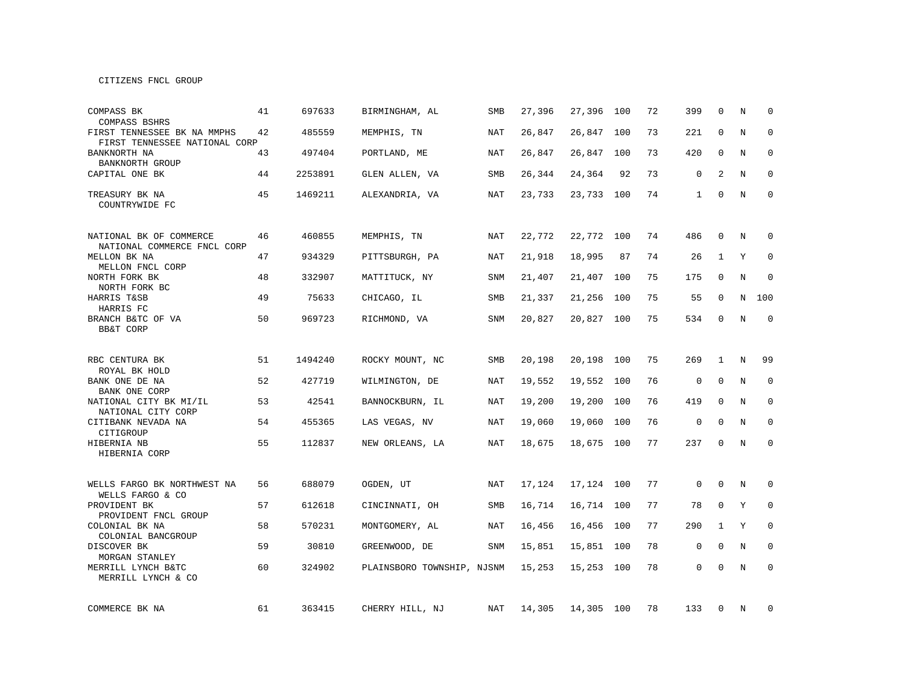CITIZENS FNCL GROUP

| COMPASS BK<br>COMPASS BSHRS                                  | 41 | 697633  | BIRMINGHAM, AL             | <b>SMB</b> | 27,396 | 27,396     | 100 | 72 | 399          | $\Omega$     | N | $\Omega$     |
|--------------------------------------------------------------|----|---------|----------------------------|------------|--------|------------|-----|----|--------------|--------------|---|--------------|
| FIRST TENNESSEE BK NA MMPHS<br>FIRST TENNESSEE NATIONAL CORP | 42 | 485559  | MEMPHIS, TN                | NAT        | 26,847 | 26,847     | 100 | 73 | 221          | $\mathbf 0$  | N | $\mathbf 0$  |
| BANKNORTH NA<br>BANKNORTH GROUP                              | 43 | 497404  | PORTLAND, ME               | NAT        | 26,847 | 26,847     | 100 | 73 | 420          | 0            | N | 0            |
| CAPITAL ONE BK                                               | 44 | 2253891 | GLEN ALLEN, VA             | SMB        | 26,344 | 24,364     | 92  | 73 | $\mathsf 0$  | 2            | N | $\mathbf 0$  |
| TREASURY BK NA<br>COUNTRYWIDE FC                             | 45 | 1469211 | ALEXANDRIA, VA             | NAT        | 23,733 | 23,733     | 100 | 74 | $\mathbf{1}$ | $\mathbf 0$  | N | $\mathbf 0$  |
| NATIONAL BK OF COMMERCE<br>NATIONAL COMMERCE FNCL CORP       | 46 | 460855  | MEMPHIS, TN                | <b>NAT</b> | 22,772 | 22,772     | 100 | 74 | 486          | $\Omega$     | N | $\Omega$     |
| MELLON BK NA<br>MELLON FNCL CORP                             | 47 | 934329  | PITTSBURGH, PA             | <b>NAT</b> | 21,918 | 18,995     | 87  | 74 | 26           | $\mathbf{1}$ | Y | $\mathbf 0$  |
| NORTH FORK BK<br>NORTH FORK BC                               | 48 | 332907  | MATTITUCK, NY              | <b>SNM</b> | 21,407 | 21,407     | 100 | 75 | 175          | $\mathbf 0$  | N | $\mathbf 0$  |
| HARRIS T&SB<br>HARRIS FC                                     | 49 | 75633   | CHICAGO, IL                | SMB        | 21,337 | 21,256     | 100 | 75 | 55           | $\mathbf 0$  | N | 100          |
| BRANCH B&TC OF VA<br><b>BB&amp;T CORP</b>                    | 50 | 969723  | RICHMOND, VA               | <b>SNM</b> | 20,827 | 20,827     | 100 | 75 | 534          | $\mathbf 0$  | N | $\mathbf 0$  |
| RBC CENTURA BK                                               | 51 | 1494240 | ROCKY MOUNT, NC            | SMB        | 20,198 | 20,198     | 100 | 75 | 269          | $\mathbf{1}$ | N | 99           |
| ROYAL BK HOLD<br>BANK ONE DE NA<br>BANK ONE CORP             | 52 | 427719  | WILMINGTON, DE             | <b>NAT</b> | 19,552 | 19,552     | 100 | 76 | $\mathbf 0$  | $\Omega$     | N | $\Omega$     |
| NATIONAL CITY BK MI/IL<br>NATIONAL CITY CORP                 | 53 | 42541   | BANNOCKBURN, IL            | <b>NAT</b> | 19,200 | 19,200     | 100 | 76 | 419          | $\mathbf 0$  | N | $\mathbf 0$  |
| CITIBANK NEVADA NA<br>CITIGROUP                              | 54 | 455365  | LAS VEGAS, NV              | NAT        | 19,060 | 19,060     | 100 | 76 | $\mathsf 0$  | $\mathbf 0$  | N | 0            |
| HIBERNIA NB<br>HIBERNIA CORP                                 | 55 | 112837  | NEW ORLEANS, LA            | NAT        | 18,675 | 18,675 100 |     | 77 | 237          | $\mathbf 0$  | N | $\mathbf 0$  |
| WELLS FARGO BK NORTHWEST NA<br>WELLS FARGO & CO              | 56 | 688079  | OGDEN, UT                  | NAT        | 17,124 | 17,124 100 |     | 77 | 0            | 0            | N | 0            |
| PROVIDENT BK<br>PROVIDENT FNCL GROUP                         | 57 | 612618  | CINCINNATI, OH             | <b>SMB</b> | 16,714 | 16,714     | 100 | 77 | 78           | $\mathbf 0$  | Y | $\mathbf{0}$ |
| COLONIAL BK NA<br>COLONIAL BANCGROUP                         | 58 | 570231  | MONTGOMERY, AL             | NAT        | 16,456 | 16,456     | 100 | 77 | 290          | $\mathbf{1}$ | Y | $\mathbf 0$  |
| DISCOVER BK<br>MORGAN STANLEY                                | 59 | 30810   | GREENWOOD, DE              | SNM        | 15,851 | 15,851     | 100 | 78 | $\mathbf 0$  | $\mathbf 0$  | N | $\mathbf 0$  |
| MERRILL LYNCH B&TC<br>MERRILL LYNCH & CO                     | 60 | 324902  | PLAINSBORO TOWNSHIP, NJSNM |            | 15,253 | 15,253     | 100 | 78 | 0            | $\Omega$     | N | $\mathbf 0$  |
| COMMERCE BK NA                                               | 61 | 363415  | CHERRY HILL, NJ            | NAT        | 14,305 | 14,305 100 |     | 78 | 133          | 0            | Ν | 0            |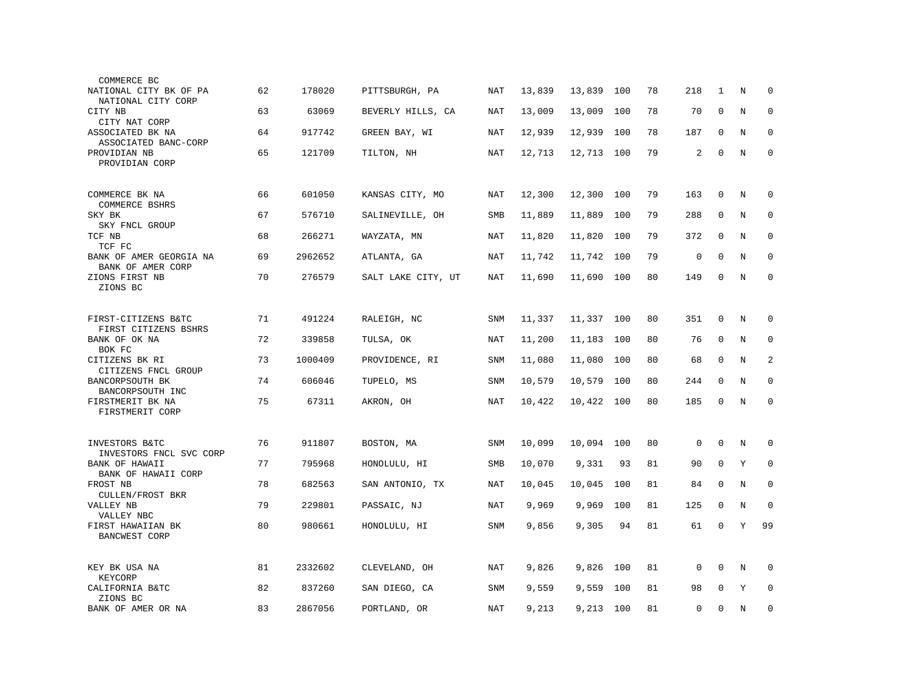| COMMERCE BC                                            |    |         |                    |            |        |            |     |    |                |              |   |             |
|--------------------------------------------------------|----|---------|--------------------|------------|--------|------------|-----|----|----------------|--------------|---|-------------|
| NATIONAL CITY BK OF PA<br>NATIONAL CITY CORP           | 62 | 178020  | PITTSBURGH, PA     | NAT        | 13,839 | 13,839     | 100 | 78 | 218            | 1            | N | $\mathbf 0$ |
| CITY NB                                                | 63 | 63069   | BEVERLY HILLS, CA  | NAT        | 13,009 | 13,009     | 100 | 78 | 70             | $\mathbf{0}$ | N | 0           |
| CITY NAT CORP<br>ASSOCIATED BK NA                      | 64 | 917742  | GREEN BAY, WI      | NAT        | 12,939 | 12,939     | 100 | 78 | 187            | $\mathbf{0}$ | N | $\mathbf 0$ |
| ASSOCIATED BANC-CORP<br>PROVIDIAN NB<br>PROVIDIAN CORP | 65 | 121709  | TILTON, NH         | <b>NAT</b> | 12,713 | 12,713     | 100 | 79 | $\overline{c}$ | $\mathbf 0$  | N | $\mathbf 0$ |
| COMMERCE BK NA                                         | 66 | 601050  | KANSAS CITY, MO    | NAT        | 12,300 | 12,300     | 100 | 79 | 163            | 0            | Ν | 0           |
| COMMERCE BSHRS<br>SKY BK                               | 67 | 576710  | SALINEVILLE, OH    | <b>SMB</b> | 11,889 | 11,889     | 100 | 79 | 288            | $\mathbf 0$  | N | $\mathbf 0$ |
| SKY FNCL GROUP<br>TCF NB                               | 68 | 266271  | WAYZATA, MN        | <b>NAT</b> | 11,820 | 11,820     | 100 | 79 | 372            | $\mathbf{0}$ | N | $\mathbf 0$ |
| TCF FC<br>BANK OF AMER GEORGIA NA                      | 69 | 2962652 | ATLANTA, GA        | NAT        | 11,742 | 11,742     | 100 | 79 | $\mathbf{0}$   | $\Omega$     | N | $\Omega$    |
| BANK OF AMER CORP<br>ZIONS FIRST NB<br>ZIONS BC        | 70 | 276579  | SALT LAKE CITY, UT | NAT        | 11,690 | 11,690     | 100 | 80 | 149            | $\mathbf 0$  | N | $\mathbf 0$ |
|                                                        |    |         |                    |            |        |            |     |    |                |              |   |             |
| FIRST-CITIZENS B&TC<br>FIRST CITIZENS BSHRS            | 71 | 491224  | RALEIGH, NC        | SNM        | 11,337 | 11,337 100 |     | 80 | 351            | $\mathbf 0$  | N | 0           |
| BANK OF OK NA<br>BOK FC                                | 72 | 339858  | TULSA, OK          | NAT        | 11,200 | 11,183     | 100 | 80 | 76             | $\mathbf{0}$ | N | $\mathbf 0$ |
| CITIZENS BK RI<br>CITIZENS FNCL GROUP                  | 73 | 1000409 | PROVIDENCE, RI     | SNM        | 11,080 | 11,080     | 100 | 80 | 68             | $\Omega$     | N | 2           |
| BANCORPSOUTH BK<br>BANCORPSOUTH INC                    | 74 | 606046  | TUPELO, MS         | SNM        | 10,579 | 10,579     | 100 | 80 | 244            | 0            | N | 0           |
| FIRSTMERIT BK NA<br>FIRSTMERIT CORP                    | 75 | 67311   | AKRON, OH          | <b>NAT</b> | 10,422 | 10,422     | 100 | 80 | 185            | $\mathbf 0$  | N | $\mathbf 0$ |
|                                                        |    |         |                    |            |        |            |     |    |                |              |   |             |
| INVESTORS B&TC<br>INVESTORS FNCL SVC CORP              | 76 | 911807  | BOSTON, MA         | <b>SNM</b> | 10,099 | 10,094     | 100 | 80 | $\mathbf 0$    | $\mathbf 0$  | N | $\mathbf 0$ |
| BANK OF HAWAII<br>BANK OF HAWAII CORP                  | 77 | 795968  | HONOLULU, HI       | <b>SMB</b> | 10,070 | 9,331      | 93  | 81 | 90             | $\mathbf 0$  | Υ | 0           |
| FROST NB<br><b>CULLEN/FROST BKR</b>                    | 78 | 682563  | SAN ANTONIO, TX    | NAT        | 10,045 | 10,045     | 100 | 81 | 84             | $\mathbf 0$  | N | $\mathbf 0$ |
| VALLEY NB<br>VALLEY NBC                                | 79 | 229801  | PASSAIC, NJ        | <b>NAT</b> | 9,969  | 9,969      | 100 | 81 | 125            | $\mathbf 0$  | N | $\mathbf 0$ |
| FIRST HAWAIIAN BK<br><b>BANCWEST CORP</b>              | 80 | 980661  | HONOLULU, HI       | <b>SNM</b> | 9,856  | 9,305      | 94  | 81 | 61             | $\mathbf 0$  | Y | 99          |
| KEY BK USA NA<br>KEYCORP                               | 81 | 2332602 | CLEVELAND, OH      | NAT        | 9,826  | 9,826      | 100 | 81 | 0              | $\mathbf 0$  | Ν | 0           |
| CALIFORNIA B&TC<br>ZIONS BC                            | 82 | 837260  | SAN DIEGO, CA      | SNM        | 9,559  | 9,559      | 100 | 81 | 98             | $\Omega$     | Υ | $\mathbf 0$ |
| BANK OF AMER OR NA                                     | 83 | 2867056 | PORTLAND, OR       | NAT        | 9,213  | 9,213      | 100 | 81 | 0              | $\mathbf 0$  | N | $\mathbf 0$ |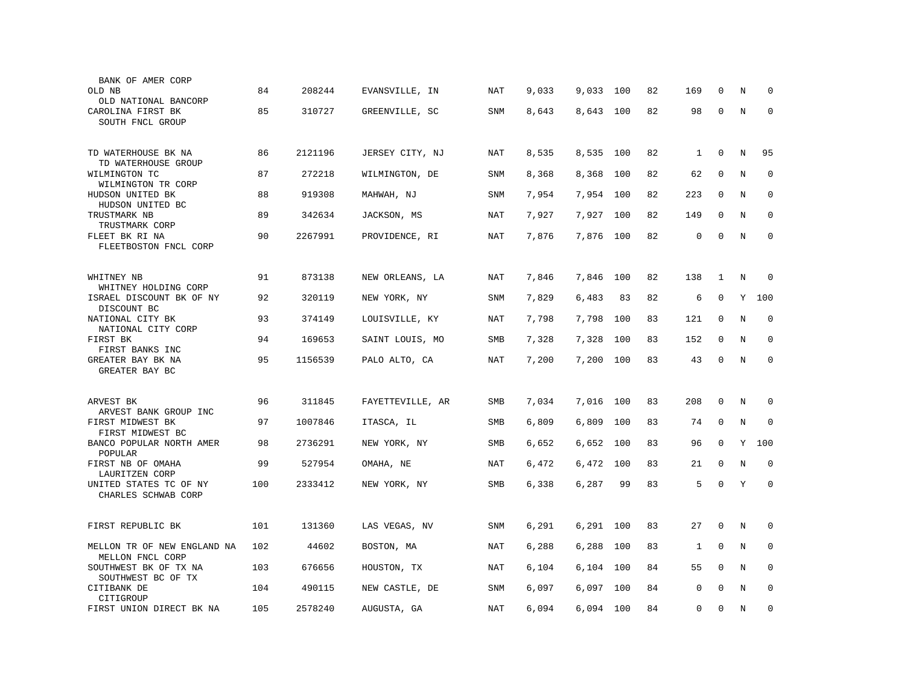| BANK OF AMER CORP<br>OLD NB                                     | 84  | 208244  | EVANSVILLE, IN   | NAT        | 9,033 | 9,033     | 100 | 82 | 169          | $\Omega$    | N | $\Omega$    |
|-----------------------------------------------------------------|-----|---------|------------------|------------|-------|-----------|-----|----|--------------|-------------|---|-------------|
| OLD NATIONAL BANCORP<br>CAROLINA FIRST BK                       | 85  | 310727  | GREENVILLE, SC   | SNM        | 8,643 | 8,643     | 100 | 82 | 98           | $\mathbf 0$ | N | $\mathbf 0$ |
| SOUTH FNCL GROUP                                                |     |         |                  |            |       |           |     |    |              |             |   |             |
| TD WATERHOUSE BK NA<br>TD WATERHOUSE GROUP                      | 86  | 2121196 | JERSEY CITY, NJ  | NAT        | 8,535 | 8,535 100 |     | 82 | $\mathbf{1}$ | $\mathbf 0$ | N | 95          |
| WILMINGTON TC                                                   | 87  | 272218  | WILMINGTON, DE   | <b>SNM</b> | 8,368 | 8,368     | 100 | 82 | 62           | $\mathbf 0$ | N | $\mathbf 0$ |
| WILMINGTON TR CORP<br>HUDSON UNITED BK<br>HUDSON UNITED BC      | 88  | 919308  | MAHWAH, NJ       | SNM        | 7,954 | 7,954     | 100 | 82 | 223          | $\mathbf 0$ | N | $\mathbf 0$ |
| TRUSTMARK NB<br>TRUSTMARK CORP                                  | 89  | 342634  | JACKSON, MS      | NAT        | 7,927 | 7,927     | 100 | 82 | 149          | $\Omega$    | N | $\mathbf 0$ |
| FLEET BK RI NA<br>FLEETBOSTON FNCL CORP                         | 90  | 2267991 | PROVIDENCE, RI   | NAT        | 7,876 | 7,876     | 100 | 82 | 0            | $\Omega$    | N | $\Omega$    |
| WHITNEY NB                                                      | 91  | 873138  | NEW ORLEANS, LA  | NAT        | 7,846 | 7,846     | 100 | 82 | 138          | 1           | N | $\mathbf 0$ |
| WHITNEY HOLDING CORP<br>ISRAEL DISCOUNT BK OF NY<br>DISCOUNT BC | 92  | 320119  | NEW YORK, NY     | SNM        | 7,829 | 6,483     | 83  | 82 | 6            | $\mathbf 0$ | Y | 100         |
| NATIONAL CITY BK<br>NATIONAL CITY CORP                          | 93  | 374149  | LOUISVILLE, KY   | <b>NAT</b> | 7,798 | 7,798     | 100 | 83 | 121          | $\mathbf 0$ | N | $\mathbf 0$ |
| FIRST BK<br>FIRST BANKS INC                                     | 94  | 169653  | SAINT LOUIS, MO  | <b>SMB</b> | 7,328 | 7,328     | 100 | 83 | 152          | $\mathbf 0$ | N | $\mathbf 0$ |
| GREATER BAY BK NA<br>GREATER BAY BC                             | 95  | 1156539 | PALO ALTO, CA    | NAT        | 7,200 | 7,200     | 100 | 83 | 43           | $\mathbf 0$ | N | $\mathbf 0$ |
| ARVEST BK                                                       | 96  | 311845  | FAYETTEVILLE, AR | SMB        | 7,034 | 7,016     | 100 | 83 | 208          | $\Omega$    | N | $\Omega$    |
| ARVEST BANK GROUP INC<br>FIRST MIDWEST BK<br>FIRST MIDWEST BC   | 97  | 1007846 | ITASCA, IL       | SMB        | 6,809 | 6,809     | 100 | 83 | 74           | $\mathbf 0$ | N | $\mathbf 0$ |
| BANCO POPULAR NORTH AMER<br>POPULAR                             | 98  | 2736291 | NEW YORK, NY     | SMB        | 6,652 | 6,652     | 100 | 83 | 96           | $\mathbf 0$ | Y | 100         |
| FIRST NB OF OMAHA<br>LAURITZEN CORP                             | 99  | 527954  | OMAHA, NE        | NAT        | 6,472 | 6,472     | 100 | 83 | 21           | $\mathbf 0$ | N | $\mathbf 0$ |
| UNITED STATES TC OF NY<br>CHARLES SCHWAB CORP                   | 100 | 2333412 | NEW YORK, NY     | SMB        | 6,338 | 6,287     | 99  | 83 | 5            | $\mathbf 0$ | Y | $\mathbf 0$ |
| FIRST REPUBLIC BK                                               | 101 | 131360  | LAS VEGAS, NV    | SNM        | 6,291 | 6,291     | 100 | 83 | 27           | $\mathbf 0$ | N | 0           |
| MELLON TR OF NEW ENGLAND NA<br>MELLON FNCL CORP                 | 102 | 44602   | BOSTON, MA       | <b>NAT</b> | 6,288 | 6,288     | 100 | 83 | $\mathbf{1}$ | $\mathbf 0$ | N | 0           |
| SOUTHWEST BK OF TX NA<br>SOUTHWEST BC OF TX                     | 103 | 676656  | HOUSTON, TX      | NAT        | 6,104 | 6,104     | 100 | 84 | 55           | $\mathbf 0$ | N | $\mathbf 0$ |
| CITIBANK DE<br>CITIGROUP                                        | 104 | 490115  | NEW CASTLE, DE   | SNM        | 6,097 | 6,097     | 100 | 84 | 0            | $\Omega$    | N | $\mathbf 0$ |
| FIRST UNION DIRECT BK NA                                        | 105 | 2578240 | AUGUSTA, GA      | <b>NAT</b> | 6,094 | 6,094 100 |     | 84 | 0            | $\mathbf 0$ | N | $\mathbf 0$ |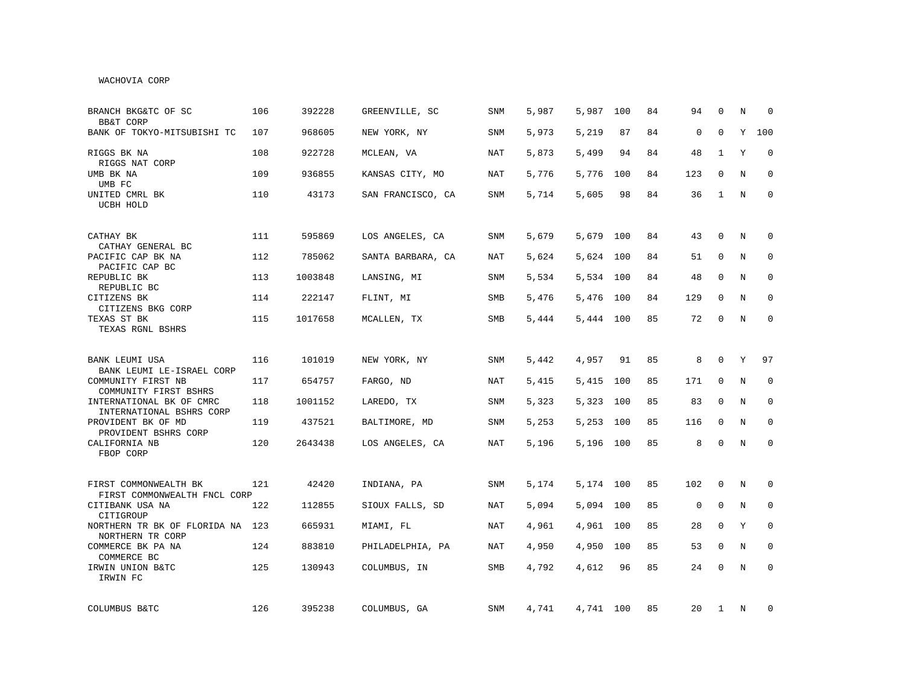## WACHOVIA CORP

| BRANCH BKG&TC OF SC<br><b>BB&amp;T CORP</b>                              | 106 | 392228  | GREENVILLE, SC    | <b>SNM</b> | 5,987 | 5,987     | 100 | 84 | 94          | $\Omega$     | N | $\Omega$    |
|--------------------------------------------------------------------------|-----|---------|-------------------|------------|-------|-----------|-----|----|-------------|--------------|---|-------------|
| BANK OF TOKYO-MITSUBISHI TC                                              | 107 | 968605  | NEW YORK, NY      | SNM        | 5,973 | 5,219     | 87  | 84 | $\mathbf 0$ | $\Omega$     | Y | 100         |
| RIGGS BK NA<br>RIGGS NAT CORP                                            | 108 | 922728  | MCLEAN, VA        | NAT        | 5,873 | 5,499     | 94  | 84 | 48          | 1            | Y | $\Omega$    |
| UMB BK NA<br>UMB FC                                                      | 109 | 936855  | KANSAS CITY, MO   | NAT        | 5,776 | 5,776     | 100 | 84 | 123         | $\Omega$     | N | $\mathbf 0$ |
| UNITED CMRL BK<br>UCBH HOLD                                              | 110 | 43173   | SAN FRANCISCO, CA | SNM        | 5,714 | 5,605     | 98  | 84 | 36          | $\mathbf{1}$ | N | $\mathbf 0$ |
| CATHAY BK                                                                | 111 | 595869  | LOS ANGELES, CA   | SNM        | 5,679 | 5,679     | 100 | 84 | 43          | 0            | N | 0           |
| CATHAY GENERAL BC<br>PACIFIC CAP BK NA<br>PACIFIC CAP BC                 | 112 | 785062  | SANTA BARBARA, CA | NAT        | 5,624 | 5,624     | 100 | 84 | 51          | $\mathbf 0$  | N | 0           |
| REPUBLIC BK<br>REPUBLIC BC                                               | 113 | 1003848 | LANSING, MI       | SNM        | 5,534 | 5,534 100 |     | 84 | 48          | $\Omega$     | N | $\mathbf 0$ |
| CITIZENS BK<br>CITIZENS BKG CORP                                         | 114 | 222147  | FLINT, MI         | <b>SMB</b> | 5,476 | 5,476     | 100 | 84 | 129         | $\Omega$     | N | $\mathbf 0$ |
| TEXAS ST BK<br>TEXAS RGNL BSHRS                                          | 115 | 1017658 | MCALLEN, TX       | SMB        | 5,444 | 5,444 100 |     | 85 | 72          | $\Omega$     | N | $\mathbf 0$ |
| BANK LEUMI USA                                                           | 116 | 101019  | NEW YORK, NY      | SNM        | 5,442 | 4,957     | 91  | 85 | 8           | $\mathbf 0$  | Y | 97          |
| BANK LEUMI LE-ISRAEL CORP<br>COMMUNITY FIRST NB<br>COMMUNITY FIRST BSHRS | 117 | 654757  | FARGO, ND         | NAT        | 5,415 | 5,415     | 100 | 85 | 171         | $\mathbf 0$  | N | $\mathbf 0$ |
| INTERNATIONAL BK OF CMRC<br>INTERNATIONAL BSHRS CORP                     | 118 | 1001152 | LAREDO, TX        | <b>SNM</b> | 5,323 | 5,323     | 100 | 85 | 83          | $\mathbf 0$  | N | 0           |
| PROVIDENT BK OF MD<br>PROVIDENT BSHRS CORP                               | 119 | 437521  | BALTIMORE, MD     | SNM        | 5,253 | 5,253     | 100 | 85 | 116         | $\mathbf 0$  | N | $\mathbf 0$ |
| CALIFORNIA NB<br>FBOP CORP                                               | 120 | 2643438 | LOS ANGELES, CA   | NAT        | 5,196 | 5,196 100 |     | 85 | 8           | $\mathbf{0}$ | N | $\mathbf 0$ |
| FIRST COMMONWEALTH BK<br>FIRST COMMONWEALTH FNCL CORP                    | 121 | 42420   | INDIANA, PA       | SNM        | 5,174 | 5,174 100 |     | 85 | 102         | $\mathbf{0}$ | N | $\mathbf 0$ |
| CITIBANK USA NA<br>CITIGROUP                                             | 122 | 112855  | SIOUX FALLS, SD   | NAT        | 5,094 | 5,094     | 100 | 85 | $\mathbf 0$ | $\mathbf{0}$ | N | $\mathbf 0$ |
| NORTHERN TR BK OF FLORIDA NA<br>NORTHERN TR CORP                         | 123 | 665931  | MIAMI, FL         | NAT        | 4,961 | 4,961     | 100 | 85 | 28          | $\mathbf 0$  | Y | $\mathbf 0$ |
| COMMERCE BK PA NA<br>COMMERCE BC                                         | 124 | 883810  | PHILADELPHIA, PA  | NAT        | 4,950 | 4,950     | 100 | 85 | 53          | 0            | N | $\mathbf 0$ |
| IRWIN UNION B&TC<br>IRWIN FC                                             | 125 | 130943  | COLUMBUS, IN      | SMB        | 4,792 | 4,612     | 96  | 85 | 24          | $\mathbf 0$  | N | $\mathbf 0$ |
| COLUMBUS B&TC                                                            | 126 | 395238  | COLUMBUS, GA      | SNM        | 4,741 | 4,741 100 |     | 85 | 20          | $\mathbf{1}$ | N | 0           |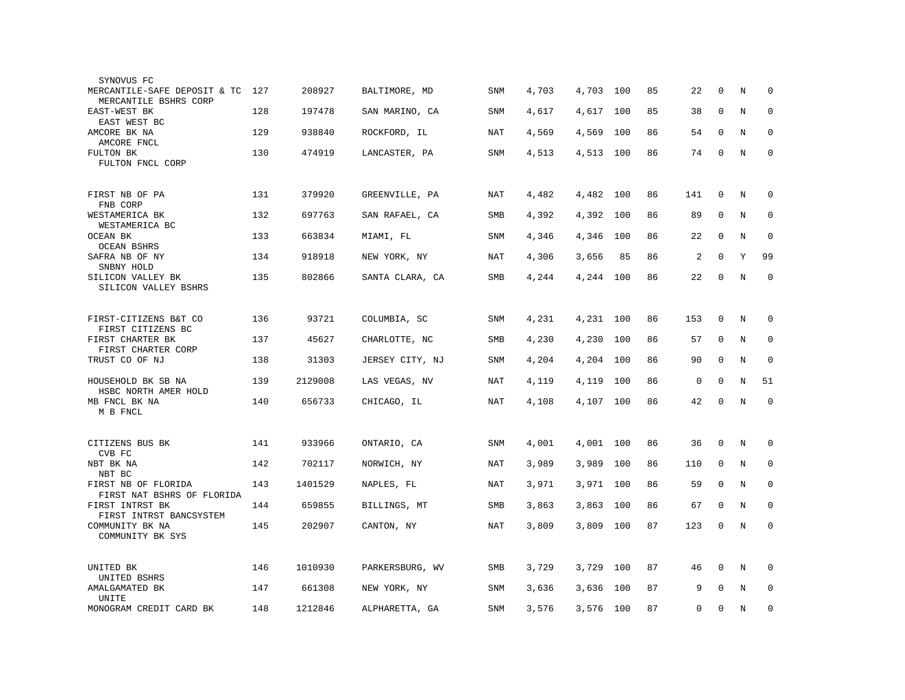| SYNOVUS FC                                            |     |         |                 |            |       |           |     |    |                |              |   |              |
|-------------------------------------------------------|-----|---------|-----------------|------------|-------|-----------|-----|----|----------------|--------------|---|--------------|
| MERCANTILE-SAFE DEPOSIT & TC<br>MERCANTILE BSHRS CORP | 127 | 208927  | BALTIMORE, MD   | SNM        | 4,703 | 4,703     | 100 | 85 | 22             | $\Omega$     | N | $\Omega$     |
| EAST-WEST BK<br>EAST WEST BC                          | 128 | 197478  | SAN MARINO, CA  | SNM        | 4,617 | 4,617     | 100 | 85 | 38             | $\mathbf 0$  | N | $\mathbf 0$  |
| AMCORE BK NA<br>AMCORE FNCL                           | 129 | 938840  | ROCKFORD, IL    | NAT        | 4,569 | 4,569     | 100 | 86 | 54             | $\mathbf{0}$ | N | $\mathbf 0$  |
| FULTON BK                                             | 130 | 474919  | LANCASTER, PA   | <b>SNM</b> | 4,513 | 4,513     | 100 | 86 | 74             | $\mathbf 0$  | N | $\mathbf{0}$ |
| FULTON FNCL CORP                                      |     |         |                 |            |       |           |     |    |                |              |   |              |
| FIRST NB OF PA<br>FNB CORP                            | 131 | 379920  | GREENVILLE, PA  | NAT        | 4,482 | 4,482     | 100 | 86 | 141            | $\mathbf 0$  | N | $\mathbf 0$  |
| WESTAMERICA BK<br>WESTAMERICA BC                      | 132 | 697763  | SAN RAFAEL, CA  | SMB        | 4,392 | 4,392     | 100 | 86 | 89             | $\mathbf 0$  | N | $\mathbf 0$  |
| OCEAN BK<br><b>OCEAN BSHRS</b>                        | 133 | 663834  | MIAMI, FL       | SNM        | 4,346 | 4,346     | 100 | 86 | 22             | $\mathbf 0$  | N | 0            |
| SAFRA NB OF NY<br>SNBNY HOLD                          | 134 | 918918  | NEW YORK, NY    | <b>NAT</b> | 4,306 | 3,656     | 85  | 86 | $\overline{a}$ | $\Omega$     | Y | 99           |
| SILICON VALLEY BK                                     | 135 | 802866  | SANTA CLARA, CA | <b>SMB</b> | 4,244 | 4,244     | 100 | 86 | 22             | $\mathbf 0$  | N | $\mathbf 0$  |
| SILICON VALLEY BSHRS                                  |     |         |                 |            |       |           |     |    |                |              |   |              |
| FIRST-CITIZENS B&T CO<br>FIRST CITIZENS BC            | 136 | 93721   | COLUMBIA, SC    | SNM        | 4,231 | 4,231 100 |     | 86 | 153            | $\mathbf 0$  | N | 0            |
| FIRST CHARTER BK<br>FIRST CHARTER CORP                | 137 | 45627   | CHARLOTTE, NC   | SMB        | 4,230 | 4,230     | 100 | 86 | 57             | $\mathbf 0$  | N | $\mathbf 0$  |
| TRUST CO OF NJ                                        | 138 | 31303   | JERSEY CITY, NJ | SNM        | 4,204 | 4,204     | 100 | 86 | 90             | $\Omega$     | N | $\mathbf 0$  |
| HOUSEHOLD BK SB NA                                    | 139 | 2129008 | LAS VEGAS, NV   | <b>NAT</b> | 4,119 | 4,119     | 100 | 86 | 0              | $\mathbf 0$  | N | 51           |
| HSBC NORTH AMER HOLD<br>MB FNCL BK NA                 | 140 | 656733  | CHICAGO, IL     | <b>NAT</b> | 4,108 | 4,107 100 |     | 86 | 42             | $\mathbf 0$  | N | $\mathbf 0$  |
| M B FNCL                                              |     |         |                 |            |       |           |     |    |                |              |   |              |
| CITIZENS BUS BK<br>CVB FC                             | 141 | 933966  | ONTARIO, CA     | SNM        | 4,001 | 4,001     | 100 | 86 | 36             | $\mathbf 0$  | N | $\mathbf 0$  |
| NBT BK NA<br>NBT BC                                   | 142 | 702117  | NORWICH, NY     | NAT        | 3,989 | 3,989     | 100 | 86 | 110            | 0            | N | 0            |
| FIRST NB OF FLORIDA                                   | 143 | 1401529 | NAPLES, FL      | NAT        | 3,971 | 3,971     | 100 | 86 | 59             | 0            | N | $\mathbf 0$  |
| FIRST NAT BSHRS OF FLORIDA<br>FIRST INTRST BK         | 144 | 659855  | BILLINGS, MT    | SMB        | 3,863 | 3,863     | 100 | 86 | 67             | 0            | N | 0            |
| FIRST INTRST BANCSYSTEM<br>COMMUNITY BK NA            | 145 | 202907  | CANTON, NY      | <b>NAT</b> | 3,809 | 3,809     | 100 | 87 | 123            | $\mathbf 0$  | N | $\mathbf 0$  |
| COMMUNITY BK SYS                                      |     |         |                 |            |       |           |     |    |                |              |   |              |
| UNITED BK                                             | 146 | 1010930 | PARKERSBURG, WV | <b>SMB</b> | 3,729 | 3,729     | 100 | 87 | 46             | 0            | N | 0            |
| UNITED BSHRS<br>AMALGAMATED BK                        | 147 | 661308  | NEW YORK, NY    | SNM        | 3,636 | 3,636     | 100 | 87 | 9              | $\Omega$     | N | $\mathbf 0$  |
| UNITE<br>MONOGRAM CREDIT CARD BK                      | 148 | 1212846 | ALPHARETTA, GA  | <b>SNM</b> | 3,576 | 3,576     | 100 | 87 | 0              | $\mathbf 0$  | N | $\mathbf 0$  |
|                                                       |     |         |                 |            |       |           |     |    |                |              |   |              |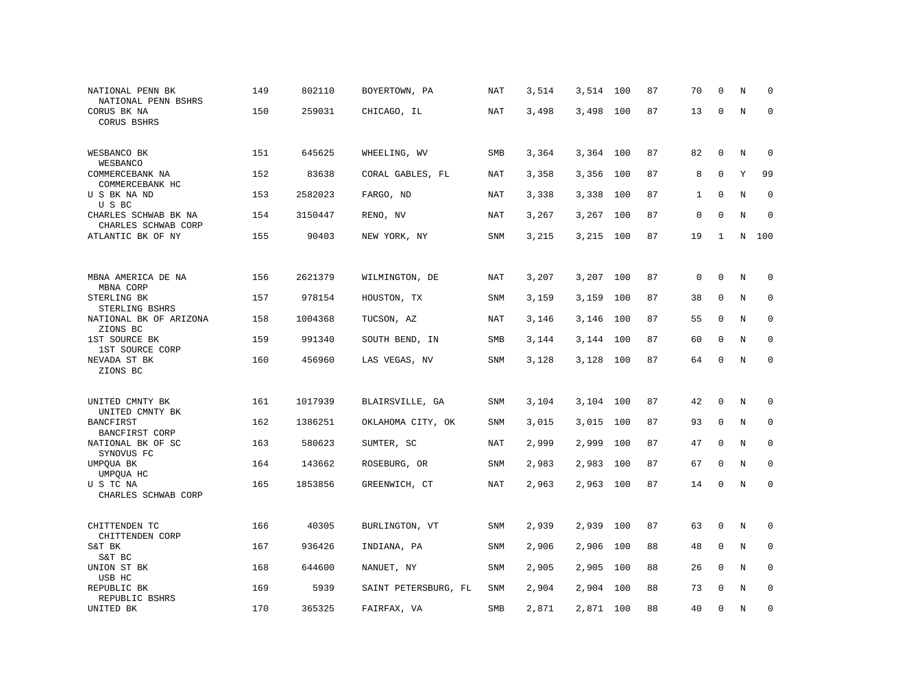| NATIONAL PENN BK<br>NATIONAL PENN BSHRS     | 149 | 802110  | BOYERTOWN, PA        | NAT        | 3,514 | 3,514     | 100 | 87 | 70           | 0            | N       | $\mathbf 0$         |
|---------------------------------------------|-----|---------|----------------------|------------|-------|-----------|-----|----|--------------|--------------|---------|---------------------|
| CORUS BK NA<br>CORUS BSHRS                  | 150 | 259031  | CHICAGO, IL          | NAT        | 3,498 | 3,498     | 100 | 87 | 13           | $\mathsf 0$  | N       | $\mathsf{O}\xspace$ |
| WESBANCO BK<br>WESBANCO                     | 151 | 645625  | WHEELING, WV         | SMB        | 3,364 | 3,364 100 |     | 87 | 82           | $\mathbf 0$  | N       | 0                   |
| COMMERCEBANK NA<br>COMMERCEBANK HC          | 152 | 83638   | CORAL GABLES, FL     | <b>NAT</b> | 3,358 | 3,356     | 100 | 87 | 8            | $\mathbf 0$  | Υ       | 99                  |
| U S BK NA ND<br>U S BC                      | 153 | 2582023 | FARGO, ND            | NAT        | 3,338 | 3,338     | 100 | 87 | $\mathbf{1}$ | $\mathbf 0$  | N       | $\mathbf 0$         |
| CHARLES SCHWAB BK NA<br>CHARLES SCHWAB CORP | 154 | 3150447 | RENO, NV             | <b>NAT</b> | 3,267 | 3,267     | 100 | 87 | 0            | $\mathbf{0}$ | $\rm N$ | $\mathbf 0$         |
| ATLANTIC BK OF NY                           | 155 | 90403   | NEW YORK, NY         | SNM        | 3,215 | 3,215 100 |     | 87 | 19           | 1            | N       | 100                 |
|                                             |     |         |                      |            |       |           |     |    |              |              |         |                     |
| MBNA AMERICA DE NA<br>MBNA CORP             | 156 | 2621379 | WILMINGTON, DE       | NAT        | 3,207 | 3,207     | 100 | 87 | $\mathbf 0$  | $\mathbf 0$  | N       | $\mathbf 0$         |
| STERLING BK<br>STERLING BSHRS               | 157 | 978154  | HOUSTON, TX          | <b>SNM</b> | 3,159 | 3,159     | 100 | 87 | 38           | $\mathbf{0}$ | N       | $\mathbf 0$         |
| NATIONAL BK OF ARIZONA<br>ZIONS BC          | 158 | 1004368 | TUCSON, AZ           | NAT        | 3,146 | 3,146     | 100 | 87 | 55           | $\Omega$     | N       | $\mathbf 0$         |
| 1ST SOURCE BK<br>1ST SOURCE CORP            | 159 | 991340  | SOUTH BEND, IN       | SMB        | 3,144 | 3,144     | 100 | 87 | 60           | $\mathbf{0}$ | $\rm N$ | $\mathbf 0$         |
| NEVADA ST BK<br>ZIONS BC                    | 160 | 456960  | LAS VEGAS, NV        | <b>SNM</b> | 3,128 | 3,128     | 100 | 87 | 64           | $\mathbf 0$  | N       | $\mathbf{0}$        |
|                                             |     |         |                      |            |       |           |     |    |              |              |         |                     |
| UNITED CMNTY BK<br>UNITED CMNTY BK          | 161 | 1017939 | BLAIRSVILLE, GA      | <b>SNM</b> | 3,104 | 3,104     | 100 | 87 | 42           | $\mathbf 0$  | N       | 0                   |
| <b>BANCFIRST</b><br>BANCFIRST CORP          | 162 | 1386251 | OKLAHOMA CITY, OK    | SNM        | 3,015 | 3,015     | 100 | 87 | 93           | 0            | N       | 0                   |
| NATIONAL BK OF SC<br>SYNOVUS FC             | 163 | 580623  | SUMTER, SC           | <b>NAT</b> | 2,999 | 2,999     | 100 | 87 | 47           | $\mathbf{0}$ | N       | $\mathbf 0$         |
| UMPQUA BK<br>UMPQUA HC                      | 164 | 143662  | ROSEBURG, OR         | <b>SNM</b> | 2,983 | 2,983     | 100 | 87 | 67           | $\mathbf 0$  | N       | $\mathbf 0$         |
| U S TC NA<br>CHARLES SCHWAB CORP            | 165 | 1853856 | GREENWICH, CT        | <b>NAT</b> | 2,963 | 2,963     | 100 | 87 | 14           | $\mathbf 0$  | $\rm N$ | $\mathbf 0$         |
| CHITTENDEN TC<br>CHITTENDEN CORP            | 166 | 40305   | BURLINGTON, VT       | SNM        | 2,939 | 2,939     | 100 | 87 | 63           | 0            | $\rm N$ | 0                   |
| S&T BK                                      | 167 | 936426  | INDIANA, PA          | SNM        | 2,906 | 2,906     | 100 | 88 | 48           | 0            | N       | 0                   |
| S&T BC<br>UNION ST BK                       | 168 | 644600  | NANUET, NY           | SNM        | 2,905 | 2,905     | 100 | 88 | 26           | $\mathbf 0$  | N       | $\mathbf 0$         |
| USB HC<br>REPUBLIC BK<br>REPUBLIC BSHRS     | 169 | 5939    | SAINT PETERSBURG, FL | SNM        | 2,904 | 2,904     | 100 | 88 | 73           | $\mathbf 0$  | N       | 0                   |
| UNITED BK                                   | 170 | 365325  | FAIRFAX, VA          | SMB        | 2,871 | 2,871 100 |     | 88 | 40           | $\mathbf 0$  | N       | 0                   |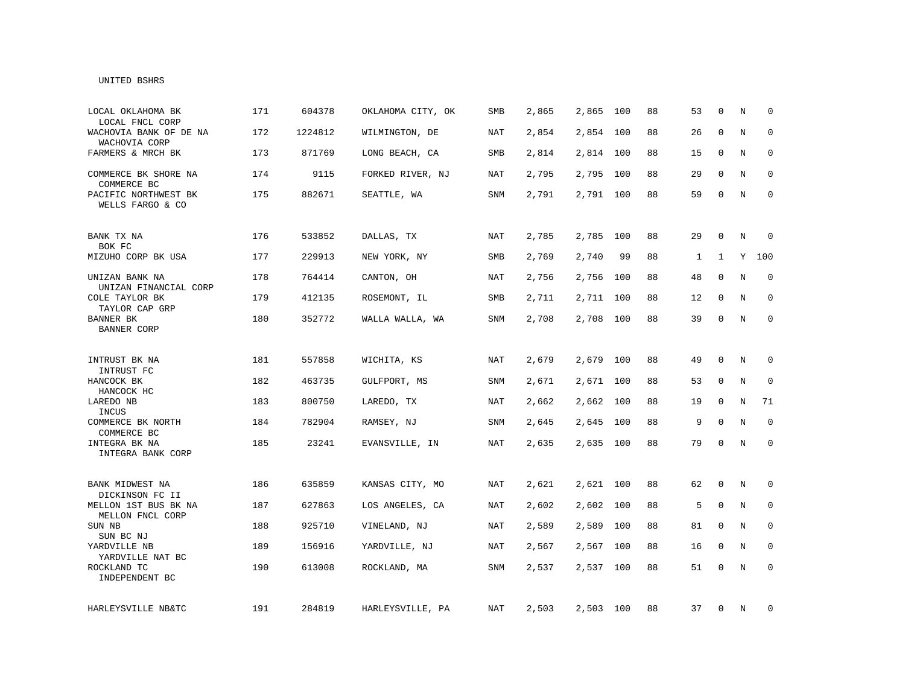#### UNITED BSHRS

| LOCAL OKLAHOMA BK<br>LOCAL FNCL CORP     | 171 | 604378  | OKLAHOMA CITY, OK | <b>SMB</b> | 2,865 | 2,865     | 100 | 88 | 53 | $\Omega$     | N | $\Omega$    |
|------------------------------------------|-----|---------|-------------------|------------|-------|-----------|-----|----|----|--------------|---|-------------|
| WACHOVIA BANK OF DE NA<br>WACHOVIA CORP  | 172 | 1224812 | WILMINGTON, DE    | <b>NAT</b> | 2,854 | 2,854 100 |     | 88 | 26 | $\mathbf{0}$ | N | $\mathbf 0$ |
| FARMERS & MRCH BK                        | 173 | 871769  | LONG BEACH, CA    | SMB        | 2,814 | 2,814 100 |     | 88 | 15 | 0            | N | $\mathbf 0$ |
| COMMERCE BK SHORE NA<br>COMMERCE BC      | 174 | 9115    | FORKED RIVER, NJ  | NAT        | 2,795 | 2,795     | 100 | 88 | 29 | $\mathbf 0$  | N | 0           |
| PACIFIC NORTHWEST BK<br>WELLS FARGO & CO | 175 | 882671  | SEATTLE, WA       | SNM        | 2,791 | 2,791 100 |     | 88 | 59 | $\mathbf 0$  | N | $\mathbf 0$ |
| BANK TX NA<br>BOK FC                     | 176 | 533852  | DALLAS, TX        | NAT        | 2,785 | 2,785     | 100 | 88 | 29 | $\mathbf 0$  | N | 0           |
| MIZUHO CORP BK USA                       | 177 | 229913  | NEW YORK, NY      | SMB        | 2,769 | 2,740     | 99  | 88 | 1  | 1            | Υ | 100         |
| UNIZAN BANK NA<br>UNIZAN FINANCIAL CORP  | 178 | 764414  | CANTON, OH        | NAT        | 2,756 | 2,756     | 100 | 88 | 48 | $\Omega$     | N | $\mathbf 0$ |
| COLE TAYLOR BK<br>TAYLOR CAP GRP         | 179 | 412135  | ROSEMONT, IL      | SMB        | 2,711 | 2,711     | 100 | 88 | 12 | $\mathbf{0}$ | N | $\mathbf 0$ |
| BANNER BK<br><b>BANNER CORP</b>          | 180 | 352772  | WALLA WALLA, WA   | <b>SNM</b> | 2,708 | 2,708     | 100 | 88 | 39 | $\mathbf{0}$ | N | $\mathbf 0$ |
| INTRUST BK NA                            | 181 | 557858  | WICHITA, KS       | <b>NAT</b> | 2,679 | 2,679     | 100 | 88 | 49 | $\mathbf 0$  | N | $\mathbf 0$ |
| INTRUST FC<br>HANCOCK BK<br>HANCOCK HC   | 182 | 463735  | GULFPORT, MS      | SNM        | 2,671 | 2,671     | 100 | 88 | 53 | $\mathbf{0}$ | N | 0           |
| LAREDO NB<br>INCUS                       | 183 | 800750  | LAREDO, TX        | NAT        | 2,662 | 2,662     | 100 | 88 | 19 | $\mathbf{0}$ | N | 71          |
| COMMERCE BK NORTH<br>COMMERCE BC         | 184 | 782904  | RAMSEY, NJ        | SNM        | 2,645 | 2,645     | 100 | 88 | 9  | $\mathbf 0$  | N | $\mathbf 0$ |
| INTEGRA BK NA<br>INTEGRA BANK CORP       | 185 | 23241   | EVANSVILLE, IN    | NAT        | 2,635 | 2,635 100 |     | 88 | 79 | 0            | N | $\mathbf 0$ |
| BANK MIDWEST NA<br>DICKINSON FC II       | 186 | 635859  | KANSAS CITY, MO   | NAT        | 2,621 | 2,621 100 |     | 88 | 62 | $\mathbf{0}$ | N | $\mathbf 0$ |
| MELLON 1ST BUS BK NA<br>MELLON FNCL CORP | 187 | 627863  | LOS ANGELES, CA   | NAT        | 2,602 | 2,602     | 100 | 88 | 5  | $\mathbf 0$  | N | $\mathbf 0$ |
| SUN NB<br>SUN BC NJ                      | 188 | 925710  | VINELAND, NJ      | NAT        | 2,589 | 2,589     | 100 | 88 | 81 | $\mathbf 0$  | N | $\mathbf 0$ |
| YARDVILLE NB<br>YARDVILLE NAT BC         | 189 | 156916  | YARDVILLE, NJ     | NAT        | 2,567 | 2,567     | 100 | 88 | 16 | 0            | N | 0           |
| ROCKLAND TC<br>INDEPENDENT BC            | 190 | 613008  | ROCKLAND, MA      | SNM        | 2,537 | 2,537     | 100 | 88 | 51 | $\mathsf{O}$ | N | $\mathbf 0$ |
| HARLEYSVILLE NB&TC                       | 191 | 284819  | HARLEYSVILLE, PA  | NAT        | 2,503 | 2,503 100 |     | 88 | 37 | 0            | N | 0           |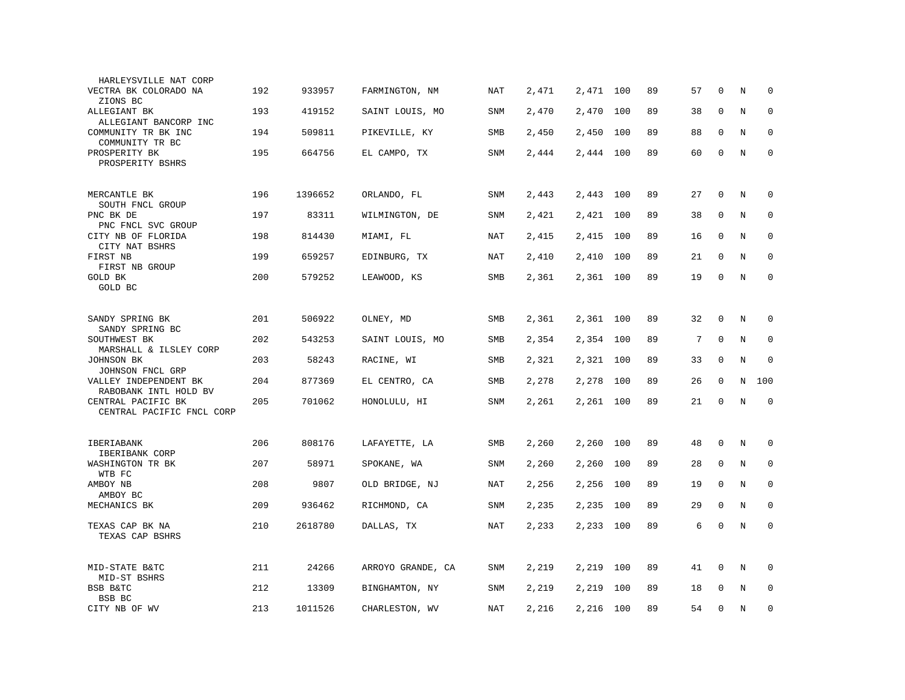| HARLEYSVILLE NAT CORP                       |     |         |                   |            |       |           |     |    |    |              |         |             |
|---------------------------------------------|-----|---------|-------------------|------------|-------|-----------|-----|----|----|--------------|---------|-------------|
| VECTRA BK COLORADO NA<br>ZIONS BC           | 192 | 933957  | FARMINGTON, NM    | NAT        | 2,471 | 2,471     | 100 | 89 | 57 | $\mathbf 0$  | N       | $\mathbf 0$ |
| ALLEGIANT BK<br>ALLEGIANT BANCORP INC       | 193 | 419152  | SAINT LOUIS, MO   | <b>SNM</b> | 2,470 | 2,470     | 100 | 89 | 38 | $\mathbf{0}$ | N       | 0           |
| COMMUNITY TR BK INC<br>COMMUNITY TR BC      | 194 | 509811  | PIKEVILLE, KY     | SMB        | 2,450 | 2,450     | 100 | 89 | 88 | $\mathbf 0$  | N       | $\mathbf 0$ |
| PROSPERITY BK<br>PROSPERITY BSHRS           | 195 | 664756  | EL CAMPO, TX      | SNM        | 2,444 | 2,444     | 100 | 89 | 60 | $\mathbf{0}$ | N       | $\Omega$    |
|                                             |     |         |                   |            |       |           |     |    |    |              |         |             |
| MERCANTLE BK<br>SOUTH FNCL GROUP            | 196 | 1396652 | ORLANDO, FL       | SNM        | 2,443 | 2,443     | 100 | 89 | 27 | 0            | $\rm N$ | 0           |
| PNC BK DE<br>PNC FNCL SVC GROUP             | 197 | 83311   | WILMINGTON, DE    | SNM        | 2,421 | 2,421     | 100 | 89 | 38 | $\mathbf 0$  | N       | $\mathbf 0$ |
| CITY NB OF FLORIDA<br>CITY NAT BSHRS        | 198 | 814430  | MIAMI, FL         | NAT        | 2,415 | 2,415     | 100 | 89 | 16 | $\Omega$     | N       | $\mathbf 0$ |
| FIRST NB<br>FIRST NB GROUP                  | 199 | 659257  | EDINBURG, TX      | NAT        | 2,410 | 2,410     | 100 | 89 | 21 | $\Omega$     | N       | $\Omega$    |
| <b>GOLD BK</b><br>GOLD BC                   | 200 | 579252  | LEAWOOD, KS       | SMB        | 2,361 | 2,361     | 100 | 89 | 19 | $\mathbf{0}$ | N       | $\mathbf 0$ |
|                                             |     |         |                   |            |       |           |     |    |    |              |         |             |
| SANDY SPRING BK<br>SANDY SPRING BC          | 201 | 506922  | OLNEY, MD         | SMB        | 2,361 | 2,361 100 |     | 89 | 32 | $\mathbf 0$  | N       | $\mathbf 0$ |
| SOUTHWEST BK<br>MARSHALL & ILSLEY CORP      | 202 | 543253  | SAINT LOUIS, MO   | SMB        | 2,354 | 2,354 100 |     | 89 | 7  | $\mathbf{0}$ | N       | $\mathbf 0$ |
| JOHNSON BK                                  | 203 | 58243   | RACINE, WI        | SMB        | 2,321 | 2,321     | 100 | 89 | 33 | $\mathbf 0$  | N       | $\mathbf 0$ |
| JOHNSON FNCL GRP<br>VALLEY INDEPENDENT BK   | 204 | 877369  | EL CENTRO, CA     | SMB        | 2,278 | 2,278     | 100 | 89 | 26 | $\mathbf 0$  | N       | 100         |
| RABOBANK INTL HOLD BV<br>CENTRAL PACIFIC BK | 205 | 701062  | HONOLULU, HI      | SNM        | 2,261 | 2,261 100 |     | 89 | 21 | $\Omega$     | N       | $\mathbf 0$ |
| CENTRAL PACIFIC FNCL CORP                   |     |         |                   |            |       |           |     |    |    |              |         |             |
| IBERIABANK                                  | 206 | 808176  | LAFAYETTE, LA     | SMB        | 2,260 | 2,260     | 100 | 89 | 48 | $\mathbf{0}$ | N       | 0           |
| IBERIBANK CORP<br>WASHINGTON TR BK          | 207 | 58971   | SPOKANE, WA       | <b>SNM</b> | 2,260 | 2,260     | 100 | 89 | 28 | $\mathbf 0$  | N       | $\mathbf 0$ |
| WTB FC<br>AMBOY NB                          | 208 | 9807    | OLD BRIDGE, NJ    | NAT        | 2,256 | 2,256     | 100 | 89 | 19 | 0            | N       | $\mathbf 0$ |
| AMBOY BC<br>MECHANICS BK                    | 209 | 936462  | RICHMOND, CA      | <b>SNM</b> | 2,235 | 2,235     | 100 | 89 | 29 | $\mathbf 0$  | N       | $\mathbf 0$ |
| TEXAS CAP BK NA<br>TEXAS CAP BSHRS          | 210 | 2618780 | DALLAS, TX        | <b>NAT</b> | 2,233 | 2,233     | 100 | 89 | 6  | $\mathbf 0$  | N       | $\mathbf 0$ |
|                                             |     |         |                   |            |       |           |     |    |    |              |         |             |
| MID-STATE B&TC<br>MID-ST BSHRS              | 211 | 24266   | ARROYO GRANDE, CA | SNM        | 2,219 | 2,219     | 100 | 89 | 41 | $\mathbf 0$  | N       | $\mathbf 0$ |
| BSB B&TC<br>BSB BC                          | 212 | 13309   | BINGHAMTON, NY    | SNM        | 2,219 | 2,219     | 100 | 89 | 18 | $\mathbf 0$  | N       | $\mathbf 0$ |
| CITY NB OF WV                               | 213 | 1011526 | CHARLESTON, WV    | <b>NAT</b> | 2,216 | 2,216     | 100 | 89 | 54 | $\mathbf 0$  | $\rm N$ | $\mathbf 0$ |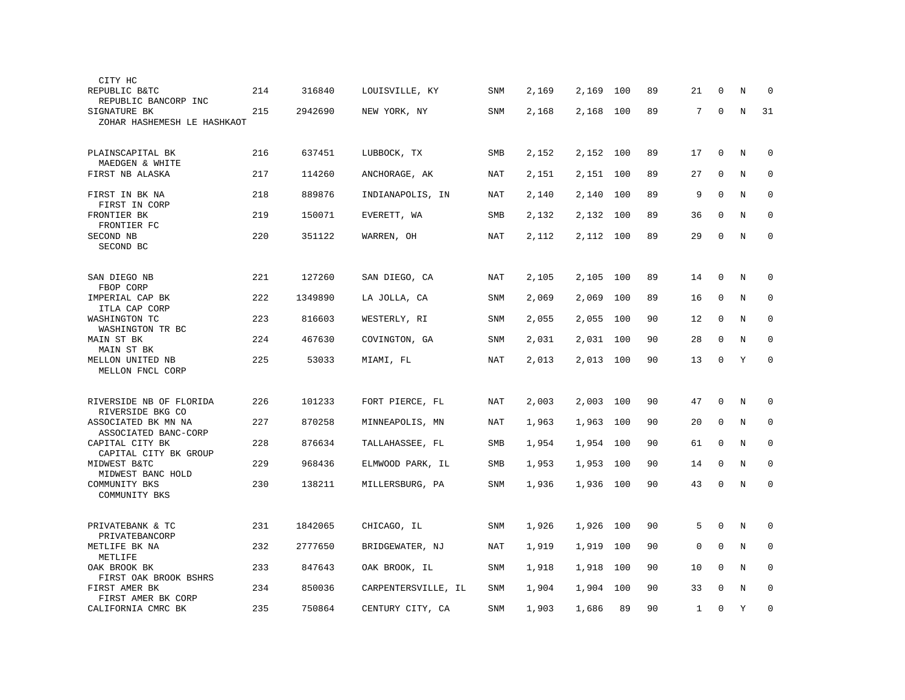| CITY HC                                                      |     |         |                     |            |       |           |     |    |              |              |         |             |
|--------------------------------------------------------------|-----|---------|---------------------|------------|-------|-----------|-----|----|--------------|--------------|---------|-------------|
| REPUBLIC B&TC<br>REPUBLIC BANCORP INC                        | 214 | 316840  | LOUISVILLE, KY      | SNM        | 2,169 | 2,169     | 100 | 89 | 21           | $\Omega$     | N       | $\Omega$    |
| SIGNATURE BK<br>ZOHAR HASHEMESH LE HASHKAOT                  | 215 | 2942690 | NEW YORK, NY        | <b>SNM</b> | 2,168 | 2,168     | 100 | 89 | 7            | $\mathbf 0$  | $\rm N$ | 31          |
| PLAINSCAPITAL BK<br>MAEDGEN & WHITE                          | 216 | 637451  | LUBBOCK, TX         | SMB        | 2,152 | 2,152 100 |     | 89 | 17           | 0            | N       | $\mathbf 0$ |
| FIRST NB ALASKA                                              | 217 | 114260  | ANCHORAGE, AK       | NAT        | 2,151 | 2,151 100 |     | 89 | 27           | 0            | N       | 0           |
| FIRST IN BK NA<br>FIRST IN CORP                              | 218 | 889876  | INDIANAPOLIS, IN    | NAT        | 2,140 | 2,140     | 100 | 89 | 9            | $\mathbf 0$  | N       | $\mathbf 0$ |
| FRONTIER BK<br>FRONTIER FC                                   | 219 | 150071  | EVERETT, WA         | SMB        | 2,132 | 2,132     | 100 | 89 | 36           | $\Omega$     | N       | $\mathbf 0$ |
| SECOND NB<br>SECOND BC                                       | 220 | 351122  | WARREN, OH          | NAT        | 2,112 | 2,112     | 100 | 89 | 29           | 0            | $\rm N$ | $\mathbf 0$ |
|                                                              |     |         |                     |            |       |           |     |    |              |              |         |             |
| SAN DIEGO NB<br>FBOP CORP                                    | 221 | 127260  | SAN DIEGO, CA       | NAT        | 2,105 | 2,105     | 100 | 89 | 14           | 0            | N       | 0           |
| IMPERIAL CAP BK<br>ITLA CAP CORP                             | 222 | 1349890 | LA JOLLA, CA        | SNM        | 2,069 | 2,069     | 100 | 89 | 16           | 0            | N       | 0           |
| WASHINGTON TC<br>WASHINGTON TR BC                            | 223 | 816603  | WESTERLY, RI        | SNM        | 2,055 | 2,055     | 100 | 90 | 12           | $\mathbf 0$  | N       | $\mathbf 0$ |
| MAIN ST BK<br>MAIN ST BK                                     | 224 | 467630  | COVINGTON, GA       | <b>SNM</b> | 2,031 | 2,031     | 100 | 90 | 28           | $\mathbf 0$  | N       | $\mathbf 0$ |
| MELLON UNITED NB<br>MELLON FNCL CORP                         | 225 | 53033   | MIAMI, FL           | NAT        | 2,013 | 2,013     | 100 | 90 | 13           | $\mathbf 0$  | Y       | $\mathbf 0$ |
|                                                              |     |         |                     |            |       |           |     |    |              |              |         |             |
| RIVERSIDE NB OF FLORIDA<br>RIVERSIDE BKG CO                  | 226 | 101233  | FORT PIERCE, FL     | NAT        | 2,003 | 2,003     | 100 | 90 | 47           | 0            | N       | $\mathbf 0$ |
| ASSOCIATED BK MN NA<br>ASSOCIATED BANC-CORP                  | 227 | 870258  | MINNEAPOLIS, MN     | NAT        | 1,963 | 1,963     | 100 | 90 | 20           | 0            | N       | $\mathbf 0$ |
| CAPITAL CITY BK                                              | 228 | 876634  | TALLAHASSEE, FL     | SMB        | 1,954 | 1,954     | 100 | 90 | 61           | 0            | N       | $\mathbf 0$ |
| CAPITAL CITY BK GROUP<br>MIDWEST B&TC<br>MIDWEST BANC HOLD   | 229 | 968436  | ELMWOOD PARK, IL    | SMB        | 1,953 | 1,953     | 100 | 90 | 14           | $\mathbf 0$  | N       | $\mathbf 0$ |
| COMMUNITY BKS<br>COMMUNITY BKS                               | 230 | 138211  | MILLERSBURG, PA     | SNM        | 1,936 | 1,936     | 100 | 90 | 43           | 0            | N       | $\mathbf 0$ |
|                                                              |     |         |                     |            |       |           |     |    |              |              |         |             |
| PRIVATEBANK & TC<br>PRIVATEBANCORP                           | 231 | 1842065 | CHICAGO, IL         | SNM        | 1,926 | 1,926     | 100 | 90 | 5            | $\mathbf 0$  | N       | $\mathbf 0$ |
| METLIFE BK NA<br>METLIFE                                     | 232 | 2777650 | BRIDGEWATER, NJ     | NAT        | 1,919 | 1,919     | 100 | 90 | $\mathsf 0$  | $\mathbf 0$  | N       | $\mathbf 0$ |
| OAK BROOK BK                                                 | 233 | 847643  | OAK BROOK, IL       | SNM        | 1,918 | 1,918     | 100 | 90 | 10           | $\mathbf 0$  | N       | $\mathbf 0$ |
| FIRST OAK BROOK BSHRS<br>FIRST AMER BK<br>FIRST AMER BK CORP | 234 | 850036  | CARPENTERSVILLE, IL | SNM        | 1,904 | 1,904     | 100 | 90 | 33           | $\Omega$     | N       | $\mathbf 0$ |
| CALIFORNIA CMRC BK                                           | 235 | 750864  | CENTURY CITY, CA    | <b>SNM</b> | 1,903 | 1,686     | 89  | 90 | $\mathbf{1}$ | $\mathbf{0}$ | Y       | $\mathbf 0$ |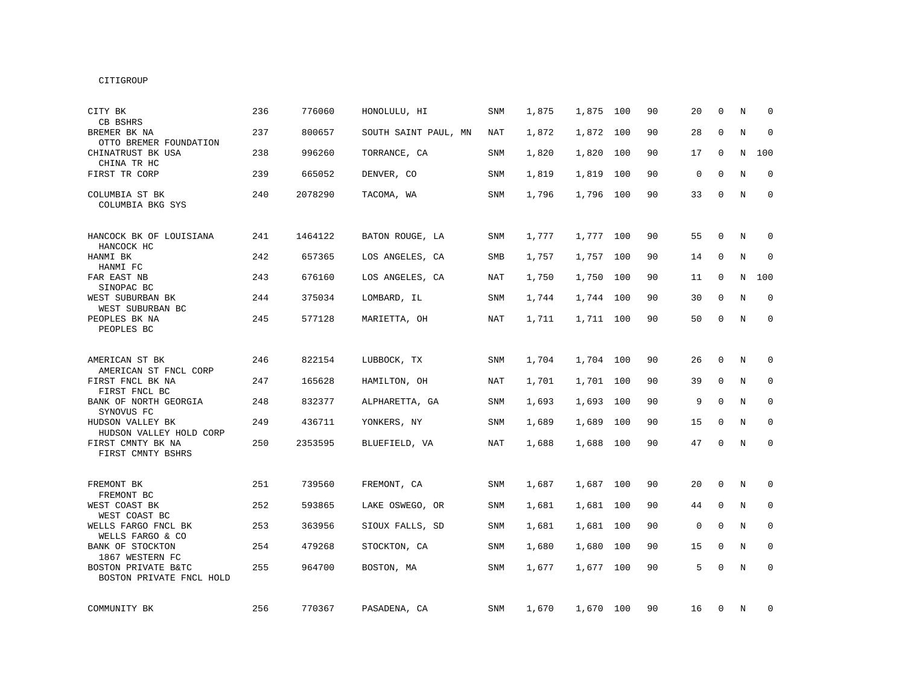| CITY BK<br>CB BSHRS                                  | 236 | 776060  | HONOLULU, HI         | SNM        | 1,875 | 1,875     | 100 | 90 | 20 | $\mathbf 0$ | N           | $\Omega$     |
|------------------------------------------------------|-----|---------|----------------------|------------|-------|-----------|-----|----|----|-------------|-------------|--------------|
| BREMER BK NA<br>OTTO BREMER FOUNDATION               | 237 | 800657  | SOUTH SAINT PAUL, MN | NAT        | 1,872 | 1,872     | 100 | 90 | 28 | $\mathbf 0$ | N           | $\mathbf 0$  |
| CHINATRUST BK USA<br>CHINA TR HC                     | 238 | 996260  | TORRANCE, CA         | SNM        | 1,820 | 1,820     | 100 | 90 | 17 | 0           | N           | 100          |
| FIRST TR CORP                                        | 239 | 665052  | DENVER, CO           | SNM        | 1,819 | 1,819     | 100 | 90 | 0  | $\mathbf 0$ | $\rm N$     | $\mathbf 0$  |
| COLUMBIA ST BK<br>COLUMBIA BKG SYS                   | 240 | 2078290 | TACOMA, WA           | <b>SNM</b> | 1,796 | 1,796 100 |     | 90 | 33 | $\Omega$    | N           | $\mathbf{0}$ |
| HANCOCK BK OF LOUISIANA<br>HANCOCK HC                | 241 | 1464122 | BATON ROUGE, LA      | SNM        | 1,777 | 1,777 100 |     | 90 | 55 | $\mathbf 0$ | N           | 0            |
| HANMI BK<br>HANMI FC                                 | 242 | 657365  | LOS ANGELES, CA      | SMB        | 1,757 | 1,757 100 |     | 90 | 14 | $\Omega$    | $\mathbf N$ | $\mathbf 0$  |
| FAR EAST NB<br>SINOPAC BC                            | 243 | 676160  | LOS ANGELES, CA      | NAT        | 1,750 | 1,750     | 100 | 90 | 11 | $\mathbf 0$ | N           | 100          |
| WEST SUBURBAN BK<br>WEST SUBURBAN BC                 | 244 | 375034  | LOMBARD, IL          | SNM        | 1,744 | 1,744 100 |     | 90 | 30 | $\mathbf 0$ | N           | 0            |
| PEOPLES BK NA<br>PEOPLES BC                          | 245 | 577128  | MARIETTA, OH         | NAT        | 1,711 | 1,711 100 |     | 90 | 50 | 0           | $\rm N$     | 0            |
| AMERICAN ST BK                                       | 246 | 822154  | LUBBOCK, TX          | SNM        | 1,704 | 1,704 100 |     | 90 | 26 | $\mathbf 0$ | N           | $\mathbf 0$  |
| AMERICAN ST FNCL CORP<br>FIRST FNCL BK NA            | 247 | 165628  | HAMILTON, OH         | NAT        | 1,701 | 1,701 100 |     | 90 | 39 | $\mathbf 0$ | N           | $\mathbf 0$  |
| FIRST FNCL BC<br>BANK OF NORTH GEORGIA<br>SYNOVUS FC | 248 | 832377  | ALPHARETTA, GA       | <b>SNM</b> | 1,693 | 1,693     | 100 | 90 | 9  | $\mathbf 0$ | N           | $\mathbf 0$  |
| HUDSON VALLEY BK<br>HUDSON VALLEY HOLD CORP          | 249 | 436711  | YONKERS, NY          | SNM        | 1,689 | 1,689     | 100 | 90 | 15 | 0           | N           | 0            |
| FIRST CMNTY BK NA<br>FIRST CMNTY BSHRS               | 250 | 2353595 | BLUEFIELD, VA        | NAT        | 1,688 | 1,688     | 100 | 90 | 47 | $\mathbf 0$ | N           | $\mathbf 0$  |
| FREMONT BK<br>FREMONT BC                             | 251 | 739560  | FREMONT, CA          | SNM        | 1,687 | 1,687 100 |     | 90 | 20 | $\mathbf 0$ | N           | 0            |
| WEST COAST BK<br>WEST COAST BC                       | 252 | 593865  | LAKE OSWEGO, OR      | SNM        | 1,681 | 1,681 100 |     | 90 | 44 | 0           | N           | 0            |
| WELLS FARGO FNCL BK<br>WELLS FARGO & CO              | 253 | 363956  | SIOUX FALLS, SD      | SNM        | 1,681 | 1,681     | 100 | 90 | 0  | 0           | N           | 0            |
| BANK OF STOCKTON<br>1867 WESTERN FC                  | 254 | 479268  | STOCKTON, CA         | <b>SNM</b> | 1,680 | 1,680     | 100 | 90 | 15 | $\mathbf 0$ | N           | $\mathbf{0}$ |
| BOSTON PRIVATE B&TC<br>BOSTON PRIVATE FNCL HOLD      | 255 | 964700  | BOSTON, MA           | SNM        | 1,677 | 1,677     | 100 | 90 | 5  | $\Omega$    | N           | $\mathbf 0$  |
| COMMUNITY BK                                         | 256 | 770367  | PASADENA, CA         | SNM        | 1,670 | 1,670 100 |     | 90 | 16 | 0           | N           | 0            |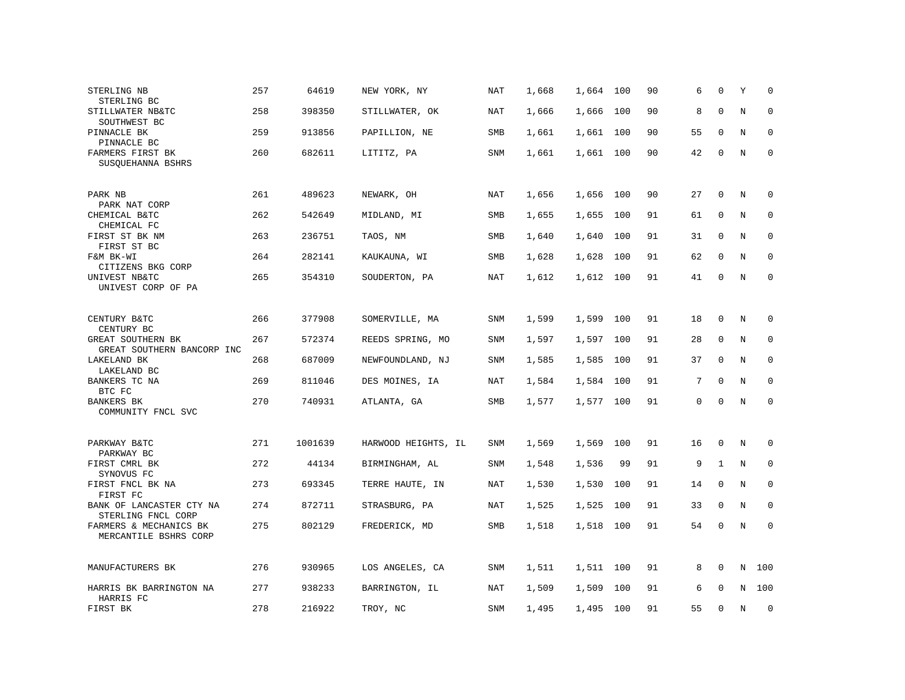| STERLING NB<br>STERLING BC                                    | 257 | 64619   | NEW YORK, NY        | NAT        | 1,668 | 1,664     | 100 | 90 | 6  | $\Omega$     | Υ       | $\Omega$    |
|---------------------------------------------------------------|-----|---------|---------------------|------------|-------|-----------|-----|----|----|--------------|---------|-------------|
| STILLWATER NB&TC<br>SOUTHWEST BC                              | 258 | 398350  | STILLWATER, OK      | <b>NAT</b> | 1,666 | 1,666     | 100 | 90 | 8  | $\mathbf 0$  | $\rm N$ | $\mathbf 0$ |
| PINNACLE BK<br>PINNACLE BC                                    | 259 | 913856  | PAPILLION, NE       | SMB        | 1,661 | 1,661     | 100 | 90 | 55 | $\mathbf 0$  | N       | $\mathbf 0$ |
| FARMERS FIRST BK<br>SUSQUEHANNA BSHRS                         | 260 | 682611  | LITITZ, PA          | SNM        | 1,661 | 1,661     | 100 | 90 | 42 | $\mathbf{0}$ | N       | $\mathsf 0$ |
| PARK NB<br>PARK NAT CORP                                      | 261 | 489623  | NEWARK, OH          | NAT        | 1,656 | 1,656 100 |     | 90 | 27 | 0            | N       | 0           |
| CHEMICAL B&TC<br>CHEMICAL FC                                  | 262 | 542649  | MIDLAND, MI         | SMB        | 1,655 | 1,655     | 100 | 91 | 61 | $\mathbf 0$  | N       | $\mathbf 0$ |
| FIRST ST BK NM<br>FIRST ST BC                                 | 263 | 236751  | TAOS, NM            | SMB        | 1,640 | 1,640     | 100 | 91 | 31 | $\mathbf 0$  | N       | $\mathbf 0$ |
| F&M BK-WI<br>CITIZENS BKG CORP                                | 264 | 282141  | KAUKAUNA, WI        | SMB        | 1,628 | 1,628     | 100 | 91 | 62 | $\mathbf 0$  | N       | $\mathbf 0$ |
| UNIVEST NB&TC<br>UNIVEST CORP OF PA                           | 265 | 354310  | SOUDERTON, PA       | <b>NAT</b> | 1,612 | 1,612     | 100 | 91 | 41 | $\Omega$     | N       | $\mathbf 0$ |
| CENTURY B&TC                                                  | 266 | 377908  | SOMERVILLE, MA      | <b>SNM</b> | 1,599 | 1,599     | 100 | 91 | 18 | 0            | N       | $\mathbf 0$ |
| CENTURY BC<br>GREAT SOUTHERN BK<br>GREAT SOUTHERN BANCORP INC | 267 | 572374  | REEDS SPRING, MO    | SNM        | 1,597 | 1,597     | 100 | 91 | 28 | $\mathbf 0$  | N       | $\mathbf 0$ |
| LAKELAND BK<br>LAKELAND BC                                    | 268 | 687009  | NEWFOUNDLAND, NJ    | SNM        | 1,585 | 1,585     | 100 | 91 | 37 | $\mathbf{0}$ | N       | $\mathbf 0$ |
| BANKERS TC NA<br>BTC FC                                       | 269 | 811046  | DES MOINES, IA      | NAT        | 1,584 | 1,584     | 100 | 91 | 7  | $\mathbf{0}$ | N       | 0           |
| BANKERS BK<br>COMMUNITY FNCL SVC                              | 270 | 740931  | ATLANTA, GA         | SMB        | 1,577 | 1,577     | 100 | 91 | 0  | $\mathbf{0}$ | $\rm N$ | $\mathbf 0$ |
| PARKWAY B&TC<br>PARKWAY BC                                    | 271 | 1001639 | HARWOOD HEIGHTS, IL | SNM        | 1,569 | 1,569     | 100 | 91 | 16 | $\mathbf 0$  | N       | 0           |
| FIRST CMRL BK<br>SYNOVUS FC                                   | 272 | 44134   | BIRMINGHAM, AL      | <b>SNM</b> | 1,548 | 1,536     | 99  | 91 | 9  | $\mathbf{1}$ | N       | 0           |
| FIRST FNCL BK NA<br>FIRST FC                                  | 273 | 693345  | TERRE HAUTE, IN     | NAT        | 1,530 | 1,530     | 100 | 91 | 14 | $\mathbf{0}$ | N       | $\mathbf 0$ |
| BANK OF LANCASTER CTY NA<br>STERLING FNCL CORP                | 274 | 872711  | STRASBURG, PA       | <b>NAT</b> | 1,525 | 1,525     | 100 | 91 | 33 | $\Omega$     | N       | $\Omega$    |
| FARMERS & MECHANICS BK<br>MERCANTILE BSHRS CORP               | 275 | 802129  | FREDERICK, MD       | SMB        | 1,518 | 1,518     | 100 | 91 | 54 | $\mathbf 0$  | N       | $\mathbf 0$ |
| MANUFACTURERS BK                                              | 276 | 930965  | LOS ANGELES, CA     | SNM        | 1,511 | 1,511     | 100 | 91 | 8  | 0            | N       | 100         |
| HARRIS BK BARRINGTON NA<br>HARRIS FC                          | 277 | 938233  | BARRINGTON, IL      | <b>NAT</b> | 1,509 | 1,509     | 100 | 91 | 6  | $\mathbf 0$  | N       | 100         |
| FIRST BK                                                      | 278 | 216922  | TROY, NC            | <b>SNM</b> | 1,495 | 1,495 100 |     | 91 | 55 | $\Omega$     | N       | $\mathbf 0$ |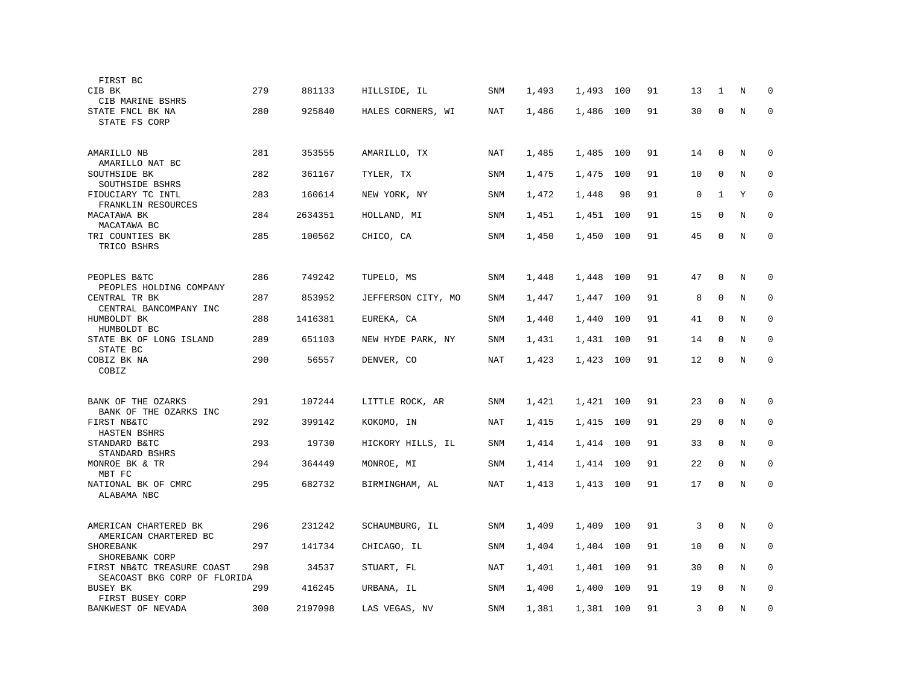| FIRST BC                                |     |         |                    |            |       |       |     |    |    |              |   |              |
|-----------------------------------------|-----|---------|--------------------|------------|-------|-------|-----|----|----|--------------|---|--------------|
| CIB BK                                  | 279 | 881133  | HILLSIDE, IL       | <b>SNM</b> | 1,493 | 1,493 | 100 | 91 | 13 | 1            | N | $\Omega$     |
| CIB MARINE BSHRS                        |     |         |                    |            |       |       |     |    |    |              |   |              |
| STATE FNCL BK NA                        | 280 | 925840  | HALES CORNERS, WI  | NAT        | 1,486 | 1,486 | 100 | 91 | 30 | $\mathbf 0$  | N | $\mathbf 0$  |
| STATE FS CORP                           |     |         |                    |            |       |       |     |    |    |              |   |              |
|                                         | 281 |         |                    |            |       |       |     | 91 |    | $\mathbf{0}$ |   |              |
| AMARILLO NB<br>AMARILLO NAT BC          |     | 353555  | AMARILLO, TX       | <b>NAT</b> | 1,485 | 1,485 | 100 |    | 14 |              | N | $\mathbf 0$  |
| SOUTHSIDE BK                            | 282 | 361167  | TYLER, TX          | <b>SNM</b> | 1,475 | 1,475 | 100 | 91 | 10 | $\Omega$     | N | $\mathbf 0$  |
| SOUTHSIDE BSHRS<br>FIDUCIARY TC INTL    | 283 | 160614  | NEW YORK, NY       | SNM        | 1,472 | 1,448 | 98  | 91 | 0  | 1            | Υ | 0            |
| FRANKLIN RESOURCES                      |     |         |                    |            |       |       |     |    |    |              |   |              |
| MACATAWA BK<br>MACATAWA BC              | 284 | 2634351 | HOLLAND, MI        | SNM        | 1,451 | 1,451 | 100 | 91 | 15 | $\mathbf 0$  | N | $\mathbf{0}$ |
| TRI COUNTIES BK                         | 285 | 100562  | CHICO, CA          | <b>SNM</b> | 1,450 | 1,450 | 100 | 91 | 45 | $\mathbf 0$  | N | $\mathbf 0$  |
| TRICO BSHRS                             |     |         |                    |            |       |       |     |    |    |              |   |              |
|                                         |     |         |                    |            |       |       |     |    |    |              |   |              |
| PEOPLES B&TC<br>PEOPLES HOLDING COMPANY | 286 | 749242  | TUPELO, MS         | SNM        | 1,448 | 1,448 | 100 | 91 | 47 | $\mathbf 0$  | N | $\mathbf 0$  |
| CENTRAL TR BK                           | 287 | 853952  | JEFFERSON CITY, MO | SNM        | 1,447 | 1,447 | 100 | 91 | 8  | $\mathbf 0$  | N | 0            |
| CENTRAL BANCOMPANY INC                  |     |         |                    |            |       |       |     |    |    | $\mathbf{0}$ |   |              |
| HUMBOLDT BK<br>HUMBOLDT BC              | 288 | 1416381 | EUREKA, CA         | <b>SNM</b> | 1,440 | 1,440 | 100 | 91 | 41 |              | N | $\mathbf 0$  |
| STATE BK OF LONG ISLAND                 | 289 | 651103  | NEW HYDE PARK, NY  | <b>SNM</b> | 1,431 | 1,431 | 100 | 91 | 14 | $\mathbf 0$  | N | $\mathbf 0$  |
| STATE BC<br>COBIZ BK NA                 | 290 | 56557   | DENVER, CO         | <b>NAT</b> | 1,423 | 1,423 | 100 | 91 | 12 | $\mathbf 0$  | N | $\mathbf 0$  |
| COBIZ                                   |     |         |                    |            |       |       |     |    |    |              |   |              |
|                                         |     |         |                    |            |       |       |     |    |    |              |   |              |
| BANK OF THE OZARKS                      | 291 | 107244  | LITTLE ROCK, AR    | SNM        | 1,421 | 1,421 | 100 | 91 | 23 | $\mathbf 0$  | N | $\mathbf 0$  |
| BANK OF THE OZARKS INC<br>FIRST NB&TC   | 292 | 399142  | KOKOMO, IN         | <b>NAT</b> | 1,415 | 1,415 | 100 | 91 | 29 | $\mathbf{0}$ | N | $\mathbf 0$  |
| HASTEN BSHRS                            |     |         |                    |            |       |       |     |    |    |              |   |              |
| STANDARD B&TC<br>STANDARD BSHRS         | 293 | 19730   | HICKORY HILLS, IL  | <b>SNM</b> | 1,414 | 1,414 | 100 | 91 | 33 | $\Omega$     | N | $\mathbf 0$  |
| MONROE BK & TR                          | 294 | 364449  | MONROE, MI         | <b>SNM</b> | 1,414 | 1,414 | 100 | 91 | 22 | $\mathbf 0$  | N | $\mathbf 0$  |
| MBT FC                                  |     |         |                    |            |       |       |     |    |    |              |   |              |
| NATIONAL BK OF CMRC<br>ALABAMA NBC      | 295 | 682732  | BIRMINGHAM, AL     | NAT        | 1,413 | 1,413 | 100 | 91 | 17 | $\mathbf 0$  | N | $\mathbf 0$  |
|                                         |     |         |                    |            |       |       |     |    |    |              |   |              |
| AMERICAN CHARTERED BK                   | 296 | 231242  | SCHAUMBURG, IL     | <b>SNM</b> | 1,409 | 1,409 | 100 | 91 | 3  | $\mathbf{0}$ | N | $\mathbf 0$  |
| AMERICAN CHARTERED BC                   |     |         |                    |            |       |       |     |    |    |              |   |              |
| SHOREBANK<br>SHOREBANK CORP             | 297 | 141734  | CHICAGO, IL        | <b>SNM</b> | 1,404 | 1,404 | 100 | 91 | 10 | $\mathbf 0$  | N | $\mathbf 0$  |
| FIRST NB&TC TREASURE COAST              | 298 | 34537   | STUART, FL         | NAT        | 1,401 | 1,401 | 100 | 91 | 30 | $\mathbf 0$  | N | 0            |
| SEACOAST BKG CORP OF FLORIDA            |     |         |                    |            |       |       |     |    |    | $\Omega$     |   |              |
| <b>BUSEY BK</b><br>FIRST BUSEY CORP     | 299 | 416245  | URBANA, IL         | <b>SNM</b> | 1,400 | 1,400 | 100 | 91 | 19 |              | N | $\mathbf 0$  |
| BANKWEST OF NEVADA                      | 300 | 2197098 | LAS VEGAS, NV      | <b>SNM</b> | 1,381 | 1,381 | 100 | 91 | 3  | $\mathbf{0}$ | N | $\mathbf 0$  |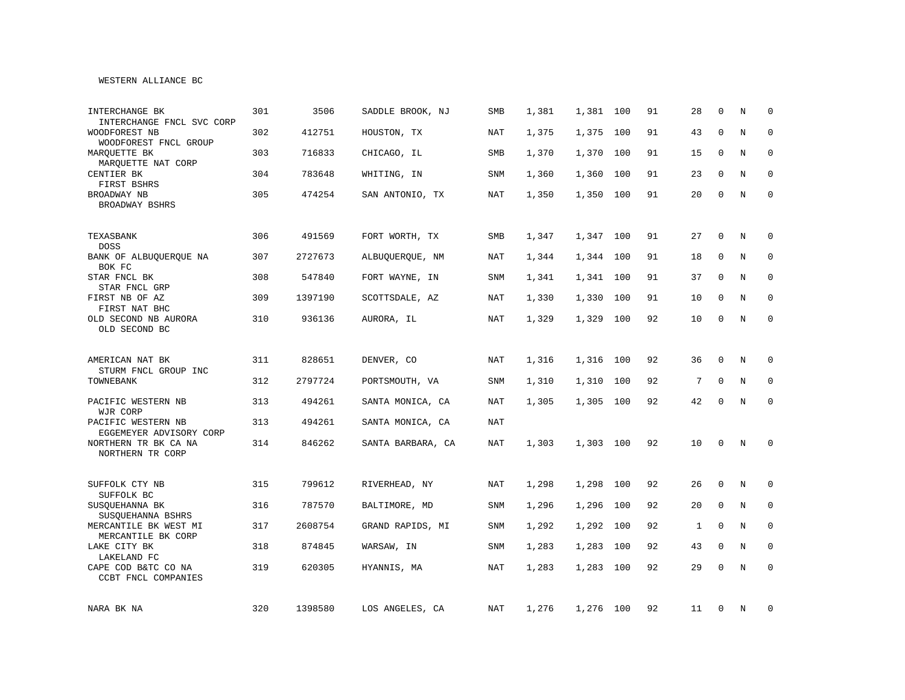#### WESTERN ALLIANCE BC

| INTERCHANGE BK<br>INTERCHANGE FNCL SVC CORP   | 301 | 3506    | SADDLE BROOK, NJ  | SMB        | 1,381 | 1,381     | 100 | 91 | 28           | $\mathbf{0}$ | N           | $\mathbf 0$  |
|-----------------------------------------------|-----|---------|-------------------|------------|-------|-----------|-----|----|--------------|--------------|-------------|--------------|
| WOODFOREST NB<br>WOODFOREST FNCL GROUP        | 302 | 412751  | HOUSTON, TX       | NAT        | 1,375 | 1,375     | 100 | 91 | 43           | $\mathbf{0}$ | $\rm N$     | $\mathbf 0$  |
| MARQUETTE BK<br>MARQUETTE NAT CORP            | 303 | 716833  | CHICAGO, IL       | SMB        | 1,370 | 1,370     | 100 | 91 | 15           | $\mathbf 0$  | N           | $\mathbf 0$  |
| CENTIER BK<br>FIRST BSHRS                     | 304 | 783648  | WHITING, IN       | SNM        | 1,360 | 1,360     | 100 | 91 | 23           | $\mathbf 0$  | N           | $\mathbf 0$  |
| BROADWAY NB<br>BROADWAY BSHRS                 | 305 | 474254  | SAN ANTONIO, TX   | <b>NAT</b> | 1,350 | 1,350     | 100 | 91 | 20           | $\Omega$     | N           | $\Omega$     |
| TEXASBANK<br><b>DOSS</b>                      | 306 | 491569  | FORT WORTH, TX    | SMB        | 1,347 | 1,347     | 100 | 91 | 27           | 0            | N           | $\mathbf 0$  |
| BANK OF ALBUQUERQUE NA<br>BOK FC              | 307 | 2727673 | ALBUQUERQUE, NM   | NAT        | 1,344 | 1,344     | 100 | 91 | 18           | $\mathbf 0$  | N           | 0            |
| STAR FNCL BK<br>STAR FNCL GRP                 | 308 | 547840  | FORT WAYNE, IN    | SNM        | 1,341 | 1,341     | 100 | 91 | 37           | $\Omega$     | N           | 0            |
| FIRST NB OF AZ<br>FIRST NAT BHC               | 309 | 1397190 | SCOTTSDALE, AZ    | NAT        | 1,330 | 1,330     | 100 | 91 | 10           | $\mathbf{0}$ | N           | $\mathbf 0$  |
| OLD SECOND NB AURORA<br>OLD SECOND BC         | 310 | 936136  | AURORA, IL        | <b>NAT</b> | 1,329 | 1,329     | 100 | 92 | 10           | $\Omega$     | N           | $\mathbf{0}$ |
| AMERICAN NAT BK<br>STURM FNCL GROUP INC       | 311 | 828651  | DENVER, CO        | NAT        | 1,316 | 1,316     | 100 | 92 | 36           | $\Omega$     | N           | 0            |
| TOWNEBANK                                     | 312 | 2797724 | PORTSMOUTH, VA    | <b>SNM</b> | 1,310 | 1,310     | 100 | 92 | 7            | $\Omega$     | N           | $\mathbf 0$  |
| PACIFIC WESTERN NB<br>WJR CORP                | 313 | 494261  | SANTA MONICA, CA  | <b>NAT</b> | 1,305 | 1,305     | 100 | 92 | 42           | $\Omega$     | N           | $\mathbf 0$  |
| PACIFIC WESTERN NB<br>EGGEMEYER ADVISORY CORP | 313 | 494261  | SANTA MONICA, CA  | <b>NAT</b> |       |           |     |    |              |              |             |              |
| NORTHERN TR BK CA NA<br>NORTHERN TR CORP      | 314 | 846262  | SANTA BARBARA, CA | <b>NAT</b> | 1,303 | 1,303 100 |     | 92 | 10           | $\mathbf{0}$ | N           | $\mathbf 0$  |
| SUFFOLK CTY NB<br>SUFFOLK BC                  | 315 | 799612  | RIVERHEAD, NY     | NAT        | 1,298 | 1,298     | 100 | 92 | 26           | $\mathbf{0}$ | N           | $\mathbf 0$  |
| SUSQUEHANNA BK<br>SUSQUEHANNA BSHRS           | 316 | 787570  | BALTIMORE, MD     | SNM        | 1,296 | 1,296     | 100 | 92 | 20           | $\mathbf{0}$ | N           | 0            |
| MERCANTILE BK WEST MI<br>MERCANTILE BK CORP   | 317 | 2608754 | GRAND RAPIDS, MI  | SNM        | 1,292 | 1,292     | 100 | 92 | $\mathbf{1}$ | $\mathbf 0$  | N           | 0            |
| LAKE CITY BK<br>LAKELAND FC                   | 318 | 874845  | WARSAW, IN        | <b>SNM</b> | 1,283 | 1,283     | 100 | 92 | 43           | $\mathbf 0$  | $\mathbf N$ | $\mathbf 0$  |
| CAPE COD B&TC CO NA<br>CCBT FNCL COMPANIES    | 319 | 620305  | HYANNIS, MA       | NAT        | 1,283 | 1,283     | 100 | 92 | 29           | $\mathbf 0$  | $\mathbf N$ | $\mathbf{0}$ |
| NARA BK NA                                    | 320 | 1398580 | LOS ANGELES, CA   | NAT        | 1,276 | 1,276 100 |     | 92 | 11           | 0            | N           | 0            |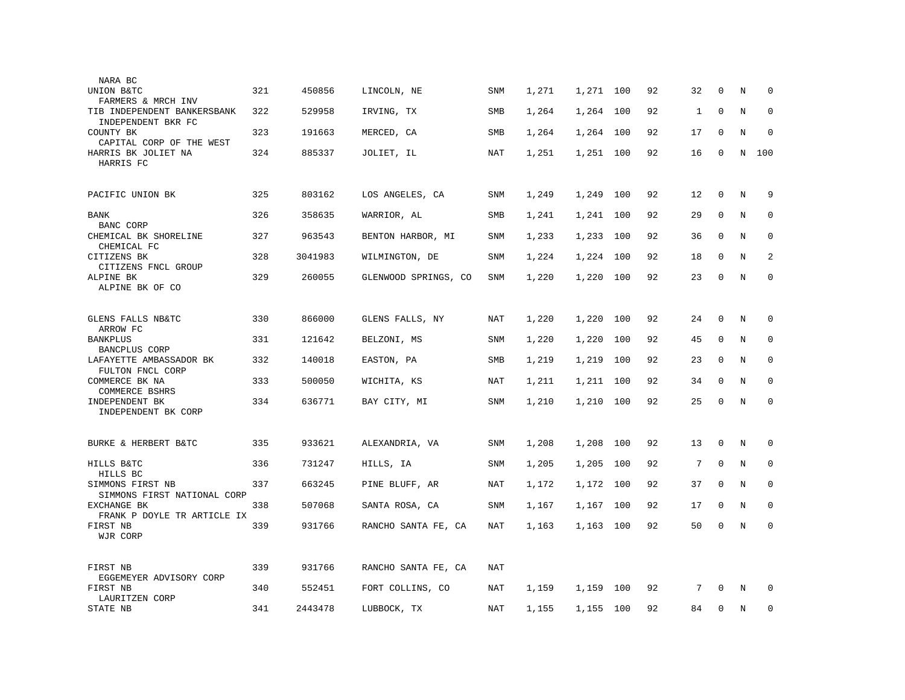| UNION B&TC<br>FARMERS & MRCH INV<br>TIB INDEPENDENT BANKERSBANK<br>INDEPENDENT BKR FC<br>COUNTY BK<br>CAPITAL CORP OF THE WEST<br>HARRIS BK JOLIET NA<br>HARRIS FC<br>PACIFIC UNION BK<br>BANK<br>BANC CORP<br>CHEMICAL BK SHORELINE | 321<br>322<br>323<br>324<br>325<br>326<br>327 | 450856<br>529958<br>191663<br>885337<br>803162<br>358635 | LINCOLN, NE<br>IRVING, TX<br>MERCED, CA<br>JOLIET, IL<br>LOS ANGELES, CA | <b>SNM</b><br>SMB<br>SMB<br><b>NAT</b><br>SNM | 1,271<br>1,264<br>1,264<br>1,251 | 1,271<br>1,264<br>1,264<br>1,251 | 100<br>100<br>100<br>100 | 92<br>92<br>92<br>92 | 32<br>$\mathbf{1}$<br>17<br>16 | $\Omega$<br>$\mathbf 0$<br>$\mathbf 0$<br>$\mathbf{0}$ | N<br>Ν<br>N<br>N | $\Omega$<br>0<br>$\mathbf 0$<br>100 |
|--------------------------------------------------------------------------------------------------------------------------------------------------------------------------------------------------------------------------------------|-----------------------------------------------|----------------------------------------------------------|--------------------------------------------------------------------------|-----------------------------------------------|----------------------------------|----------------------------------|--------------------------|----------------------|--------------------------------|--------------------------------------------------------|------------------|-------------------------------------|
|                                                                                                                                                                                                                                      |                                               |                                                          |                                                                          |                                               |                                  |                                  |                          |                      |                                |                                                        |                  |                                     |
|                                                                                                                                                                                                                                      |                                               |                                                          |                                                                          |                                               |                                  |                                  |                          |                      |                                |                                                        |                  |                                     |
|                                                                                                                                                                                                                                      |                                               |                                                          |                                                                          |                                               |                                  |                                  |                          |                      |                                |                                                        |                  |                                     |
|                                                                                                                                                                                                                                      |                                               |                                                          |                                                                          |                                               |                                  |                                  |                          |                      |                                |                                                        |                  |                                     |
|                                                                                                                                                                                                                                      |                                               |                                                          |                                                                          |                                               | 1,249                            | 1,249                            | 100                      | 92                   | 12                             | 0                                                      | Ν                | 9                                   |
|                                                                                                                                                                                                                                      |                                               |                                                          | WARRIOR, AL                                                              | SMB                                           | 1,241                            | 1,241                            | 100                      | 92                   | 29                             | $\mathbf 0$                                            | N                | 0                                   |
| CHEMICAL FC                                                                                                                                                                                                                          |                                               | 963543                                                   | BENTON HARBOR, MI                                                        | SNM                                           | 1,233                            | 1,233                            | 100                      | 92                   | 36                             | $\mathbf 0$                                            | N                | $\mathbf 0$                         |
| CITIZENS BK<br>CITIZENS FNCL GROUP                                                                                                                                                                                                   | 328                                           | 3041983                                                  | WILMINGTON, DE                                                           | SNM                                           | 1,224                            | 1,224                            | 100                      | 92                   | 18                             | $\Omega$                                               | N                | 2                                   |
| ALPINE BK<br>ALPINE BK OF CO                                                                                                                                                                                                         | 329                                           | 260055                                                   | GLENWOOD SPRINGS, CO                                                     | <b>SNM</b>                                    | 1,220                            | 1,220                            | 100                      | 92                   | 23                             | $\mathbf 0$                                            | N                | $\mathbf 0$                         |
|                                                                                                                                                                                                                                      |                                               |                                                          |                                                                          |                                               |                                  |                                  |                          |                      |                                |                                                        |                  |                                     |
| GLENS FALLS NB&TC<br>ARROW FC                                                                                                                                                                                                        | 330                                           | 866000                                                   | GLENS FALLS, NY                                                          | NAT                                           | 1,220                            | 1,220                            | 100                      | 92                   | 24                             | $\mathbf{0}$                                           | N                | 0                                   |
| <b>BANKPLUS</b><br>BANCPLUS CORP                                                                                                                                                                                                     | 331                                           | 121642                                                   | BELZONI, MS                                                              | <b>SNM</b>                                    | 1,220                            | 1,220                            | 100                      | 92                   | 45                             | $\mathbf 0$                                            | N                | $\mathbf 0$                         |
| LAFAYETTE AMBASSADOR BK<br>FULTON FNCL CORP                                                                                                                                                                                          | 332                                           | 140018                                                   | EASTON, PA                                                               | SMB                                           | 1,219                            | 1,219                            | 100                      | 92                   | 23                             | $\Omega$                                               | N                | $\mathbf 0$                         |
| COMMERCE BK NA<br>COMMERCE BSHRS                                                                                                                                                                                                     | 333                                           | 500050                                                   | WICHITA, KS                                                              | <b>NAT</b>                                    | 1,211                            | 1,211                            | 100                      | 92                   | 34                             | $\mathbf 0$                                            | N                | 0                                   |
| INDEPENDENT BK<br>INDEPENDENT BK CORP                                                                                                                                                                                                | 334                                           | 636771                                                   | BAY CITY, MI                                                             | SNM                                           | 1,210                            | 1,210                            | 100                      | 92                   | 25                             | $\mathbf 0$                                            | N                | $\mathbf 0$                         |
|                                                                                                                                                                                                                                      |                                               |                                                          |                                                                          |                                               |                                  |                                  |                          |                      |                                |                                                        |                  |                                     |
| BURKE & HERBERT B&TC                                                                                                                                                                                                                 | 335                                           | 933621                                                   | ALEXANDRIA, VA                                                           | <b>SNM</b>                                    | 1,208                            | 1,208                            | 100                      | 92                   | 13                             | $\Omega$                                               | N                | $\Omega$                            |
| HILLS B&TC<br>HILLS BC                                                                                                                                                                                                               | 336                                           | 731247                                                   | HILLS, IA                                                                | SNM                                           | 1,205                            | 1,205                            | 100                      | 92                   | 7                              | $\mathbf 0$                                            | $\rm N$          | 0                                   |
| SIMMONS FIRST NB<br>SIMMONS FIRST NATIONAL CORP                                                                                                                                                                                      | 337                                           | 663245                                                   | PINE BLUFF, AR                                                           | NAT                                           | 1,172                            | 1,172                            | 100                      | 92                   | 37                             | $\mathbf 0$                                            | N                | 0                                   |
| <b>EXCHANGE BK</b><br>FRANK P DOYLE TR ARTICLE IX                                                                                                                                                                                    | 338                                           | 507068                                                   | SANTA ROSA, CA                                                           | <b>SNM</b>                                    | 1,167                            | 1,167                            | 100                      | 92                   | 17                             | $\mathbf 0$                                            | N                | $\mathbf 0$                         |
| FIRST NB<br>WJR CORP                                                                                                                                                                                                                 | 339                                           | 931766                                                   | RANCHO SANTA FE, CA                                                      | NAT                                           | 1,163                            | 1,163                            | 100                      | 92                   | 50                             | $\mathbf 0$                                            | N                | $\Omega$                            |
| FIRST NB<br>EGGEMEYER ADVISORY CORP                                                                                                                                                                                                  | 339                                           | 931766                                                   | RANCHO SANTA FE, CA                                                      | NAT                                           |                                  |                                  |                          |                      |                                |                                                        |                  |                                     |
| FIRST NB<br>LAURITZEN CORP                                                                                                                                                                                                           | 340                                           | 552451                                                   | FORT COLLINS, CO                                                         | NAT                                           | 1,159                            | 1,159                            | 100                      | 92                   | 7                              | $\Omega$                                               | N                | $\mathbf 0$                         |
| STATE NB                                                                                                                                                                                                                             | 341                                           | 2443478                                                  | LUBBOCK, TX                                                              | <b>NAT</b>                                    | 1,155                            | 1,155 100                        |                          | 92                   | 84                             | $\Omega$                                               | N                | $\mathbf 0$                         |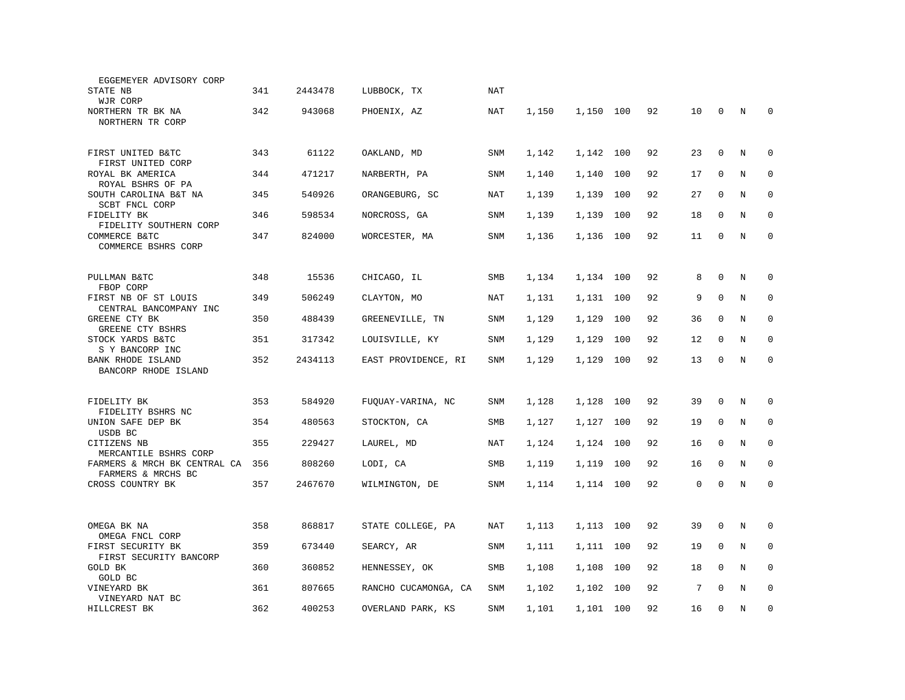| EGGEMEYER ADVISORY CORP                            |     |         |                      |            |       |           |     |    |    |             |   |             |
|----------------------------------------------------|-----|---------|----------------------|------------|-------|-----------|-----|----|----|-------------|---|-------------|
| STATE NB                                           | 341 | 2443478 | LUBBOCK, TX          | NAT        |       |           |     |    |    |             |   |             |
| WJR CORP                                           |     |         |                      |            |       |           |     |    |    |             |   |             |
| NORTHERN TR BK NA<br>NORTHERN TR CORP              | 342 | 943068  | PHOENIX, AZ          | NAT        | 1,150 | 1,150     | 100 | 92 | 10 | $\mathbf 0$ | N | $\mathbf 0$ |
|                                                    |     |         |                      |            |       |           |     |    |    |             |   |             |
|                                                    | 343 | 61122   |                      |            |       | 1,142 100 |     | 92 |    | $\mathbf 0$ | N | $\mathbf 0$ |
| FIRST UNITED B&TC<br>FIRST UNITED CORP             |     |         | OAKLAND, MD          | <b>SNM</b> | 1,142 |           |     |    | 23 |             |   |             |
| ROYAL BK AMERICA                                   | 344 | 471217  | NARBERTH, PA         | SNM        | 1,140 | 1,140     | 100 | 92 | 17 | $\mathbf 0$ | N | $\mathbf 0$ |
| ROYAL BSHRS OF PA<br>SOUTH CAROLINA B&T NA         | 345 | 540926  | ORANGEBURG, SC       | <b>NAT</b> | 1,139 | 1,139     | 100 | 92 | 27 | $\Omega$    | N | 0           |
| SCBT FNCL CORP                                     |     |         |                      |            |       |           |     |    |    |             |   |             |
| FIDELITY BK<br>FIDELITY SOUTHERN CORP              | 346 | 598534  | NORCROSS, GA         | SNM        | 1,139 | 1,139     | 100 | 92 | 18 | 0           | N | $\mathbf 0$ |
| COMMERCE B&TC                                      | 347 | 824000  | WORCESTER, MA        | <b>SNM</b> | 1,136 | 1,136     | 100 | 92 | 11 | $\Omega$    | N | $\mathbf 0$ |
| COMMERCE BSHRS CORP                                |     |         |                      |            |       |           |     |    |    |             |   |             |
|                                                    |     |         |                      |            |       |           |     |    |    |             |   |             |
| PULLMAN B&TC                                       | 348 | 15536   | CHICAGO, IL          | SMB        | 1,134 | 1,134 100 |     | 92 | 8  | $\mathbf 0$ | N | 0           |
| FBOP CORP<br>FIRST NB OF ST LOUIS                  | 349 | 506249  | CLAYTON, MO          | NAT        | 1,131 | 1,131     | 100 | 92 | 9  | $\mathbf 0$ | N | 0           |
| CENTRAL BANCOMPANY INC                             |     |         |                      |            |       |           |     |    |    |             |   |             |
| GREENE CTY BK<br>GREENE CTY BSHRS                  | 350 | 488439  | GREENEVILLE, TN      | <b>SNM</b> | 1,129 | 1,129     | 100 | 92 | 36 | $\mathbf 0$ | N | $\mathbf 0$ |
| STOCK YARDS B&TC                                   | 351 | 317342  | LOUISVILLE, KY       | <b>SNM</b> | 1,129 | 1,129     | 100 | 92 | 12 | $\Omega$    | N | $\mathbf 0$ |
| S Y BANCORP INC<br><b>BANK RHODE ISLAND</b>        | 352 | 2434113 | EAST PROVIDENCE, RI  | SNM        | 1,129 | 1,129     | 100 | 92 | 13 | $\mathbf 0$ | N | $\mathbf 0$ |
| BANCORP RHODE ISLAND                               |     |         |                      |            |       |           |     |    |    |             |   |             |
|                                                    |     |         |                      |            |       |           |     |    |    |             |   |             |
| FIDELITY BK                                        | 353 | 584920  | FUQUAY-VARINA, NC    | SNM        | 1,128 | 1,128     | 100 | 92 | 39 | $\mathbf 0$ | N | $\mathbf 0$ |
| FIDELITY BSHRS NC                                  |     |         |                      |            |       |           |     |    |    |             |   |             |
| UNION SAFE DEP BK<br>USDB BC                       | 354 | 480563  | STOCKTON, CA         | SMB        | 1,127 | 1,127     | 100 | 92 | 19 | $\mathbf 0$ | N | $\mathbf 0$ |
| CITIZENS NB                                        | 355 | 229427  | LAUREL, MD           | NAT        | 1,124 | 1,124     | 100 | 92 | 16 | $\Omega$    | N | $\mathbf 0$ |
| MERCANTILE BSHRS CORP                              |     |         |                      |            |       |           |     |    |    |             |   |             |
| FARMERS & MRCH BK CENTRAL CA<br>FARMERS & MRCHS BC | 356 | 808260  | LODI, CA             | <b>SMB</b> | 1,119 | 1,119     | 100 | 92 | 16 | $\mathbf 0$ | N | $\mathbf 0$ |
| CROSS COUNTRY BK                                   | 357 | 2467670 | WILMINGTON, DE       | SNM        | 1,114 | 1,114     | 100 | 92 | 0  | $\mathbf 0$ | N | $\mathbf 0$ |
|                                                    |     |         |                      |            |       |           |     |    |    |             |   |             |
|                                                    |     |         |                      |            |       |           |     |    |    |             |   |             |
| OMEGA BK NA                                        | 358 | 868817  | STATE COLLEGE, PA    | <b>NAT</b> | 1,113 | 1,113     | 100 | 92 | 39 | $\mathbf 0$ | N | $\mathbf 0$ |
| OMEGA FNCL CORP<br>FIRST SECURITY BK               | 359 | 673440  | SEARCY, AR           | SNM        | 1,111 | 1,111     | 100 | 92 | 19 | $\mathbf 0$ | N | $\mathbf 0$ |
| FIRST SECURITY BANCORP                             |     |         |                      |            |       |           |     |    |    |             |   |             |
| <b>GOLD BK</b><br>GOLD BC                          | 360 | 360852  | HENNESSEY, OK        | SMB        | 1,108 | 1,108     | 100 | 92 | 18 | $\mathbf 0$ | N | $\mathbf 0$ |
| VINEYARD BK                                        | 361 | 807665  | RANCHO CUCAMONGA, CA | SNM        | 1,102 | 1,102     | 100 | 92 | 7  | $\Omega$    | N | $\mathbf 0$ |
| VINEYARD NAT BC                                    | 362 | 400253  |                      |            |       |           |     | 92 |    | $\mathbf 0$ |   | $\mathbf 0$ |
| HILLCREST BK                                       |     |         | OVERLAND PARK, KS    | <b>SNM</b> | 1,101 | 1,101 100 |     |    | 16 |             | N |             |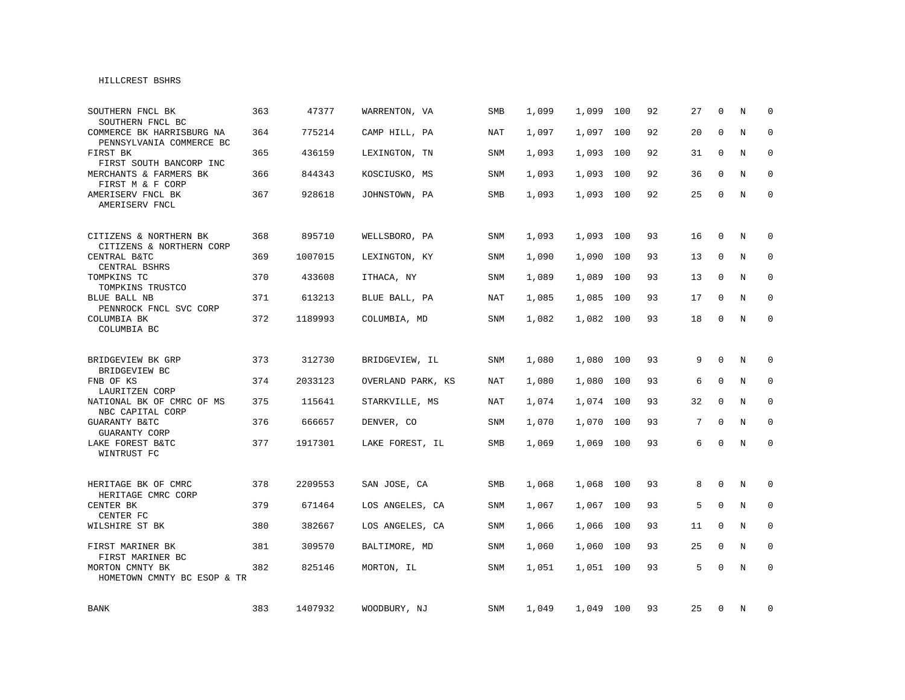## HILLCREST BSHRS

| SOUTHERN FNCL BK<br>SOUTHERN FNCL BC                  | 363 | 47377   | WARRENTON, VA     | <b>SMB</b> | 1,099 | 1,099     | 100 | 92 | 27 | $\Omega$     | N | $\Omega$     |
|-------------------------------------------------------|-----|---------|-------------------|------------|-------|-----------|-----|----|----|--------------|---|--------------|
| COMMERCE BK HARRISBURG NA<br>PENNSYLVANIA COMMERCE BC | 364 | 775214  | CAMP HILL, PA     | <b>NAT</b> | 1,097 | 1,097     | 100 | 92 | 20 | $\Omega$     | N | $\mathbf 0$  |
| FIRST BK<br>FIRST SOUTH BANCORP INC                   | 365 | 436159  | LEXINGTON, TN     | SNM        | 1,093 | 1,093     | 100 | 92 | 31 | $\Omega$     | N | $\mathbf 0$  |
| MERCHANTS & FARMERS BK<br>FIRST M & F CORP            | 366 | 844343  | KOSCIUSKO, MS     | SNM        | 1,093 | 1,093     | 100 | 92 | 36 | $\mathbf 0$  | N | $\mathbf 0$  |
| AMERISERV FNCL BK<br>AMERISERV FNCL                   | 367 | 928618  | JOHNSTOWN, PA     | SMB        | 1,093 | 1,093     | 100 | 92 | 25 | $\Omega$     | N | $\mathbf{0}$ |
| CITIZENS & NORTHERN BK<br>CITIZENS & NORTHERN CORP    | 368 | 895710  | WELLSBORO, PA     | SNM        | 1,093 | 1,093     | 100 | 93 | 16 | $\mathbf 0$  | N | 0            |
| CENTRAL B&TC<br>CENTRAL BSHRS                         | 369 | 1007015 | LEXINGTON, KY     | <b>SNM</b> | 1,090 | 1,090     | 100 | 93 | 13 | $\mathbf 0$  | N | $\mathbf 0$  |
| TOMPKINS TC<br>TOMPKINS TRUSTCO                       | 370 | 433608  | ITHACA, NY        | SNM        | 1,089 | 1,089     | 100 | 93 | 13 | $\Omega$     | N | $\mathbf 0$  |
| BLUE BALL NB<br>PENNROCK FNCL SVC CORP                | 371 | 613213  | BLUE BALL, PA     | <b>NAT</b> | 1,085 | 1,085     | 100 | 93 | 17 | $\mathbf 0$  | N | 0            |
| COLUMBIA BK<br>COLUMBIA BC                            | 372 | 1189993 | COLUMBIA, MD      | <b>SNM</b> | 1,082 | 1,082     | 100 | 93 | 18 | $\mathbf 0$  | N | 0            |
| BRIDGEVIEW BK GRP                                     | 373 | 312730  | BRIDGEVIEW, IL    | <b>SNM</b> | 1,080 | 1,080     | 100 | 93 | 9  | $\mathbf{0}$ | N | $\mathbf 0$  |
| BRIDGEVIEW BC<br>FNB OF KS<br>LAURITZEN CORP          | 374 | 2033123 | OVERLAND PARK, KS | NAT        | 1,080 | 1,080     | 100 | 93 | 6  | $\mathbf{0}$ | N | $\mathbf 0$  |
| NATIONAL BK OF CMRC OF MS<br>NBC CAPITAL CORP         | 375 | 115641  | STARKVILLE, MS    | <b>NAT</b> | 1,074 | 1,074     | 100 | 93 | 32 | $\Omega$     | N | $\mathbf 0$  |
| <b>GUARANTY B&amp;TC</b><br>GUARANTY CORP             | 376 | 666657  | DENVER, CO        | <b>SNM</b> | 1,070 | 1,070     | 100 | 93 | 7  | $\mathbf{0}$ | N | $\mathbf 0$  |
| LAKE FOREST B&TC<br>WINTRUST FC                       | 377 | 1917301 | LAKE FOREST, IL   | SMB        | 1,069 | 1,069     | 100 | 93 | 6  | $\mathbf 0$  | N | $\mathbf 0$  |
| HERITAGE BK OF CMRC<br>HERITAGE CMRC CORP             | 378 | 2209553 | SAN JOSE, CA      | SMB        | 1,068 | 1,068     | 100 | 93 | 8  | $\mathbf{0}$ | N | $\mathbf 0$  |
| CENTER BK<br>CENTER FC                                | 379 | 671464  | LOS ANGELES, CA   | SNM        | 1,067 | 1,067     | 100 | 93 | 5  | $\mathbf 0$  | N | $\mathbf 0$  |
| WILSHIRE ST BK                                        | 380 | 382667  | LOS ANGELES, CA   | SNM        | 1,066 | 1,066     | 100 | 93 | 11 | 0            | N | $\mathbf 0$  |
| FIRST MARINER BK<br>FIRST MARINER BC                  | 381 | 309570  | BALTIMORE, MD     | <b>SNM</b> | 1,060 | 1,060     | 100 | 93 | 25 | $\Omega$     | N | $\mathbf 0$  |
| MORTON CMNTY BK<br>HOMETOWN CMNTY BC ESOP & TR        | 382 | 825146  | MORTON, IL        | <b>SNM</b> | 1,051 | 1,051     | 100 | 93 | 5  | $\Omega$     | N | $\mathbf 0$  |
| <b>BANK</b>                                           | 383 | 1407932 | WOODBURY, NJ      | <b>SNM</b> | 1,049 | 1,049 100 |     | 93 | 25 | $\mathbf 0$  | Ν | 0            |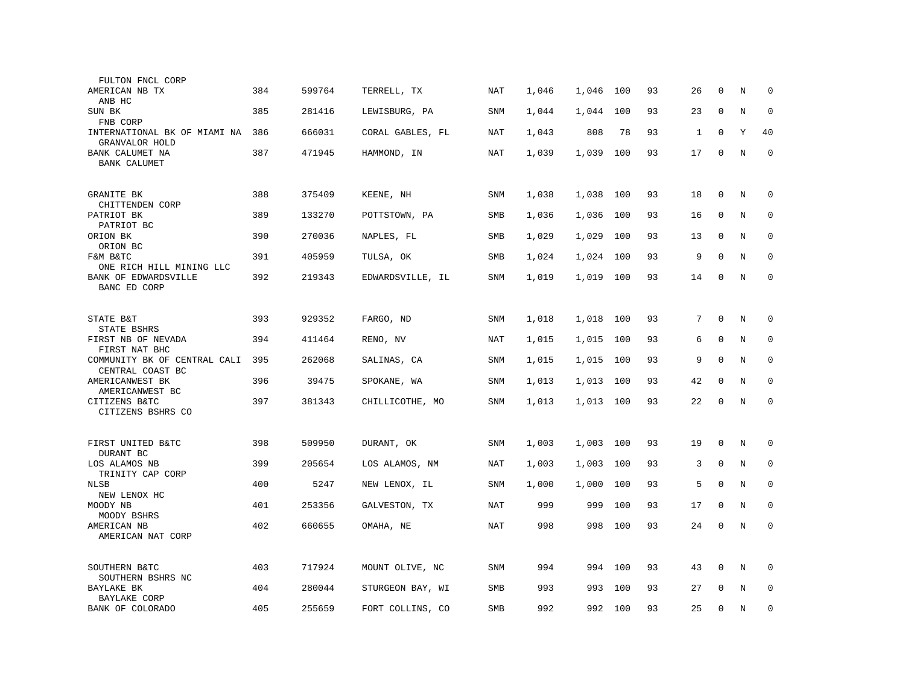| FULTON FNCL CORP                                           |     |        |                  |            |       |           |     |    |    |              |             |             |
|------------------------------------------------------------|-----|--------|------------------|------------|-------|-----------|-----|----|----|--------------|-------------|-------------|
| AMERICAN NB TX<br>ANB HC                                   | 384 | 599764 | TERRELL, TX      | NAT        | 1,046 | 1,046     | 100 | 93 | 26 | $\mathbf 0$  | N           | $\mathbf 0$ |
| SUN BK                                                     | 385 | 281416 | LEWISBURG, PA    | SNM        | 1,044 | 1,044     | 100 | 93 | 23 | $\mathbf 0$  | N           | $\mathbf 0$ |
| FNB CORP<br>INTERNATIONAL BK OF MIAMI NA<br>GRANVALOR HOLD | 386 | 666031 | CORAL GABLES, FL | NAT        | 1,043 | 808       | 78  | 93 | 1  | $\mathbf 0$  | Υ           | 40          |
| BANK CALUMET NA<br><b>BANK CALUMET</b>                     | 387 | 471945 | HAMMOND, IN      | <b>NAT</b> | 1,039 | 1,039     | 100 | 93 | 17 | $\mathbf 0$  | N           | $\mathbf 0$ |
| <b>GRANITE BK</b>                                          | 388 | 375409 | KEENE, NH        | SNM        | 1,038 | 1,038     | 100 | 93 | 18 | 0            | N           | $\mathbf 0$ |
| CHITTENDEN CORP<br>PATRIOT BK                              | 389 | 133270 | POTTSTOWN, PA    | SMB        | 1,036 | 1,036     | 100 | 93 | 16 | $\Omega$     | N           | $\mathbf 0$ |
| PATRIOT BC<br>ORION BK<br>ORION BC                         | 390 | 270036 | NAPLES, FL       | SMB        | 1,029 | 1,029     | 100 | 93 | 13 | $\mathbf 0$  | N           | $\mathbf 0$ |
| F&M B&TC<br>ONE RICH HILL MINING LLC                       | 391 | 405959 | TULSA, OK        | SMB        | 1,024 | 1,024     | 100 | 93 | 9  | $\mathbf 0$  | N           | $\mathbf 0$ |
| BANK OF EDWARDSVILLE<br>BANC ED CORP                       | 392 | 219343 | EDWARDSVILLE, IL | <b>SNM</b> | 1,019 | 1,019     | 100 | 93 | 14 | $\mathbf 0$  | N           | $\mathbf 0$ |
|                                                            |     |        |                  |            |       |           |     |    |    |              |             |             |
| STATE B&T<br>STATE BSHRS                                   | 393 | 929352 | FARGO, ND        | SNM        | 1,018 | 1,018     | 100 | 93 | 7  | $\mathbf 0$  | N           | $\mathbf 0$ |
| FIRST NB OF NEVADA<br>FIRST NAT BHC                        | 394 | 411464 | RENO, NV         | NAT        | 1,015 | 1,015     | 100 | 93 | 6  | $\mathbf 0$  | N           | $\mathbf 0$ |
| COMMUNITY BK OF CENTRAL CALI<br>CENTRAL COAST BC           | 395 | 262068 | SALINAS, CA      | <b>SNM</b> | 1,015 | 1,015     | 100 | 93 | 9  | $\mathbf{0}$ | N           | 0           |
| AMERICANWEST BK<br>AMERICANWEST BC                         | 396 | 39475  | SPOKANE, WA      | <b>SNM</b> | 1,013 | 1,013     | 100 | 93 | 42 | $\mathbf 0$  | N           | $\mathbf 0$ |
| CITIZENS B&TC<br>CITIZENS BSHRS CO                         | 397 | 381343 | CHILLICOTHE, MO  | SNM        | 1,013 | 1,013 100 |     | 93 | 22 | $\mathbf 0$  | $\mathbf N$ | $\mathbf 0$ |
|                                                            |     |        |                  |            |       |           |     |    |    |              |             |             |
| FIRST UNITED B&TC<br>DURANT BC                             | 398 | 509950 | DURANT, OK       | SNM        | 1,003 | 1,003     | 100 | 93 | 19 | 0            | N           | 0           |
| LOS ALAMOS NB<br>TRINITY CAP CORP                          | 399 | 205654 | LOS ALAMOS, NM   | NAT        | 1,003 | 1,003     | 100 | 93 | 3  | $\mathbf 0$  | N           | 0           |
| NLSB<br>NEW LENOX HC                                       | 400 | 5247   | NEW LENOX, IL    | SNM        | 1,000 | 1,000     | 100 | 93 | 5  | $\mathbf 0$  | N           | $\mathbf 0$ |
| MOODY NB<br>MOODY BSHRS                                    | 401 | 253356 | GALVESTON, TX    | <b>NAT</b> | 999   | 999       | 100 | 93 | 17 | $\mathbf{0}$ | N           | $\mathbf 0$ |
| AMERICAN NB<br>AMERICAN NAT CORP                           | 402 | 660655 | OMAHA, NE        | NAT        | 998   | 998       | 100 | 93 | 24 | $\mathbf 0$  | N           | $\mathbf 0$ |
| SOUTHERN B&TC<br>SOUTHERN BSHRS NC                         | 403 | 717924 | MOUNT OLIVE, NC  | SNM        | 994   | 994       | 100 | 93 | 43 | 0            | Ν           | $\mathbf 0$ |
| BAYLAKE BK<br><b>BAYLAKE CORP</b>                          | 404 | 280044 | STURGEON BAY, WI | SMB        | 993   | 993       | 100 | 93 | 27 | $\Omega$     | N           | $\mathbf 0$ |
| BANK OF COLORADO                                           | 405 | 255659 | FORT COLLINS, CO | SMB        | 992   | 992       | 100 | 93 | 25 | $\mathbf 0$  | N           | $\mathbf 0$ |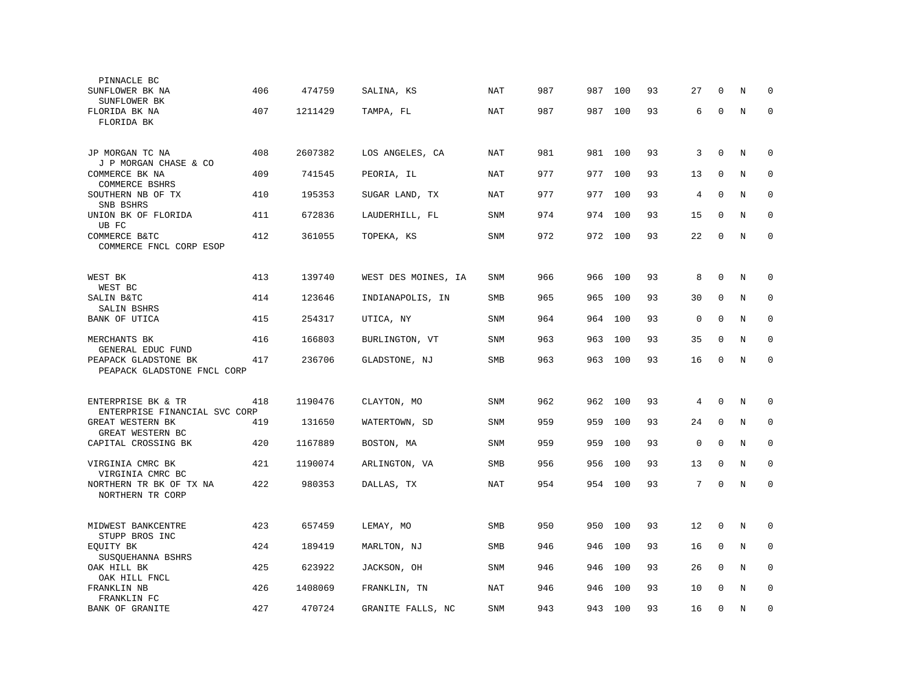| PINNACLE BC                                         |     |         |                     |            |     |     |         |    |             |              |         |             |
|-----------------------------------------------------|-----|---------|---------------------|------------|-----|-----|---------|----|-------------|--------------|---------|-------------|
| SUNFLOWER BK NA<br>SUNFLOWER BK                     | 406 | 474759  | SALINA, KS          | NAT        | 987 | 987 | 100     | 93 | 27          | 0            | N       | 0           |
| FLORIDA BK NA<br>FLORIDA BK                         | 407 | 1211429 | TAMPA, FL           | NAT        | 987 | 987 | 100     | 93 | 6           | $\mathbf 0$  | N       | $\mathbf 0$ |
| JP MORGAN TC NA<br>J P MORGAN CHASE & CO            | 408 | 2607382 | LOS ANGELES, CA     | NAT        | 981 |     | 981 100 | 93 | 3           | $\mathbf{0}$ | N       | $\mathbf 0$ |
| COMMERCE BK NA<br>COMMERCE BSHRS                    | 409 | 741545  | PEORIA, IL          | <b>NAT</b> | 977 | 977 | 100     | 93 | 13          | $\mathbf 0$  | N       | $\mathbf 0$ |
| SOUTHERN NB OF TX<br>SNB BSHRS                      | 410 | 195353  | SUGAR LAND, TX      | <b>NAT</b> | 977 | 977 | 100     | 93 | 4           | $\mathbf{0}$ | N       | $\mathbf 0$ |
| UNION BK OF FLORIDA<br>UB FC                        | 411 | 672836  | LAUDERHILL, FL      | SNM        | 974 | 974 | 100     | 93 | 15          | $\Omega$     | N       | $\mathbf 0$ |
| COMMERCE B&TC<br>COMMERCE FNCL CORP ESOP            | 412 | 361055  | TOPEKA, KS          | SNM        | 972 | 972 | 100     | 93 | 22          | $\Omega$     | N       | $\Omega$    |
| WEST BK<br>WEST BC                                  | 413 | 139740  | WEST DES MOINES, IA | SNM        | 966 | 966 | 100     | 93 | 8           | 0            | N       | 0           |
| SALIN B&TC<br>SALIN BSHRS                           | 414 | 123646  | INDIANAPOLIS, IN    | <b>SMB</b> | 965 | 965 | 100     | 93 | 30          | $\mathbf 0$  | N       | $\mathbf 0$ |
| BANK OF UTICA                                       | 415 | 254317  | UTICA, NY           | <b>SNM</b> | 964 | 964 | 100     | 93 | 0           | $\mathbf 0$  | N       | $\mathbf 0$ |
| MERCHANTS BK<br>GENERAL EDUC FUND                   | 416 | 166803  | BURLINGTON, VT      | <b>SNM</b> | 963 | 963 | 100     | 93 | 35          | $\mathbf{0}$ | N       | $\mathbf 0$ |
| PEAPACK GLADSTONE BK<br>PEAPACK GLADSTONE FNCL CORP | 417 | 236706  | GLADSTONE, NJ       | SMB        | 963 | 963 | 100     | 93 | 16          | $\mathbf 0$  | N       | $\mathbf 0$ |
| ENTERPRISE BK & TR<br>ENTERPRISE FINANCIAL SVC CORP | 418 | 1190476 | CLAYTON, MO         | SNM        | 962 | 962 | 100     | 93 | 4           | $\Omega$     | N       | $\Omega$    |
| GREAT WESTERN BK<br>GREAT WESTERN BC                | 419 | 131650  | WATERTOWN, SD       | <b>SNM</b> | 959 | 959 | 100     | 93 | 24          | $\mathbf 0$  | N       | 0           |
| CAPITAL CROSSING BK                                 | 420 | 1167889 | BOSTON, MA          | <b>SNM</b> | 959 | 959 | 100     | 93 | $\mathbf 0$ | $\mathbf 0$  | N       | $\mathbf 0$ |
| VIRGINIA CMRC BK<br>VIRGINIA CMRC BC                | 421 | 1190074 | ARLINGTON, VA       | SMB        | 956 | 956 | 100     | 93 | 13          | $\mathbf{0}$ | N       | $\mathbf 0$ |
| NORTHERN TR BK OF TX NA<br>NORTHERN TR CORP         | 422 | 980353  | DALLAS, TX          | NAT        | 954 | 954 | 100     | 93 | 7           | $\mathbf 0$  | N       | $\mathbf 0$ |
| MIDWEST BANKCENTRE<br>STUPP BROS INC                | 423 | 657459  | LEMAY, MO           | SMB        | 950 | 950 | 100     | 93 | 12          | $\mathbf{0}$ | N       | $\mathbf 0$ |
| EQUITY BK<br>SUSQUEHANNA BSHRS                      | 424 | 189419  | MARLTON, NJ         | SMB        | 946 | 946 | 100     | 93 | 16          | 0            | $\rm N$ | 0           |
| OAK HILL BK<br>OAK HILL FNCL                        | 425 | 623922  | JACKSON, OH         | SNM        | 946 | 946 | 100     | 93 | 26          | $\mathbf 0$  | N       | $\mathbf 0$ |
| FRANKLIN NB<br>FRANKLIN FC                          | 426 | 1408069 | FRANKLIN, TN        | <b>NAT</b> | 946 | 946 | 100     | 93 | 10          | $\Omega$     | N       | $\mathbf 0$ |
| <b>BANK OF GRANITE</b>                              | 427 | 470724  | GRANITE FALLS, NC   | <b>SNM</b> | 943 | 943 | 100     | 93 | 16          | $\mathbf{0}$ | N       | $\mathbf 0$ |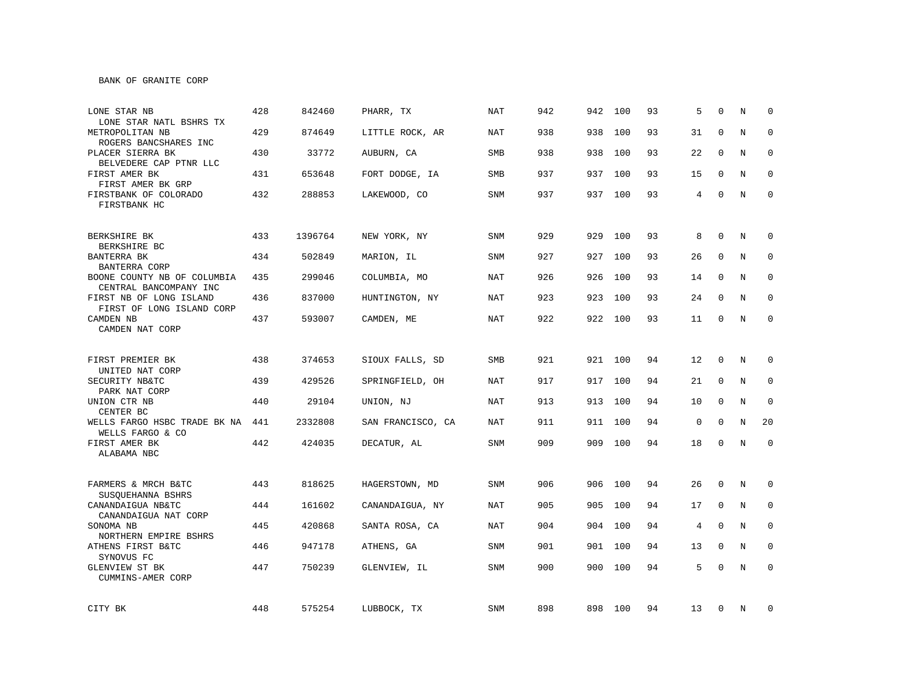BANK OF GRANITE CORP

| LONE STAR NB<br>LONE STAR NATL BSHRS TX               | 428 | 842460  | PHARR, TX         | <b>NAT</b> | 942 | 942 | 100     | 93 | 5              | $\Omega$    | N | $\Omega$    |
|-------------------------------------------------------|-----|---------|-------------------|------------|-----|-----|---------|----|----------------|-------------|---|-------------|
| METROPOLITAN NB<br>ROGERS BANCSHARES INC              | 429 | 874649  | LITTLE ROCK, AR   | <b>NAT</b> | 938 | 938 | 100     | 93 | 31             | $\Omega$    | N | $\Omega$    |
| PLACER SIERRA BK<br>BELVEDERE CAP PTNR LLC            | 430 | 33772   | AUBURN, CA        | SMB        | 938 | 938 | 100     | 93 | 22             | $\Omega$    | N | $\Omega$    |
| FIRST AMER BK<br>FIRST AMER BK GRP                    | 431 | 653648  | FORT DODGE, IA    | <b>SMB</b> | 937 | 937 | 100     | 93 | 15             | 0           | N | $\mathbf 0$ |
| FIRSTBANK OF COLORADO<br>FIRSTBANK HC                 | 432 | 288853  | LAKEWOOD, CO      | <b>SNM</b> | 937 |     | 937 100 | 93 | $\overline{4}$ | $\Omega$    | N | $\Omega$    |
| BERKSHIRE BK<br>BERKSHIRE BC                          | 433 | 1396764 | NEW YORK, NY      | SNM        | 929 | 929 | 100     | 93 | 8              | $\mathbf 0$ | N | $\mathbf 0$ |
| BANTERRA BK<br>BANTERRA CORP                          | 434 | 502849  | MARION, IL        | SNM        | 927 | 927 | 100     | 93 | 26             | 0           | N | 0           |
| BOONE COUNTY NB OF COLUMBIA<br>CENTRAL BANCOMPANY INC | 435 | 299046  | COLUMBIA, MO      | NAT        | 926 | 926 | 100     | 93 | 14             | $\Omega$    | N | $\mathbf 0$ |
| FIRST NB OF LONG ISLAND<br>FIRST OF LONG ISLAND CORP  | 436 | 837000  | HUNTINGTON, NY    | <b>NAT</b> | 923 | 923 | 100     | 93 | 24             | $\Omega$    | N | $\mathbf 0$ |
| CAMDEN NB<br>CAMDEN NAT CORP                          | 437 | 593007  | CAMDEN, ME        | <b>NAT</b> | 922 |     | 922 100 | 93 | 11             | $\mathbf 0$ | N | $\mathbf 0$ |
| FIRST PREMIER BK                                      | 438 | 374653  | SIOUX FALLS, SD   | <b>SMB</b> | 921 |     | 921 100 | 94 | 12             | 0           | N | 0           |
| UNITED NAT CORP<br>SECURITY NB&TC<br>PARK NAT CORP    | 439 | 429526  | SPRINGFIELD, OH   | <b>NAT</b> | 917 |     | 917 100 | 94 | 21             | $\mathbf 0$ | N | $\mathbf 0$ |
| UNION CTR NB<br>CENTER BC                             | 440 | 29104   | UNION, NJ         | NAT        | 913 | 913 | 100     | 94 | 10             | $\mathbf 0$ | N | $\mathbf 0$ |
| WELLS FARGO HSBC TRADE BK NA<br>WELLS FARGO & CO      | 441 | 2332808 | SAN FRANCISCO, CA | NAT        | 911 |     | 911 100 | 94 | 0              | 0           | N | 20          |
| FIRST AMER BK<br>ALABAMA NBC                          | 442 | 424035  | DECATUR, AL       | <b>SNM</b> | 909 |     | 909 100 | 94 | 18             | 0           | N | $\mathbf 0$ |
| FARMERS & MRCH B&TC<br>SUSOUEHANNA BSHRS              | 443 | 818625  | HAGERSTOWN, MD    | <b>SNM</b> | 906 | 906 | 100     | 94 | 26             | $\mathbf 0$ | N | $\mathbf 0$ |
| CANANDAIGUA NB&TC<br>CANANDAIGUA NAT CORP             | 444 | 161602  | CANANDAIGUA, NY   | NAT        | 905 | 905 | 100     | 94 | 17             | $\mathbf 0$ | N | 0           |
| SONOMA NB<br>NORTHERN EMPIRE BSHRS                    | 445 | 420868  | SANTA ROSA, CA    | NAT        | 904 | 904 | 100     | 94 | 4              | $\mathbf 0$ | N | 0           |
| ATHENS FIRST B&TC<br>SYNOVUS FC                       | 446 | 947178  | ATHENS, GA        | SNM        | 901 | 901 | 100     | 94 | 13             | $\Omega$    | N | $\mathbf 0$ |
| GLENVIEW ST BK<br>CUMMINS-AMER CORP                   | 447 | 750239  | GLENVIEW, IL      | SNM        | 900 | 900 | 100     | 94 | 5              | $\Omega$    | N | $\mathbf 0$ |
| CITY BK                                               | 448 | 575254  | LUBBOCK, TX       | SNM        | 898 |     | 898 100 | 94 | 13             | 0           | N | 0           |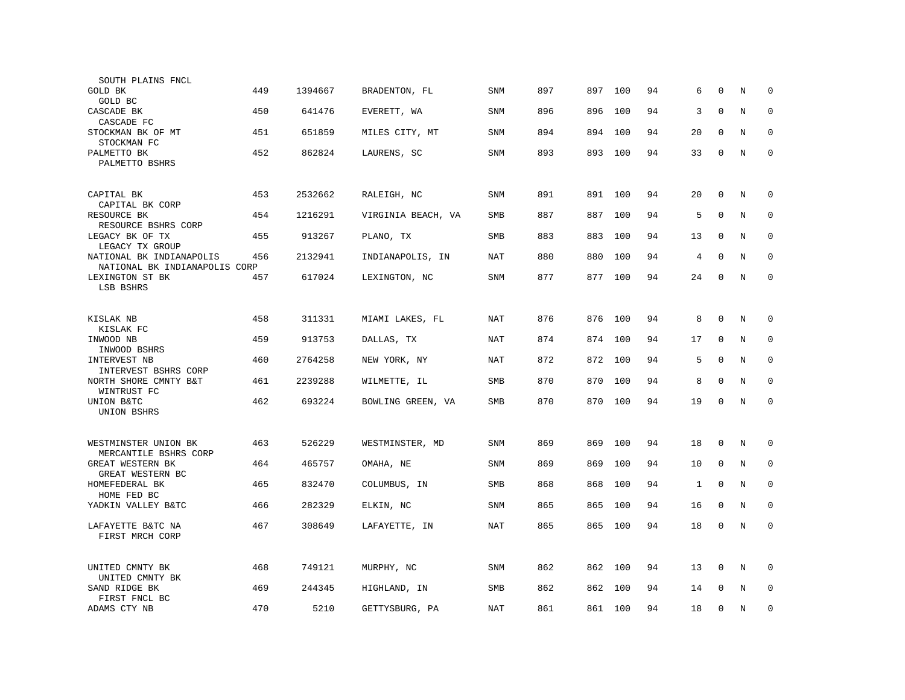| SOUTH PLAINS FNCL                                         |     |         |                    |            |     |         |         |    |    |              |         |             |
|-----------------------------------------------------------|-----|---------|--------------------|------------|-----|---------|---------|----|----|--------------|---------|-------------|
| GOLD BK<br>GOLD BC                                        | 449 | 1394667 | BRADENTON, FL      | <b>SNM</b> | 897 | 897     | 100     | 94 | 6  | $\mathbf 0$  | N       | $\mathbf 0$ |
| CASCADE BK<br>CASCADE FC                                  | 450 | 641476  | EVERETT, WA        | <b>SNM</b> | 896 | 896     | 100     | 94 | 3  | $\Omega$     | N       | $\mathbf 0$ |
| STOCKMAN BK OF MT                                         | 451 | 651859  | MILES CITY, MT     | SNM        | 894 | 894     | 100     | 94 | 20 | 0            | N       | $\mathbf 0$ |
| STOCKMAN FC<br>PALMETTO BK<br>PALMETTO BSHRS              | 452 | 862824  | LAURENS, SC        | SNM        | 893 | 893     | 100     | 94 | 33 | $\mathbf 0$  | N       | $\mathbf 0$ |
|                                                           |     |         |                    |            |     |         |         |    |    |              |         |             |
| CAPITAL BK<br>CAPITAL BK CORP                             | 453 | 2532662 | RALEIGH, NC        | <b>SNM</b> | 891 | 891 100 |         | 94 | 20 | $\mathbf{0}$ | N       | $\mathbf 0$ |
| RESOURCE BK<br>RESOURCE BSHRS CORP                        | 454 | 1216291 | VIRGINIA BEACH, VA | <b>SMB</b> | 887 | 887     | 100     | 94 | 5  | $\Omega$     | N       | $\mathbf 0$ |
| LEGACY BK OF TX<br>LEGACY TX GROUP                        | 455 | 913267  | PLANO, TX          | <b>SMB</b> | 883 | 883     | 100     | 94 | 13 | $\mathbf 0$  | N       | $\mathbf 0$ |
| NATIONAL BK INDIANAPOLIS<br>NATIONAL BK INDIANAPOLIS CORP | 456 | 2132941 | INDIANAPOLIS, IN   | NAT        | 880 | 880     | 100     | 94 | 4  | $\Omega$     | N       | $\Omega$    |
| LEXINGTON ST BK<br>LSB BSHRS                              | 457 | 617024  | LEXINGTON, NC      | SNM        | 877 | 877     | 100     | 94 | 24 | $\mathbf 0$  | N       | $\mathbf 0$ |
|                                                           |     |         |                    |            |     |         |         |    |    |              |         |             |
| KISLAK NB<br>KISLAK FC                                    | 458 | 311331  | MIAMI LAKES, FL    | NAT        | 876 | 876     | 100     | 94 | 8  | $\mathbf 0$  | N       | $\mathbf 0$ |
| INWOOD NB<br>INWOOD BSHRS                                 | 459 | 913753  | DALLAS, TX         | NAT        | 874 | 874     | 100     | 94 | 17 | $\mathbf{0}$ | N       | $\mathbf 0$ |
| INTERVEST NB<br>INTERVEST BSHRS CORP                      | 460 | 2764258 | NEW YORK, NY       | NAT        | 872 | 872     | 100     | 94 | 5  | $\mathbf{0}$ | N       | $\mathbf 0$ |
| NORTH SHORE CMNTY B&T<br>WINTRUST FC                      | 461 | 2239288 | WILMETTE, IL       | <b>SMB</b> | 870 | 870     | 100     | 94 | 8  | $\Omega$     | N       | 0           |
| UNION B&TC<br>UNION BSHRS                                 | 462 | 693224  | BOWLING GREEN, VA  | SMB        | 870 | 870     | 100     | 94 | 19 | $\mathbf 0$  | N       | $\mathbf 0$ |
|                                                           |     |         |                    |            |     |         |         |    |    |              |         |             |
| WESTMINSTER UNION BK<br>MERCANTILE BSHRS CORP             | 463 | 526229  | WESTMINSTER, MD    | SNM        | 869 | 869     | 100     | 94 | 18 | $\mathbf 0$  | N       | 0           |
| GREAT WESTERN BK<br>GREAT WESTERN BC                      | 464 | 465757  | OMAHA, NE          | SNM        | 869 | 869     | 100     | 94 | 10 | $\mathbf{0}$ | N       | $\mathbf 0$ |
| HOMEFEDERAL BK<br>HOME FED BC                             | 465 | 832470  | COLUMBUS, IN       | SMB        | 868 | 868     | 100     | 94 | 1  | $\mathbf 0$  | N       | $\mathbf 0$ |
| YADKIN VALLEY B&TC                                        | 466 | 282329  | ELKIN, NC          | <b>SNM</b> | 865 | 865     | 100     | 94 | 16 | $\mathbf 0$  | N       | $\mathbf 0$ |
| LAFAYETTE B&TC NA<br>FIRST MRCH CORP                      | 467 | 308649  | LAFAYETTE, IN      | NAT        | 865 | 865     | 100     | 94 | 18 | 0            | N       | $\Omega$    |
|                                                           |     |         |                    |            |     |         |         |    |    |              |         |             |
| UNITED CMNTY BK<br>UNITED CMNTY BK                        | 468 | 749121  | MURPHY, NC         | SNM        | 862 | 862     | 100     | 94 | 13 | 0            | $\rm N$ | 0           |
| SAND RIDGE BK<br>FIRST FNCL BC                            | 469 | 244345  | HIGHLAND, IN       | <b>SMB</b> | 862 | 862     | 100     | 94 | 14 | $\mathbf 0$  | N       | $\mathbf 0$ |
| ADAMS CTY NB                                              | 470 | 5210    | GETTYSBURG, PA     | <b>NAT</b> | 861 |         | 861 100 | 94 | 18 | $\Omega$     | N       | $\mathbf 0$ |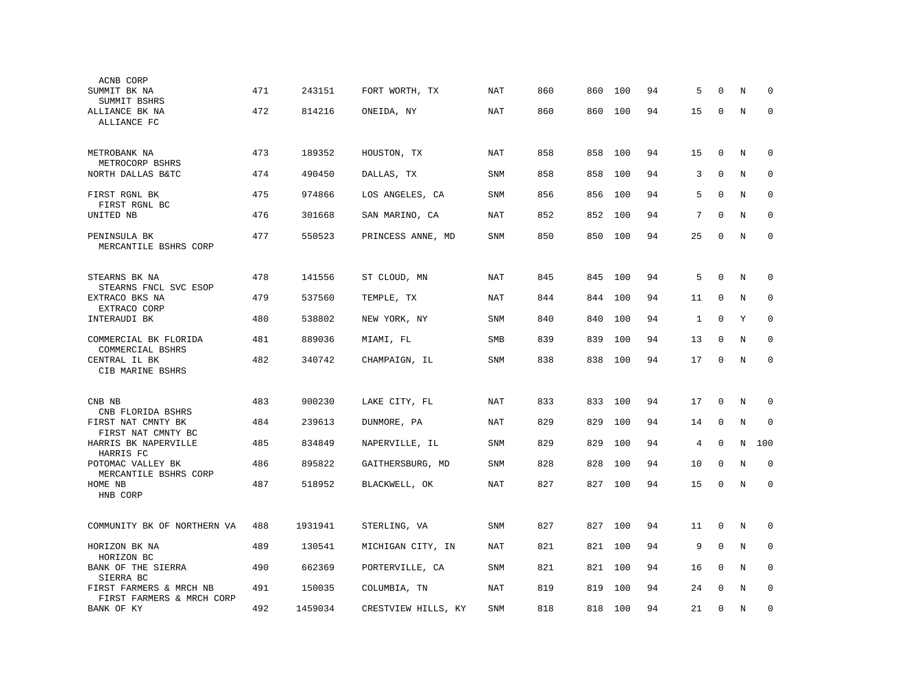| ACNB CORP                                             |     |         |                     |            |     |     |     |    |              |              |   |             |
|-------------------------------------------------------|-----|---------|---------------------|------------|-----|-----|-----|----|--------------|--------------|---|-------------|
| SUMMIT BK NA<br>SUMMIT BSHRS                          | 471 | 243151  | FORT WORTH, TX      | NAT        | 860 | 860 | 100 | 94 | 5            | $\Omega$     | N | 0           |
| ALLIANCE BK NA<br>ALLIANCE FC                         | 472 | 814216  | ONEIDA, NY          | NAT        | 860 | 860 | 100 | 94 | 15           | $\mathbf 0$  | N | $\mathbf 0$ |
| METROBANK NA                                          | 473 | 189352  | HOUSTON, TX         | NAT        | 858 | 858 | 100 | 94 | 15           | $\mathbf{0}$ | N | $\mathbf 0$ |
| METROCORP BSHRS<br>NORTH DALLAS B&TC                  | 474 | 490450  | DALLAS, TX          | <b>SNM</b> | 858 | 858 | 100 | 94 | 3            | $\mathbf{0}$ | N | 0           |
| FIRST RGNL BK                                         | 475 | 974866  | LOS ANGELES, CA     | SNM        | 856 | 856 | 100 | 94 | 5            | $\mathbf{0}$ | N | $\mathbf 0$ |
| FIRST RGNL BC<br>UNITED NB                            | 476 | 301668  | SAN MARINO, CA      | NAT        | 852 | 852 | 100 | 94 | 7            | $\Omega$     | N | $\mathbf 0$ |
| PENINSULA BK<br>MERCANTILE BSHRS CORP                 | 477 | 550523  | PRINCESS ANNE, MD   | SNM        | 850 | 850 | 100 | 94 | 25           | $\Omega$     | N | $\Omega$    |
| STEARNS BK NA                                         | 478 | 141556  | ST CLOUD, MN        | NAT        | 845 | 845 | 100 | 94 | 5            | 0            | N | 0           |
| STEARNS FNCL SVC ESOP<br>EXTRACO BKS NA               | 479 | 537560  | TEMPLE, TX          | NAT        | 844 | 844 | 100 | 94 | 11           | $\mathbf 0$  | N | $\mathbf 0$ |
| EXTRACO CORP<br>INTERAUDI BK                          | 480 | 538802  | NEW YORK, NY        | SNM        | 840 | 840 | 100 | 94 | $\mathbf{1}$ | $\mathbf{0}$ | Y | $\mathbf 0$ |
| COMMERCIAL BK FLORIDA                                 | 481 | 889036  | MIAMI, FL           | SMB        | 839 | 839 | 100 | 94 | 13           | $\mathbf{0}$ | N | $\mathbf 0$ |
| COMMERCIAL BSHRS<br>CENTRAL IL BK<br>CIB MARINE BSHRS | 482 | 340742  | CHAMPAIGN, IL       | SNM        | 838 | 838 | 100 | 94 | 17           | $\mathbf 0$  | N | $\mathbf 0$ |
| CNB NB                                                | 483 | 900230  | LAKE CITY, FL       | NAT        | 833 | 833 | 100 | 94 | 17           | $\Omega$     | N | $\Omega$    |
| CNB FLORIDA BSHRS                                     |     |         |                     |            |     |     |     |    |              |              |   |             |
| FIRST NAT CMNTY BK<br>FIRST NAT CMNTY BC              | 484 | 239613  | DUNMORE, PA         | <b>NAT</b> | 829 | 829 | 100 | 94 | 14           | $\mathbf 0$  | N | $\mathbf 0$ |
| HARRIS BK NAPERVILLE<br>HARRIS FC                     | 485 | 834849  | NAPERVILLE, IL      | SNM        | 829 | 829 | 100 | 94 | 4            | $\mathbf 0$  | N | 100         |
| POTOMAC VALLEY BK<br>MERCANTILE BSHRS CORP            | 486 | 895822  | GAITHERSBURG, MD    | SNM        | 828 | 828 | 100 | 94 | 10           | $\mathbf{0}$ | N | $\mathbf 0$ |
| HOME NB<br>HNB CORP                                   | 487 | 518952  | BLACKWELL, OK       | NAT        | 827 | 827 | 100 | 94 | 15           | $\mathbf 0$  | N | $\mathbf 0$ |
| COMMUNITY BK OF NORTHERN VA                           | 488 | 1931941 | STERLING, VA        | <b>SNM</b> | 827 | 827 | 100 | 94 | 11           | $\mathbf 0$  | N | 0           |
| HORIZON BK NA<br>HORIZON BC                           | 489 | 130541  | MICHIGAN CITY, IN   | <b>NAT</b> | 821 | 821 | 100 | 94 | 9            | $\mathbf 0$  | N | 0           |
| BANK OF THE SIERRA<br>SIERRA BC                       | 490 | 662369  | PORTERVILLE, CA     | SNM        | 821 | 821 | 100 | 94 | 16           | $\mathbf 0$  | N | $\mathbf 0$ |
| FIRST FARMERS & MRCH NB<br>FIRST FARMERS & MRCH CORP  | 491 | 150035  | COLUMBIA, TN        | <b>NAT</b> | 819 | 819 | 100 | 94 | 24           | $\Omega$     | N | $\mathbf 0$ |
| BANK OF KY                                            | 492 | 1459034 | CRESTVIEW HILLS, KY | SNM        | 818 | 818 | 100 | 94 | 21           | $\mathbf 0$  | N | $\mathbf 0$ |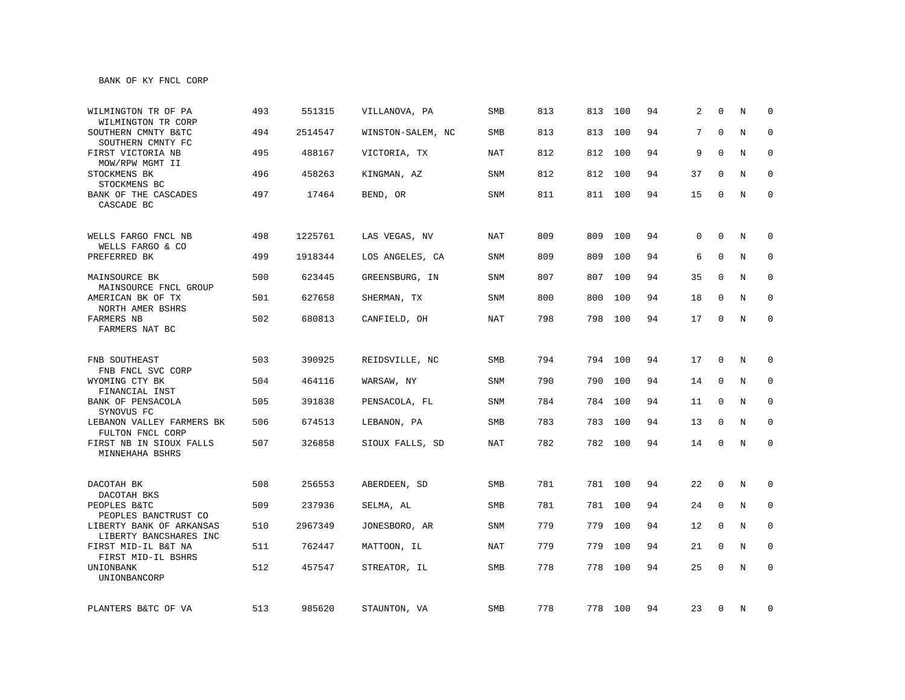| WILMINGTON TR OF PA<br>WILMINGTON TR CORP             | 493 | 551315  | VILLANOVA, PA     | <b>SMB</b> | 813 | 813 | 100     | 94 | 2  | $\Omega$    | N           | $\Omega$     |
|-------------------------------------------------------|-----|---------|-------------------|------------|-----|-----|---------|----|----|-------------|-------------|--------------|
| SOUTHERN CMNTY B&TC<br>SOUTHERN CMNTY FC              | 494 | 2514547 | WINSTON-SALEM, NC | SMB        | 813 | 813 | 100     | 94 | 7  | $\Omega$    | N           | $\mathbf 0$  |
| FIRST VICTORIA NB<br>MOW/RPW MGMT II                  | 495 | 488167  | VICTORIA, TX      | <b>NAT</b> | 812 |     | 812 100 | 94 | 9  | $\Omega$    | N           | 0            |
| STOCKMENS BK<br>STOCKMENS BC                          | 496 | 458263  | KINGMAN, AZ       | SNM        | 812 |     | 812 100 | 94 | 37 | 0           | N           | $\mathbf 0$  |
| BANK OF THE CASCADES<br>CASCADE BC                    | 497 | 17464   | BEND, OR          | SNM        | 811 |     | 811 100 | 94 | 15 | 0           | N           | $\mathbf 0$  |
| WELLS FARGO FNCL NB<br>WELLS FARGO & CO               | 498 | 1225761 | LAS VEGAS, NV     | <b>NAT</b> | 809 | 809 | 100     | 94 | 0  | $\Omega$    | N           | $\mathbf 0$  |
| PREFERRED BK                                          | 499 | 1918344 | LOS ANGELES, CA   | SNM        | 809 | 809 | 100     | 94 | 6  | 0           | N           | $\mathbf 0$  |
| MAINSOURCE BK<br>MAINSOURCE FNCL GROUP                | 500 | 623445  | GREENSBURG, IN    | SNM        | 807 |     | 807 100 | 94 | 35 | 0           | N           | 0            |
| AMERICAN BK OF TX<br>NORTH AMER BSHRS                 | 501 | 627658  | SHERMAN, TX       | SNM        | 800 |     | 800 100 | 94 | 18 | 0           | N           | 0            |
| FARMERS NB<br>FARMERS NAT BC                          | 502 | 680813  | CANFIELD, OH      | <b>NAT</b> | 798 |     | 798 100 | 94 | 17 | $\mathbf 0$ | $\mathbf N$ | $\mathbf 0$  |
| FNB SOUTHEAST                                         | 503 | 390925  | REIDSVILLE, NC    | SMB        | 794 |     | 794 100 | 94 | 17 | $\mathbf 0$ | N           | $\mathbf 0$  |
| FNB FNCL SVC CORP<br>WYOMING CTY BK<br>FINANCIAL INST | 504 | 464116  | WARSAW, NY        | SNM        | 790 |     | 790 100 | 94 | 14 | 0           | N           | $\mathbf 0$  |
| BANK OF PENSACOLA<br>SYNOVUS FC                       | 505 | 391838  | PENSACOLA, FL     | SNM        | 784 |     | 784 100 | 94 | 11 | 0           | N           | 0            |
| LEBANON VALLEY FARMERS BK<br>FULTON FNCL CORP         | 506 | 674513  | LEBANON, PA       | <b>SMB</b> | 783 |     | 783 100 | 94 | 13 | $\mathbf 0$ | N           | $\mathbf 0$  |
| FIRST NB IN SIOUX FALLS<br>MINNEHAHA BSHRS            | 507 | 326858  | SIOUX FALLS, SD   | <b>NAT</b> | 782 |     | 782 100 | 94 | 14 | $\mathbf 0$ | N           | $\mathbf 0$  |
| DACOTAH BK<br>DACOTAH BKS                             | 508 | 256553  | ABERDEEN, SD      | SMB        | 781 |     | 781 100 | 94 | 22 | $\mathbf 0$ | N           | 0            |
| PEOPLES B&TC<br>PEOPLES BANCTRUST CO                  | 509 | 237936  | SELMA, AL         | SMB        | 781 | 781 | 100     | 94 | 24 | 0           | N           | 0            |
| LIBERTY BANK OF ARKANSAS<br>LIBERTY BANCSHARES INC    | 510 | 2967349 | JONESBORO, AR     | SNM        | 779 | 779 | 100     | 94 | 12 | $\mathbf 0$ | N           | $\mathbf 0$  |
| FIRST MID-IL B&T NA<br>FIRST MID-IL BSHRS             | 511 | 762447  | MATTOON, IL       | <b>NAT</b> | 779 | 779 | 100     | 94 | 21 | $\mathbf 0$ | N           | $\mathbf{0}$ |
| UNIONBANK<br>UNIONBANCORP                             | 512 | 457547  | STREATOR, IL      | SMB        | 778 | 778 | 100     | 94 | 25 | $\Omega$    | N           | $\mathbf 0$  |
| PLANTERS B&TC OF VA                                   | 513 | 985620  | STAUNTON, VA      | SMB        | 778 |     | 778 100 | 94 | 23 | 0           | N           | 0            |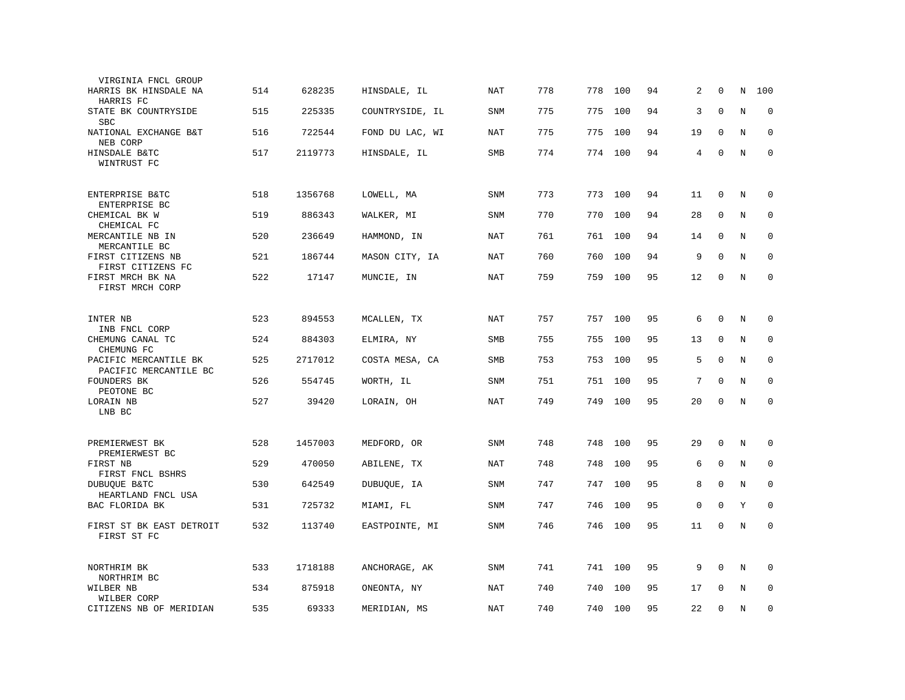| VIRGINIA FNCL GROUP                            |     |         |                 |            |     |         |         |    |    |              |         |             |
|------------------------------------------------|-----|---------|-----------------|------------|-----|---------|---------|----|----|--------------|---------|-------------|
| HARRIS BK HINSDALE NA<br>HARRIS FC             | 514 | 628235  | HINSDALE, IL    | NAT        | 778 | 778     | 100     | 94 | 2  | 0            | N       | 100         |
| STATE BK COUNTRYSIDE<br><b>SBC</b>             | 515 | 225335  | COUNTRYSIDE, IL | <b>SNM</b> | 775 | 775     | 100     | 94 | 3  | $\mathbf{0}$ | N       | $\mathbf 0$ |
| NATIONAL EXCHANGE B&T<br>NEB CORP              | 516 | 722544  | FOND DU LAC, WI | <b>NAT</b> | 775 | 775     | 100     | 94 | 19 | $\mathbf 0$  | N       | $\mathbf 0$ |
| HINSDALE B&TC<br>WINTRUST FC                   | 517 | 2119773 | HINSDALE, IL    | SMB        | 774 | 774 100 |         | 94 | 4  | $\mathbf 0$  | $\rm N$ | $\mathbf 0$ |
| ENTERPRISE B&TC<br>ENTERPRISE BC               | 518 | 1356768 | LOWELL, MA      | <b>SNM</b> | 773 | 773     | 100     | 94 | 11 | $\mathbf 0$  | N       | $\mathbf 0$ |
| CHEMICAL BK W<br>CHEMICAL FC                   | 519 | 886343  | WALKER, MI      | SNM        | 770 | 770     | 100     | 94 | 28 | $\mathbf 0$  | N       | $\mathbf 0$ |
| MERCANTILE NB IN<br>MERCANTILE BC              | 520 | 236649  | HAMMOND, IN     | NAT        | 761 | 761     | 100     | 94 | 14 | $\mathbf 0$  | N       | $\mathbf 0$ |
| FIRST CITIZENS NB<br>FIRST CITIZENS FC         | 521 | 186744  | MASON CITY, IA  | NAT        | 760 | 760     | 100     | 94 | 9  | $\Omega$     | N       | $\mathbf 0$ |
| FIRST MRCH BK NA<br>FIRST MRCH CORP            | 522 | 17147   | MUNCIE, IN      | NAT        | 759 | 759     | 100     | 95 | 12 | 0            | N       | $\mathbf 0$ |
| INTER NB<br>INB FNCL CORP                      | 523 | 894553  | MCALLEN, TX     | <b>NAT</b> | 757 |         | 757 100 | 95 | 6  | $\mathbf{0}$ | N       | 0           |
| CHEMUNG CANAL TC<br>CHEMUNG FC                 | 524 | 884303  | ELMIRA, NY      | <b>SMB</b> | 755 | 755     | 100     | 95 | 13 | $\mathbf{0}$ | N       | $\mathbf 0$ |
| PACIFIC MERCANTILE BK<br>PACIFIC MERCANTILE BC | 525 | 2717012 | COSTA MESA, CA  | SMB        | 753 | 753     | 100     | 95 | 5  | $\Omega$     | N       | $\mathbf 0$ |
| <b>FOUNDERS BK</b><br>PEOTONE BC               | 526 | 554745  | WORTH, IL       | <b>SNM</b> | 751 | 751     | 100     | 95 | 7  | $\Omega$     | N       | $\mathbf 0$ |
| LORAIN NB<br>LNB BC                            | 527 | 39420   | LORAIN, OH      | <b>NAT</b> | 749 | 749     | 100     | 95 | 20 | $\Omega$     | N       | $\Omega$    |
| PREMIERWEST BK<br>PREMIERWEST BC               | 528 | 1457003 | MEDFORD, OR     | <b>SNM</b> | 748 | 748     | 100     | 95 | 29 | $\mathbf 0$  | N       | 0           |
| FIRST NB<br>FIRST FNCL BSHRS                   | 529 | 470050  | ABILENE, TX     | <b>NAT</b> | 748 | 748     | 100     | 95 | 6  | $\mathbf 0$  | N       | $\mathbf 0$ |
| DUBUOUE B&TC<br>HEARTLAND FNCL USA             | 530 | 642549  | DUBUQUE, IA     | <b>SNM</b> | 747 | 747     | 100     | 95 | 8  | $\mathbf 0$  | N       | $\mathbf 0$ |
| BAC FLORIDA BK                                 | 531 | 725732  | MIAMI, FL       | SNM        | 747 | 746     | 100     | 95 | 0  | $\mathbf{0}$ | Y       | $\Omega$    |
| FIRST ST BK EAST DETROIT<br>FIRST ST FC        | 532 | 113740  | EASTPOINTE, MI  | <b>SNM</b> | 746 | 746     | 100     | 95 | 11 | $\mathbf 0$  | N       | $\mathbf 0$ |
| NORTHRIM BK<br>NORTHRIM BC                     | 533 | 1718188 | ANCHORAGE, AK   | SNM        | 741 | 741     | 100     | 95 | 9  | $\mathbf 0$  | N       | $\mathbf 0$ |
| WILBER NB<br>WILBER CORP                       | 534 | 875918  | ONEONTA, NY     | <b>NAT</b> | 740 | 740     | 100     | 95 | 17 | $\Omega$     | N       | $\mathbf 0$ |
| CITIZENS NB OF MERIDIAN                        | 535 | 69333   | MERIDIAN, MS    | NAT        | 740 | 740     | 100     | 95 | 22 | $\mathbf{0}$ | N       | $\mathbf 0$ |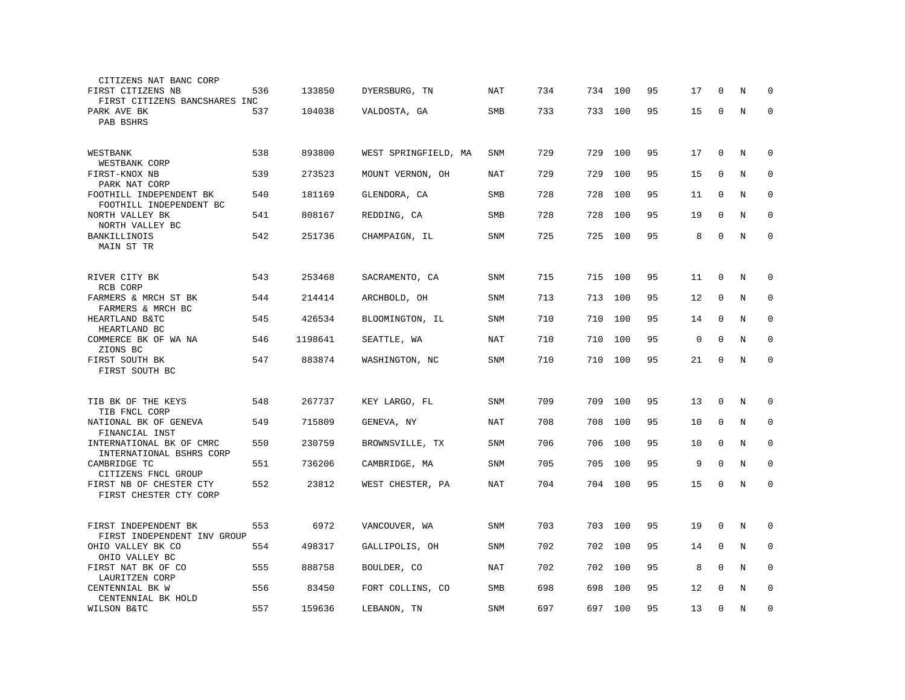| CITIZENS NAT BANC CORP                               |     |         |                      |            |     |     |     |    |    |              |   |             |
|------------------------------------------------------|-----|---------|----------------------|------------|-----|-----|-----|----|----|--------------|---|-------------|
| FIRST CITIZENS NB<br>FIRST CITIZENS BANCSHARES INC   | 536 | 133850  | DYERSBURG, TN        | NAT        | 734 | 734 | 100 | 95 | 17 | $\Omega$     | N | ∩           |
| PARK AVE BK<br>PAB BSHRS                             | 537 | 104038  | VALDOSTA, GA         | <b>SMB</b> | 733 | 733 | 100 | 95 | 15 | $\mathbf{0}$ | N | $\mathbf 0$ |
| WESTBANK<br>WESTBANK CORP                            | 538 | 893800  | WEST SPRINGFIELD, MA | SNM        | 729 | 729 | 100 | 95 | 17 | 0            | N | 0           |
| FIRST-KNOX NB<br>PARK NAT CORP                       | 539 | 273523  | MOUNT VERNON, OH     | <b>NAT</b> | 729 | 729 | 100 | 95 | 15 | $\mathbf 0$  | N | $\mathbf 0$ |
| FOOTHILL INDEPENDENT BK<br>FOOTHILL INDEPENDENT BC   | 540 | 181169  | GLENDORA, CA         | SMB        | 728 | 728 | 100 | 95 | 11 | $\Omega$     | N | $\mathbf 0$ |
| NORTH VALLEY BK<br>NORTH VALLEY BC                   | 541 | 808167  | REDDING, CA          | SMB        | 728 | 728 | 100 | 95 | 19 | $\Omega$     | N | $\mathbf 0$ |
| BANKILLINOIS<br>MAIN ST TR                           | 542 | 251736  | CHAMPAIGN, IL        | <b>SNM</b> | 725 | 725 | 100 | 95 | 8  | $\mathbf 0$  | N | $\mathbf 0$ |
| RIVER CITY BK<br>RCB CORP                            | 543 | 253468  | SACRAMENTO, CA       | SNM        | 715 | 715 | 100 | 95 | 11 | 0            | Ν | 0           |
| FARMERS & MRCH ST BK<br>FARMERS & MRCH BC            | 544 | 214414  | ARCHBOLD, OH         | <b>SNM</b> | 713 | 713 | 100 | 95 | 12 | 0            | N | $\mathbf 0$ |
| HEARTLAND B&TC<br>HEARTLAND BC                       | 545 | 426534  | BLOOMINGTON, IL      | <b>SNM</b> | 710 | 710 | 100 | 95 | 14 | 0            | N | $\mathbf 0$ |
| COMMERCE BK OF WA NA<br>ZIONS BC                     | 546 | 1198641 | SEATTLE, WA          | <b>NAT</b> | 710 | 710 | 100 | 95 | 0  | $\mathbf 0$  | N | $\mathbf 0$ |
| FIRST SOUTH BK<br>FIRST SOUTH BC                     | 547 | 883874  | WASHINGTON, NC       | <b>SNM</b> | 710 | 710 | 100 | 95 | 21 | $\mathbf 0$  | N | $\mathbf 0$ |
| TIB BK OF THE KEYS<br>TIB FNCL CORP                  | 548 | 267737  | KEY LARGO, FL        | SNM        | 709 | 709 | 100 | 95 | 13 | $\mathbf 0$  | N | $\mathbf 0$ |
| NATIONAL BK OF GENEVA<br>FINANCIAL INST              | 549 | 715809  | GENEVA, NY           | <b>NAT</b> | 708 | 708 | 100 | 95 | 10 | $\mathbf 0$  | N | $\mathbf 0$ |
| INTERNATIONAL BK OF CMRC<br>INTERNATIONAL BSHRS CORP | 550 | 230759  | BROWNSVILLE, TX      | <b>SNM</b> | 706 | 706 | 100 | 95 | 10 | $\Omega$     | N | $\mathbf 0$ |
| CAMBRIDGE TC<br>CITIZENS FNCL GROUP                  | 551 | 736206  | CAMBRIDGE, MA        | <b>SNM</b> | 705 | 705 | 100 | 95 | 9  | $\mathbf 0$  | N | 0           |
| FIRST NB OF CHESTER CTY<br>FIRST CHESTER CTY CORP    | 552 | 23812   | WEST CHESTER, PA     | NAT        | 704 | 704 | 100 | 95 | 15 | $\mathbf 0$  | N | $\mathbf 0$ |
| FIRST INDEPENDENT BK<br>FIRST INDEPENDENT INV GROUP  | 553 | 6972    | VANCOUVER, WA        | SNM        | 703 | 703 | 100 | 95 | 19 | $\mathbf 0$  | Ν | 0           |
| OHIO VALLEY BK CO<br>OHIO VALLEY BC                  | 554 | 498317  | GALLIPOLIS, OH       | <b>SNM</b> | 702 | 702 | 100 | 95 | 14 | $\mathbf 0$  | N | $\mathbf 0$ |
| FIRST NAT BK OF CO<br>LAURITZEN CORP                 | 555 | 888758  | BOULDER, CO          | NAT        | 702 | 702 | 100 | 95 | 8  | $\Omega$     | N | $\mathbf 0$ |
| CENTENNIAL BK W<br>CENTENNIAL BK HOLD                | 556 | 83450   | FORT COLLINS, CO     | SMB        | 698 | 698 | 100 | 95 | 12 | $\mathbf 0$  | N | $\mathbf 0$ |
| WILSON B&TC                                          | 557 | 159636  | LEBANON, TN          | SNM        | 697 | 697 | 100 | 95 | 13 | $\mathbf 0$  | N | $\mathbf 0$ |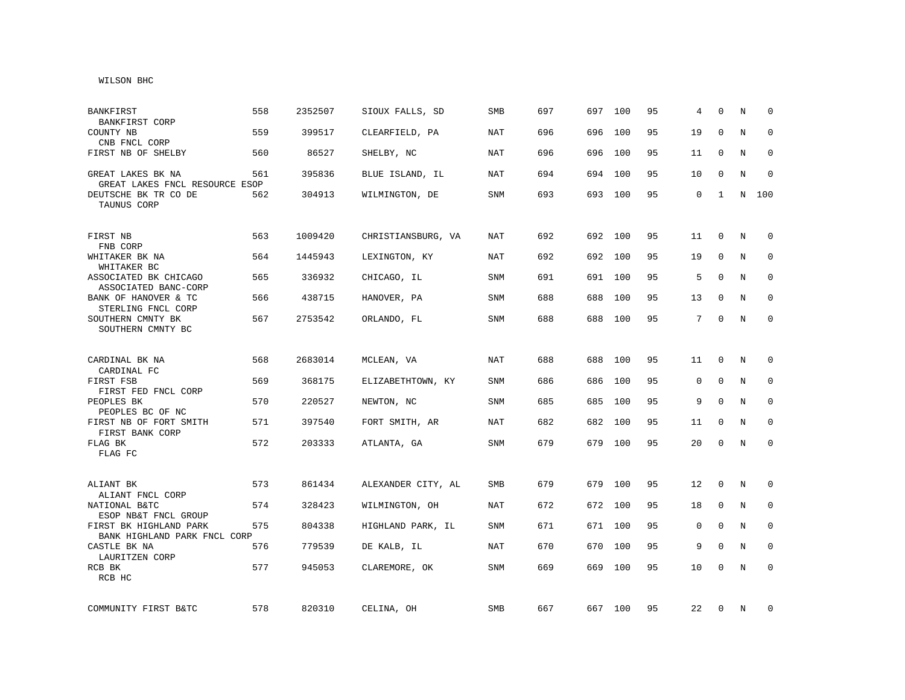## WILSON BHC

| <b>BANKFIRST</b><br>BANKFIRST CORP                     | 558 | 2352507 | SIOUX FALLS, SD    | <b>SMB</b> | 697 | 697 | 100     | 95 | 4           | $\Omega$    | N | $\Omega$     |
|--------------------------------------------------------|-----|---------|--------------------|------------|-----|-----|---------|----|-------------|-------------|---|--------------|
| COUNTY NB<br>CNB FNCL CORP                             | 559 | 399517  | CLEARFIELD, PA     | <b>NAT</b> | 696 | 696 | 100     | 95 | 19          | $\Omega$    | N | $\Omega$     |
| FIRST NB OF SHELBY                                     | 560 | 86527   | SHELBY, NC         | NAT        | 696 | 696 | 100     | 95 | 11          | $\mathbf 0$ | N | $\Omega$     |
| GREAT LAKES BK NA<br>GREAT LAKES FNCL RESOURCE ESOP    | 561 | 395836  | BLUE ISLAND, IL    | NAT        | 694 | 694 | 100     | 95 | 10          | $\mathbf 0$ | N | $\mathbf 0$  |
| DEUTSCHE BK TR CO DE<br>TAUNUS CORP                    | 562 | 304913  | WILMINGTON, DE     | SNM        | 693 | 693 | 100     | 95 | 0           | 1           | N | 100          |
| FIRST NB<br>FNB CORP                                   | 563 | 1009420 | CHRISTIANSBURG, VA | NAT        | 692 |     | 692 100 | 95 | 11          | $\mathbf 0$ | N | $\mathbf 0$  |
| WHITAKER BK NA<br>WHITAKER BC                          | 564 | 1445943 | LEXINGTON, KY      | NAT        | 692 | 692 | 100     | 95 | 19          | $\mathbf 0$ | N | 0            |
| ASSOCIATED BK CHICAGO<br>ASSOCIATED BANC-CORP          | 565 | 336932  | CHICAGO, IL        | SNM        | 691 | 691 | 100     | 95 | 5           | $\Omega$    | N | $\mathbf 0$  |
| BANK OF HANOVER & TC<br>STERLING FNCL CORP             | 566 | 438715  | HANOVER, PA        | SNM        | 688 | 688 | 100     | 95 | 13          | $\mathbf 0$ | N | 0            |
| SOUTHERN CMNTY BK<br>SOUTHERN CMNTY BC                 | 567 | 2753542 | ORLANDO, FL        | <b>SNM</b> | 688 | 688 | 100     | 95 | 7           | $\Omega$    | N | $\mathbf 0$  |
| CARDINAL BK NA<br>CARDINAL FC                          | 568 | 2683014 | MCLEAN, VA         | <b>NAT</b> | 688 | 688 | 100     | 95 | 11          | 0           | N | $\mathbf 0$  |
| FIRST FSB<br>FIRST FED FNCL CORP                       | 569 | 368175  | ELIZABETHTOWN, KY  | <b>SNM</b> | 686 | 686 | 100     | 95 | 0           | $\mathbf 0$ | N | $\mathbf 0$  |
| PEOPLES BK<br>PEOPLES BC OF NC                         | 570 | 220527  | NEWTON, NC         | SNM        | 685 | 685 | 100     | 95 | 9           | $\mathbf 0$ | N | $\mathbf 0$  |
| FIRST NB OF FORT SMITH<br>FIRST BANK CORP              | 571 | 397540  | FORT SMITH, AR     | <b>NAT</b> | 682 | 682 | 100     | 95 | 11          | $\Omega$    | N | $\Omega$     |
| FLAG BK<br>FLAG FC                                     | 572 | 203333  | ATLANTA, GA        | <b>SNM</b> | 679 | 679 | 100     | 95 | 20          | $\mathbf 0$ | N | $\mathbf 0$  |
| ALIANT BK<br>ALIANT FNCL CORP                          | 573 | 861434  | ALEXANDER CITY, AL | SMB        | 679 | 679 | 100     | 95 | 12          | 0           | N | 0            |
| NATIONAL B&TC<br>ESOP NB&T FNCL GROUP                  | 574 | 328423  | WILMINGTON, OH     | NAT        | 672 | 672 | 100     | 95 | 18          | 0           | N | 0            |
| FIRST BK HIGHLAND PARK<br>BANK HIGHLAND PARK FNCL CORP | 575 | 804338  | HIGHLAND PARK, IL  | SNM        | 671 |     | 671 100 | 95 | $\mathbf 0$ | $\mathbf 0$ | N | $\mathbf 0$  |
| CASTLE BK NA<br>LAURITZEN CORP                         | 576 | 779539  | DE KALB, IL        | <b>NAT</b> | 670 | 670 | 100     | 95 | 9           | $\mathbf 0$ | N | $\mathbf{0}$ |
| RCB BK<br>RCB HC                                       | 577 | 945053  | CLAREMORE, OK      | <b>SNM</b> | 669 | 669 | 100     | 95 | 10          | $\mathbf 0$ | N | $\mathbf 0$  |
| COMMUNITY FIRST B&TC                                   | 578 | 820310  | CELINA, OH         | SMB        | 667 |     | 667 100 | 95 | 22          | 0           | N | 0            |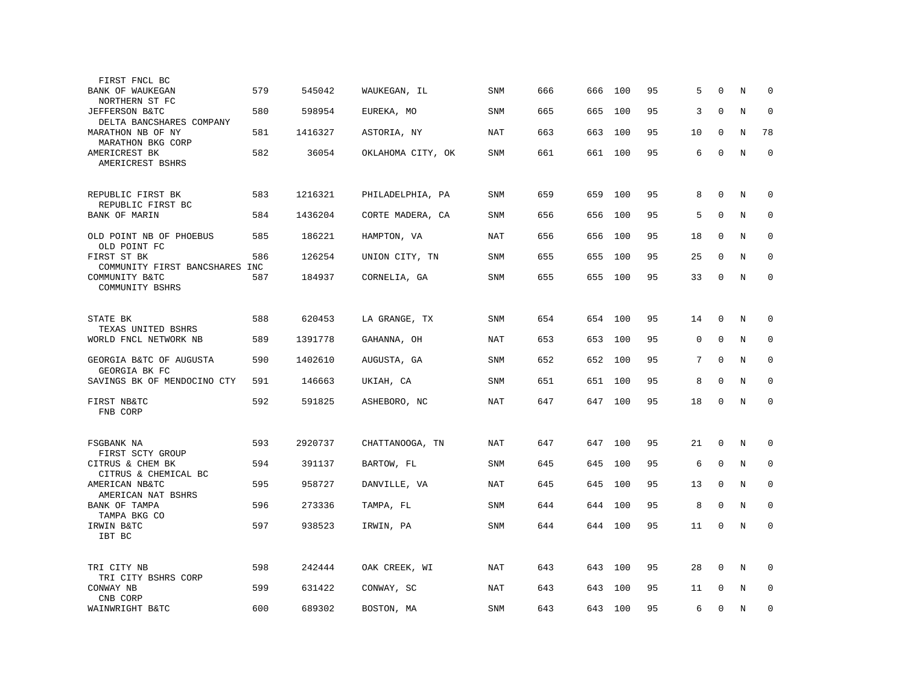| FIRST FNCL BC                                                       |     |         |                   |            |     |     |         |    |             |              |         |             |
|---------------------------------------------------------------------|-----|---------|-------------------|------------|-----|-----|---------|----|-------------|--------------|---------|-------------|
| BANK OF WAUKEGAN<br>NORTHERN ST FC                                  | 579 | 545042  | WAUKEGAN, IL      | <b>SNM</b> | 666 | 666 | 100     | 95 | 5           | 0            | N       | 0           |
| <b>JEFFERSON B&amp;TC</b><br>DELTA BANCSHARES COMPANY               | 580 | 598954  | EUREKA, MO        | <b>SNM</b> | 665 | 665 | 100     | 95 | 3           | $\mathbf 0$  | N       | $\mathbf 0$ |
| MARATHON NB OF NY<br>MARATHON BKG CORP                              | 581 | 1416327 | ASTORIA, NY       | <b>NAT</b> | 663 | 663 | 100     | 95 | 10          | $\mathbf 0$  | N       | 78          |
| AMERICREST BK<br>AMERICREST BSHRS                                   | 582 | 36054   | OKLAHOMA CITY, OK | <b>SNM</b> | 661 |     | 661 100 | 95 | 6           | $\mathbf 0$  | N       | $\mathbf 0$ |
| REPUBLIC FIRST BK                                                   | 583 | 1216321 | PHILADELPHIA, PA  | SNM        | 659 | 659 | 100     | 95 | 8           | $\mathbf 0$  | N       | $\mathbf 0$ |
| REPUBLIC FIRST BC<br><b>BANK OF MARIN</b>                           | 584 | 1436204 | CORTE MADERA, CA  | <b>SNM</b> | 656 | 656 | 100     | 95 | 5           | $\Omega$     | N       | $\mathbf 0$ |
| OLD POINT NB OF PHOEBUS<br>OLD POINT FC                             | 585 | 186221  | HAMPTON, VA       | NAT        | 656 | 656 | 100     | 95 | 18          | $\mathbf 0$  | N       | $\mathbf 0$ |
| FIRST ST BK                                                         | 586 | 126254  | UNION CITY, TN    | <b>SNM</b> | 655 | 655 | 100     | 95 | 25          | $\mathbf{0}$ | N       | $\mathbf 0$ |
| COMMUNITY FIRST BANCSHARES INC<br>COMMUNITY B&TC<br>COMMUNITY BSHRS | 587 | 184937  | CORNELIA, GA      | SNM        | 655 | 655 | 100     | 95 | 33          | $\mathbf 0$  | N       | $\mathbf 0$ |
|                                                                     |     |         |                   |            |     |     |         |    |             |              |         |             |
| STATE BK<br>TEXAS UNITED BSHRS                                      | 588 | 620453  | LA GRANGE, TX     | SNM        | 654 |     | 654 100 | 95 | 14          | $\mathbf 0$  | N       | $\mathbf 0$ |
| WORLD FNCL NETWORK NB                                               | 589 | 1391778 | GAHANNA, OH       | <b>NAT</b> | 653 | 653 | 100     | 95 | $\mathsf 0$ | $\mathbf 0$  | $\rm N$ | 0           |
| GEORGIA B&TC OF AUGUSTA<br>GEORGIA BK FC                            | 590 | 1402610 | AUGUSTA, GA       | <b>SNM</b> | 652 | 652 | 100     | 95 | 7           | $\mathbf 0$  | N       | 0           |
| SAVINGS BK OF MENDOCINO CTY                                         | 591 | 146663  | UKIAH, CA         | SNM        | 651 | 651 | 100     | 95 | 8           | $\mathbf 0$  | N       | $\mathbf 0$ |
| FIRST NB&TC<br>FNB CORP                                             | 592 | 591825  | ASHEBORO, NC      | <b>NAT</b> | 647 | 647 | 100     | 95 | 18          | $\mathbf{0}$ | N       | $\mathbf 0$ |
| FSGBANK NA                                                          | 593 | 2920737 | CHATTANOOGA, TN   | NAT        | 647 | 647 | 100     | 95 | 21          | $\mathbf{0}$ | N       | 0           |
| FIRST SCTY GROUP                                                    |     |         |                   |            |     |     |         |    |             |              |         |             |
| CITRUS & CHEM BK<br>CITRUS & CHEMICAL BC                            | 594 | 391137  | BARTOW, FL        | <b>SNM</b> | 645 | 645 | 100     | 95 | 6           | $\mathbf 0$  | N       | 0           |
| AMERICAN NB&TC<br>AMERICAN NAT BSHRS                                | 595 | 958727  | DANVILLE, VA      | NAT        | 645 | 645 | 100     | 95 | 13          | $\mathbf 0$  | N       | $\mathbf 0$ |
| BANK OF TAMPA<br>TAMPA BKG CO                                       | 596 | 273336  | TAMPA, FL         | <b>SNM</b> | 644 | 644 | 100     | 95 | 8           | $\Omega$     | N       | $\Omega$    |
| IRWIN B&TC<br>IBT BC                                                | 597 | 938523  | IRWIN, PA         | <b>SNM</b> | 644 | 644 | 100     | 95 | 11          | $\mathbf 0$  | $\rm N$ | $\mathbf 0$ |
| TRI CITY NB                                                         | 598 | 242444  | OAK CREEK, WI     | NAT        | 643 | 643 | 100     | 95 | 28          | $\mathbf 0$  | N       | $\mathbf 0$ |
| TRI CITY BSHRS CORP<br>CONWAY NB                                    | 599 | 631422  | CONWAY, SC        | <b>NAT</b> | 643 | 643 | 100     | 95 | 11          | $\Omega$     | N       | $\mathbf 0$ |
| CNB CORP<br>WAINWRIGHT B&TC                                         | 600 | 689302  | BOSTON, MA        | SNM        | 643 | 643 | 100     | 95 | 6           | $\mathbf{0}$ | N       | $\mathbf 0$ |
|                                                                     |     |         |                   |            |     |     |         |    |             |              |         |             |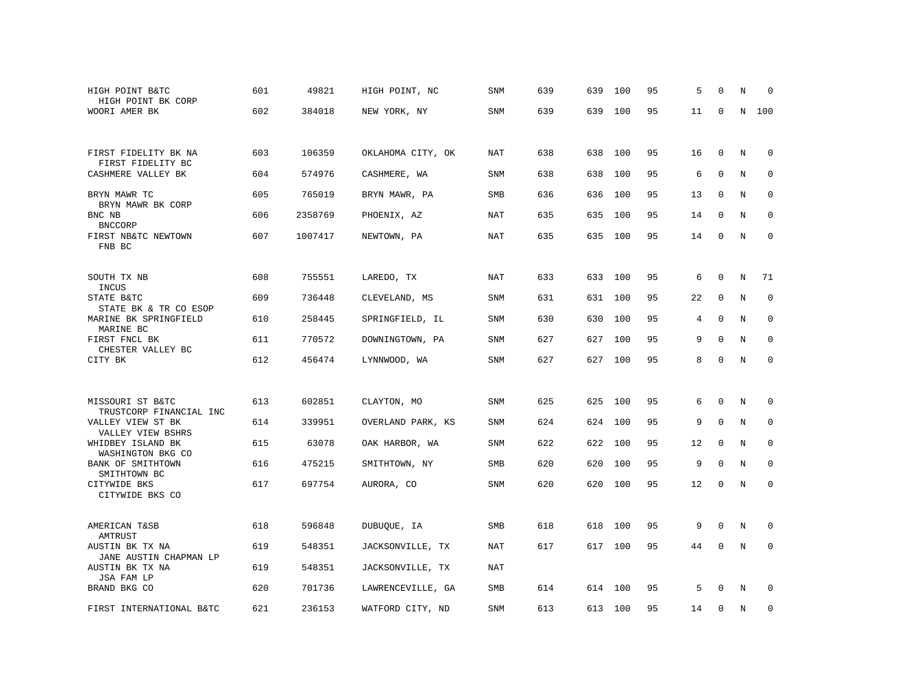| HIGH POINT B&TC<br>HIGH POINT BK CORP                             | 601 | 49821   | HIGH POINT, NC    | SNM        | 639 | 639 | 100     | 95 | 5  | $\Omega$     | N | $\Omega$    |
|-------------------------------------------------------------------|-----|---------|-------------------|------------|-----|-----|---------|----|----|--------------|---|-------------|
| WOORI AMER BK                                                     | 602 | 384018  | NEW YORK, NY      | <b>SNM</b> | 639 | 639 | 100     | 95 | 11 | $\mathbf 0$  | N | 100         |
| FIRST FIDELITY BK NA<br>FIRST FIDELITY BC                         | 603 | 106359  | OKLAHOMA CITY, OK | NAT        | 638 | 638 | 100     | 95 | 16 | $\mathbf 0$  | N | $\mathbf 0$ |
| CASHMERE VALLEY BK                                                | 604 | 574976  | CASHMERE, WA      | <b>SNM</b> | 638 | 638 | 100     | 95 | 6  | $\mathbf 0$  | N | 0           |
| BRYN MAWR TC<br>BRYN MAWR BK CORP                                 | 605 | 765019  | BRYN MAWR, PA     | SMB        | 636 | 636 | 100     | 95 | 13 | 0            | N | 0           |
| BNC NB<br><b>BNCCORP</b>                                          | 606 | 2358769 | PHOENIX, AZ       | NAT        | 635 | 635 | 100     | 95 | 14 | $\mathbf 0$  | N | $\mathbf 0$ |
| FIRST NB&TC NEWTOWN<br>FNB BC                                     | 607 | 1007417 | NEWTOWN, PA       | NAT        | 635 |     | 635 100 | 95 | 14 | $\mathbf 0$  | N | $\mathbf 0$ |
| SOUTH TX NB<br>INCUS                                              | 608 | 755551  | LAREDO, TX        | NAT        | 633 | 633 | 100     | 95 | 6  | $\Omega$     | N | 71          |
| STATE B&TC<br>STATE BK & TR CO ESOP                               | 609 | 736448  | CLEVELAND, MS     | SNM        | 631 | 631 | 100     | 95 | 22 | $\mathbf 0$  | N | $\mathbf 0$ |
| MARINE BK SPRINGFIELD<br>MARINE BC                                | 610 | 258445  | SPRINGFIELD, IL   | <b>SNM</b> | 630 | 630 | 100     | 95 | 4  | $\mathbf{0}$ | N | $\mathbf 0$ |
| FIRST FNCL BK<br>CHESTER VALLEY BC                                | 611 | 770572  | DOWNINGTOWN, PA   | <b>SNM</b> | 627 | 627 | 100     | 95 | 9  | $\Omega$     | N | $\mathbf 0$ |
| CITY BK                                                           | 612 | 456474  | LYNNWOOD, WA      | SNM        | 627 | 627 | 100     | 95 | 8  | $\mathbf 0$  | N | $\mathbf 0$ |
| MISSOURI ST B&TC                                                  | 613 | 602851  | CLAYTON, MO       | <b>SNM</b> | 625 | 625 | 100     | 95 | 6  | $\mathbf 0$  | N | $\mathbf 0$ |
| TRUSTCORP FINANCIAL INC<br>VALLEY VIEW ST BK<br>VALLEY VIEW BSHRS | 614 | 339951  | OVERLAND PARK, KS | SNM        | 624 | 624 | 100     | 95 | 9  | $\mathbf 0$  | N | 0           |
| WHIDBEY ISLAND BK<br>WASHINGTON BKG CO                            | 615 | 63078   | OAK HARBOR, WA    | <b>SNM</b> | 622 | 622 | 100     | 95 | 12 | $\mathbf 0$  | N | $\mathbf 0$ |
| BANK OF SMITHTOWN<br>SMITHTOWN BC                                 | 616 | 475215  | SMITHTOWN, NY     | SMB        | 620 | 620 | 100     | 95 | 9  | $\mathbf 0$  | N | $\mathbf 0$ |
| CITYWIDE BKS<br>CITYWIDE BKS CO                                   | 617 | 697754  | AURORA, CO        | SNM        | 620 | 620 | 100     | 95 | 12 | $\mathbf 0$  | N | $\mathbf 0$ |
| AMERICAN T&SB<br>AMTRUST                                          | 618 | 596848  | DUBUQUE, IA       | SMB        | 618 | 618 | 100     | 95 | 9  | $\mathbf 0$  | N | $\mathbf 0$ |
| AUSTIN BK TX NA<br>JANE AUSTIN CHAPMAN LP                         | 619 | 548351  | JACKSONVILLE, TX  | NAT        | 617 |     | 617 100 | 95 | 44 | $\mathbf 0$  | N | $\mathbf 0$ |
| AUSTIN BK TX NA<br>JSA FAM LP                                     | 619 | 548351  | JACKSONVILLE, TX  | <b>NAT</b> |     |     |         |    |    |              |   |             |
| BRAND BKG CO                                                      | 620 | 701736  | LAWRENCEVILLE, GA | SMB        | 614 | 614 | 100     | 95 | 5  | $\Omega$     | N | $\Omega$    |
| FIRST INTERNATIONAL B&TC                                          | 621 | 236153  | WATFORD CITY, ND  | <b>SNM</b> | 613 | 613 | 100     | 95 | 14 | $\mathbf 0$  | N | 0           |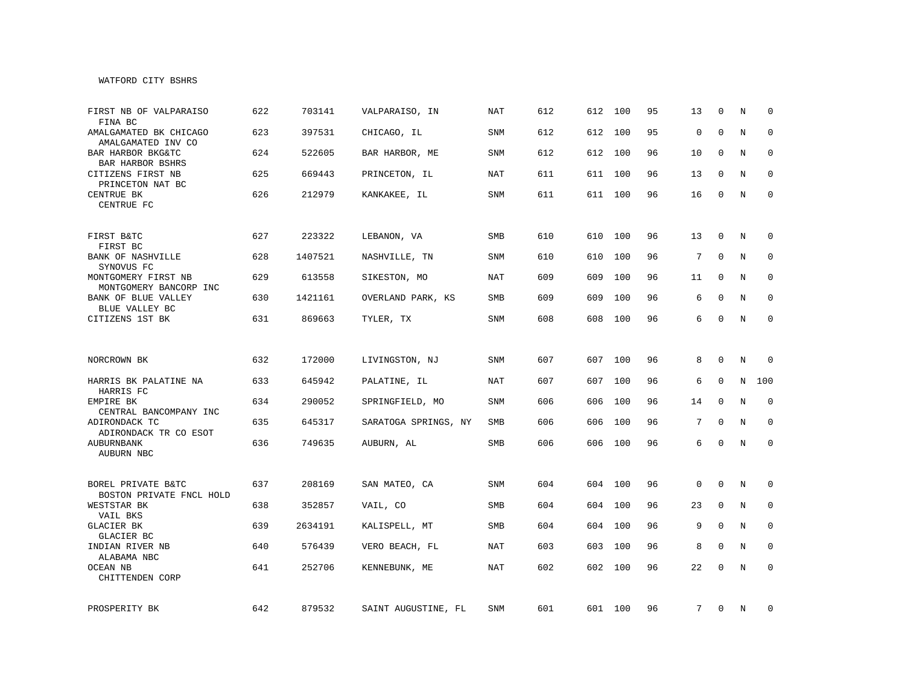## WATFORD CITY BSHRS

| FIRST NB OF VALPARAISO<br>FINA BC              | 622 | 703141  | VALPARAISO, IN       | <b>NAT</b> | 612 | 612 | 100     | 95 | 13              | $\mathbf 0$ | N | $\Omega$     |
|------------------------------------------------|-----|---------|----------------------|------------|-----|-----|---------|----|-----------------|-------------|---|--------------|
| AMALGAMATED BK CHICAGO<br>AMALGAMATED INV CO   | 623 | 397531  | CHICAGO, IL          | SNM        | 612 | 612 | 100     | 95 | $\mathbf 0$     | $\mathbf 0$ | N | $\mathbf 0$  |
| BAR HARBOR BKG&TC<br>BAR HARBOR BSHRS          | 624 | 522605  | BAR HARBOR, ME       | SNM        | 612 | 612 | 100     | 96 | 10              | 0           | N | $\mathbf 0$  |
| CITIZENS FIRST NB<br>PRINCETON NAT BC          | 625 | 669443  | PRINCETON, IL        | <b>NAT</b> | 611 |     | 611 100 | 96 | 13              | $\Omega$    | N | $\mathbf 0$  |
| CENTRUE BK<br>CENTRUE FC                       | 626 | 212979  | KANKAKEE, IL         | SNM        | 611 |     | 611 100 | 96 | 16              | 0           | N | $\mathbf 0$  |
| FIRST B&TC<br>FIRST BC                         | 627 | 223322  | LEBANON, VA          | <b>SMB</b> | 610 | 610 | 100     | 96 | 13              | 0           | N | $\mathbf 0$  |
| BANK OF NASHVILLE<br>SYNOVUS FC                | 628 | 1407521 | NASHVILLE, TN        | SNM        | 610 | 610 | 100     | 96 | 7               | $\mathbf 0$ | N | $\mathbf 0$  |
| MONTGOMERY FIRST NB<br>MONTGOMERY BANCORP INC  | 629 | 613558  | SIKESTON, MO         | NAT        | 609 | 609 | 100     | 96 | 11              | $\mathbf 0$ | N | 0            |
| BANK OF BLUE VALLEY<br>BLUE VALLEY BC          | 630 | 1421161 | OVERLAND PARK, KS    | <b>SMB</b> | 609 | 609 | 100     | 96 | 6               | $\Omega$    | N | $\mathbf 0$  |
| CITIZENS 1ST BK                                | 631 | 869663  | TYLER, TX            | <b>SNM</b> | 608 | 608 | 100     | 96 | 6               | $\mathbf 0$ | N | $\mathbf 0$  |
|                                                |     |         |                      |            |     |     |         |    |                 |             |   |              |
| NORCROWN BK                                    | 632 | 172000  | LIVINGSTON, NJ       | SNM        | 607 |     | 607 100 | 96 | 8               | $\Omega$    | N | 0            |
| HARRIS BK PALATINE NA<br>HARRIS FC             | 633 | 645942  | PALATINE, IL         | <b>NAT</b> | 607 | 607 | 100     | 96 | 6               | $\mathbf 0$ | N | 100          |
| EMPIRE BK<br>CENTRAL BANCOMPANY INC            | 634 | 290052  | SPRINGFIELD, MO      | <b>SNM</b> | 606 | 606 | 100     | 96 | 14              | $\mathbf 0$ | N | $\mathbf 0$  |
| ADIRONDACK TC<br>ADIRONDACK TR CO ESOT         | 635 | 645317  | SARATOGA SPRINGS, NY | <b>SMB</b> | 606 | 606 | 100     | 96 | $7\overline{ }$ | $\Omega$    | N | $\mathbf 0$  |
| AUBURNBANK<br>AUBURN NBC                       | 636 | 749635  | AUBURN, AL           | SMB        | 606 |     | 606 100 | 96 | 6               | $\Omega$    | N | $\mathbf 0$  |
|                                                |     |         |                      |            |     |     |         |    |                 |             |   |              |
| BOREL PRIVATE B&TC<br>BOSTON PRIVATE FNCL HOLD | 637 | 208169  | SAN MATEO, CA        | SNM        | 604 | 604 | 100     | 96 | 0               | 0           | N | 0            |
| WESTSTAR BK<br>VAIL BKS                        | 638 | 352857  | VAIL, CO             | SMB        | 604 | 604 | 100     | 96 | 23              | $\mathbf 0$ | N | $\mathbf{0}$ |
| GLACIER BK<br>GLACIER BC                       | 639 | 2634191 | KALISPELL, MT        | SMB        | 604 | 604 | 100     | 96 | 9               | $\mathbf 0$ | N | $\mathbf 0$  |
| INDIAN RIVER NB<br>ALABAMA NBC                 | 640 | 576439  | VERO BEACH, FL       | NAT        | 603 | 603 | 100     | 96 | 8               | $\mathbf 0$ | N | 0            |
| OCEAN NB<br>CHITTENDEN CORP                    | 641 | 252706  | KENNEBUNK, ME        | NAT        | 602 | 602 | 100     | 96 | 22              | $\Omega$    | N | $\mathbf 0$  |
| PROSPERITY BK                                  | 642 | 879532  | SAINT AUGUSTINE, FL  | SNM        | 601 |     | 601 100 | 96 | 7               | 0           | N | 0            |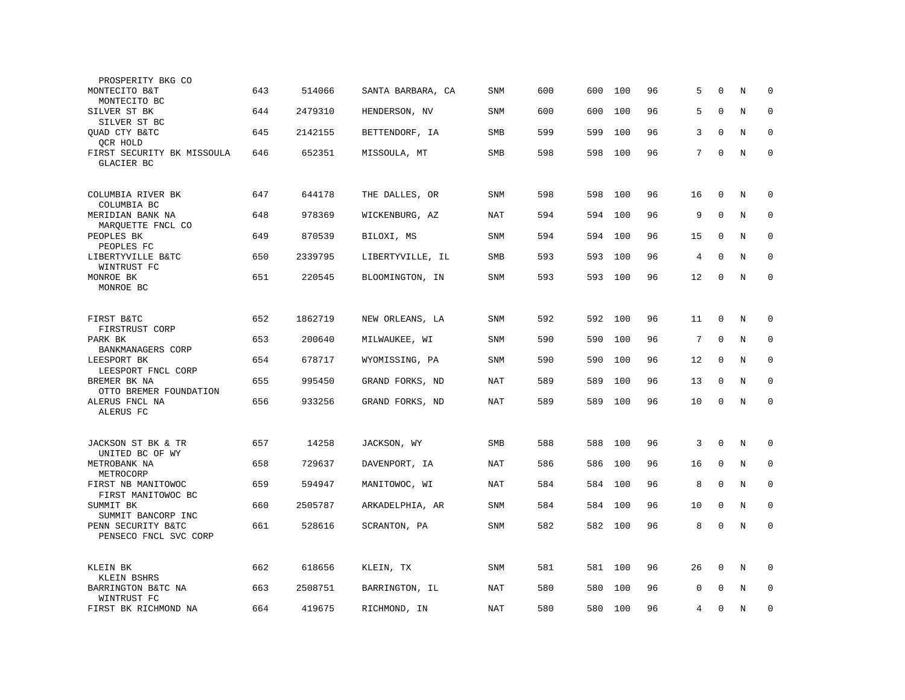| PROSPERITY BKG CO                           |     |         |                   |            |     |     |     |    |    |              |         |             |
|---------------------------------------------|-----|---------|-------------------|------------|-----|-----|-----|----|----|--------------|---------|-------------|
| MONTECITO B&T<br>MONTECITO BC               | 643 | 514066  | SANTA BARBARA, CA | <b>SNM</b> | 600 | 600 | 100 | 96 | 5  | $\mathbf 0$  | N       | $\mathbf 0$ |
| SILVER ST BK<br>SILVER ST BC                | 644 | 2479310 | HENDERSON, NV     | SNM        | 600 | 600 | 100 | 96 | 5  | $\Omega$     | N       | $\mathbf 0$ |
| QUAD CTY B&TC<br>QCR HOLD                   | 645 | 2142155 | BETTENDORF, IA    | SMB        | 599 | 599 | 100 | 96 | 3  | $\mathbf 0$  | N       | $\mathbf 0$ |
| FIRST SECURITY BK MISSOULA<br>GLACIER BC    | 646 | 652351  | MISSOULA, MT      | SMB        | 598 | 598 | 100 | 96 | 7  | $\mathbf 0$  | N       | $\mathbf 0$ |
| COLUMBIA RIVER BK<br>COLUMBIA BC            | 647 | 644178  | THE DALLES, OR    | <b>SNM</b> | 598 | 598 | 100 | 96 | 16 | $\mathbf 0$  | N       | $\mathbf 0$ |
| MERIDIAN BANK NA<br>MAROUETTE FNCL CO       | 648 | 978369  | WICKENBURG, AZ    | NAT        | 594 | 594 | 100 | 96 | 9  | $\mathbf 0$  | N       | $\mathbf 0$ |
| PEOPLES BK<br>PEOPLES FC                    | 649 | 870539  | BILOXI, MS        | <b>SNM</b> | 594 | 594 | 100 | 96 | 15 | $\Omega$     | N       | $\mathbf 0$ |
| LIBERTYVILLE B&TC<br>WINTRUST FC            | 650 | 2339795 | LIBERTYVILLE, IL  | <b>SMB</b> | 593 | 593 | 100 | 96 | 4  | $\Omega$     | N       | $\Omega$    |
| MONROE BK<br>MONROE BC                      | 651 | 220545  | BLOOMINGTON, IN   | SNM        | 593 | 593 | 100 | 96 | 12 | $\mathbf 0$  | $\rm N$ | $\mathbf 0$ |
| FIRST B&TC<br>FIRSTRUST CORP                | 652 | 1862719 | NEW ORLEANS, LA   | <b>SNM</b> | 592 | 592 | 100 | 96 | 11 | $\mathbf 0$  | N       | 0           |
| PARK BK<br>BANKMANAGERS CORP                | 653 | 200640  | MILWAUKEE, WI     | SNM        | 590 | 590 | 100 | 96 | 7  | $\mathbf 0$  | N       | $\mathbf 0$ |
| LEESPORT BK<br>LEESPORT FNCL CORP           | 654 | 678717  | WYOMISSING, PA    | SNM        | 590 | 590 | 100 | 96 | 12 | $\mathbf 0$  | N       | $\mathbf 0$ |
| BREMER BK NA<br>OTTO BREMER FOUNDATION      | 655 | 995450  | GRAND FORKS, ND   | NAT        | 589 | 589 | 100 | 96 | 13 | $\Omega$     | N       | $\mathbf 0$ |
| ALERUS FNCL NA<br>ALERUS FC                 | 656 | 933256  | GRAND FORKS, ND   | NAT        | 589 | 589 | 100 | 96 | 10 | $\mathbf 0$  | N       | 0           |
| JACKSON ST BK & TR<br>UNITED BC OF WY       | 657 | 14258   | JACKSON, WY       | <b>SMB</b> | 588 | 588 | 100 | 96 | 3  | $\mathbf{0}$ | N       | $\mathbf 0$ |
| METROBANK NA<br>METROCORP                   | 658 | 729637  | DAVENPORT, IA     | <b>NAT</b> | 586 | 586 | 100 | 96 | 16 | $\mathbf{0}$ | N       | $\mathbf 0$ |
| FIRST NB MANITOWOC<br>FIRST MANITOWOC BC    | 659 | 594947  | MANITOWOC, WI     | NAT        | 584 | 584 | 100 | 96 | 8  | $\mathbf 0$  | N       | $\mathbf 0$ |
| SUMMIT BK<br>SUMMIT BANCORP INC             | 660 | 2505787 | ARKADELPHIA, AR   | SNM        | 584 | 584 | 100 | 96 | 10 | $\mathbf 0$  | N       | $\mathbf 0$ |
| PENN SECURITY B&TC<br>PENSECO FNCL SVC CORP | 661 | 528616  | SCRANTON, PA      | <b>SNM</b> | 582 | 582 | 100 | 96 | 8  | $\mathbf 0$  | N       | $\Omega$    |
| KLEIN BK<br>KLEIN BSHRS                     | 662 | 618656  | KLEIN, TX         | SNM        | 581 | 581 | 100 | 96 | 26 | 0            | N       | 0           |
| BARRINGTON B&TC NA<br>WINTRUST FC           | 663 | 2508751 | BARRINGTON, IL    | <b>NAT</b> | 580 | 580 | 100 | 96 | 0  | $\Omega$     | N       | $\mathbf 0$ |
| FIRST BK RICHMOND NA                        | 664 | 419675  | RICHMOND, IN      | NAT        | 580 | 580 | 100 | 96 | 4  | $\Omega$     | N       | $\mathbf 0$ |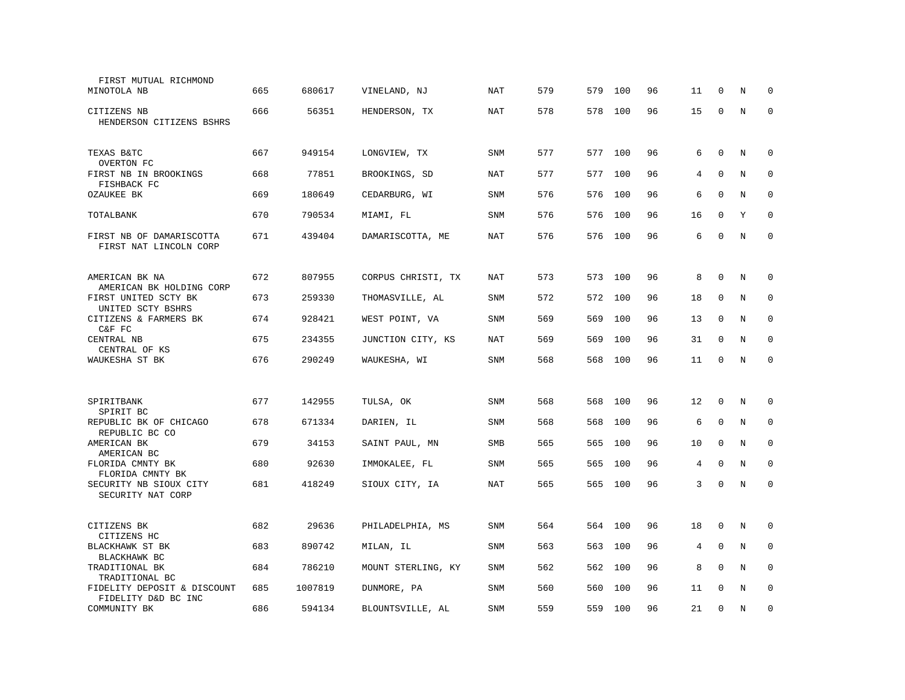| FIRST MUTUAL RICHMOND<br>MINOTOLA NB                | 665 | 680617  | VINELAND, NJ       | NAT        | 579 | 579 | 100     | 96 | 11 | $\Omega$     | N | $\Omega$    |
|-----------------------------------------------------|-----|---------|--------------------|------------|-----|-----|---------|----|----|--------------|---|-------------|
| CITIZENS NB<br>HENDERSON CITIZENS BSHRS             | 666 | 56351   | HENDERSON, TX      | <b>NAT</b> | 578 | 578 | 100     | 96 | 15 | $\mathbf 0$  | N | $\mathbf 0$ |
| TEXAS B&TC<br>OVERTON FC                            | 667 | 949154  | LONGVIEW, TX       | <b>SNM</b> | 577 |     | 577 100 | 96 | 6  | $\mathbf 0$  | N | 0           |
| FIRST NB IN BROOKINGS<br>FISHBACK FC                | 668 | 77851   | BROOKINGS, SD      | NAT        | 577 | 577 | 100     | 96 | 4  | 0            | N | $\Omega$    |
| OZAUKEE BK                                          | 669 | 180649  | CEDARBURG, WI      | <b>SNM</b> | 576 | 576 | 100     | 96 | 6  | $\mathbf 0$  | N | $\mathbf 0$ |
| TOTALBANK                                           | 670 | 790534  | MIAMI, FL          | SNM        | 576 | 576 | 100     | 96 | 16 | $\mathbf 0$  | Y | $\mathbf 0$ |
| FIRST NB OF DAMARISCOTTA<br>FIRST NAT LINCOLN CORP  | 671 | 439404  | DAMARISCOTTA, ME   | NAT        | 576 | 576 | 100     | 96 | 6  | $\Omega$     | N | $\mathbf 0$ |
| AMERICAN BK NA<br>AMERICAN BK HOLDING CORP          | 672 | 807955  | CORPUS CHRISTI, TX | NAT        | 573 | 573 | 100     | 96 | 8  | $\mathbf 0$  | N | 0           |
| FIRST UNITED SCTY BK<br>UNITED SCTY BSHRS           | 673 | 259330  | THOMASVILLE, AL    | SNM        | 572 | 572 | 100     | 96 | 18 | $\mathbf 0$  | N | $\mathbf 0$ |
| CITIZENS & FARMERS BK<br>C&F FC                     | 674 | 928421  | WEST POINT, VA     | <b>SNM</b> | 569 | 569 | 100     | 96 | 13 | 0            | N | $\mathbf 0$ |
| CENTRAL NB<br>CENTRAL OF KS                         | 675 | 234355  | JUNCTION CITY, KS  | <b>NAT</b> | 569 | 569 | 100     | 96 | 31 | $\mathbf 0$  | N | $\mathbf 0$ |
| WAUKESHA ST BK                                      | 676 | 290249  | WAUKESHA, WI       | <b>SNM</b> | 568 | 568 | 100     | 96 | 11 | $\mathbf 0$  | N | $\mathbf 0$ |
| SPIRITBANK                                          | 677 | 142955  | TULSA, OK          | <b>SNM</b> | 568 | 568 | 100     | 96 | 12 | $\mathbf 0$  | N | 0           |
| SPIRIT BC<br>REPUBLIC BK OF CHICAGO                 | 678 | 671334  | DARIEN, IL         | SNM        | 568 | 568 | 100     | 96 | 6  | $\mathbf 0$  | N | $\mathbf 0$ |
| REPUBLIC BC CO<br>AMERICAN BK                       | 679 | 34153   | SAINT PAUL, MN     | <b>SMB</b> | 565 | 565 | 100     | 96 | 10 | $\mathbf 0$  | N | $\mathbf 0$ |
| AMERICAN BC<br>FLORIDA CMNTY BK<br>FLORIDA CMNTY BK | 680 | 92630   | IMMOKALEE, FL      | SNM        | 565 | 565 | 100     | 96 | 4  | $\mathbf 0$  | N | $\mathbf 0$ |
| SECURITY NB SIOUX CITY<br>SECURITY NAT CORP         | 681 | 418249  | SIOUX CITY, IA     | NAT        | 565 | 565 | 100     | 96 | 3  | $\Omega$     | N | $\Omega$    |
| CITIZENS BK<br>CITIZENS HC                          | 682 | 29636   | PHILADELPHIA, MS   | SNM        | 564 | 564 | 100     | 96 | 18 | $\mathbf 0$  | N | $\mathbf 0$ |
| BLACKHAWK ST BK<br>BLACKHAWK BC                     | 683 | 890742  | MILAN, IL          | SNM        | 563 | 563 | 100     | 96 | 4  | $\mathbf 0$  | N | $\mathbf 0$ |
| TRADITIONAL BK<br>TRADITIONAL BC                    | 684 | 786210  | MOUNT STERLING, KY | SNM        | 562 | 562 | 100     | 96 | 8  | $\Omega$     | N | 0           |
| FIDELITY DEPOSIT & DISCOUNT<br>FIDELITY D&D BC INC  | 685 | 1007819 | DUNMORE, PA        | SNM        | 560 | 560 | 100     | 96 | 11 | $\Omega$     | N | $\mathbf 0$ |
| COMMUNITY BK                                        | 686 | 594134  | BLOUNTSVILLE, AL   | <b>SNM</b> | 559 | 559 | 100     | 96 | 21 | $\mathbf{0}$ | N | $\mathbf 0$ |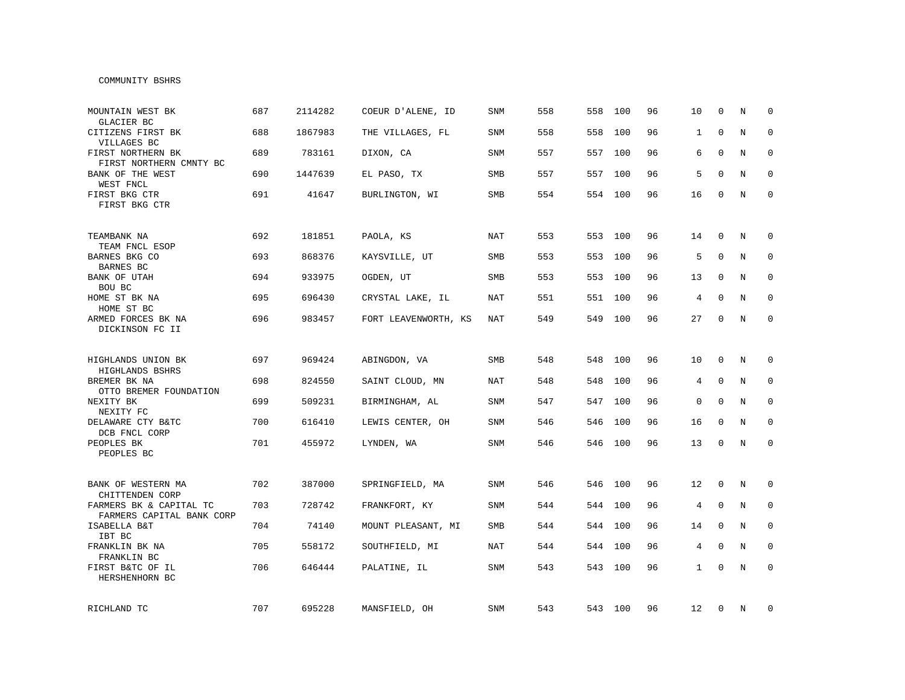#### COMMUNITY BSHRS

| MOUNTAIN WEST BK<br>GLACIER BC                       | 687 | 2114282 | COEUR D'ALENE, ID    | <b>SNM</b> | 558 | 558 | 100     | 96 | 10           | $\Omega$     | N | $\Omega$     |
|------------------------------------------------------|-----|---------|----------------------|------------|-----|-----|---------|----|--------------|--------------|---|--------------|
| CITIZENS FIRST BK<br>VILLAGES BC                     | 688 | 1867983 | THE VILLAGES, FL     | SNM        | 558 | 558 | 100     | 96 | $\mathbf{1}$ | $\mathbf{0}$ | N | $\Omega$     |
| FIRST NORTHERN BK<br>FIRST NORTHERN CMNTY BC         | 689 | 783161  | DIXON, CA            | SNM        | 557 | 557 | 100     | 96 | 6            | $\Omega$     | N | $\mathbf 0$  |
| BANK OF THE WEST<br>WEST FNCL                        | 690 | 1447639 | EL PASO, TX          | SMB        | 557 | 557 | 100     | 96 | 5            | $\Omega$     | N | $\mathbf 0$  |
| FIRST BKG CTR<br>FIRST BKG CTR                       | 691 | 41647   | BURLINGTON, WI       | SMB        | 554 |     | 554 100 | 96 | 16           | $\mathbf 0$  | N | $\mathbf 0$  |
| TEAMBANK NA<br>TEAM FNCL ESOP                        | 692 | 181851  | PAOLA, KS            | NAT        | 553 | 553 | 100     | 96 | 14           | 0            | N | $\mathbf 0$  |
| BARNES BKG CO<br>BARNES BC                           | 693 | 868376  | KAYSVILLE, UT        | <b>SMB</b> | 553 | 553 | 100     | 96 | 5            | $\mathbf 0$  | N | $\mathbf 0$  |
| BANK OF UTAH<br>BOU BC                               | 694 | 933975  | OGDEN, UT            | <b>SMB</b> | 553 | 553 | 100     | 96 | 13           | $\mathbf 0$  | N | $\mathbf 0$  |
| HOME ST BK NA<br>HOME ST BC                          | 695 | 696430  | CRYSTAL LAKE, IL     | NAT        | 551 | 551 | 100     | 96 | 4            | $\mathbf 0$  | N | 0            |
| ARMED FORCES BK NA<br>DICKINSON FC II                | 696 | 983457  | FORT LEAVENWORTH, KS | NAT        | 549 | 549 | 100     | 96 | 27           | $\Omega$     | N | $\mathbf{0}$ |
| HIGHLANDS UNION BK<br>HIGHLANDS BSHRS                | 697 | 969424  | ABINGDON, VA         | SMB        | 548 | 548 | 100     | 96 | 10           | $\mathbf 0$  | N | $\mathbf 0$  |
| BREMER BK NA<br>OTTO BREMER FOUNDATION               | 698 | 824550  | SAINT CLOUD, MN      | <b>NAT</b> | 548 | 548 | 100     | 96 | 4            | $\mathbf 0$  | N | 0            |
| NEXITY BK<br>NEXITY FC                               | 699 | 509231  | BIRMINGHAM, AL       | SNM        | 547 | 547 | 100     | 96 | 0            | $\mathbf 0$  | N | 0            |
| DELAWARE CTY B&TC<br>DCB FNCL CORP                   | 700 | 616410  | LEWIS CENTER, OH     | <b>SNM</b> | 546 | 546 | 100     | 96 | 16           | $\Omega$     | N | $\mathbf 0$  |
| PEOPLES BK<br>PEOPLES BC                             | 701 | 455972  | LYNDEN, WA           | <b>SNM</b> | 546 |     | 546 100 | 96 | 13           | $\mathbf 0$  | N | $\mathbf 0$  |
| BANK OF WESTERN MA<br>CHITTENDEN CORP                | 702 | 387000  | SPRINGFIELD, MA      | SNM        | 546 | 546 | 100     | 96 | 12           | 0            | N | 0            |
| FARMERS BK & CAPITAL TC<br>FARMERS CAPITAL BANK CORP | 703 | 728742  | FRANKFORT, KY        | SNM        | 544 | 544 | 100     | 96 | 4            | $\mathbf 0$  | N | 0            |
| ISABELLA B&T<br>IBT BC                               | 704 | 74140   | MOUNT PLEASANT, MI   | <b>SMB</b> | 544 | 544 | 100     | 96 | 14           | $\mathbf 0$  | N | $\mathbf 0$  |
| FRANKLIN BK NA<br>FRANKLIN BC                        | 705 | 558172  | SOUTHFIELD, MI       | <b>NAT</b> | 544 | 544 | 100     | 96 | 4            | $\mathbf 0$  | N | $\mathbf{0}$ |
| FIRST B&TC OF IL<br>HERSHENHORN BC                   | 706 | 646444  | PALATINE, IL         | SNM        | 543 |     | 543 100 | 96 | $\mathbf{1}$ | $\mathbf 0$  | N | $\mathbf{0}$ |
| RICHLAND TC                                          | 707 | 695228  | MANSFIELD, OH        | SNM        | 543 |     | 543 100 | 96 | 12           | 0            | N | 0            |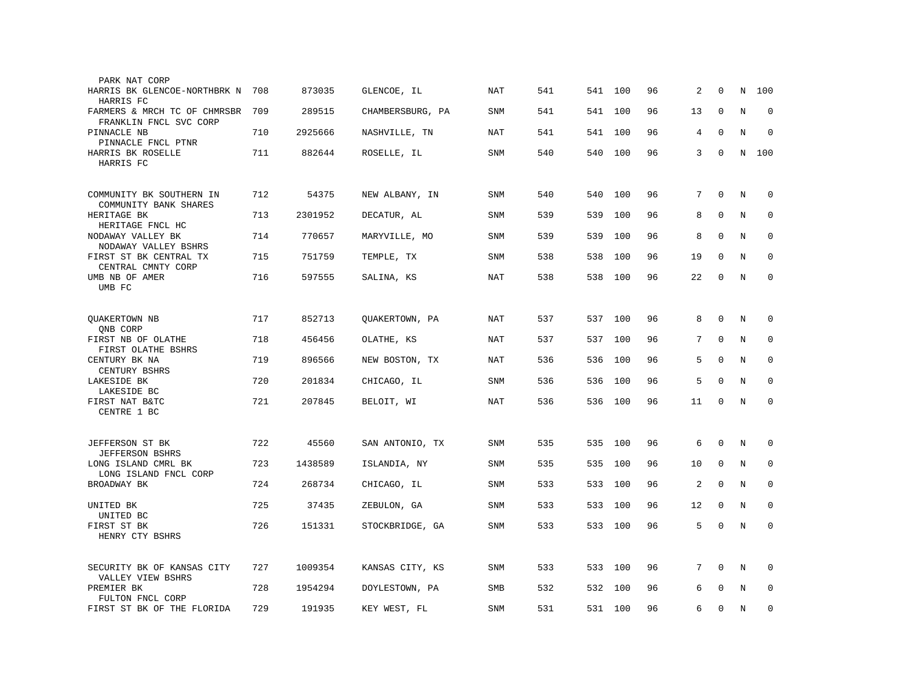| PARK NAT CORP                                          |     |         |                  |            |     |         |     |    |                 |              |         |             |
|--------------------------------------------------------|-----|---------|------------------|------------|-----|---------|-----|----|-----------------|--------------|---------|-------------|
| HARRIS BK GLENCOE-NORTHBRK N<br>HARRIS FC              | 708 | 873035  | GLENCOE, IL      | NAT        | 541 | 541     | 100 | 96 | 2               | 0            | N       | 100         |
| FARMERS & MRCH TC OF CHMRSBR<br>FRANKLIN FNCL SVC CORP | 709 | 289515  | CHAMBERSBURG, PA | SNM        | 541 | 541     | 100 | 96 | 13              | $\mathbf 0$  | $\rm N$ | 0           |
| PINNACLE NB<br>PINNACLE FNCL PTNR                      | 710 | 2925666 | NASHVILLE, TN    | NAT        | 541 | 541     | 100 | 96 | 4               | $\mathbf 0$  | N       | $\mathbf 0$ |
| HARRIS BK ROSELLE<br>HARRIS FC                         | 711 | 882644  | ROSELLE, IL      | SNM        | 540 | 540     | 100 | 96 | 3               | $\mathbf 0$  | N       | 100         |
| COMMUNITY BK SOUTHERN IN<br>COMMUNITY BANK SHARES      | 712 | 54375   | NEW ALBANY, IN   | SNM        | 540 | 540     | 100 | 96 | 7               | $\Omega$     | $\rm N$ | 0           |
| HERITAGE BK<br>HERITAGE FNCL HC                        | 713 | 2301952 | DECATUR, AL      | SNM        | 539 | 539     | 100 | 96 | 8               | $\mathbf 0$  | N       | $\mathbf 0$ |
| NODAWAY VALLEY BK<br>NODAWAY VALLEY BSHRS              | 714 | 770657  | MARYVILLE, MO    | SNM        | 539 | 539     | 100 | 96 | 8               | $\mathbf{0}$ | N       | $\mathbf 0$ |
| FIRST ST BK CENTRAL TX<br>CENTRAL CMNTY CORP           | 715 | 751759  | TEMPLE, TX       | SNM        | 538 | 538     | 100 | 96 | 19              | $\Omega$     | N       | $\Omega$    |
| UMB NB OF AMER<br>UMB FC                               | 716 | 597555  | SALINA, KS       | NAT        | 538 | 538     | 100 | 96 | 22              | $\mathbf 0$  | N       | $\mathbf 0$ |
|                                                        |     |         |                  |            |     |         |     |    |                 |              |         |             |
| QUAKERTOWN NB<br>QNB CORP                              | 717 | 852713  | QUAKERTOWN, PA   | <b>NAT</b> | 537 | 537 100 |     | 96 | 8               | $\mathbf 0$  | N       | 0           |
| FIRST NB OF OLATHE<br>FIRST OLATHE BSHRS               | 718 | 456456  | OLATHE, KS       | <b>NAT</b> | 537 | 537 100 |     | 96 | $7\overline{ }$ | $\mathbf{0}$ | N       | $\mathbf 0$ |
| CENTURY BK NA<br>CENTURY BSHRS                         | 719 | 896566  | NEW BOSTON, TX   | <b>NAT</b> | 536 | 536     | 100 | 96 | 5               | $\Omega$     | N       | $\mathbf 0$ |
| LAKESIDE BK<br>LAKESIDE BC                             | 720 | 201834  | CHICAGO, IL      | SNM        | 536 | 536     | 100 | 96 | 5               | $\mathbf 0$  | N       | 0           |
| FIRST NAT B&TC<br>CENTRE 1 BC                          | 721 | 207845  | BELOIT, WI       | <b>NAT</b> | 536 | 536     | 100 | 96 | 11              | $\mathbf 0$  | N       | $\mathbf 0$ |
|                                                        |     |         |                  |            |     |         |     |    |                 |              |         |             |
| JEFFERSON ST BK<br><b>JEFFERSON BSHRS</b>              | 722 | 45560   | SAN ANTONIO, TX  | <b>SNM</b> | 535 | 535     | 100 | 96 | 6               | 0            | N       | 0           |
| LONG ISLAND CMRL BK<br>LONG ISLAND FNCL CORP           | 723 | 1438589 | ISLANDIA, NY     | SNM        | 535 | 535     | 100 | 96 | 10              | $\mathbf 0$  | N       | $\mathbf 0$ |
| BROADWAY BK                                            | 724 | 268734  | CHICAGO, IL      | SNM        | 533 | 533     | 100 | 96 | 2               | 0            | N       | 0           |
| UNITED BK                                              | 725 | 37435   | ZEBULON, GA      | <b>SNM</b> | 533 | 533     | 100 | 96 | 12              | $\mathbf 0$  | N       | $\mathbf 0$ |
| UNITED BC<br>FIRST ST BK                               | 726 | 151331  | STOCKBRIDGE, GA  | <b>SNM</b> | 533 | 533 100 |     | 96 | 5               | $\mathbf 0$  | $\rm N$ | $\mathbf 0$ |
| HENRY CTY BSHRS                                        |     |         |                  |            |     |         |     |    |                 |              |         |             |
| SECURITY BK OF KANSAS CITY<br>VALLEY VIEW BSHRS        | 727 | 1009354 | KANSAS CITY, KS  | SNM        | 533 | 533     | 100 | 96 | 7               | $\mathbf 0$  | Ν       | 0           |
| PREMIER BK<br>FULTON FNCL CORP                         | 728 | 1954294 | DOYLESTOWN, PA   | <b>SMB</b> | 532 | 532     | 100 | 96 | 6               | $\Omega$     | N       | $\mathbf 0$ |
| FIRST ST BK OF THE FLORIDA                             | 729 | 191935  | KEY WEST, FL     | SNM        | 531 | 531 100 |     | 96 | 6               | $\mathbf 0$  | N       | $\mathbf 0$ |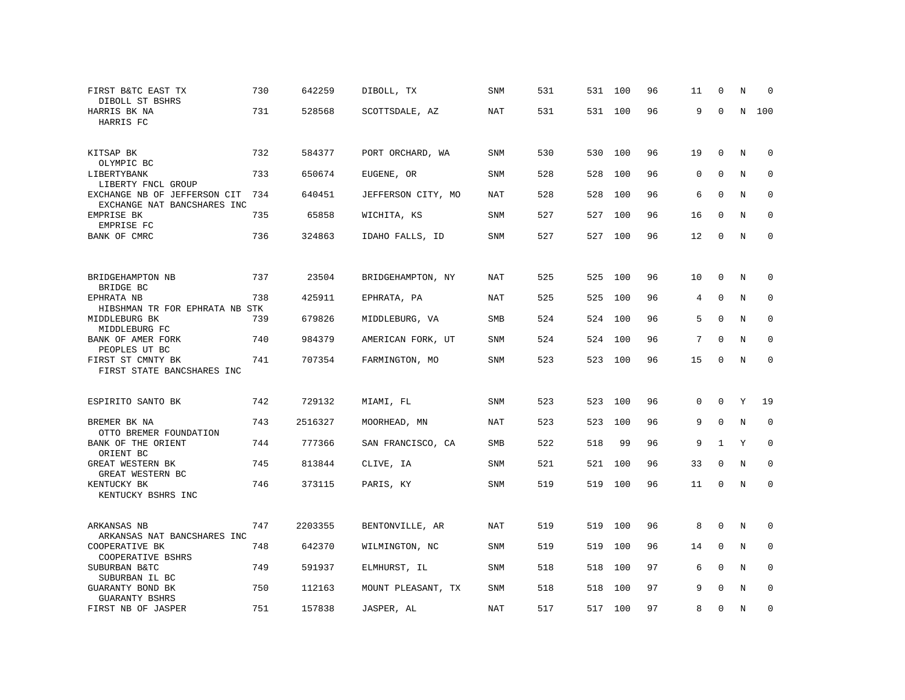| FIRST B&TC EAST TX<br>DIBOLL ST BSHRS                       | 730 | 642259  | DIBOLL, TX         | <b>SNM</b> | 531 | 531 | 100 | 96 | 11          | $\Omega$     | N | $\Omega$    |
|-------------------------------------------------------------|-----|---------|--------------------|------------|-----|-----|-----|----|-------------|--------------|---|-------------|
| HARRIS BK NA<br>HARRIS FC                                   | 731 | 528568  | SCOTTSDALE, AZ     | NAT        | 531 | 531 | 100 | 96 | 9           | $\mathbf 0$  | N | 100         |
| KITSAP BK<br>OLYMPIC BC                                     | 732 | 584377  | PORT ORCHARD, WA   | <b>SNM</b> | 530 | 530 | 100 | 96 | 19          | $\mathbf 0$  | N | $\mathbf 0$ |
| LIBERTYBANK<br>LIBERTY FNCL GROUP                           | 733 | 650674  | EUGENE, OR         | <b>SNM</b> | 528 | 528 | 100 | 96 | $\mathbf 0$ | $\mathbf 0$  | N | $\mathbf 0$ |
| EXCHANGE NB OF JEFFERSON CIT<br>EXCHANGE NAT BANCSHARES INC | 734 | 640451  | JEFFERSON CITY, MO | <b>NAT</b> | 528 | 528 | 100 | 96 | 6           | $\mathbf{0}$ | N | 0           |
| EMPRISE BK<br>EMPRISE FC                                    | 735 | 65858   | WICHITA, KS        | <b>SNM</b> | 527 | 527 | 100 | 96 | 16          | $\Omega$     | N | $\mathbf 0$ |
| BANK OF CMRC                                                | 736 | 324863  | IDAHO FALLS, ID    | SNM        | 527 | 527 | 100 | 96 | 12          | $\mathbf 0$  | N | $\mathbf 0$ |
|                                                             |     |         |                    |            |     |     |     |    |             |              |   |             |
| BRIDGEHAMPTON NB<br>BRIDGE BC                               | 737 | 23504   | BRIDGEHAMPTON, NY  | NAT        | 525 | 525 | 100 | 96 | 10          | $\Omega$     | N | 0           |
| EPHRATA NB<br>HIBSHMAN TR FOR EPHRATA NB STK                | 738 | 425911  | EPHRATA, PA        | NAT        | 525 | 525 | 100 | 96 | 4           | $\mathbf 0$  | N | $\mathbf 0$ |
| MIDDLEBURG BK<br>MIDDLEBURG FC                              | 739 | 679826  | MIDDLEBURG, VA     | SMB        | 524 | 524 | 100 | 96 | 5           | $\Omega$     | N | $\mathbf 0$ |
| BANK OF AMER FORK<br>PEOPLES UT BC                          | 740 | 984379  | AMERICAN FORK, UT  | SNM        | 524 | 524 | 100 | 96 | 7           | $\Omega$     | N | $\Omega$    |
| FIRST ST CMNTY BK<br>FIRST STATE BANCSHARES INC             | 741 | 707354  | FARMINGTON, MO     | SNM        | 523 | 523 | 100 | 96 | 15          | $\Omega$     | N | $\mathbf 0$ |
| ESPIRITO SANTO BK                                           | 742 | 729132  | MIAMI, FL          | <b>SNM</b> | 523 | 523 | 100 | 96 | $\Omega$    | 0            | Y | 19          |
| BREMER BK NA                                                | 743 | 2516327 | MOORHEAD, MN       | NAT        | 523 | 523 | 100 | 96 | 9           | $\mathbf 0$  | N | $\mathbf 0$ |
| OTTO BREMER FOUNDATION<br>BANK OF THE ORIENT                | 744 | 777366  | SAN FRANCISCO, CA  | SMB        | 522 | 518 | 99  | 96 | 9           | $\mathbf{1}$ | Y | $\mathbf 0$ |
| ORIENT BC<br>GREAT WESTERN BK                               | 745 | 813844  | CLIVE, IA          | <b>SNM</b> | 521 | 521 | 100 | 96 | 33          | $\Omega$     | N | $\Omega$    |
| GREAT WESTERN BC<br>KENTUCKY BK                             | 746 | 373115  | PARIS, KY          | SNM        | 519 | 519 | 100 | 96 | 11          | $\mathbf 0$  | N | $\mathbf 0$ |
| KENTUCKY BSHRS INC                                          |     |         |                    |            |     |     |     |    |             |              |   |             |
| ARKANSAS NB<br>ARKANSAS NAT BANCSHARES INC                  | 747 | 2203355 | BENTONVILLE, AR    | NAT        | 519 | 519 | 100 | 96 | 8           | $\mathbf 0$  | N | $\mathbf 0$ |
| COOPERATIVE BK<br>COOPERATIVE BSHRS                         | 748 | 642370  | WILMINGTON, NC     | <b>SNM</b> | 519 | 519 | 100 | 96 | 14          | $\mathbf 0$  | N | $\mathbf 0$ |
| SUBURBAN B&TC<br>SUBURBAN IL BC                             | 749 | 591937  | ELMHURST, IL       | SNM        | 518 | 518 | 100 | 97 | 6           | $\mathbf{0}$ | N | $\mathbf 0$ |
| GUARANTY BOND BK<br>GUARANTY BSHRS                          | 750 | 112163  | MOUNT PLEASANT, TX | <b>SNM</b> | 518 | 518 | 100 | 97 | 9           | $\Omega$     | N | $\Omega$    |
| FIRST NB OF JASPER                                          | 751 | 157838  | JASPER, AL         | <b>NAT</b> | 517 | 517 | 100 | 97 | 8           | $\mathbf 0$  | N | $\mathbf 0$ |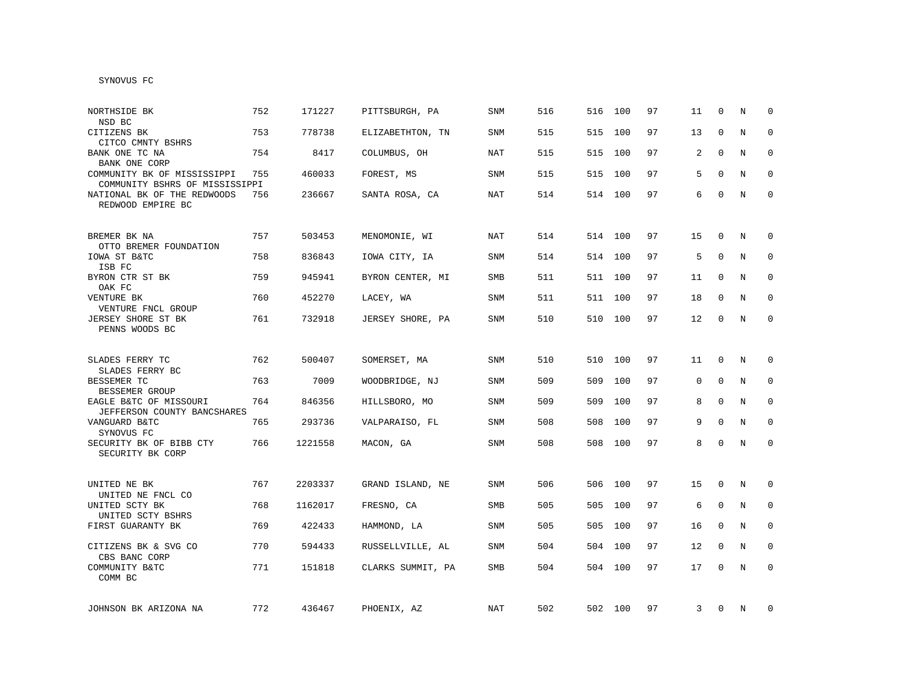| NORTHSIDE BK<br>NSD BC                                        | 752 | 171227  | PITTSBURGH, PA    | SNM        | 516 | 516     | 100     | 97 | 11 | $\Omega$     | N | $\Omega$    |
|---------------------------------------------------------------|-----|---------|-------------------|------------|-----|---------|---------|----|----|--------------|---|-------------|
| CITIZENS BK<br>CITCO CMNTY BSHRS                              | 753 | 778738  | ELIZABETHTON, TN  | SNM        | 515 | 515     | 100     | 97 | 13 | $\mathbf{0}$ | N | $\mathbf 0$ |
| BANK ONE TC NA<br>BANK ONE CORP                               | 754 | 8417    | COLUMBUS, OH      | <b>NAT</b> | 515 | 515     | 100     | 97 | 2  | $\Omega$     | N | 0           |
| COMMUNITY BK OF MISSISSIPPI<br>COMMUNITY BSHRS OF MISSISSIPPI | 755 | 460033  | FOREST, MS        | SNM        | 515 | 515     | 100     | 97 | 5  | $\mathbf 0$  | N | 0           |
| NATIONAL BK OF THE REDWOODS<br>REDWOOD EMPIRE BC              | 756 | 236667  | SANTA ROSA, CA    | NAT        | 514 | 514 100 |         | 97 | 6  | $\mathbf 0$  | N | $\mathbf 0$ |
| BREMER BK NA<br>OTTO BREMER FOUNDATION                        | 757 | 503453  | MENOMONIE, WI     | <b>NAT</b> | 514 | 514 100 |         | 97 | 15 | $\mathbf 0$  | N | $\mathbf 0$ |
| IOWA ST B&TC<br>ISB FC                                        | 758 | 836843  | IOWA CITY, IA     | SNM        | 514 | 514 100 |         | 97 | 5  | $\mathbf 0$  | N | $\mathbf 0$ |
| BYRON CTR ST BK<br>OAK FC                                     | 759 | 945941  | BYRON CENTER, MI  | SMB        | 511 | 511 100 |         | 97 | 11 | $\mathbf 0$  | N | 0           |
| VENTURE BK<br>VENTURE FNCL GROUP                              | 760 | 452270  | LACEY, WA         | SNM        | 511 | 511 100 |         | 97 | 18 | 0            | N | 0           |
| JERSEY SHORE ST BK<br>PENNS WOODS BC                          | 761 | 732918  | JERSEY SHORE, PA  | <b>SNM</b> | 510 |         | 510 100 | 97 | 12 | $\mathbf 0$  | N | $\mathbf 0$ |
| SLADES FERRY TC<br>SLADES FERRY BC                            | 762 | 500407  | SOMERSET, MA      | SNM        | 510 | 510 100 |         | 97 | 11 | $\mathbf 0$  | N | $\mathbf 0$ |
| BESSEMER TC<br>BESSEMER GROUP                                 | 763 | 7009    | WOODBRIDGE, NJ    | SNM        | 509 | 509     | 100     | 97 | 0  | $\mathbf 0$  | N | $\mathbf 0$ |
| EAGLE B&TC OF MISSOURI<br>JEFFERSON COUNTY BANCSHARES         | 764 | 846356  | HILLSBORO, MO     | SNM        | 509 | 509     | 100     | 97 | 8  | $\mathbf{0}$ | N | $\mathbf 0$ |
| VANGUARD B&TC<br>SYNOVUS FC                                   | 765 | 293736  | VALPARAISO, FL    | <b>SNM</b> | 508 | 508     | 100     | 97 | 9  | $\Omega$     | N | $\mathbf 0$ |
| SECURITY BK OF BIBB CTY<br>SECURITY BK CORP                   | 766 | 1221558 | MACON, GA         | SNM        | 508 |         | 508 100 | 97 | 8  | $\Omega$     | N | $\mathbf 0$ |
| UNITED NE BK<br>UNITED NE FNCL CO                             | 767 | 2203337 | GRAND ISLAND, NE  | SNM        | 506 | 506 100 |         | 97 | 15 | 0            | N | 0           |
| UNITED SCTY BK<br>UNITED SCTY BSHRS                           | 768 | 1162017 | FRESNO, CA        | SMB        | 505 | 505     | 100     | 97 | 6  | 0            | N | 0           |
| FIRST GUARANTY BK                                             | 769 | 422433  | HAMMOND, LA       | SNM        | 505 | 505     | 100     | 97 | 16 | $\mathbf 0$  | N | 0           |
| CITIZENS BK & SVG CO<br>CBS BANC CORP                         | 770 | 594433  | RUSSELLVILLE, AL  | SNM        | 504 | 504     | 100     | 97 | 12 | 0            | N | $\mathbf 0$ |
| COMMUNITY B&TC<br>COMM BC                                     | 771 | 151818  | CLARKS SUMMIT, PA | SMB        | 504 | 504     | 100     | 97 | 17 | 0            | N | $\mathbf 0$ |
| JOHNSON BK ARIZONA NA                                         | 772 | 436467  | PHOENIX, AZ       | NAT        | 502 |         | 502 100 | 97 | 3  | 0            | N | 0           |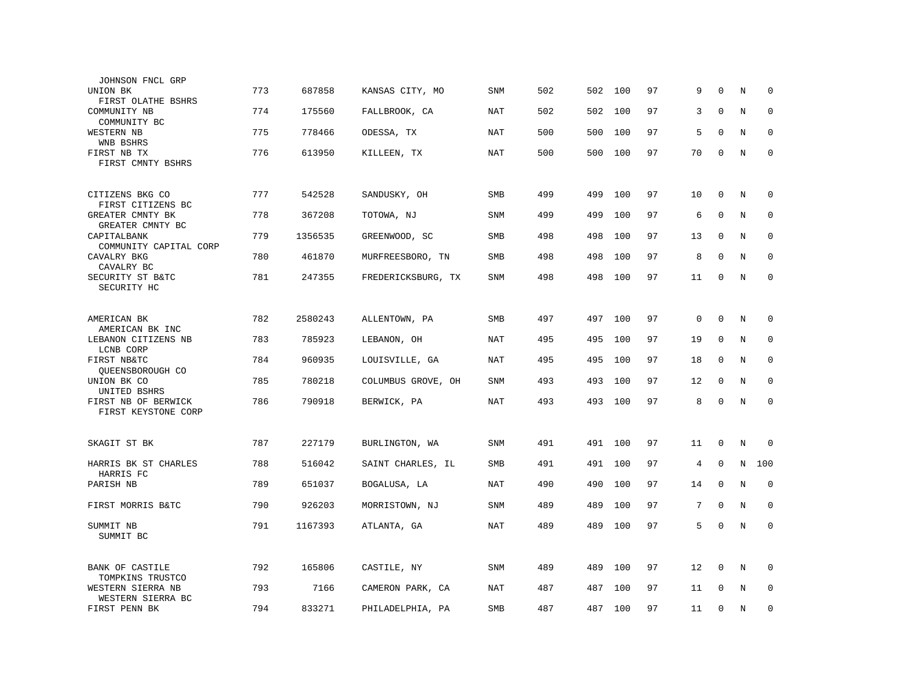| JOHNSON FNCL GRP                           |     |         |                    |            |     |     |     |    |             |              |             |             |
|--------------------------------------------|-----|---------|--------------------|------------|-----|-----|-----|----|-------------|--------------|-------------|-------------|
| UNION BK                                   | 773 | 687858  | KANSAS CITY, MO    | <b>SNM</b> | 502 | 502 | 100 | 97 | 9           | $\mathbf 0$  | N           | $\mathbf 0$ |
| FIRST OLATHE BSHRS<br>COMMUNITY NB         | 774 | 175560  | FALLBROOK, CA      | NAT        | 502 | 502 | 100 | 97 | 3           | $\Omega$     | $\rm N$     | 0           |
| COMMUNITY BC<br>WESTERN NB<br>WNB BSHRS    | 775 | 778466  | ODESSA, TX         | NAT        | 500 | 500 | 100 | 97 | 5           | $\mathbf{0}$ | N           | $\mathbf 0$ |
| FIRST NB TX<br>FIRST CMNTY BSHRS           | 776 | 613950  | KILLEEN, TX        | NAT        | 500 | 500 | 100 | 97 | 70          | $\mathbf 0$  | N           | $\mathbf 0$ |
|                                            |     |         |                    |            |     |     |     |    |             |              |             |             |
| CITIZENS BKG CO<br>FIRST CITIZENS BC       | 777 | 542528  | SANDUSKY, OH       | SMB        | 499 | 499 | 100 | 97 | 10          | $\mathbf 0$  | N           | $\mathbf 0$ |
| GREATER CMNTY BK<br>GREATER CMNTY BC       | 778 | 367208  | TOTOWA, NJ         | <b>SNM</b> | 499 | 499 | 100 | 97 | 6           | $\Omega$     | N           | $\mathbf 0$ |
| CAPITALBANK<br>COMMUNITY CAPITAL CORP      | 779 | 1356535 | GREENWOOD, SC      | SMB        | 498 | 498 | 100 | 97 | 13          | $\mathbf{0}$ | N           | $\mathbf 0$ |
| CAVALRY BKG<br>CAVALRY BC                  | 780 | 461870  | MURFREESBORO, TN   | SMB        | 498 | 498 | 100 | 97 | 8           | $\Omega$     | N           | $\mathbf 0$ |
| SECURITY ST B&TC<br>SECURITY HC            | 781 | 247355  | FREDERICKSBURG, TX | SNM        | 498 | 498 | 100 | 97 | 11          | $\mathbf 0$  | N           | $\mathbf 0$ |
|                                            |     |         |                    |            |     |     |     |    |             |              |             |             |
| AMERICAN BK<br>AMERICAN BK INC             | 782 | 2580243 | ALLENTOWN, PA      | <b>SMB</b> | 497 | 497 | 100 | 97 | $\mathbf 0$ | $\mathbf 0$  | N           | $\mathbf 0$ |
| LEBANON CITIZENS NB<br>LCNB CORP           | 783 | 785923  | LEBANON, OH        | <b>NAT</b> | 495 | 495 | 100 | 97 | 19          | $\mathbf 0$  | N           | 0           |
| FIRST NB&TC<br>QUEENSBOROUGH CO            | 784 | 960935  | LOUISVILLE, GA     | <b>NAT</b> | 495 | 495 | 100 | 97 | 18          | $\mathbf{0}$ | N           | $\mathbf 0$ |
| UNION BK CO<br>UNITED BSHRS                | 785 | 780218  | COLUMBUS GROVE, OH | SNM        | 493 | 493 | 100 | 97 | 12          | $\mathbf{0}$ | N           | $\mathbf 0$ |
| FIRST NB OF BERWICK<br>FIRST KEYSTONE CORP | 786 | 790918  | BERWICK, PA        | NAT        | 493 | 493 | 100 | 97 | 8           | $\mathbf 0$  | N           | $\mathbf 0$ |
|                                            |     |         |                    |            |     |     |     |    |             |              |             |             |
| SKAGIT ST BK                               | 787 | 227179  | BURLINGTON, WA     | SNM        | 491 | 491 | 100 | 97 | 11          | 0            | N           | $\mathbf 0$ |
| HARRIS BK ST CHARLES<br>HARRIS FC          | 788 | 516042  | SAINT CHARLES, IL  | SMB        | 491 | 491 | 100 | 97 | 4           | $\mathbf 0$  | N           | 100         |
| PARISH NB                                  | 789 | 651037  | BOGALUSA, LA       | <b>NAT</b> | 490 | 490 | 100 | 97 | 14          | $\mathbf{0}$ | N           | $\mathbf 0$ |
| FIRST MORRIS B&TC                          | 790 | 926203  | MORRISTOWN, NJ     | SNM        | 489 | 489 | 100 | 97 | 7           | $\mathbf{0}$ | $\mathbf N$ | $\mathbf 0$ |
| SUMMIT NB<br>SUMMIT BC                     | 791 | 1167393 | ATLANTA, GA        | NAT        | 489 | 489 | 100 | 97 | 5           | $\mathbf 0$  | N           | $\Omega$    |
| <b>BANK OF CASTILE</b><br>TOMPKINS TRUSTCO | 792 | 165806  | CASTILE, NY        | <b>SNM</b> | 489 | 489 | 100 | 97 | 12          | 0            | $\rm N$     | 0           |
| WESTERN SIERRA NB<br>WESTERN SIERRA BC     | 793 | 7166    | CAMERON PARK, CA   | <b>NAT</b> | 487 | 487 | 100 | 97 | 11          | $\mathbf 0$  | N           | $\mathbf 0$ |
| FIRST PENN BK                              | 794 | 833271  | PHILADELPHIA, PA   | <b>SMB</b> | 487 | 487 | 100 | 97 | 11          | $\mathbf 0$  | N           | $\mathbf 0$ |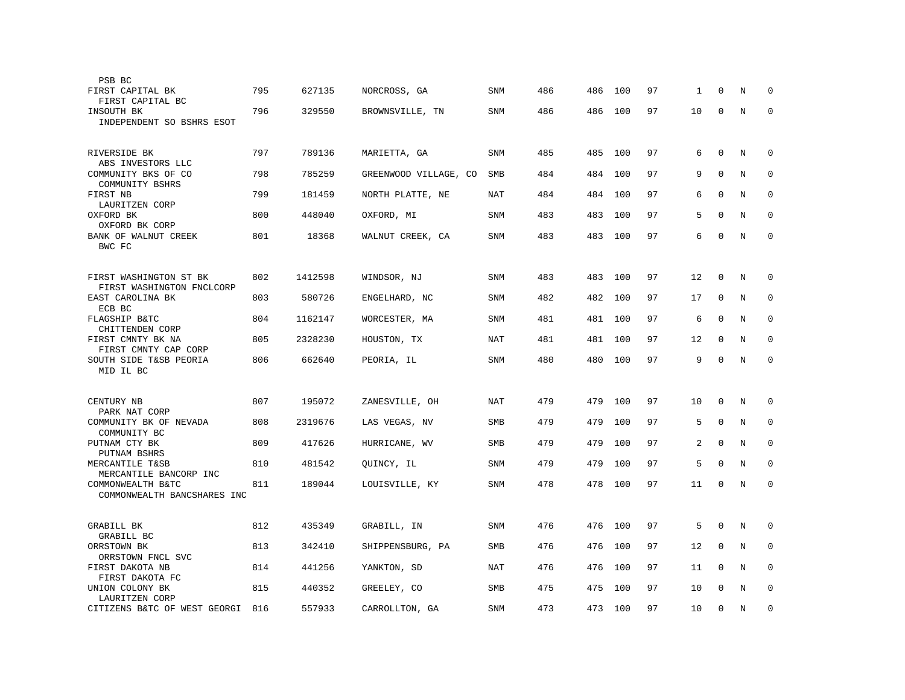| PSB BC                                              |     |         |                       |            |     |     |     |    |    |              |   |             |
|-----------------------------------------------------|-----|---------|-----------------------|------------|-----|-----|-----|----|----|--------------|---|-------------|
| FIRST CAPITAL BK<br>FIRST CAPITAL BC                | 795 | 627135  | NORCROSS, GA          | SNM        | 486 | 486 | 100 | 97 | 1  | 0            | N | 0           |
| INSOUTH BK<br>INDEPENDENT SO BSHRS ESOT             | 796 | 329550  | BROWNSVILLE, TN       | SNM        | 486 | 486 | 100 | 97 | 10 | $\mathbf 0$  | N | $\Omega$    |
| RIVERSIDE BK<br>ABS INVESTORS LLC                   | 797 | 789136  | MARIETTA, GA          | SNM        | 485 | 485 | 100 | 97 | 6  | $\mathbf{0}$ | N | $\mathbf 0$ |
| COMMUNITY BKS OF CO<br>COMMUNITY BSHRS              | 798 | 785259  | GREENWOOD VILLAGE, CO | SMB        | 484 | 484 | 100 | 97 | 9  | $\mathbf{0}$ | N | $\mathbf 0$ |
| FIRST NB<br>LAURITZEN CORP                          | 799 | 181459  | NORTH PLATTE, NE      | NAT        | 484 | 484 | 100 | 97 | 6  | $\mathbf{0}$ | N | $\mathbf 0$ |
| OXFORD BK<br>OXFORD BK CORP                         | 800 | 448040  | OXFORD, MI            | SNM        | 483 | 483 | 100 | 97 | 5  | $\Omega$     | N | $\mathbf 0$ |
| BANK OF WALNUT CREEK<br>BWC FC                      | 801 | 18368   | WALNUT CREEK, CA      | SNM        | 483 | 483 | 100 | 97 | 6  | $\Omega$     | N | $\Omega$    |
| FIRST WASHINGTON ST BK<br>FIRST WASHINGTON FNCLCORP | 802 | 1412598 | WINDSOR, NJ           | SNM        | 483 | 483 | 100 | 97 | 12 | 0            | N | 0           |
| EAST CAROLINA BK<br>ECB BC                          | 803 | 580726  | ENGELHARD, NC         | <b>SNM</b> | 482 | 482 | 100 | 97 | 17 | $\mathbf 0$  | N | $\mathbf 0$ |
| FLAGSHIP B&TC<br>CHITTENDEN CORP                    | 804 | 1162147 | WORCESTER, MA         | SNM        | 481 | 481 | 100 | 97 | 6  | $\mathbf{0}$ | N | $\mathbf 0$ |
| FIRST CMNTY BK NA<br>FIRST CMNTY CAP CORP           | 805 | 2328230 | HOUSTON, TX           | <b>NAT</b> | 481 | 481 | 100 | 97 | 12 | $\mathbf{0}$ | N | $\mathbf 0$ |
| SOUTH SIDE T&SB PEORIA<br>MID IL BC                 | 806 | 662640  | PEORIA, IL            | SNM        | 480 | 480 | 100 | 97 | 9  | $\Omega$     | N | $\mathbf 0$ |
| CENTURY NB<br>PARK NAT CORP                         | 807 | 195072  | ZANESVILLE, OH        | NAT        | 479 | 479 | 100 | 97 | 10 | $\Omega$     | N | $\Omega$    |
| COMMUNITY BK OF NEVADA<br>COMMUNITY BC              | 808 | 2319676 | LAS VEGAS, NV         | SMB        | 479 | 479 | 100 | 97 | 5  | $\mathbf{0}$ | N | $\mathbf 0$ |
| PUTNAM CTY BK<br>PUTNAM BSHRS                       | 809 | 417626  | HURRICANE, WV         | SMB        | 479 | 479 | 100 | 97 | 2  | $\mathbf 0$  | N | $\mathbf 0$ |
| MERCANTILE T&SB<br>MERCANTILE BANCORP INC           | 810 | 481542  | QUINCY, IL            | SNM        | 479 | 479 | 100 | 97 | 5  | $\mathbf{0}$ | N | $\mathbf 0$ |
| COMMONWEALTH B&TC<br>COMMONWEALTH BANCSHARES INC    | 811 | 189044  | LOUISVILLE, KY        | SNM        | 478 | 478 | 100 | 97 | 11 | $\mathbf 0$  | N | $\mathbf 0$ |
| <b>GRABILL BK</b><br>GRABILL BC                     | 812 | 435349  | GRABILL, IN           | SNM        | 476 | 476 | 100 | 97 | 5  | $\mathbf{0}$ | N | $\mathbf 0$ |
| ORRSTOWN BK<br>ORRSTOWN FNCL SVC                    | 813 | 342410  | SHIPPENSBURG, PA      | SMB        | 476 | 476 | 100 | 97 | 12 | $\mathbf 0$  | N | 0           |
| FIRST DAKOTA NB<br>FIRST DAKOTA FC                  | 814 | 441256  | YANKTON, SD           | NAT        | 476 | 476 | 100 | 97 | 11 | $\mathbf 0$  | N | $\mathbf 0$ |
| UNION COLONY BK<br>LAURITZEN CORP                   | 815 | 440352  | GREELEY, CO           | SMB        | 475 | 475 | 100 | 97 | 10 | $\Omega$     | N | $\mathbf 0$ |
| CITIZENS B&TC OF WEST GEORGI                        | 816 | 557933  | CARROLLTON, GA        | <b>SNM</b> | 473 | 473 | 100 | 97 | 10 | $\mathbf{0}$ | N | $\mathbf 0$ |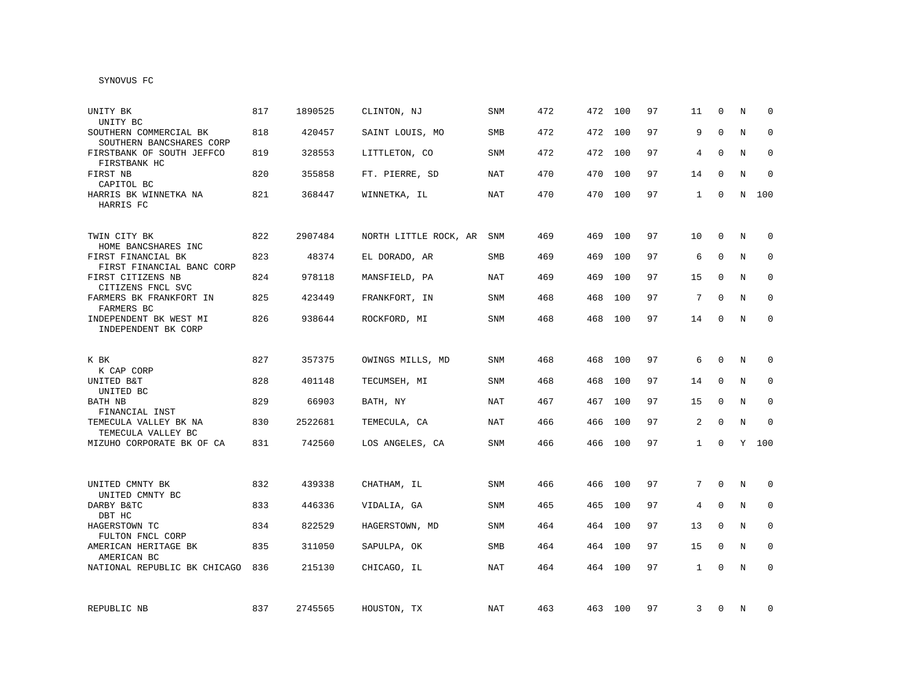# SYNOVUS FC

| UNITY BK<br>UNITY BC                                                   | 817 | 1890525 | CLINTON, NJ           | <b>SNM</b> | 472 | 472 | 100     | 97 | 11             | $\Omega$     | N | $\Omega$     |
|------------------------------------------------------------------------|-----|---------|-----------------------|------------|-----|-----|---------|----|----------------|--------------|---|--------------|
| SOUTHERN COMMERCIAL BK<br>SOUTHERN BANCSHARES CORP                     | 818 | 420457  | SAINT LOUIS, MO       | <b>SMB</b> | 472 | 472 | 100     | 97 | 9              | $\Omega$     | N | $\Omega$     |
| FIRSTBANK OF SOUTH JEFFCO<br>FIRSTBANK HC                              | 819 | 328553  | LITTLETON, CO         | SNM        | 472 | 472 | 100     | 97 | 4              | $\Omega$     | N | $\Omega$     |
| FIRST NB<br>CAPITOL BC                                                 | 820 | 355858  | FT. PIERRE, SD        | <b>NAT</b> | 470 | 470 | 100     | 97 | 14             | $\Omega$     | N | $\mathbf 0$  |
| HARRIS BK WINNETKA NA<br>HARRIS FC                                     | 821 | 368447  | WINNETKA, IL          | <b>NAT</b> | 470 | 470 | 100     | 97 | 1              | $\mathbf 0$  | N | 100          |
| TWIN CITY BK                                                           | 822 | 2907484 | NORTH LITTLE ROCK, AR | <b>SNM</b> | 469 | 469 | 100     | 97 | 10             | $\Omega$     | N | $\Omega$     |
| HOME BANCSHARES INC<br>FIRST FINANCIAL BK<br>FIRST FINANCIAL BANC CORP | 823 | 48374   | EL DORADO, AR         | <b>SMB</b> | 469 | 469 | 100     | 97 | 6              | $\mathbf{0}$ | N | $\mathbf 0$  |
| FIRST CITIZENS NB<br>CITIZENS FNCL SVC                                 | 824 | 978118  | MANSFIELD, PA         | NAT        | 469 | 469 | 100     | 97 | 15             | $\Omega$     | N | $\mathbf{0}$ |
| FARMERS BK FRANKFORT IN<br>FARMERS BC                                  | 825 | 423449  | FRANKFORT, IN         | SNM        | 468 | 468 | 100     | 97 | 7              | $\Omega$     | N | $\mathbf 0$  |
| INDEPENDENT BK WEST MI<br>INDEPENDENT BK CORP                          | 826 | 938644  | ROCKFORD, MI          | SNM        | 468 | 468 | 100     | 97 | 14             | $\mathbf 0$  | N | $\mathbf 0$  |
| K BK                                                                   | 827 | 357375  | OWINGS MILLS, MD      | SNM        | 468 | 468 | 100     | 97 | 6              | $\Omega$     | N | 0            |
| K CAP CORP<br>UNITED B&T<br>UNITED BC                                  | 828 | 401148  | TECUMSEH, MI          | <b>SNM</b> | 468 | 468 | 100     | 97 | 14             | $\mathbf 0$  | N | $\mathbf 0$  |
| BATH NB<br>FINANCIAL INST                                              | 829 | 66903   | BATH, NY              | <b>NAT</b> | 467 | 467 | 100     | 97 | 15             | $\Omega$     | N | $\mathbf 0$  |
| TEMECULA VALLEY BK NA<br>TEMECULA VALLEY BC                            | 830 | 2522681 | TEMECULA, CA          | <b>NAT</b> | 466 | 466 | 100     | 97 | $\overline{c}$ | $\mathbf{0}$ | N | $\Omega$     |
| MIZUHO CORPORATE BK OF CA                                              | 831 | 742560  | LOS ANGELES, CA       | SNM        | 466 |     | 466 100 | 97 | $\mathbf{1}$   | $\mathbf 0$  |   | Y 100        |
| UNITED CMNTY BK<br>UNITED CMNTY BC                                     | 832 | 439338  | CHATHAM, IL           | SNM        | 466 | 466 | 100     | 97 | 7              | $\mathbf 0$  | N | 0            |
| DARBY B&TC<br>DBT HC                                                   | 833 | 446336  | VIDALIA, GA           | SNM        | 465 | 465 | 100     | 97 | $\overline{4}$ | $\mathbf 0$  | N | $\mathbf 0$  |
| HAGERSTOWN TC<br>FULTON FNCL CORP                                      | 834 | 822529  | HAGERSTOWN, MD        | SNM        | 464 | 464 | 100     | 97 | 13             | $\mathbf 0$  | N | $\mathbf 0$  |
| AMERICAN HERITAGE BK<br>AMERICAN BC                                    | 835 | 311050  | SAPULPA, OK           | <b>SMB</b> | 464 | 464 | 100     | 97 | 15             | $\mathbf 0$  | N | $\mathbf{0}$ |
| NATIONAL REPUBLIC BK CHICAGO                                           | 836 | 215130  | CHICAGO, IL           | NAT        | 464 | 464 | 100     | 97 | $\mathbf{1}$   | $\mathbf 0$  | N | $\mathbf 0$  |
| REPUBLIC NB                                                            | 837 | 2745565 | HOUSTON, TX           | NAT        | 463 |     | 463 100 | 97 | 3              | 0            | N | 0            |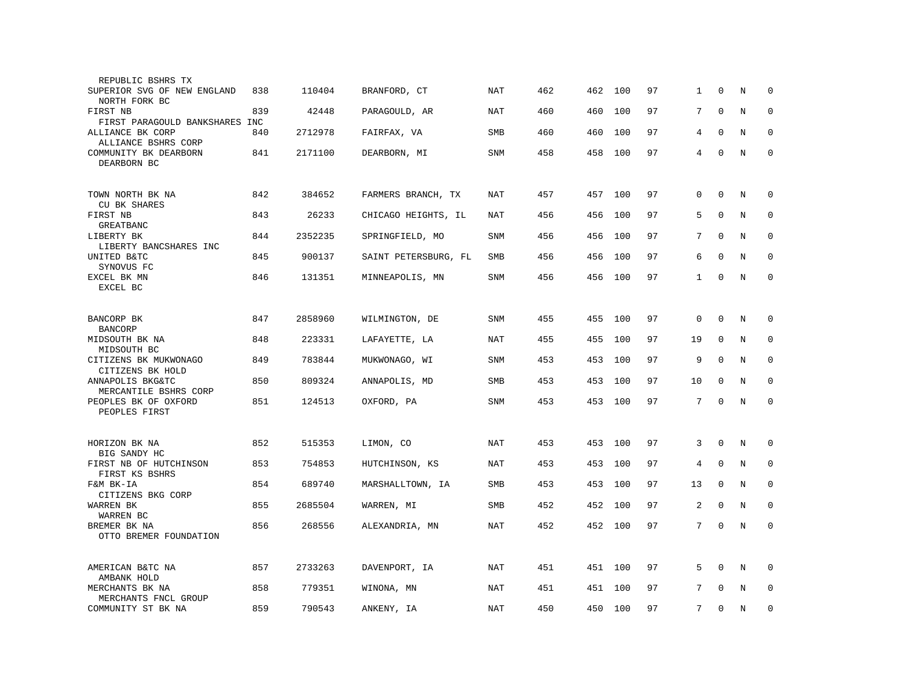| REPUBLIC BSHRS TX                                           |     |         |                      |            |     |     |         |    |              |              |   |              |
|-------------------------------------------------------------|-----|---------|----------------------|------------|-----|-----|---------|----|--------------|--------------|---|--------------|
| SUPERIOR SVG OF NEW ENGLAND<br>NORTH FORK BC                | 838 | 110404  | BRANFORD, CT         | NAT        | 462 | 462 | 100     | 97 | 1            | $\mathbf 0$  | N | $\mathbf 0$  |
| FIRST NB<br>FIRST PARAGOULD BANKSHARES INC                  | 839 | 42448   | PARAGOULD, AR        | NAT        | 460 | 460 | 100     | 97 | 7            | $\Omega$     | N | $\Omega$     |
| ALLIANCE BK CORP                                            | 840 | 2712978 | FAIRFAX, VA          | <b>SMB</b> | 460 | 460 | 100     | 97 | 4            | $\mathbf 0$  | N | $\mathbf 0$  |
| ALLIANCE BSHRS CORP<br>COMMUNITY BK DEARBORN<br>DEARBORN BC | 841 | 2171100 | DEARBORN, MI         | SNM        | 458 | 458 | 100     | 97 | 4            | $\mathbf 0$  | N | $\mathbf{0}$ |
| TOWN NORTH BK NA                                            | 842 | 384652  | FARMERS BRANCH, TX   | NAT        | 457 |     | 457 100 | 97 | 0            | $\mathbf 0$  | N | 0            |
| <b>CU BK SHARES</b><br>FIRST NB<br>GREATBANC                | 843 | 26233   | CHICAGO HEIGHTS, IL  | <b>NAT</b> | 456 | 456 | 100     | 97 | 5            | $\mathbf 0$  | N | 0            |
| LIBERTY BK<br>LIBERTY BANCSHARES INC                        | 844 | 2352235 | SPRINGFIELD, MO      | <b>SNM</b> | 456 | 456 | 100     | 97 | 7            | $\mathbf 0$  | N | $\mathbf 0$  |
| UNITED B&TC<br>SYNOVUS FC                                   | 845 | 900137  | SAINT PETERSBURG, FL | <b>SMB</b> | 456 | 456 | 100     | 97 | 6            | $\Omega$     | N | $\mathbf 0$  |
| EXCEL BK MN<br>EXCEL BC                                     | 846 | 131351  | MINNEAPOLIS, MN      | SNM        | 456 | 456 | 100     | 97 | $\mathbf{1}$ | $\mathbf 0$  | N | $\mathbf 0$  |
|                                                             |     |         |                      |            |     |     |         |    |              |              |   |              |
| BANCORP BK<br><b>BANCORP</b>                                | 847 | 2858960 | WILMINGTON, DE       | <b>SNM</b> | 455 | 455 | 100     | 97 | $\mathbf 0$  | $\mathbf 0$  | N | 0            |
| MIDSOUTH BK NA<br>MIDSOUTH BC                               | 848 | 223331  | LAFAYETTE, LA        | <b>NAT</b> | 455 | 455 | 100     | 97 | 19           | 0            | N | $\mathbf 0$  |
| CITIZENS BK MUKWONAGO<br>CITIZENS BK HOLD                   | 849 | 783844  | MUKWONAGO, WI        | <b>SNM</b> | 453 | 453 | 100     | 97 | 9            | $\mathbf{0}$ | N | $\mathbf 0$  |
| ANNAPOLIS BKG&TC<br>MERCANTILE BSHRS CORP                   | 850 | 809324  | ANNAPOLIS, MD        | SMB        | 453 | 453 | 100     | 97 | 10           | $\mathbf 0$  | N | $\mathbf 0$  |
| PEOPLES BK OF OXFORD<br>PEOPLES FIRST                       | 851 | 124513  | OXFORD, PA           | SNM        | 453 | 453 | 100     | 97 | 7            | $\mathbf{0}$ | N | $\mathbf 0$  |
|                                                             |     |         |                      |            |     |     |         |    |              |              |   |              |
| HORIZON BK NA<br>BIG SANDY HC                               | 852 | 515353  | LIMON, CO            | NAT        | 453 | 453 | 100     | 97 | 3            | $\Omega$     | N | $\Omega$     |
| FIRST NB OF HUTCHINSON<br>FIRST KS BSHRS                    | 853 | 754853  | HUTCHINSON, KS       | <b>NAT</b> | 453 | 453 | 100     | 97 | 4            | $\mathbf 0$  | N | 0            |
| F&M BK-IA<br>CITIZENS BKG CORP                              | 854 | 689740  | MARSHALLTOWN, IA     | <b>SMB</b> | 453 | 453 | 100     | 97 | 13           | $\mathbf 0$  | N | $\mathbf 0$  |
| WARREN BK<br>WARREN BC                                      | 855 | 2685504 | WARREN, MI           | <b>SMB</b> | 452 | 452 | 100     | 97 | 2            | $\mathbf 0$  | N | $\mathbf 0$  |
| BREMER BK NA<br>OTTO BREMER FOUNDATION                      | 856 | 268556  | ALEXANDRIA, MN       | NAT        | 452 | 452 | 100     | 97 | 7            | $\mathbf 0$  | N | $\mathbf 0$  |
| AMERICAN B&TC NA<br>AMBANK HOLD                             | 857 | 2733263 | DAVENPORT, IA        | NAT        | 451 | 451 | 100     | 97 | 5            | $\mathbf 0$  | N | 0            |
| MERCHANTS BK NA<br>MERCHANTS FNCL GROUP                     | 858 | 779351  | WINONA, MN           | <b>NAT</b> | 451 | 451 | 100     | 97 | 7            | $\Omega$     | N | $\mathbf 0$  |
| COMMUNITY ST BK NA                                          | 859 | 790543  | ANKENY, IA           | NAT        | 450 | 450 | 100     | 97 | 7            | $\mathbf 0$  | N | $\mathbf 0$  |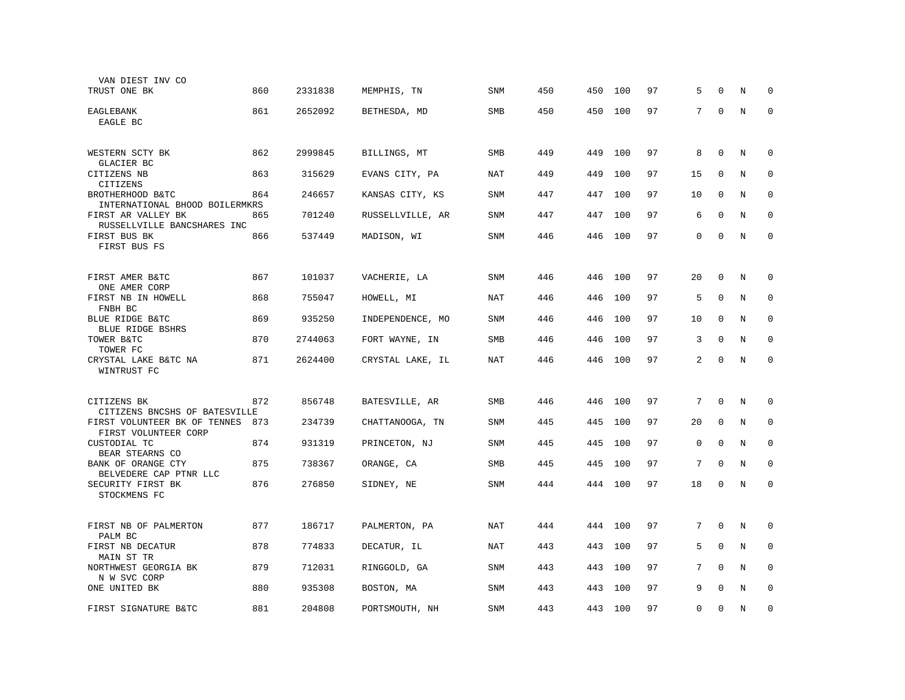| VAN DIEST INV CO                                     |     |         |                  |            |     |     |     |    |    |              |   |             |
|------------------------------------------------------|-----|---------|------------------|------------|-----|-----|-----|----|----|--------------|---|-------------|
| TRUST ONE BK                                         | 860 | 2331838 | MEMPHIS, TN      | <b>SNM</b> | 450 | 450 | 100 | 97 | 5  | $\Omega$     | N | $\Omega$    |
| EAGLEBANK<br>EAGLE BC                                | 861 | 2652092 | BETHESDA, MD     | SMB        | 450 | 450 | 100 | 97 | 7  | $\mathbf{0}$ | N | $\mathbf 0$ |
| WESTERN SCTY BK                                      | 862 | 2999845 | BILLINGS, MT     | SMB        | 449 | 449 | 100 | 97 | 8  | $\mathbf 0$  | N | $\Omega$    |
| GLACIER BC<br>CITIZENS NB                            | 863 | 315629  | EVANS CITY, PA   | NAT        | 449 | 449 | 100 | 97 | 15 | $\mathbf 0$  | N | $\mathbf 0$ |
| CITIZENS<br>BROTHERHOOD B&TC                         | 864 | 246657  | KANSAS CITY, KS  | <b>SNM</b> | 447 | 447 | 100 | 97 | 10 | $\mathbf 0$  | N | $\mathbf 0$ |
| INTERNATIONAL BHOOD BOILERMKRS<br>FIRST AR VALLEY BK | 865 | 701240  | RUSSELLVILLE, AR | <b>SNM</b> | 447 | 447 | 100 | 97 | 6  | $\Omega$     | N | $\mathbf 0$ |
| RUSSELLVILLE BANCSHARES INC<br>FIRST BUS BK          | 866 | 537449  | MADISON, WI      | <b>SNM</b> | 446 | 446 | 100 | 97 | 0  | $\mathbf 0$  | N | $\mathbf 0$ |
| FIRST BUS FS                                         |     |         |                  |            |     |     |     |    |    |              |   |             |
| FIRST AMER B&TC                                      | 867 | 101037  | VACHERIE, LA     | <b>SNM</b> | 446 | 446 | 100 | 97 | 20 | $\mathbf 0$  | N | $\mathbf 0$ |
| ONE AMER CORP<br>FIRST NB IN HOWELL<br>FNBH BC       | 868 | 755047  | HOWELL, MI       | NAT        | 446 | 446 | 100 | 97 | 5  | $\Omega$     | N | $\mathbf 0$ |
| BLUE RIDGE B&TC<br>BLUE RIDGE BSHRS                  | 869 | 935250  | INDEPENDENCE, MO | <b>SNM</b> | 446 | 446 | 100 | 97 | 10 | $\mathbf 0$  | N | 0           |
| TOWER B&TC<br>TOWER FC                               | 870 | 2744063 | FORT WAYNE, IN   | SMB        | 446 | 446 | 100 | 97 | 3  | $\mathbf{0}$ | N | $\mathbf 0$ |
| CRYSTAL LAKE B&TC NA<br>WINTRUST FC                  | 871 | 2624400 | CRYSTAL LAKE, IL | NAT        | 446 | 446 | 100 | 97 | 2  | $\Omega$     | N | $\mathbf 0$ |
|                                                      |     |         |                  |            |     |     |     |    |    |              |   |             |
| CITIZENS BK<br>CITIZENS BNCSHS OF BATESVILLE         | 872 | 856748  | BATESVILLE, AR   | SMB        | 446 | 446 | 100 | 97 | 7  | $\Omega$     | N | $\Omega$    |
| FIRST VOLUNTEER BK OF TENNES<br>FIRST VOLUNTEER CORP | 873 | 234739  | CHATTANOOGA, TN  | <b>SNM</b> | 445 | 445 | 100 | 97 | 20 | $\mathbf 0$  | N | $\mathbf 0$ |
| CUSTODIAL TC<br>BEAR STEARNS CO                      | 874 | 931319  | PRINCETON, NJ    | <b>SNM</b> | 445 | 445 | 100 | 97 | 0  | $\mathbf 0$  | N | 0           |
| BANK OF ORANGE CTY<br>BELVEDERE CAP PTNR LLC         | 875 | 738367  | ORANGE, CA       | <b>SMB</b> | 445 | 445 | 100 | 97 | 7  | $\mathbf 0$  | N | $\mathbf 0$ |
| SECURITY FIRST BK<br>STOCKMENS FC                    | 876 | 276850  | SIDNEY, NE       | SNM        | 444 | 444 | 100 | 97 | 18 | $\mathbf 0$  | N | $\mathbf 0$ |
|                                                      |     |         |                  |            |     |     |     |    |    |              |   |             |
| FIRST NB OF PALMERTON<br>PALM BC                     | 877 | 186717  | PALMERTON, PA    | NAT        | 444 | 444 | 100 | 97 | 7  | $\mathbf 0$  | N | $\mathbf 0$ |
| FIRST NB DECATUR<br>MAIN ST TR                       | 878 | 774833  | DECATUR, IL      | NAT        | 443 | 443 | 100 | 97 | 5  | $\mathbf 0$  | N | $\mathbf 0$ |
| NORTHWEST GEORGIA BK<br>N W SVC CORP                 | 879 | 712031  | RINGGOLD, GA     | SNM        | 443 | 443 | 100 | 97 | 7  | $\Omega$     | N | $\mathbf 0$ |
| ONE UNITED BK                                        | 880 | 935308  | BOSTON, MA       | SNM        | 443 | 443 | 100 | 97 | 9  | $\mathbf 0$  | N | $\mathbf 0$ |
| FIRST SIGNATURE B&TC                                 | 881 | 204808  | PORTSMOUTH, NH   | SNM        | 443 | 443 | 100 | 97 | 0  | $\mathbf 0$  | N | $\mathbf 0$ |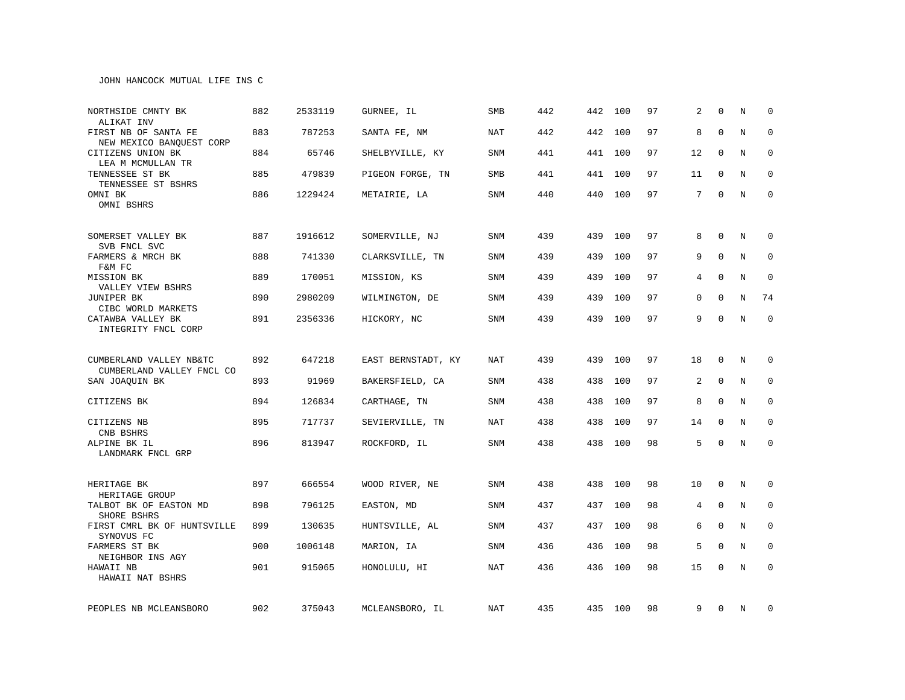| NORTHSIDE CMNTY BK<br>ALIKAT INV                 | 882 | 2533119 | GURNEE, IL         | SMB        | 442 |     | 442 100 | 97 | 2               | $\Omega$     | N              | $\Omega$     |
|--------------------------------------------------|-----|---------|--------------------|------------|-----|-----|---------|----|-----------------|--------------|----------------|--------------|
| FIRST NB OF SANTA FE<br>NEW MEXICO BANQUEST CORP | 883 | 787253  | SANTA FE, NM       | <b>NAT</b> | 442 |     | 442 100 | 97 | 8               | $\Omega$     | N              | $\mathbf 0$  |
| CITIZENS UNION BK<br>LEA M MCMULLAN TR           | 884 | 65746   | SHELBYVILLE, KY    | <b>SNM</b> | 441 |     | 441 100 | 97 | 12              | $\Omega$     | N              | $\mathbf{0}$ |
| TENNESSEE ST BK<br>TENNESSEE ST BSHRS            | 885 | 479839  | PIGEON FORGE, TN   | SMB        | 441 |     | 441 100 | 97 | 11              | $\Omega$     | N              | $\mathbf 0$  |
| OMNI BK<br>OMNI BSHRS                            | 886 | 1229424 | METAIRIE, LA       | <b>SNM</b> | 440 |     | 440 100 | 97 | $7\overline{ }$ | 0            | N              | $\mathbf 0$  |
| SOMERSET VALLEY BK<br>SVB FNCL SVC               | 887 | 1916612 | SOMERVILLE, NJ     | <b>SNM</b> | 439 | 439 | 100     | 97 | 8               | $\mathbf 0$  | N              | 0            |
| FARMERS & MRCH BK<br>F&M FC                      | 888 | 741330  | CLARKSVILLE, TN    | <b>SNM</b> | 439 | 439 | 100     | 97 | 9               | $\mathbf 0$  | $\rm N$        | 0            |
| MISSION BK<br>VALLEY VIEW BSHRS                  | 889 | 170051  | MISSION, KS        | <b>SNM</b> | 439 | 439 | 100     | 97 | 4               | $\Omega$     | N              | $\mathbf 0$  |
| <b>JUNIPER BK</b><br>CIBC WORLD MARKETS          | 890 | 2980209 | WILMINGTON, DE     | <b>SNM</b> | 439 | 439 | 100     | 97 | 0               | $\Omega$     | $\overline{N}$ | 74           |
| CATAWBA VALLEY BK<br>INTEGRITY FNCL CORP         | 891 | 2356336 | HICKORY, NC        | <b>SNM</b> | 439 |     | 439 100 | 97 | 9               | $\Omega$     | $\rm N$        | $\Omega$     |
| CUMBERLAND VALLEY NB&TC                          | 892 | 647218  | EAST BERNSTADT, KY | <b>NAT</b> | 439 | 439 | 100     | 97 | 18              | $\mathbf 0$  | N              | $\mathbf 0$  |
| CUMBERLAND VALLEY FNCL CO<br>SAN JOAQUIN BK      | 893 | 91969   | BAKERSFIELD, CA    | SNM        | 438 | 438 | 100     | 97 | 2               | $\mathbf 0$  | N              | 0            |
| CITIZENS BK                                      | 894 | 126834  | CARTHAGE, TN       | SNM        | 438 | 438 | 100     | 97 | 8               | $\mathbf{0}$ | N              | 0            |
| CITIZENS NB<br>CNB BSHRS                         | 895 | 717737  | SEVIERVILLE, TN    | NAT        | 438 | 438 | 100     | 97 | 14              | 0            | N              | 0            |
| ALPINE BK IL<br>LANDMARK FNCL GRP                | 896 | 813947  | ROCKFORD, IL       | <b>SNM</b> | 438 |     | 438 100 | 98 | 5               | $\Omega$     | N              | $\mathbf 0$  |
| HERITAGE BK<br>HERITAGE GROUP                    | 897 | 666554  | WOOD RIVER, NE     | SNM        | 438 | 438 | 100     | 98 | 10              | $\mathbf 0$  | N              | 0            |
| TALBOT BK OF EASTON MD<br>SHORE BSHRS            | 898 | 796125  | EASTON, MD         | SNM        | 437 | 437 | 100     | 98 | 4               | $\mathbf 0$  | N              | $\mathbf 0$  |
| FIRST CMRL BK OF HUNTSVILLE<br>SYNOVUS FC        | 899 | 130635  | HUNTSVILLE, AL     | SNM        | 437 | 437 | 100     | 98 | 6               | $\mathbf 0$  | N              | 0            |
| FARMERS ST BK<br>NEIGHBOR INS AGY                | 900 | 1006148 | MARION, IA         | SNM        | 436 | 436 | 100     | 98 | 5               | $\mathbf 0$  | N              | $\mathbf 0$  |
| HAWAII NB<br>HAWAII NAT BSHRS                    | 901 | 915065  | HONOLULU, HI       | NAT        | 436 | 436 | 100     | 98 | 15              | $\mathbf 0$  | N              | $\mathbf 0$  |
| PEOPLES NB MCLEANSBORO                           | 902 | 375043  | MCLEANSBORO, IL    | NAT        | 435 |     | 435 100 | 98 | 9               | 0            | N              | 0            |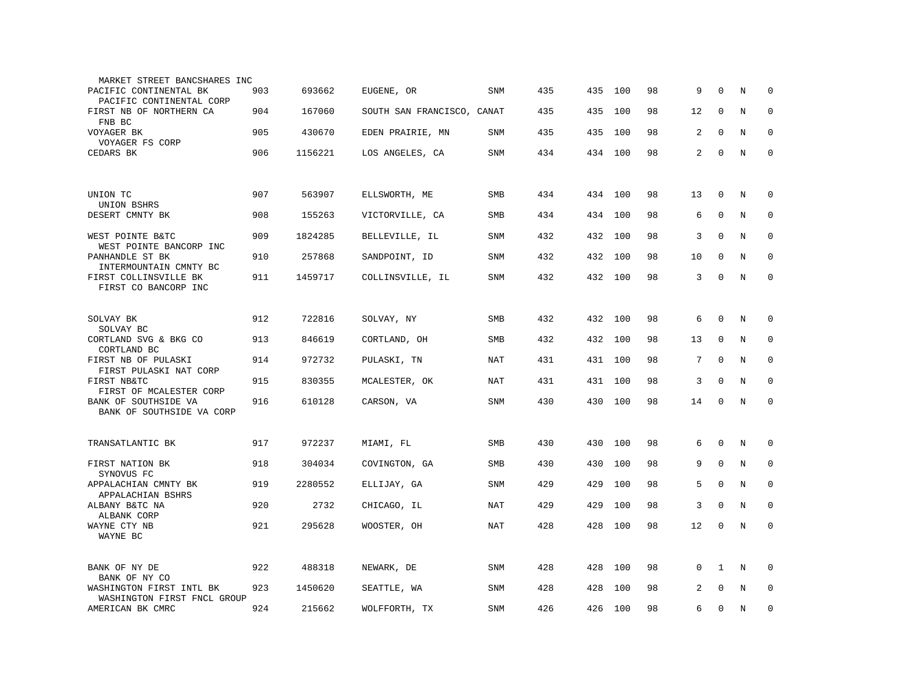| MARKET STREET BANCSHARES INC                            |     |         |                            |            |     |         |     |    |    |             |         |             |
|---------------------------------------------------------|-----|---------|----------------------------|------------|-----|---------|-----|----|----|-------------|---------|-------------|
| PACIFIC CONTINENTAL BK<br>PACIFIC CONTINENTAL CORP      | 903 | 693662  | EUGENE, OR                 | SNM        | 435 | 435     | 100 | 98 | 9  | $\Omega$    | N       | 0           |
| FIRST NB OF NORTHERN CA<br>FNB BC                       | 904 | 167060  | SOUTH SAN FRANCISCO, CANAT |            | 435 | 435     | 100 | 98 | 12 | $\mathbf 0$ | N       | $\mathbf 0$ |
| VOYAGER BK<br>VOYAGER FS CORP                           | 905 | 430670  | EDEN PRAIRIE, MN           | SNM        | 435 | 435     | 100 | 98 | 2  | $\mathbf 0$ | N       | $\mathbf 0$ |
| CEDARS BK                                               | 906 | 1156221 | LOS ANGELES, CA            | <b>SNM</b> | 434 | 434     | 100 | 98 | 2  | $\mathbf 0$ | $\rm N$ | $\mathbf 0$ |
|                                                         |     |         |                            |            |     |         |     |    |    |             |         |             |
| UNION TC<br>UNION BSHRS                                 | 907 | 563907  | ELLSWORTH, ME              | SMB        | 434 | 434 100 |     | 98 | 13 | 0           | N       | 0           |
| DESERT CMNTY BK                                         | 908 | 155263  | VICTORVILLE, CA            | SMB        | 434 | 434     | 100 | 98 | 6  | $\mathbf 0$ | N       | 0           |
| WEST POINTE B&TC<br>WEST POINTE BANCORP INC             | 909 | 1824285 | BELLEVILLE, IL             | <b>SNM</b> | 432 | 432     | 100 | 98 | 3  | $\mathbf 0$ | N       | $\mathbf 0$ |
| PANHANDLE ST BK<br>INTERMOUNTAIN CMNTY BC               | 910 | 257868  | SANDPOINT, ID              | <b>SNM</b> | 432 | 432     | 100 | 98 | 10 | $\Omega$    | N       | $\mathbf 0$ |
| FIRST COLLINSVILLE BK<br>FIRST CO BANCORP INC           | 911 | 1459717 | COLLINSVILLE, IL           | <b>SNM</b> | 432 | 432     | 100 | 98 | 3  | $\Omega$    | N       | $\Omega$    |
|                                                         |     |         |                            |            |     |         |     |    |    |             |         |             |
| SOLVAY BK<br>SOLVAY BC                                  | 912 | 722816  | SOLVAY, NY                 | <b>SMB</b> | 432 | 432     | 100 | 98 | 6  | $\mathbf 0$ | N       | 0           |
| CORTLAND SVG & BKG CO<br>CORTLAND BC                    | 913 | 846619  | CORTLAND, OH               | SMB        | 432 | 432     | 100 | 98 | 13 | $\mathbf 0$ | N       | $\mathbf 0$ |
| FIRST NB OF PULASKI<br>FIRST PULASKI NAT CORP           | 914 | 972732  | PULASKI, TN                | NAT        | 431 | 431     | 100 | 98 | 7  | $\Omega$    | N       | $\mathbf 0$ |
| FIRST NB&TC<br>FIRST OF MCALESTER CORP                  | 915 | 830355  | MCALESTER, OK              | <b>NAT</b> | 431 | 431     | 100 | 98 | 3  | $\mathbf 0$ | N       | $\mathbf 0$ |
| BANK OF SOUTHSIDE VA<br>BANK OF SOUTHSIDE VA CORP       | 916 | 610128  | CARSON, VA                 | <b>SNM</b> | 430 | 430     | 100 | 98 | 14 | $\mathbf 0$ | N       | $\mathbf 0$ |
|                                                         |     |         |                            |            |     |         |     |    |    |             |         |             |
| TRANSATLANTIC BK                                        | 917 | 972237  | MIAMI, FL                  | <b>SMB</b> | 430 | 430     | 100 | 98 | 6  | $\Omega$    | N       | $\Omega$    |
| FIRST NATION BK<br>SYNOVUS FC                           | 918 | 304034  | COVINGTON, GA              | SMB        | 430 | 430     | 100 | 98 | 9  | $\mathbf 0$ | $\rm N$ | 0           |
| APPALACHIAN CMNTY BK<br>APPALACHIAN BSHRS               | 919 | 2280552 | ELLIJAY, GA                | <b>SNM</b> | 429 | 429     | 100 | 98 | 5  | $\mathbf 0$ | N       | $\mathbf 0$ |
| ALBANY B&TC NA<br>ALBANK CORP                           | 920 | 2732    | CHICAGO, IL                | <b>NAT</b> | 429 | 429     | 100 | 98 | 3  | $\mathbf 0$ | N       | $\mathbf 0$ |
| WAYNE CTY NB<br>WAYNE BC                                | 921 | 295628  | WOOSTER, OH                | NAT        | 428 | 428     | 100 | 98 | 12 | $\mathbf 0$ | N       | $\Omega$    |
|                                                         |     |         |                            |            |     |         |     |    |    |             |         |             |
| BANK OF NY DE<br>BANK OF NY CO                          | 922 | 488318  | NEWARK, DE                 | SNM        | 428 | 428     | 100 | 98 | 0  | 1           | Ν       | 0           |
| WASHINGTON FIRST INTL BK<br>WASHINGTON FIRST FNCL GROUP | 923 | 1450620 | SEATTLE, WA                | SNM        | 428 | 428     | 100 | 98 | 2  | $\mathbf 0$ | N       | $\mathbf 0$ |
| AMERICAN BK CMRC                                        | 924 | 215662  | WOLFFORTH, TX              | SNM        | 426 | 426     | 100 | 98 | 6  | $\Omega$    | N       | $\mathbf 0$ |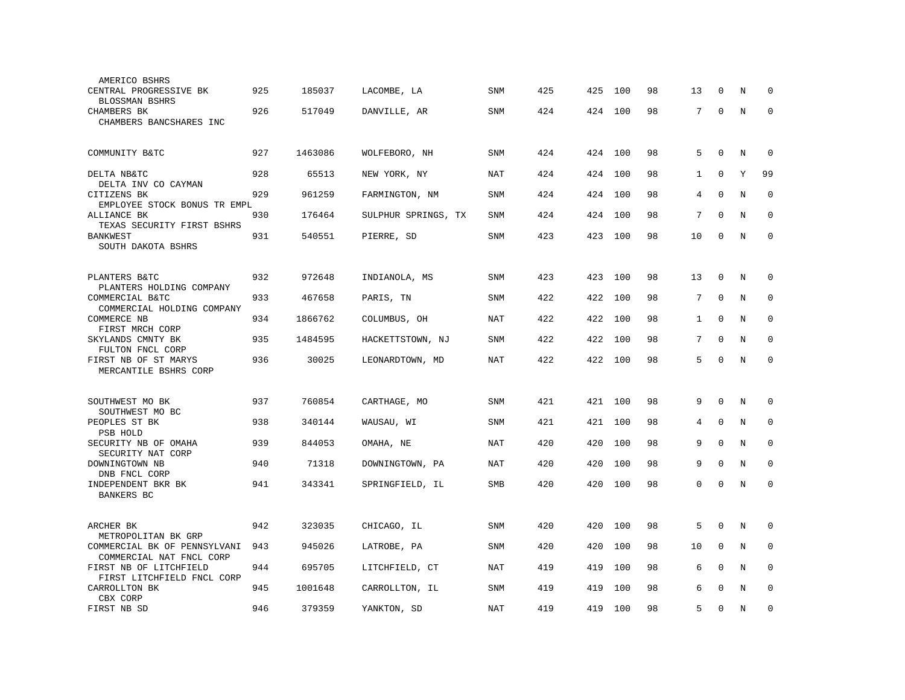| AMERICO BSHRS                                      |     |         |                     |            |     |     |     |    |              |              |         |             |
|----------------------------------------------------|-----|---------|---------------------|------------|-----|-----|-----|----|--------------|--------------|---------|-------------|
| CENTRAL PROGRESSIVE BK<br>BLOSSMAN BSHRS           | 925 | 185037  | LACOMBE, LA         | <b>SNM</b> | 425 | 425 | 100 | 98 | 13           | $\Omega$     | N       | $\Omega$    |
| <b>CHAMBERS BK</b>                                 | 926 | 517049  | DANVILLE, AR        | <b>SNM</b> | 424 | 424 | 100 | 98 | 7            | $\mathbf 0$  | $\rm N$ | $\mathbf 0$ |
| CHAMBERS BANCSHARES INC                            |     |         |                     |            |     |     |     |    |              |              |         |             |
|                                                    |     |         |                     |            |     |     |     |    |              |              |         |             |
| COMMUNITY B&TC                                     | 927 | 1463086 | WOLFEBORO, NH       | <b>SNM</b> | 424 | 424 | 100 | 98 | 5            | $\mathbf 0$  | N       | $\mathbf 0$ |
|                                                    |     |         |                     |            | 424 |     |     | 98 |              | $\mathbf 0$  | Υ       | 99          |
| DELTA NB&TC<br>DELTA INV CO CAYMAN                 | 928 | 65513   | NEW YORK, NY        | NAT        |     | 424 | 100 |    | $\mathbf{1}$ |              |         |             |
| CITIZENS BK                                        | 929 | 961259  | FARMINGTON, NM      | <b>SNM</b> | 424 | 424 | 100 | 98 | 4            | $\mathbf 0$  | $\rm N$ | $\mathbf 0$ |
| EMPLOYEE STOCK BONUS TR EMPL<br>ALLIANCE BK        | 930 | 176464  | SULPHUR SPRINGS, TX | <b>SNM</b> | 424 | 424 | 100 | 98 | 7            | $\Omega$     | N       | $\Omega$    |
| TEXAS SECURITY FIRST BSHRS                         |     |         |                     |            |     |     |     |    |              |              |         |             |
| <b>BANKWEST</b><br>SOUTH DAKOTA BSHRS              | 931 | 540551  | PIERRE, SD          | SNM        | 423 | 423 | 100 | 98 | 10           | $\mathbf 0$  | $\rm N$ | $\mathbf 0$ |
|                                                    |     |         |                     |            |     |     |     |    |              |              |         |             |
|                                                    | 932 |         |                     |            | 423 |     |     |    |              | $\mathbf 0$  |         |             |
| PLANTERS B&TC<br>PLANTERS HOLDING COMPANY          |     | 972648  | INDIANOLA, MS       | SNM        |     | 423 | 100 | 98 | 13           |              | N       | 0           |
| COMMERCIAL B&TC                                    | 933 | 467658  | PARIS, TN           | SNM        | 422 | 422 | 100 | 98 | 7            | $\Omega$     | N       | 0           |
| COMMERCIAL HOLDING COMPANY<br>COMMERCE NB          | 934 | 1866762 | COLUMBUS, OH        | <b>NAT</b> | 422 | 422 | 100 | 98 | $\mathbf{1}$ | $\mathbf{0}$ | N       | $\mathbf 0$ |
| FIRST MRCH CORP                                    |     |         |                     |            |     |     |     |    |              |              |         |             |
| SKYLANDS CMNTY BK<br>FULTON FNCL CORP              | 935 | 1484595 | HACKETTSTOWN, NJ    | <b>SNM</b> | 422 | 422 | 100 | 98 | 7            | $\mathbf 0$  | N       | $\Omega$    |
| FIRST NB OF ST MARYS                               | 936 | 30025   | LEONARDTOWN, MD     | <b>NAT</b> | 422 | 422 | 100 | 98 | 5            | $\mathbf 0$  | N       | $\mathbf 0$ |
| MERCANTILE BSHRS CORP                              |     |         |                     |            |     |     |     |    |              |              |         |             |
|                                                    |     |         |                     |            |     |     |     |    |              |              |         |             |
| SOUTHWEST MO BK                                    | 937 | 760854  | CARTHAGE, MO        | SNM        | 421 | 421 | 100 | 98 | 9            | $\Omega$     | N       | $\mathbf 0$ |
| SOUTHWEST MO BC<br>PEOPLES ST BK                   | 938 | 340144  | WAUSAU, WI          | SNM        | 421 | 421 | 100 | 98 | 4            | $\Omega$     | N       | $\Omega$    |
| <b>PSB HOLD</b>                                    |     |         |                     |            |     |     |     |    |              |              |         |             |
| SECURITY NB OF OMAHA<br>SECURITY NAT CORP          | 939 | 844053  | OMAHA, NE           | <b>NAT</b> | 420 | 420 | 100 | 98 | 9            | $\mathbf{0}$ | N       | 0           |
| DOWNINGTOWN NB                                     | 940 | 71318   | DOWNINGTOWN, PA     | NAT        | 420 | 420 | 100 | 98 | 9            | $\mathbf 0$  | N       | $\mathbf 0$ |
| DNB FNCL CORP                                      |     |         |                     |            |     |     |     |    |              |              |         |             |
| INDEPENDENT BKR BK<br>BANKERS BC                   | 941 | 343341  | SPRINGFIELD, IL     | SMB        | 420 | 420 | 100 | 98 | 0            | $\mathbf 0$  | N       | $\mathbf 0$ |
|                                                    |     |         |                     |            |     |     |     |    |              |              |         |             |
| ARCHER BK                                          | 942 | 323035  | CHICAGO, IL         | SNM        | 420 | 420 | 100 | 98 | 5            | $\mathbf 0$  | $\rm N$ | $\mathbf 0$ |
| METROPOLITAN BK GRP                                |     |         |                     |            |     |     |     |    |              |              |         |             |
| COMMERCIAL BK OF PENNSYLVANI                       | 943 | 945026  | LATROBE, PA         | SNM        | 420 | 420 | 100 | 98 | 10           | $\mathbf 0$  | N       | $\mathbf 0$ |
| COMMERCIAL NAT FNCL CORP<br>FIRST NB OF LITCHFIELD | 944 | 695705  | LITCHFIELD, CT      | NAT        | 419 | 419 | 100 | 98 | 6            | $\Omega$     | N       | $\mathbf 0$ |
| FIRST LITCHFIELD FNCL CORP                         |     |         |                     |            |     |     |     |    |              |              |         |             |
| CARROLLTON BK<br>CBX CORP                          | 945 | 1001648 | CARROLLTON, IL      | SNM        | 419 | 419 | 100 | 98 | 6            | $\Omega$     | N       | $\mathbf 0$ |
| FIRST NB SD                                        | 946 | 379359  | YANKTON, SD         | <b>NAT</b> | 419 | 419 | 100 | 98 | 5            | $\mathbf 0$  | N       | $\mathbf 0$ |
|                                                    |     |         |                     |            |     |     |     |    |              |              |         |             |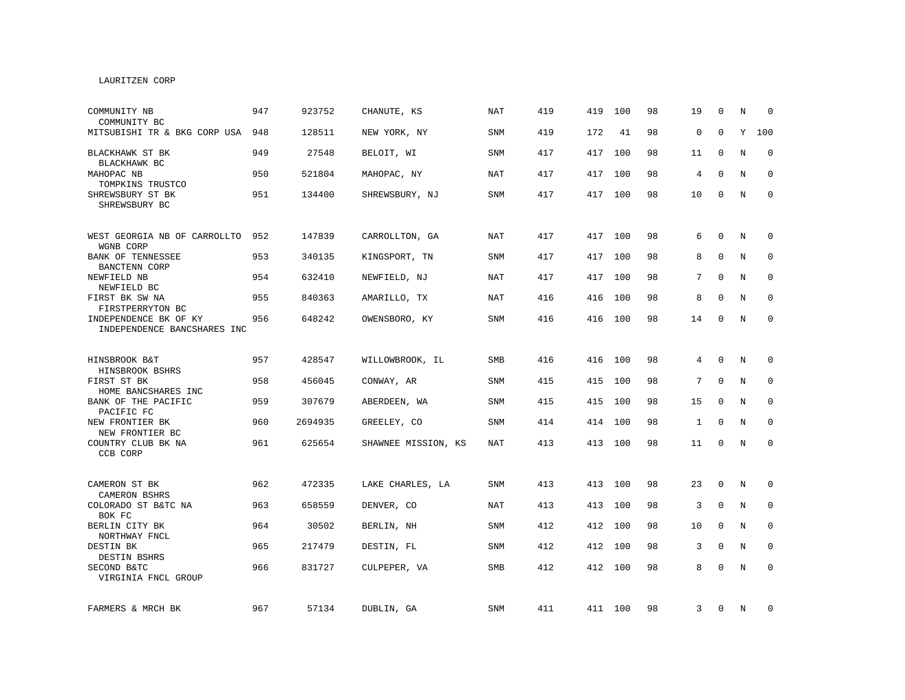# LAURITZEN CORP

| COMMUNITY NB<br>COMMUNITY BC                         | 947 | 923752  | CHANUTE, KS         | <b>NAT</b> | 419 | 419     | 100     | 98 | 19           | $\Omega$     | N | $\Omega$     |
|------------------------------------------------------|-----|---------|---------------------|------------|-----|---------|---------|----|--------------|--------------|---|--------------|
| MITSUBISHI TR & BKG CORP USA                         | 948 | 128511  | NEW YORK, NY        | SNM        | 419 | 172     | 41      | 98 | $\mathbf 0$  | $\Omega$     | Y | 100          |
| BLACKHAWK ST BK<br>BLACKHAWK BC                      | 949 | 27548   | BELOIT, WI          | SNM        | 417 | 417     | 100     | 98 | 11           | $\Omega$     | N | $\mathbf 0$  |
| MAHOPAC NB<br>TOMPKINS TRUSTCO                       | 950 | 521804  | MAHOPAC, NY         | NAT        | 417 | 417     | 100     | 98 | 4            | $\Omega$     | N | $\mathbf 0$  |
| SHREWSBURY ST BK<br>SHREWSBURY BC                    | 951 | 134400  | SHREWSBURY, NJ      | SNM        | 417 | 417     | 100     | 98 | 10           | 0            | N | $\mathbf 0$  |
| WEST GEORGIA NB OF CARROLLTO<br>WGNB CORP            | 952 | 147839  | CARROLLTON, GA      | <b>NAT</b> | 417 | 417     | 100     | 98 | 6            | $\Omega$     | N | $\mathbf 0$  |
| BANK OF TENNESSEE<br>BANCTENN CORP                   | 953 | 340135  | KINGSPORT, TN       | <b>SNM</b> | 417 | 417     | 100     | 98 | 8            | $\mathbf 0$  | N | $\mathbf 0$  |
| NEWFIELD NB<br>NEWFIELD BC                           | 954 | 632410  | NEWFIELD, NJ        | NAT        | 417 | 417     | 100     | 98 | 7            | $\Omega$     | N | $\mathbf 0$  |
| FIRST BK SW NA<br>FIRSTPERRYTON BC                   | 955 | 840363  | AMARILLO, TX        | NAT        | 416 | 416     | 100     | 98 | 8            | $\mathbf 0$  | N | 0            |
| INDEPENDENCE BK OF KY<br>INDEPENDENCE BANCSHARES INC | 956 | 648242  | OWENSBORO, KY       | SNM        | 416 |         | 416 100 | 98 | 14           | $\Omega$     | N | $\mathbf{0}$ |
| HINSBROOK B&T<br>HINSBROOK BSHRS                     | 957 | 428547  | WILLOWBROOK, IL     | SMB        | 416 | 416     | 100     | 98 | 4            | $\Omega$     | N | $\mathbf 0$  |
| FIRST ST BK<br>HOME BANCSHARES INC                   | 958 | 456045  | CONWAY, AR          | <b>SNM</b> | 415 | 415     | 100     | 98 | 7            | $\mathbf 0$  | N | 0            |
| BANK OF THE PACIFIC<br>PACIFIC FC                    | 959 | 307679  | ABERDEEN, WA        | <b>SNM</b> | 415 | 415     | 100     | 98 | 15           | 0            | N | 0            |
| NEW FRONTIER BK<br>NEW FRONTIER BC                   | 960 | 2694935 | GREELEY, CO         | <b>SNM</b> | 414 | 414     | 100     | 98 | $\mathbf{1}$ | $\Omega$     | N | $\mathbf 0$  |
| COUNTRY CLUB BK NA<br>CCB CORP                       | 961 | 625654  | SHAWNEE MISSION, KS | <b>NAT</b> | 413 | 413 100 |         | 98 | 11           | $\mathbf 0$  | N | $\Omega$     |
| CAMERON ST BK<br>CAMERON BSHRS                       | 962 | 472335  | LAKE CHARLES, LA    | SNM        | 413 | 413     | 100     | 98 | 23           | 0            | N | 0            |
| COLORADO ST B&TC NA<br>BOK FC                        | 963 | 658559  | DENVER, CO          | NAT        | 413 | 413     | 100     | 98 | 3            | 0            | N | 0            |
| BERLIN CITY BK<br>NORTHWAY FNCL                      | 964 | 30502   | BERLIN, NH          | <b>SNM</b> | 412 | 412     | 100     | 98 | 10           | $\mathbf 0$  | N | $\mathbf 0$  |
| DESTIN BK<br>DESTIN BSHRS                            | 965 | 217479  | DESTIN, FL          | <b>SNM</b> | 412 | 412     | 100     | 98 | 3            | $\mathbf 0$  | N | $\mathbf{0}$ |
| SECOND B&TC<br>VIRGINIA FNCL GROUP                   | 966 | 831727  | CULPEPER, VA        | SMB        | 412 |         | 412 100 | 98 | 8            | $\mathbf{0}$ | N | $\mathbf{0}$ |
| FARMERS & MRCH BK                                    | 967 | 57134   | DUBLIN, GA          | SNM        | 411 |         | 411 100 | 98 | 3            | 0            | N | 0            |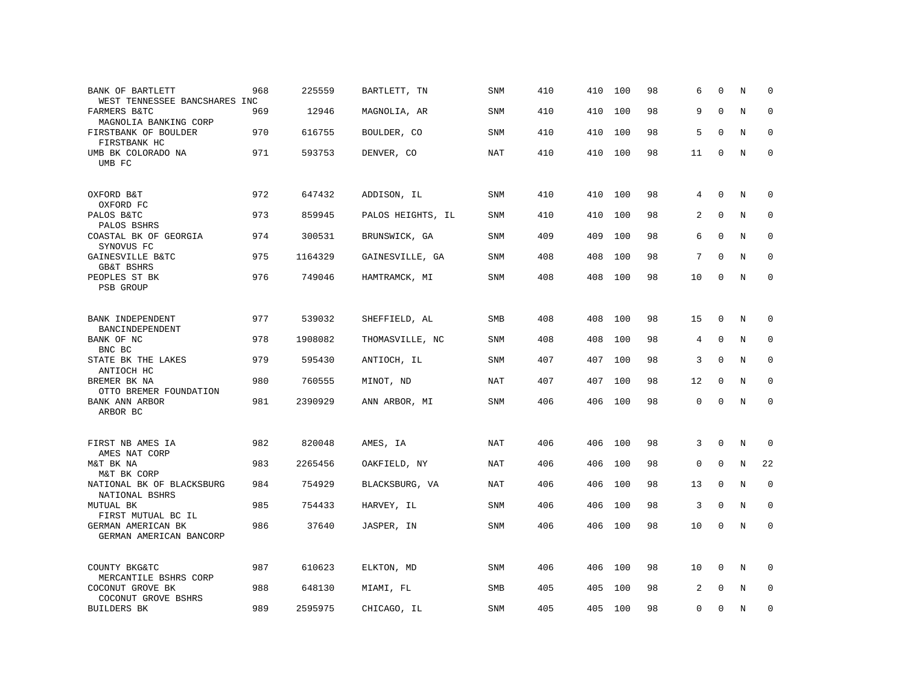| BANK OF BARTLETT<br>WEST TENNESSEE BANCSHARES INC | 968 | 225559  | BARTLETT, TN      | <b>SNM</b> | 410 | 410 | 100 | 98 | 6  | $\Omega$     | N       | $\Omega$    |
|---------------------------------------------------|-----|---------|-------------------|------------|-----|-----|-----|----|----|--------------|---------|-------------|
| FARMERS B&TC<br>MAGNOLIA BANKING CORP             | 969 | 12946   | MAGNOLIA, AR      | SNM        | 410 | 410 | 100 | 98 | 9  | $\mathbf{0}$ | $\rm N$ | $\mathbf 0$ |
| FIRSTBANK OF BOULDER<br>FIRSTBANK HC              | 970 | 616755  | BOULDER, CO       | SNM        | 410 | 410 | 100 | 98 | 5  | $\mathbf 0$  | N       | 0           |
| UMB BK COLORADO NA<br>UMB FC                      | 971 | 593753  | DENVER, CO        | NAT        | 410 | 410 | 100 | 98 | 11 | $\mathbf 0$  | N       | $\mathbf 0$ |
| OXFORD B&T<br>OXFORD FC                           | 972 | 647432  | ADDISON, IL       | <b>SNM</b> | 410 | 410 | 100 | 98 | 4  | $\mathbf 0$  | N       | $\mathbf 0$ |
| PALOS B&TC<br>PALOS BSHRS                         | 973 | 859945  | PALOS HEIGHTS, IL | SNM        | 410 | 410 | 100 | 98 | 2  | $\mathbf 0$  | N       | $\mathbf 0$ |
| COASTAL BK OF GEORGIA<br>SYNOVUS FC               | 974 | 300531  | BRUNSWICK, GA     | <b>SNM</b> | 409 | 409 | 100 | 98 | 6  | $\mathbf 0$  | N       | $\mathbf 0$ |
| GAINESVILLE B&TC<br><b>GB&amp;T BSHRS</b>         | 975 | 1164329 | GAINESVILLE, GA   | SNM        | 408 | 408 | 100 | 98 | 7  | $\Omega$     | N       | $\mathbf 0$ |
| PEOPLES ST BK<br>PSB GROUP                        | 976 | 749046  | HAMTRAMCK, MI     | SNM        | 408 | 408 | 100 | 98 | 10 | 0            | N       | $\mathbf 0$ |
| BANK INDEPENDENT<br>BANCINDEPENDENT               | 977 | 539032  | SHEFFIELD, AL     | <b>SMB</b> | 408 | 408 | 100 | 98 | 15 | $\mathbf 0$  | N       | $\mathbf 0$ |
| BANK OF NC<br>BNC BC                              | 978 | 1908082 | THOMASVILLE, NC   | SNM        | 408 | 408 | 100 | 98 | 4  | $\mathbf 0$  | N       | $\mathbf 0$ |
| STATE BK THE LAKES<br>ANTIOCH HC                  | 979 | 595430  | ANTIOCH, IL       | SNM        | 407 | 407 | 100 | 98 | 3  | $\mathbf{0}$ | N       | 0           |
| BREMER BK NA<br>OTTO BREMER FOUNDATION            | 980 | 760555  | MINOT, ND         | <b>NAT</b> | 407 | 407 | 100 | 98 | 12 | $\mathbf 0$  | N       | 0           |
| BANK ANN ARBOR<br>ARBOR BC                        | 981 | 2390929 | ANN ARBOR, MI     | <b>SNM</b> | 406 | 406 | 100 | 98 | 0  | $\mathbf{0}$ | N       | $\mathbf 0$ |
| FIRST NB AMES IA<br>AMES NAT CORP                 | 982 | 820048  | AMES, IA          | NAT        | 406 | 406 | 100 | 98 | 3  | $\mathbf 0$  | N       | 0           |
| M&T BK NA<br>M&T BK CORP                          | 983 | 2265456 | OAKFIELD, NY      | <b>NAT</b> | 406 | 406 | 100 | 98 | 0  | $\mathbf 0$  | N       | 22          |
| NATIONAL BK OF BLACKSBURG<br>NATIONAL BSHRS       | 984 | 754929  | BLACKSBURG, VA    | <b>NAT</b> | 406 | 406 | 100 | 98 | 13 | $\Omega$     | N       | $\Omega$    |
| MUTUAL BK<br>FIRST MUTUAL BC IL                   | 985 | 754433  | HARVEY, IL        | <b>SNM</b> | 406 | 406 | 100 | 98 | 3  | $\mathbf 0$  | N       | $\mathbf 0$ |
| GERMAN AMERICAN BK<br>GERMAN AMERICAN BANCORP     | 986 | 37640   | JASPER, IN        | <b>SNM</b> | 406 | 406 | 100 | 98 | 10 | $\mathbf 0$  | N       | $\mathbf 0$ |
| COUNTY BKG&TC<br>MERCANTILE BSHRS CORP            | 987 | 610623  | ELKTON, MD        | <b>SNM</b> | 406 | 406 | 100 | 98 | 10 | $\mathbf 0$  | N       | $\mathbf 0$ |
| COCONUT GROVE BK<br>COCONUT GROVE BSHRS           | 988 | 648130  | MIAMI, FL         | SMB        | 405 | 405 | 100 | 98 | 2  | $\mathbf 0$  | N       | $\mathbf 0$ |
| <b>BUILDERS BK</b>                                | 989 | 2595975 | CHICAGO, IL       | SNM        | 405 | 405 | 100 | 98 | 0  | $\mathbf 0$  | N       | $\mathbf 0$ |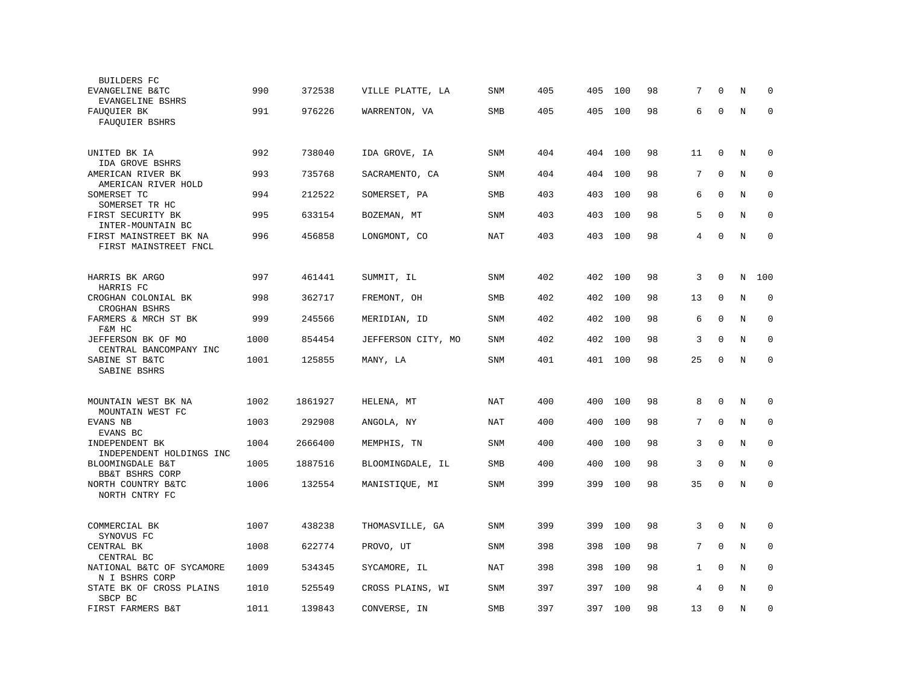| BUILDERS FC                                                          |      |         |                    |            |     |     |     |    |    |              |         |             |
|----------------------------------------------------------------------|------|---------|--------------------|------------|-----|-----|-----|----|----|--------------|---------|-------------|
| EVANGELINE B&TC<br>EVANGELINE BSHRS                                  | 990  | 372538  | VILLE PLATTE, LA   | <b>SNM</b> | 405 | 405 | 100 | 98 | 7  | 0            | N       | 0           |
| FAUOUIER BK<br>FAUQUIER BSHRS                                        | 991  | 976226  | WARRENTON, VA      | SMB        | 405 | 405 | 100 | 98 | 6  | $\mathbf{0}$ | N       | $\mathbf 0$ |
| UNITED BK IA                                                         | 992  | 738040  | IDA GROVE, IA      | SNM        | 404 | 404 | 100 | 98 | 11 | $\mathbf 0$  | $\rm N$ | 0           |
| IDA GROVE BSHRS<br>AMERICAN RIVER BK                                 | 993  | 735768  | SACRAMENTO, CA     | SNM        | 404 | 404 | 100 | 98 | 7  | $\mathbf 0$  | N       | $\mathbf 0$ |
| AMERICAN RIVER HOLD<br>SOMERSET TC                                   | 994  | 212522  | SOMERSET, PA       | SMB        | 403 | 403 | 100 | 98 | 6  | $\mathbf 0$  | N       | $\mathbf 0$ |
| SOMERSET TR HC<br>FIRST SECURITY BK                                  | 995  | 633154  | BOZEMAN, MT        | <b>SNM</b> | 403 | 403 | 100 | 98 | 5  | $\Omega$     | N       | $\Omega$    |
| INTER-MOUNTAIN BC<br>FIRST MAINSTREET BK NA<br>FIRST MAINSTREET FNCL | 996  | 456858  | LONGMONT, CO       | NAT        | 403 | 403 | 100 | 98 | 4  | $\Omega$     | N       | $\Omega$    |
| HARRIS BK ARGO<br>HARRIS FC                                          | 997  | 461441  | SUMMIT, IL         | SNM        | 402 | 402 | 100 | 98 | 3  | 0            | N       | 100         |
| CROGHAN COLONIAL BK<br>CROGHAN BSHRS                                 | 998  | 362717  | FREMONT, OH        | SMB        | 402 | 402 | 100 | 98 | 13 | $\mathbf{0}$ | N       | $\mathbf 0$ |
| FARMERS & MRCH ST BK<br>F&M HC                                       | 999  | 245566  | MERIDIAN, ID       | <b>SNM</b> | 402 | 402 | 100 | 98 | 6  | $\mathbf 0$  | N       | $\mathbf 0$ |
| JEFFERSON BK OF MO<br>CENTRAL BANCOMPANY INC                         | 1000 | 854454  | JEFFERSON CITY, MO | SNM        | 402 | 402 | 100 | 98 | 3  | $\mathbf 0$  | $\rm N$ | $\mathbf 0$ |
| SABINE ST B&TC<br>SABINE BSHRS                                       | 1001 | 125855  | MANY, LA           | SNM        | 401 | 401 | 100 | 98 | 25 | 0            | N       | $\mathbf 0$ |
| MOUNTAIN WEST BK NA<br>MOUNTAIN WEST FC                              | 1002 | 1861927 | HELENA, MT         | NAT        | 400 | 400 | 100 | 98 | 8  | $\Omega$     | N       | $\Omega$    |
| EVANS NB<br>EVANS BC                                                 | 1003 | 292908  | ANGOLA, NY         | NAT        | 400 | 400 | 100 | 98 | 7  | $\mathbf 0$  | N       | $\mathbf 0$ |
| INDEPENDENT BK<br>INDEPENDENT HOLDINGS INC                           | 1004 | 2666400 | MEMPHIS, TN        | <b>SNM</b> | 400 | 400 | 100 | 98 | 3  | $\mathbf 0$  | N       | $\mathbf 0$ |
| BLOOMINGDALE B&T<br>BB&T BSHRS CORP                                  | 1005 | 1887516 | BLOOMINGDALE, IL   | <b>SMB</b> | 400 | 400 | 100 | 98 | 3  | $\mathbf 0$  | N       | $\mathbf 0$ |
| NORTH COUNTRY B&TC<br>NORTH CNTRY FC                                 | 1006 | 132554  | MANISTIQUE, MI     | SNM        | 399 | 399 | 100 | 98 | 35 | $\mathbf 0$  | N       | $\mathbf 0$ |
| COMMERCIAL BK<br>SYNOVUS FC                                          | 1007 | 438238  | THOMASVILLE, GA    | SNM        | 399 | 399 | 100 | 98 | 3  | $\mathbf 0$  | N       | $\mathbf 0$ |
| CENTRAL BK<br>CENTRAL BC                                             | 1008 | 622774  | PROVO, UT          | SNM        | 398 | 398 | 100 | 98 | 7  | $\mathbf 0$  | N       | 0           |
| NATIONAL B&TC OF SYCAMORE<br>N I BSHRS CORP                          | 1009 | 534345  | SYCAMORE, IL       | <b>NAT</b> | 398 | 398 | 100 | 98 | 1  | $\mathbf 0$  | N       | $\mathbf 0$ |
| STATE BK OF CROSS PLAINS<br>SBCP BC                                  | 1010 | 525549  | CROSS PLAINS, WI   | SNM        | 397 | 397 | 100 | 98 | 4  | $\Omega$     | N       | $\mathbf 0$ |
| FIRST FARMERS B&T                                                    | 1011 | 139843  | CONVERSE, IN       | SMB        | 397 | 397 | 100 | 98 | 13 | $\mathbf 0$  | $\rm N$ | $\mathbf 0$ |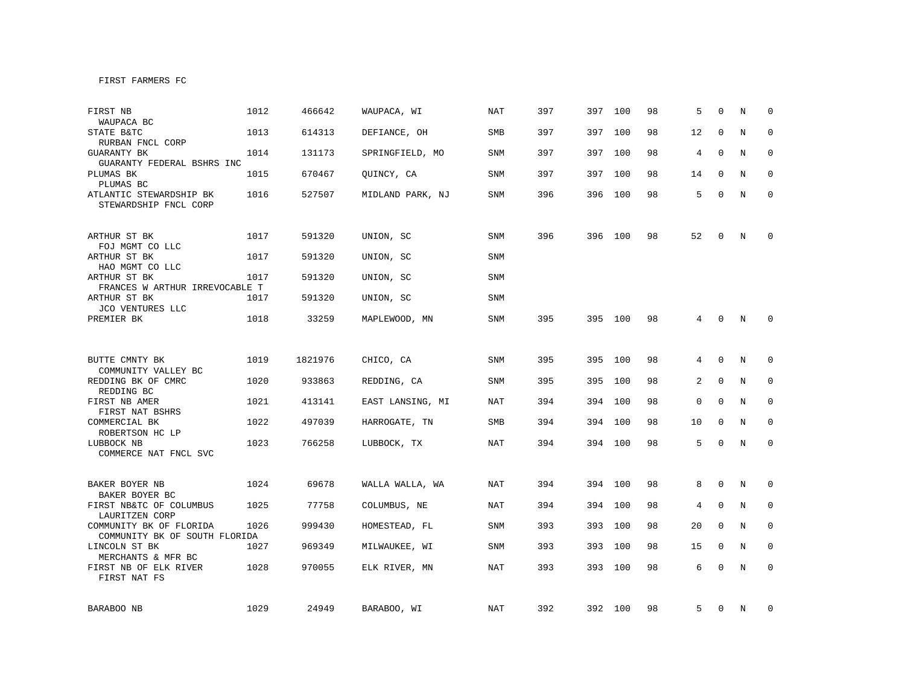| FIRST NB<br>WAUPACA BC                                   | 1012 | 466642  | WAUPACA, WI      | <b>NAT</b> | 397 | 397     | 100 | 98 | 5              | $\Omega$    | N | $\Omega$     |
|----------------------------------------------------------|------|---------|------------------|------------|-----|---------|-----|----|----------------|-------------|---|--------------|
| STATE B&TC<br>RURBAN FNCL CORP                           | 1013 | 614313  | DEFIANCE, OH     | SMB        | 397 | 397     | 100 | 98 | 12             | $\Omega$    | N | $\mathbf 0$  |
| <b>GUARANTY BK</b><br>GUARANTY FEDERAL BSHRS INC         | 1014 | 131173  | SPRINGFIELD, MO  | SNM        | 397 | 397 100 |     | 98 | 4              | 0           | N | 0            |
| PLUMAS BK<br>PLUMAS BC                                   | 1015 | 670467  | QUINCY, CA       | SNM        | 397 | 397 100 |     | 98 | 14             | $\Omega$    | N | $\Omega$     |
| ATLANTIC STEWARDSHIP BK<br>STEWARDSHIP FNCL CORP         | 1016 | 527507  | MIDLAND PARK, NJ | SNM        | 396 | 396 100 |     | 98 | 5              | $\Omega$    | N | $\mathbf{0}$ |
| ARTHUR ST BK<br>FOJ MGMT CO LLC                          | 1017 | 591320  | UNION, SC        | SNM        | 396 | 396 100 |     | 98 | 52             | $\Omega$    | N | $\Omega$     |
| ARTHUR ST BK<br>HAO MGMT CO LLC                          | 1017 | 591320  | UNION, SC        | <b>SNM</b> |     |         |     |    |                |             |   |              |
| ARTHUR ST BK<br>FRANCES W ARTHUR IRREVOCABLE T           | 1017 | 591320  | UNION, SC        | <b>SNM</b> |     |         |     |    |                |             |   |              |
| ARTHUR ST BK<br>JCO VENTURES LLC                         | 1017 | 591320  | UNION, SC        | <b>SNM</b> |     |         |     |    |                |             |   |              |
| PREMIER BK                                               | 1018 | 33259   | MAPLEWOOD, MN    | <b>SNM</b> | 395 | 395 100 |     | 98 | 4              | $\Omega$    | N | $\Omega$     |
|                                                          |      |         |                  |            |     |         |     |    |                |             |   |              |
| BUTTE CMNTY BK<br>COMMUNITY VALLEY BC                    | 1019 | 1821976 | CHICO, CA        | SNM        | 395 | 395 100 |     | 98 | 4              | $\Omega$    | N | $\Omega$     |
| REDDING BK OF CMRC<br>REDDING BC                         | 1020 | 933863  | REDDING, CA      | <b>SNM</b> | 395 | 395     | 100 | 98 | $\overline{a}$ | $\mathbf 0$ | N | $\mathbf 0$  |
| FIRST NB AMER<br>FIRST NAT BSHRS                         | 1021 | 413141  | EAST LANSING, MI | <b>NAT</b> | 394 | 394     | 100 | 98 | 0              | $\mathbf 0$ | N | 0            |
| COMMERCIAL BK<br>ROBERTSON HC LP                         | 1022 | 497039  | HARROGATE, TN    | <b>SMB</b> | 394 | 394     | 100 | 98 | 10             | $\Omega$    | N | $\mathbf 0$  |
| LUBBOCK NB<br>COMMERCE NAT FNCL SVC                      | 1023 | 766258  | LUBBOCK, TX      | NAT        | 394 | 394 100 |     | 98 | 5              | $\mathbf 0$ | N | $\mathbf{0}$ |
| BAKER BOYER NB                                           | 1024 | 69678   | WALLA WALLA, WA  | NAT        | 394 | 394     | 100 | 98 | 8              | 0           | N | 0            |
| BAKER BOYER BC                                           |      |         |                  |            |     |         |     |    |                |             |   |              |
| FIRST NB&TC OF COLUMBUS<br>LAURITZEN CORP                | 1025 | 77758   | COLUMBUS, NE     | <b>NAT</b> | 394 | 394     | 100 | 98 | 4              | $\Omega$    | N | $\mathbf 0$  |
| COMMUNITY BK OF FLORIDA<br>COMMUNITY BK OF SOUTH FLORIDA | 1026 | 999430  | HOMESTEAD, FL    | SNM        | 393 | 393     | 100 | 98 | 20             | $\mathbf 0$ | N | 0            |
| LINCOLN ST BK<br>MERCHANTS & MFR BC                      | 1027 | 969349  | MILWAUKEE, WI    | SNM        | 393 | 393     | 100 | 98 | 15             | 0           | N | $\mathbf 0$  |
| FIRST NB OF ELK RIVER<br>FIRST NAT FS                    | 1028 | 970055  | ELK RIVER, MN    | <b>NAT</b> | 393 | 393     | 100 | 98 | 6              | $\Omega$    | N | $\Omega$     |
| BARABOO NB                                               | 1029 | 24949   | BARABOO, WI      | NAT        | 392 | 392 100 |     | 98 | 5              | 0           | N | 0            |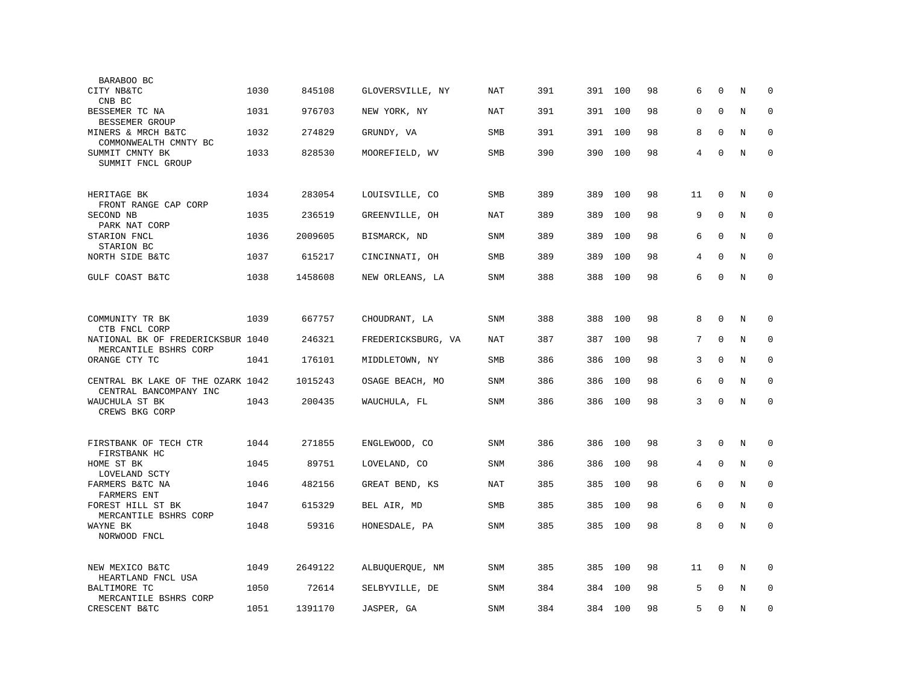| BARABOO BC                                                  |      |         |                    |            |     |     |     |    |          |              |   |             |
|-------------------------------------------------------------|------|---------|--------------------|------------|-----|-----|-----|----|----------|--------------|---|-------------|
| CITY NB&TC<br>CNB BC                                        | 1030 | 845108  | GLOVERSVILLE, NY   | NAT        | 391 | 391 | 100 | 98 | 6        | $\mathbf 0$  | N | $\mathbf 0$ |
| BESSEMER TC NA<br>BESSEMER GROUP                            | 1031 | 976703  | NEW YORK, NY       | NAT        | 391 | 391 | 100 | 98 | $\Omega$ | $\Omega$     | N | $\mathbf 0$ |
| MINERS & MRCH B&TC<br>COMMONWEALTH CMNTY BC                 | 1032 | 274829  | GRUNDY, VA         | SMB        | 391 | 391 | 100 | 98 | 8        | $\mathbf{0}$ | N | $\mathbf 0$ |
| SUMMIT CMNTY BK<br>SUMMIT FNCL GROUP                        | 1033 | 828530  | MOOREFIELD, WV     | SMB        | 390 | 390 | 100 | 98 | 4        | $\mathbf 0$  | N | $\mathbf 0$ |
| HERITAGE BK<br>FRONT RANGE CAP CORP                         | 1034 | 283054  | LOUISVILLE, CO     | SMB        | 389 | 389 | 100 | 98 | 11       | 0            | N | 0           |
| SECOND NB<br>PARK NAT CORP                                  | 1035 | 236519  | GREENVILLE, OH     | NAT        | 389 | 389 | 100 | 98 | 9        | $\Omega$     | N | $\mathbf 0$ |
| STARION FNCL<br>STARION BC                                  | 1036 | 2009605 | BISMARCK, ND       | <b>SNM</b> | 389 | 389 | 100 | 98 | 6        | $\mathbf 0$  | N | $\mathbf 0$ |
| NORTH SIDE B&TC                                             | 1037 | 615217  | CINCINNATI, OH     | <b>SMB</b> | 389 | 389 | 100 | 98 | 4        | $\mathbf{0}$ | N | $\mathbf 0$ |
| GULF COAST B&TC                                             | 1038 | 1458608 | NEW ORLEANS, LA    | <b>SNM</b> | 388 | 388 | 100 | 98 | 6        | $\mathbf 0$  | N | $\mathbf 0$ |
|                                                             |      |         |                    |            |     |     |     |    |          |              |   |             |
| COMMUNITY TR BK<br>CTB FNCL CORP                            | 1039 | 667757  | CHOUDRANT, LA      | <b>SNM</b> | 388 | 388 | 100 | 98 | 8        | $\mathbf 0$  | N | $\mathbf 0$ |
| NATIONAL BK OF FREDERICKSBUR 1040<br>MERCANTILE BSHRS CORP  |      | 246321  | FREDERICKSBURG, VA | NAT        | 387 | 387 | 100 | 98 | 7        | $\mathbf 0$  | N | $\mathbf 0$ |
| ORANGE CTY TC                                               | 1041 | 176101  | MIDDLETOWN, NY     | SMB        | 386 | 386 | 100 | 98 | 3        | $\mathbf 0$  | N | 0           |
| CENTRAL BK LAKE OF THE OZARK 1042<br>CENTRAL BANCOMPANY INC |      | 1015243 | OSAGE BEACH, MO    | <b>SNM</b> | 386 | 386 | 100 | 98 | 6        | $\mathbf 0$  | N | $\mathbf 0$ |
| WAUCHULA ST BK<br>CREWS BKG CORP                            | 1043 | 200435  | WAUCHULA, FL       | SNM        | 386 | 386 | 100 | 98 | 3        | $\Omega$     | N | $\mathbf 0$ |
|                                                             |      |         |                    |            |     |     |     |    |          |              |   |             |
| FIRSTBANK OF TECH CTR<br>FIRSTBANK HC                       | 1044 | 271855  | ENGLEWOOD, CO      | <b>SNM</b> | 386 | 386 | 100 | 98 | 3        | $\Omega$     | N | 0           |
| HOME ST BK<br>LOVELAND SCTY                                 | 1045 | 89751   | LOVELAND, CO       | <b>SNM</b> | 386 | 386 | 100 | 98 | 4        | $\mathbf 0$  | N | 0           |
| FARMERS B&TC NA<br>FARMERS ENT                              | 1046 | 482156  | GREAT BEND, KS     | <b>NAT</b> | 385 | 385 | 100 | 98 | 6        | $\mathbf{0}$ | N | $\mathbf 0$ |
| FOREST HILL ST BK<br>MERCANTILE BSHRS CORP                  | 1047 | 615329  | BEL AIR, MD        | SMB        | 385 | 385 | 100 | 98 | 6        | $\mathbf 0$  | N | $\mathbf 0$ |
| WAYNE BK<br>NORWOOD FNCL                                    | 1048 | 59316   | HONESDALE, PA      | SNM        | 385 | 385 | 100 | 98 | 8        | $\mathbf 0$  | N | $\mathbf 0$ |
| NEW MEXICO B&TC<br>HEARTLAND FNCL USA                       | 1049 | 2649122 | ALBUQUERQUE, NM    | SNM        | 385 | 385 | 100 | 98 | 11       | $\mathbf 0$  | N | $\mathbf 0$ |
| <b>BALTIMORE TC</b><br>MERCANTILE BSHRS CORP                | 1050 | 72614   | SELBYVILLE, DE     | <b>SNM</b> | 384 | 384 | 100 | 98 | 5        | $\Omega$     | N | $\mathbf 0$ |
| CRESCENT B&TC                                               | 1051 | 1391170 | JASPER, GA         | <b>SNM</b> | 384 | 384 | 100 | 98 | 5        | $\mathbf 0$  | N | $\mathbf 0$ |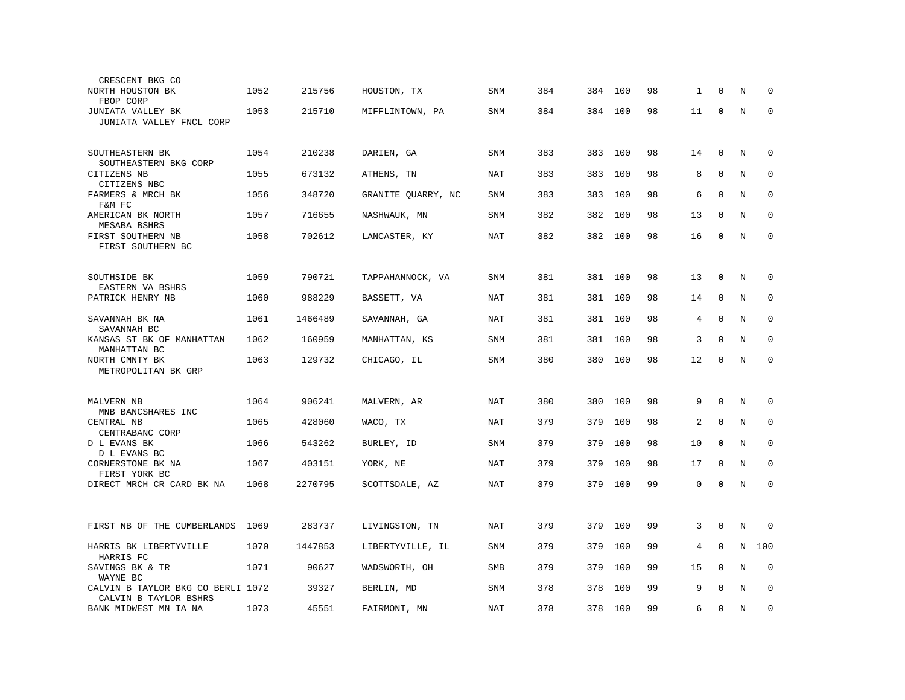| CRESCENT BKG CO                                            |      |         |                    |            |     |         |     |    |    |             |   |             |
|------------------------------------------------------------|------|---------|--------------------|------------|-----|---------|-----|----|----|-------------|---|-------------|
| NORTH HOUSTON BK<br>FBOP CORP                              | 1052 | 215756  | HOUSTON, TX        | <b>SNM</b> | 384 | 384     | 100 | 98 | 1  | 0           | N | $\mathbf 0$ |
| JUNIATA VALLEY BK<br>JUNIATA VALLEY FNCL CORP              | 1053 | 215710  | MIFFLINTOWN, PA    | <b>SNM</b> | 384 | 384     | 100 | 98 | 11 | 0           | N | $\mathbf 0$ |
| SOUTHEASTERN BK<br>SOUTHEASTERN BKG CORP                   | 1054 | 210238  | DARIEN, GA         | <b>SNM</b> | 383 | 383     | 100 | 98 | 14 | $\mathbf 0$ | N | $\mathbf 0$ |
| CITIZENS NB<br>CITIZENS NBC                                | 1055 | 673132  | ATHENS, TN         | NAT        | 383 | 383     | 100 | 98 | 8  | $\mathbf 0$ | N | $\mathbf 0$ |
| FARMERS & MRCH BK<br>F&M FC                                | 1056 | 348720  | GRANITE QUARRY, NC | SNM        | 383 | 383     | 100 | 98 | 6  | $\Omega$    | N | $\mathbf 0$ |
| AMERICAN BK NORTH<br>MESABA BSHRS                          | 1057 | 716655  | NASHWAUK, MN       | SNM        | 382 | 382     | 100 | 98 | 13 | $\mathbf 0$ | N | $\mathbf 0$ |
| FIRST SOUTHERN NB<br>FIRST SOUTHERN BC                     | 1058 | 702612  | LANCASTER, KY      | <b>NAT</b> | 382 | 382     | 100 | 98 | 16 | $\mathbf 0$ | N | $\mathbf 0$ |
| SOUTHSIDE BK<br>EASTERN VA BSHRS                           | 1059 | 790721  | TAPPAHANNOCK, VA   | SNM        | 381 | 381     | 100 | 98 | 13 | $\mathbf 0$ | N | 0           |
| PATRICK HENRY NB                                           | 1060 | 988229  | BASSETT, VA        | NAT        | 381 | 381     | 100 | 98 | 14 | $\mathbf 0$ | N | 0           |
| SAVANNAH BK NA<br>SAVANNAH BC                              | 1061 | 1466489 | SAVANNAH, GA       | <b>NAT</b> | 381 | 381 100 |     | 98 | 4  | $\mathbf 0$ | N | $\mathbf 0$ |
| KANSAS ST BK OF MANHATTAN<br>MANHATTAN BC                  | 1062 | 160959  | MANHATTAN, KS      | SNM        | 381 | 381     | 100 | 98 | 3  | $\mathbf 0$ | N | $\mathbf 0$ |
| NORTH CMNTY BK<br>METROPOLITAN BK GRP                      | 1063 | 129732  | CHICAGO, IL        | SNM        | 380 | 380     | 100 | 98 | 12 | $\mathbf 0$ | N | $\mathbf 0$ |
| MALVERN NB<br>MNB BANCSHARES INC                           | 1064 | 906241  | MALVERN, AR        | <b>NAT</b> | 380 | 380     | 100 | 98 | 9  | $\Omega$    | N | $\mathbf 0$ |
| CENTRAL NB<br>CENTRABANC CORP                              | 1065 | 428060  | WACO, TX           | <b>NAT</b> | 379 | 379     | 100 | 98 | 2  | $\mathbf 0$ | N | $\mathbf 0$ |
| D L EVANS BK<br>D L EVANS BC                               | 1066 | 543262  | BURLEY, ID         | SNM        | 379 | 379     | 100 | 98 | 10 | $\mathbf 0$ | N | $\mathbf 0$ |
| CORNERSTONE BK NA<br>FIRST YORK BC                         | 1067 | 403151  | YORK, NE           | NAT        | 379 | 379     | 100 | 98 | 17 | $\mathbf 0$ | N | $\mathbf 0$ |
| DIRECT MRCH CR CARD BK NA                                  | 1068 | 2270795 | SCOTTSDALE, AZ     | NAT        | 379 | 379     | 100 | 99 | 0  | $\mathbf 0$ | N | $\mathbf 0$ |
| FIRST NB OF THE CUMBERLANDS                                | 1069 | 283737  | LIVINGSTON, TN     | <b>NAT</b> | 379 | 379     | 100 | 99 | 3  | $\mathbf 0$ | N | $\mathbf 0$ |
| HARRIS BK LIBERTYVILLE<br>HARRIS FC                        | 1070 | 1447853 | LIBERTYVILLE, IL   | SNM        | 379 | 379     | 100 | 99 | 4  | $\mathbf 0$ | N | 100         |
| SAVINGS BK & TR<br>WAYNE BC                                | 1071 | 90627   | WADSWORTH, OH      | SMB        | 379 | 379     | 100 | 99 | 15 | $\mathbf 0$ | N | 0           |
| CALVIN B TAYLOR BKG CO BERLI 1072<br>CALVIN B TAYLOR BSHRS |      | 39327   | BERLIN, MD         | SNM        | 378 | 378     | 100 | 99 | 9  | $\Omega$    | N | $\mathbf 0$ |
| BANK MIDWEST MN IA NA                                      | 1073 | 45551   | FAIRMONT, MN       | <b>NAT</b> | 378 | 378     | 100 | 99 | 6  | $\mathbf 0$ | N | $\mathbf 0$ |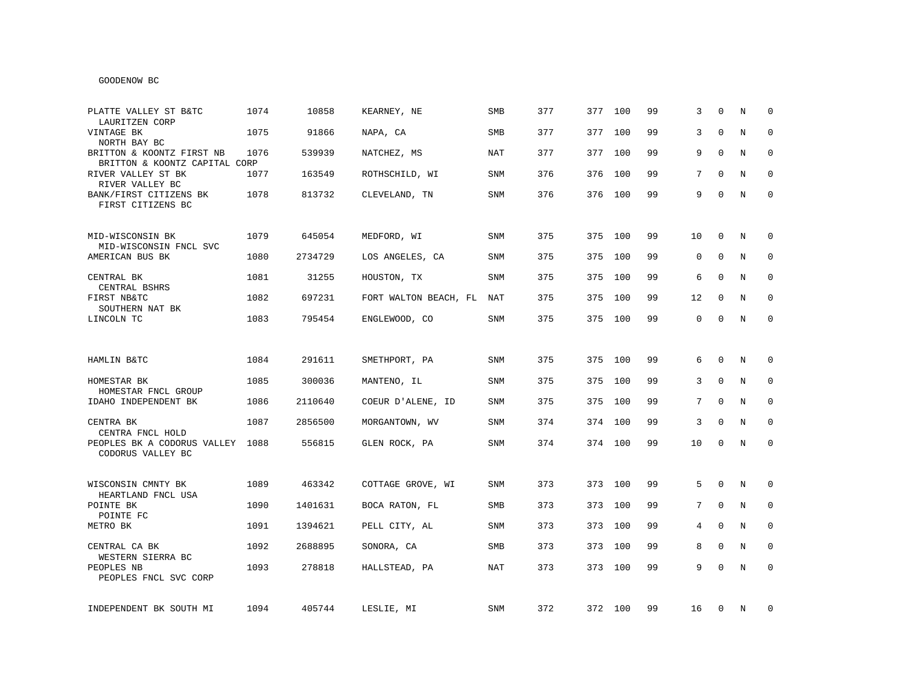# GOODENOW BC

| PLATTE VALLEY ST B&TC<br>LAURITZEN CORP                    | 1074 | 10858   | KEARNEY, NE           | <b>SMB</b> | 377 | 377     | 100 | 99 | 3               | $\mathbf 0$  | N | $\mathbf 0$  |
|------------------------------------------------------------|------|---------|-----------------------|------------|-----|---------|-----|----|-----------------|--------------|---|--------------|
| VINTAGE BK<br>NORTH BAY BC                                 | 1075 | 91866   | NAPA, CA              | <b>SMB</b> | 377 | 377     | 100 | 99 | 3               | $\mathbf 0$  | N | $\mathbf 0$  |
| BRITTON & KOONTZ FIRST NB<br>BRITTON & KOONTZ CAPITAL CORP | 1076 | 539939  | NATCHEZ, MS           | NAT        | 377 | 377     | 100 | 99 | 9               | $\Omega$     | N | $\mathbf 0$  |
| RIVER VALLEY ST BK<br>RIVER VALLEY BC                      | 1077 | 163549  | ROTHSCHILD, WI        | SNM        | 376 | 376     | 100 | 99 | 7               | $\Omega$     | N | $\mathbf 0$  |
| BANK/FIRST CITIZENS BK<br>FIRST CITIZENS BC                | 1078 | 813732  | CLEVELAND, TN         | SNM        | 376 | 376     | 100 | 99 | 9               | $\Omega$     | N | $\Omega$     |
| MID-WISCONSIN BK<br>MID-WISCONSIN FNCL SVC                 | 1079 | 645054  | MEDFORD, WI           | SNM        | 375 | 375     | 100 | 99 | 10              | 0            | N | 0            |
| AMERICAN BUS BK                                            | 1080 | 2734729 | LOS ANGELES, CA       | SNM        | 375 | 375     | 100 | 99 | 0               | 0            | N | 0            |
| CENTRAL BK<br>CENTRAL BSHRS                                | 1081 | 31255   | HOUSTON, TX           | <b>SNM</b> | 375 | 375     | 100 | 99 | 6               | $\Omega$     | N | $\mathbf 0$  |
| FIRST NB&TC<br>SOUTHERN NAT BK                             | 1082 | 697231  | FORT WALTON BEACH, FL | NAT        | 375 | 375     | 100 | 99 | 12              | $\Omega$     | N | $\mathbf 0$  |
| LINCOLN TC                                                 | 1083 | 795454  | ENGLEWOOD, CO         | SNM        | 375 | 375 100 |     | 99 | 0               | 0            | N | $\mathbf 0$  |
|                                                            |      |         |                       |            |     |         |     |    |                 |              |   |              |
| HAMLIN B&TC                                                | 1084 | 291611  | SMETHPORT, PA         | <b>SNM</b> | 375 | 375     | 100 | 99 | 6               | $\Omega$     | N | $\Omega$     |
| HOMESTAR BK<br>HOMESTAR FNCL GROUP                         | 1085 | 300036  | MANTENO, IL           | <b>SNM</b> | 375 | 375     | 100 | 99 | 3               | $\Omega$     | N | $\mathbf 0$  |
| IDAHO INDEPENDENT BK                                       | 1086 | 2110640 | COEUR D'ALENE, ID     | <b>SNM</b> | 375 | 375     | 100 | 99 | $7\overline{ }$ | $\Omega$     | N | $\mathbf 0$  |
| CENTRA BK<br>CENTRA FNCL HOLD                              | 1087 | 2856500 | MORGANTOWN, WV        | <b>SNM</b> | 374 | 374 100 |     | 99 | 3               | $\mathbf 0$  | N | $\mathbf 0$  |
| PEOPLES BK A CODORUS VALLEY<br>CODORUS VALLEY BC           | 1088 | 556815  | GLEN ROCK, PA         | SNM        | 374 | 374 100 |     | 99 | 10              | 0            | N | $\mathbf 0$  |
|                                                            |      |         |                       |            |     |         |     |    |                 |              |   |              |
| WISCONSIN CMNTY BK<br>HEARTLAND FNCL USA                   | 1089 | 463342  | COTTAGE GROVE, WI     | SNM        | 373 | 373 100 |     | 99 | 5               | $\mathbf 0$  | N | $\mathbf 0$  |
| POINTE BK<br>POINTE FC                                     | 1090 | 1401631 | BOCA RATON, FL        | SMB        | 373 | 373     | 100 | 99 | $7\overline{ }$ | $\mathbf 0$  | N | $\mathbf 0$  |
| METRO BK                                                   | 1091 | 1394621 | PELL CITY, AL         | SNM        | 373 | 373     | 100 | 99 | 4               | $\mathbf 0$  | N | 0            |
| CENTRAL CA BK<br>WESTERN SIERRA BC                         | 1092 | 2688895 | SONORA, CA            | <b>SMB</b> | 373 | 373     | 100 | 99 | 8               | $\mathbf 0$  | N | $\mathbf{0}$ |
| PEOPLES NB<br>PEOPLES FNCL SVC CORP                        | 1093 | 278818  | HALLSTEAD, PA         | NAT        | 373 | 373 100 |     | 99 | 9               | $\mathbf{0}$ | N | $\mathbf{0}$ |
| INDEPENDENT BK SOUTH MI                                    | 1094 | 405744  | LESLIE, MI            | SNM        | 372 | 372 100 |     | 99 | 16              | 0            | N | 0            |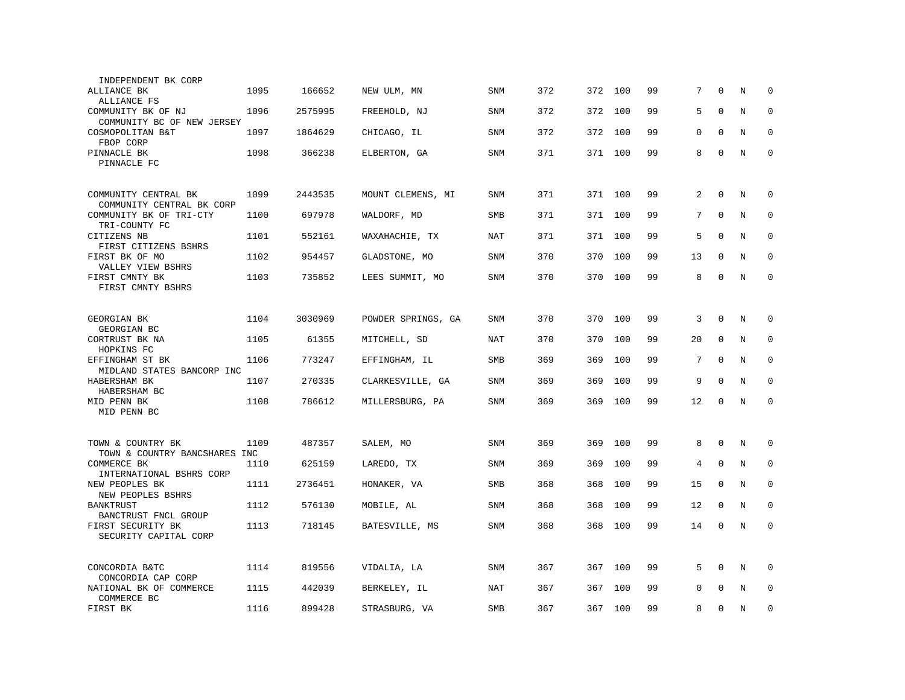| INDEPENDENT BK CORP                                |      |         |                    |            |     |     |         |    |    |              |   |             |
|----------------------------------------------------|------|---------|--------------------|------------|-----|-----|---------|----|----|--------------|---|-------------|
| ALLIANCE BK<br>ALLIANCE FS                         | 1095 | 166652  | NEW ULM, MN        | SNM        | 372 | 372 | 100     | 99 | 7  | $\Omega$     | N | $\Omega$    |
| COMMUNITY BK OF NJ<br>COMMUNITY BC OF NEW JERSEY   | 1096 | 2575995 | FREEHOLD, NJ       | <b>SNM</b> | 372 | 372 | 100     | 99 | 5  | $\Omega$     | N | $\mathbf 0$ |
| COSMOPOLITAN B&T<br>FBOP CORP                      | 1097 | 1864629 | CHICAGO, IL        | <b>SNM</b> | 372 | 372 | 100     | 99 | 0  | $\mathbf 0$  | N | $\mathbf 0$ |
| PINNACLE BK<br>PINNACLE FC                         | 1098 | 366238  | ELBERTON, GA       | <b>SNM</b> | 371 | 371 | 100     | 99 | 8  | $\mathbf 0$  | N | $\mathbf 0$ |
| COMMUNITY CENTRAL BK                               | 1099 | 2443535 | MOUNT CLEMENS, MI  | <b>SNM</b> | 371 |     | 371 100 | 99 | 2  | $\mathbf{0}$ | N | $\mathbf 0$ |
| COMMUNITY CENTRAL BK CORP                          |      |         |                    |            |     |     |         |    |    |              |   |             |
| COMMUNITY BK OF TRI-CTY<br>TRI-COUNTY FC           | 1100 | 697978  | WALDORF, MD        | <b>SMB</b> | 371 | 371 | 100     | 99 | 7  | $\Omega$     | N | $\mathbf 0$ |
| CITIZENS NB<br>FIRST CITIZENS BSHRS                | 1101 | 552161  | WAXAHACHIE, TX     | NAT        | 371 | 371 | 100     | 99 | 5  | $\mathbf 0$  | N | $\mathbf 0$ |
| FIRST BK OF MO<br>VALLEY VIEW BSHRS                | 1102 | 954457  | GLADSTONE, MO      | <b>SNM</b> | 370 | 370 | 100     | 99 | 13 | $\Omega$     | N | $\Omega$    |
| FIRST CMNTY BK<br>FIRST CMNTY BSHRS                | 1103 | 735852  | LEES SUMMIT, MO    | <b>SNM</b> | 370 | 370 | 100     | 99 | 8  | $\Omega$     | N | $\mathbf 0$ |
|                                                    |      |         |                    |            |     |     |         |    |    |              |   |             |
| GEORGIAN BK<br>GEORGIAN BC                         | 1104 | 3030969 | POWDER SPRINGS, GA | <b>SNM</b> | 370 | 370 | 100     | 99 | 3  | $\mathbf 0$  | N | $\mathbf 0$ |
| CORTRUST BK NA<br>HOPKINS FC                       | 1105 | 61355   | MITCHELL, SD       | <b>NAT</b> | 370 | 370 | 100     | 99 | 20 | $\mathbf 0$  | N | $\mathbf 0$ |
| EFFINGHAM ST BK<br>MIDLAND STATES BANCORP INC      | 1106 | 773247  | EFFINGHAM, IL      | SMB        | 369 | 369 | 100     | 99 | 7  | $\Omega$     | N | $\mathbf 0$ |
| HABERSHAM BK<br>HABERSHAM BC                       | 1107 | 270335  | CLARKESVILLE, GA   | <b>SNM</b> | 369 | 369 | 100     | 99 | 9  | $\mathbf 0$  | N | $\mathbf 0$ |
| MID PENN BK<br>MID PENN BC                         | 1108 | 786612  | MILLERSBURG, PA    | SNM        | 369 | 369 | 100     | 99 | 12 | $\mathbf 0$  | N | $\mathbf 0$ |
|                                                    |      |         |                    |            |     |     |         |    |    |              |   |             |
| TOWN & COUNTRY BK<br>TOWN & COUNTRY BANCSHARES INC | 1109 | 487357  | SALEM, MO          | <b>SNM</b> | 369 | 369 | 100     | 99 | 8  | $\mathbf 0$  | N | $\mathbf 0$ |
| COMMERCE BK<br>INTERNATIONAL BSHRS CORP            | 1110 | 625159  | LAREDO, TX         | <b>SNM</b> | 369 | 369 | 100     | 99 | 4  | $\mathbf 0$  | N | $\mathbf 0$ |
| NEW PEOPLES BK<br>NEW PEOPLES BSHRS                | 1111 | 2736451 | HONAKER, VA        | <b>SMB</b> | 368 | 368 | 100     | 99 | 15 | $\Omega$     | N | $\mathbf 0$ |
| BANKTRUST<br>BANCTRUST FNCL GROUP                  | 1112 | 576130  | MOBILE, AL         | <b>SNM</b> | 368 | 368 | 100     | 99 | 12 | $\mathbf 0$  | N | $\mathbf 0$ |
| FIRST SECURITY BK<br>SECURITY CAPITAL CORP         | 1113 | 718145  | BATESVILLE, MS     | <b>SNM</b> | 368 | 368 | 100     | 99 | 14 | $\mathbf 0$  | N | $\mathbf 0$ |
| CONCORDIA B&TC                                     | 1114 | 819556  | VIDALIA, LA        | <b>SNM</b> | 367 | 367 | 100     | 99 | 5  | $\Omega$     | N | $\Omega$    |
| CONCORDIA CAP CORP                                 |      |         |                    |            |     |     |         |    |    |              |   |             |
| NATIONAL BK OF COMMERCE<br>COMMERCE BC             | 1115 | 442039  | BERKELEY, IL       | <b>NAT</b> | 367 | 367 | 100     | 99 | 0  | $\Omega$     | N | $\mathbf 0$ |
| FIRST BK                                           | 1116 | 899428  | STRASBURG, VA      | <b>SMB</b> | 367 | 367 | 100     | 99 | 8  | $\mathbf 0$  | N | $\mathbf 0$ |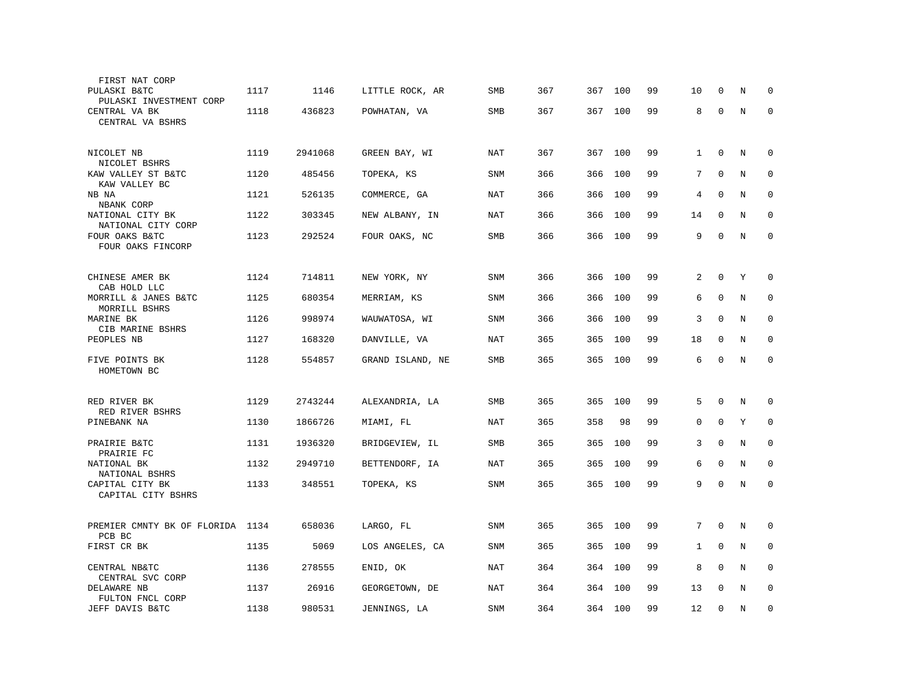| 0<br>$\mathbf 0$<br>$\mathbf 0$<br>$\Omega$<br>$\mathbf 0$<br>$\mathbf 0$<br>$\Omega$<br>$\mathbf 0$ | N<br>N<br>N<br>N<br>N<br>N<br>N                    | $\mathbf 0$<br>$\mathbf 0$<br>0<br>$\Omega$<br>0<br>$\mathbf{0}$<br>$\mathbf 0$ |
|------------------------------------------------------------------------------------------------------|----------------------------------------------------|---------------------------------------------------------------------------------|
|                                                                                                      |                                                    |                                                                                 |
|                                                                                                      |                                                    |                                                                                 |
|                                                                                                      |                                                    |                                                                                 |
|                                                                                                      |                                                    |                                                                                 |
|                                                                                                      |                                                    |                                                                                 |
|                                                                                                      |                                                    |                                                                                 |
|                                                                                                      |                                                    |                                                                                 |
|                                                                                                      |                                                    |                                                                                 |
|                                                                                                      |                                                    |                                                                                 |
|                                                                                                      |                                                    |                                                                                 |
|                                                                                                      |                                                    |                                                                                 |
|                                                                                                      | Υ                                                  | 0                                                                               |
|                                                                                                      |                                                    |                                                                                 |
| $\mathbf 0$                                                                                          | N                                                  | 0                                                                               |
| $\mathbf 0$                                                                                          | N                                                  | $\mathbf 0$                                                                     |
| $\mathbf 0$                                                                                          | N                                                  | $\mathbf 0$                                                                     |
| $\mathbf 0$                                                                                          | N                                                  | $\mathbf 0$                                                                     |
|                                                                                                      |                                                    |                                                                                 |
|                                                                                                      |                                                    | $\mathbf 0$                                                                     |
|                                                                                                      |                                                    |                                                                                 |
|                                                                                                      |                                                    | $\mathbf 0$                                                                     |
| $\mathbf 0$                                                                                          | N                                                  | $\mathbf 0$                                                                     |
| $\mathbf 0$                                                                                          | N                                                  | $\mathbf 0$                                                                     |
| $\mathbf 0$                                                                                          | N                                                  | $\mathbf{0}$                                                                    |
|                                                                                                      |                                                    |                                                                                 |
|                                                                                                      |                                                    |                                                                                 |
|                                                                                                      |                                                    | 0                                                                               |
| $\mathbf 0$                                                                                          | N                                                  | $\mathbf 0$                                                                     |
|                                                                                                      | N                                                  | $\mathbf 0$                                                                     |
|                                                                                                      |                                                    | $\mathbf 0$                                                                     |
| $\mathbf 0$                                                                                          | N                                                  |                                                                                 |
|                                                                                                      | $\Omega$<br>$\mathbf 0$<br>$\mathbf 0$<br>$\Omega$ | N<br>Υ<br>N                                                                     |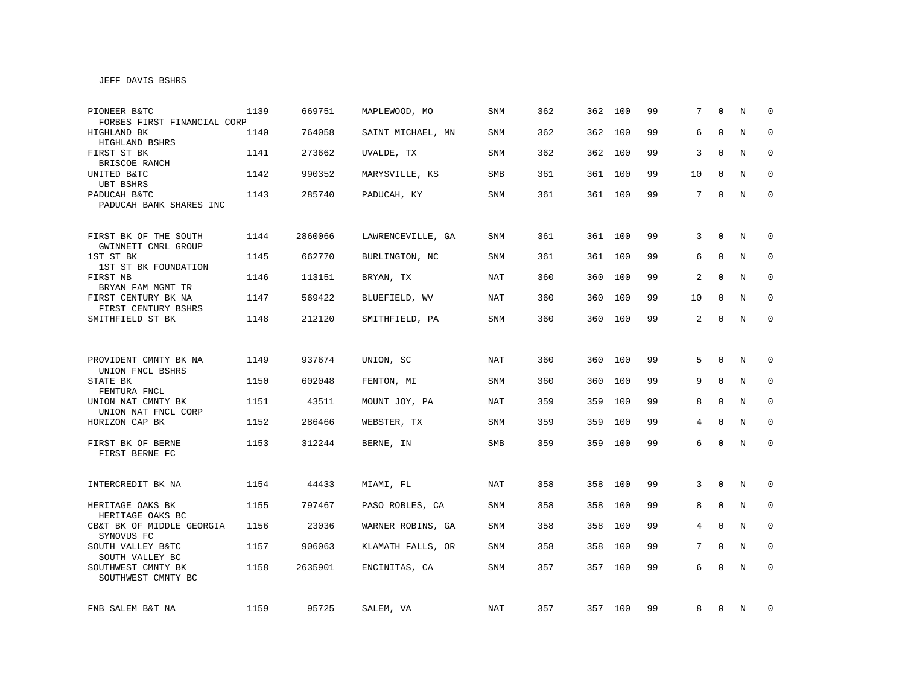# JEFF DAVIS BSHRS

| PIONEER B&TC<br>FORBES FIRST FINANCIAL CORP  | 1139 | 669751  | MAPLEWOOD, MO     | <b>SNM</b> | 362 | 362 | 100     | 99 | 7               | $\Omega$    | N           | $\Omega$    |
|----------------------------------------------|------|---------|-------------------|------------|-----|-----|---------|----|-----------------|-------------|-------------|-------------|
| HIGHLAND BK<br>HIGHLAND BSHRS                | 1140 | 764058  | SAINT MICHAEL, MN | SNM        | 362 |     | 362 100 | 99 | 6               | $\Omega$    | N           | $\mathbf 0$ |
| FIRST ST BK<br>BRISCOE RANCH                 | 1141 | 273662  | UVALDE, TX        | SNM        | 362 |     | 362 100 | 99 | 3               | $\Omega$    | N           | $\mathbf 0$ |
| UNITED B&TC<br>UBT BSHRS                     | 1142 | 990352  | MARYSVILLE, KS    | SMB        | 361 |     | 361 100 | 99 | 10              | 0           | N           | 0           |
| PADUCAH B&TC<br>PADUCAH BANK SHARES INC      | 1143 | 285740  | PADUCAH, KY       | SNM        | 361 |     | 361 100 | 99 | 7               | 0           | N           | $\mathbf 0$ |
| FIRST BK OF THE SOUTH<br>GWINNETT CMRL GROUP | 1144 | 2860066 | LAWRENCEVILLE, GA | SNM        | 361 |     | 361 100 | 99 | 3               | $\Omega$    | N           | $\mathbf 0$ |
| 1ST ST BK<br>1ST ST BK FOUNDATION            | 1145 | 662770  | BURLINGTON, NC    | SNM        | 361 |     | 361 100 | 99 | 6               | $\Omega$    | N           | $\mathbf 0$ |
| FIRST NB<br>BRYAN FAM MGMT TR                | 1146 | 113151  | BRYAN, TX         | NAT        | 360 | 360 | 100     | 99 | 2               | $\Omega$    | N           | 0           |
| FIRST CENTURY BK NA<br>FIRST CENTURY BSHRS   | 1147 | 569422  | BLUEFIELD, WV     | NAT        | 360 | 360 | 100     | 99 | 10              | $\mathbf 0$ | N           | 0           |
| SMITHFIELD ST BK                             | 1148 | 212120  | SMITHFIELD, PA    | SNM        | 360 |     | 360 100 | 99 | $\overline{a}$  | $\Omega$    | $\mathbf N$ | $\mathbf 0$ |
|                                              |      |         |                   |            |     |     |         |    |                 |             |             |             |
| PROVIDENT CMNTY BK NA<br>UNION FNCL BSHRS    | 1149 | 937674  | UNION, SC         | <b>NAT</b> | 360 |     | 360 100 | 99 | 5               | $\mathbf 0$ | N           | $\mathbf 0$ |
| STATE BK<br>FENTURA FNCL                     | 1150 | 602048  | FENTON, MI        | SNM        | 360 | 360 | 100     | 99 | 9               | $\mathbf 0$ | N           | $\mathbf 0$ |
| UNION NAT CMNTY BK<br>UNION NAT FNCL CORP    | 1151 | 43511   | MOUNT JOY, PA     | NAT        | 359 | 359 | 100     | 99 | 8               | $\mathbf 0$ | N           | $\mathbf 0$ |
| HORIZON CAP BK                               | 1152 | 286466  | WEBSTER, TX       | SNM        | 359 | 359 | 100     | 99 | $\overline{4}$  | $\mathbf 0$ | N           | $\mathbf 0$ |
| FIRST BK OF BERNE<br>FIRST BERNE FC          | 1153 | 312244  | BERNE, IN         | SMB        | 359 |     | 359 100 | 99 | 6               | $\Omega$    | N           | $\mathbf 0$ |
|                                              |      |         |                   |            |     |     |         |    |                 |             |             |             |
| INTERCREDIT BK NA                            | 1154 | 44433   | MIAMI, FL         | NAT        | 358 | 358 | 100     | 99 | 3               | $\mathbf 0$ | N           | 0           |
| HERITAGE OAKS BK<br>HERITAGE OAKS BC         | 1155 | 797467  | PASO ROBLES, CA   | SNM        | 358 | 358 | 100     | 99 | 8               | 0           | N           | 0           |
| CB&T BK OF MIDDLE GEORGIA<br>SYNOVUS FC      | 1156 | 23036   | WARNER ROBINS, GA | <b>SNM</b> | 358 | 358 | 100     | 99 | 4               | $\mathbf 0$ | N           | $\mathbf 0$ |
| SOUTH VALLEY B&TC<br>SOUTH VALLEY BC         | 1157 | 906063  | KLAMATH FALLS, OR | SNM        | 358 | 358 | 100     | 99 | $7\overline{ }$ | $\Omega$    | N           | $\mathbf 0$ |
| SOUTHWEST CMNTY BK<br>SOUTHWEST CMNTY BC     | 1158 | 2635901 | ENCINITAS, CA     | SNM        | 357 | 357 | 100     | 99 | 6               | $\Omega$    | N           | $\mathbf 0$ |
| FNB SALEM B&T NA                             | 1159 | 95725   | SALEM, VA         | NAT        | 357 |     | 357 100 | 99 | 8               | 0           | N           | 0           |
|                                              |      |         |                   |            |     |     |         |    |                 |             |             |             |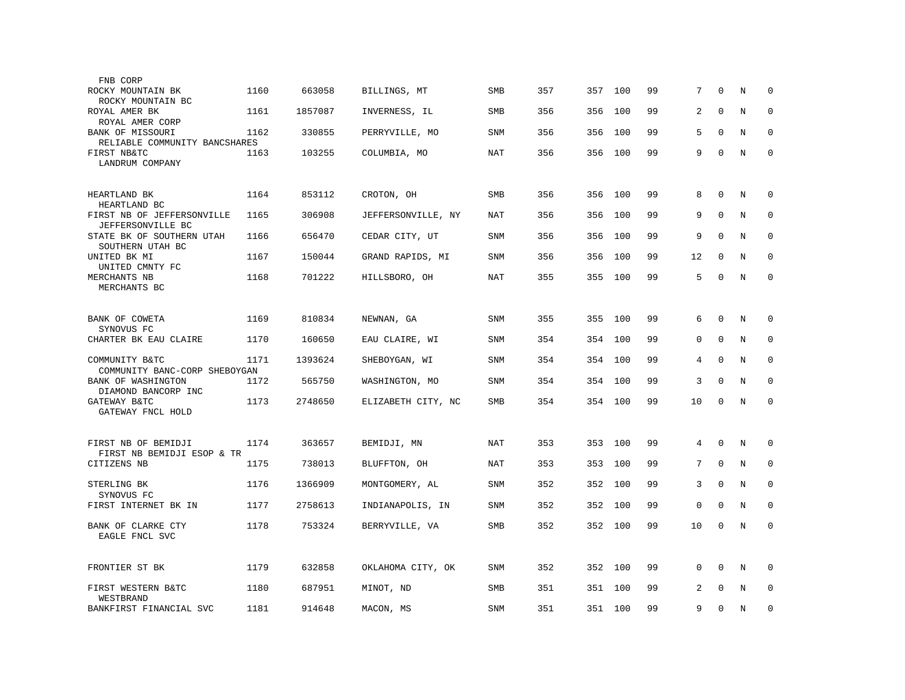| FNB CORP                                                 |      |         |                    |            |     |     |         |    |          |             |   |             |
|----------------------------------------------------------|------|---------|--------------------|------------|-----|-----|---------|----|----------|-------------|---|-------------|
| ROCKY MOUNTAIN BK<br>ROCKY MOUNTAIN BC                   | 1160 | 663058  | BILLINGS, MT       | SMB        | 357 | 357 | 100     | 99 | 7        | $\Omega$    | N | $\Omega$    |
| ROYAL AMER BK<br>ROYAL AMER CORP                         | 1161 | 1857087 | INVERNESS, IL      | <b>SMB</b> | 356 | 356 | 100     | 99 | 2        | $\mathbf 0$ | N | $\mathbf 0$ |
| BANK OF MISSOURI<br>RELIABLE COMMUNITY BANCSHARES        | 1162 | 330855  | PERRYVILLE, MO     | SNM        | 356 | 356 | 100     | 99 | 5        | $\mathbf 0$ | N | $\mathbf 0$ |
| FIRST NB&TC<br>LANDRUM COMPANY                           | 1163 | 103255  | COLUMBIA, MO       | NAT        | 356 | 356 | 100     | 99 | 9        | $\mathbf 0$ | N | $\mathbf 0$ |
| HEARTLAND BK<br>HEARTLAND BC                             | 1164 | 853112  | CROTON, OH         | <b>SMB</b> | 356 | 356 | 100     | 99 | 8        | $\mathbf 0$ | N | $\mathbf 0$ |
| FIRST NB OF JEFFERSONVILLE<br>JEFFERSONVILLE BC          | 1165 | 306908  | JEFFERSONVILLE, NY | NAT        | 356 | 356 | 100     | 99 | 9        | $\Omega$    | N | $\mathbf 0$ |
| STATE BK OF SOUTHERN UTAH<br>SOUTHERN UTAH BC            | 1166 | 656470  | CEDAR CITY, UT     | SNM        | 356 | 356 | 100     | 99 | 9        | $\mathbf 0$ | N | $\mathbf 0$ |
| UNITED BK MI<br>UNITED CMNTY FC                          | 1167 | 150044  | GRAND RAPIDS, MI   | SNM        | 356 | 356 | 100     | 99 | 12       | $\Omega$    | N | $\Omega$    |
| MERCHANTS NB<br>MERCHANTS BC                             | 1168 | 701222  | HILLSBORO, OH      | NAT        | 355 | 355 | 100     | 99 | 5        | $\Omega$    | N | $\mathbf 0$ |
| BANK OF COWETA<br>SYNOVUS FC                             | 1169 | 810834  | NEWNAN, GA         | <b>SNM</b> | 355 | 355 | 100     | 99 | 6        | $\mathbf 0$ | N | 0           |
| CHARTER BK EAU CLAIRE                                    | 1170 | 160650  | EAU CLAIRE, WI     | SNM        | 354 | 354 | 100     | 99 | 0        | $\mathbf 0$ | N | $\mathbf 0$ |
| COMMUNITY B&TC<br>COMMUNITY BANC-CORP SHEBOYGAN          | 1171 | 1393624 | SHEBOYGAN, WI      | <b>SNM</b> | 354 | 354 | 100     | 99 | 4        | $\Omega$    | N | $\mathbf 0$ |
| BANK OF WASHINGTON                                       | 1172 | 565750  | WASHINGTON, MO     | <b>SNM</b> | 354 | 354 | 100     | 99 | 3        | $\mathbf 0$ | N | $\mathbf 0$ |
| DIAMOND BANCORP INC<br>GATEWAY B&TC<br>GATEWAY FNCL HOLD | 1173 | 2748650 | ELIZABETH CITY, NC | <b>SMB</b> | 354 | 354 | 100     | 99 | 10       | $\mathbf 0$ | N | $\mathbf 0$ |
| FIRST NB OF BEMIDJI                                      | 1174 | 363657  | BEMIDJI, MN        | NAT        | 353 | 353 | 100     | 99 | 4        | $\mathbf 0$ | N | $\mathbf 0$ |
| FIRST NB BEMIDJI ESOP & TR<br>CITIZENS NB                | 1175 | 738013  | BLUFFTON, OH       | <b>NAT</b> | 353 | 353 | 100     | 99 | 7        | $\mathbf 0$ | N | $\mathbf 0$ |
| STERLING BK                                              | 1176 | 1366909 | MONTGOMERY, AL     | <b>SNM</b> | 352 | 352 | 100     | 99 | 3        | $\Omega$    | N | $\mathbf 0$ |
| SYNOVUS FC<br>FIRST INTERNET BK IN                       | 1177 | 2758613 | INDIANAPOLIS, IN   | SNM        | 352 | 352 | 100     | 99 | 0        | $\mathbf 0$ | N | $\mathbf 0$ |
| BANK OF CLARKE CTY<br>EAGLE FNCL SVC                     | 1178 | 753324  | BERRYVILLE, VA     | SMB        | 352 | 352 | 100     | 99 | 10       | $\mathbf 0$ | N | $\mathbf 0$ |
| FRONTIER ST BK                                           | 1179 | 632858  | OKLAHOMA CITY, OK  | <b>SNM</b> | 352 | 352 | 100     | 99 | $\Omega$ | $\Omega$    | N | $\mathbf 0$ |
| FIRST WESTERN B&TC<br>WESTBRAND                          | 1180 | 687951  | MINOT, ND          | SMB        | 351 | 351 | 100     | 99 | 2        | $\Omega$    | N | $\mathbf 0$ |
| BANKFIRST FINANCIAL SVC                                  | 1181 | 914648  | MACON, MS          | SNM        | 351 |     | 351 100 | 99 | 9        | $\mathbf 0$ | N | $\mathbf 0$ |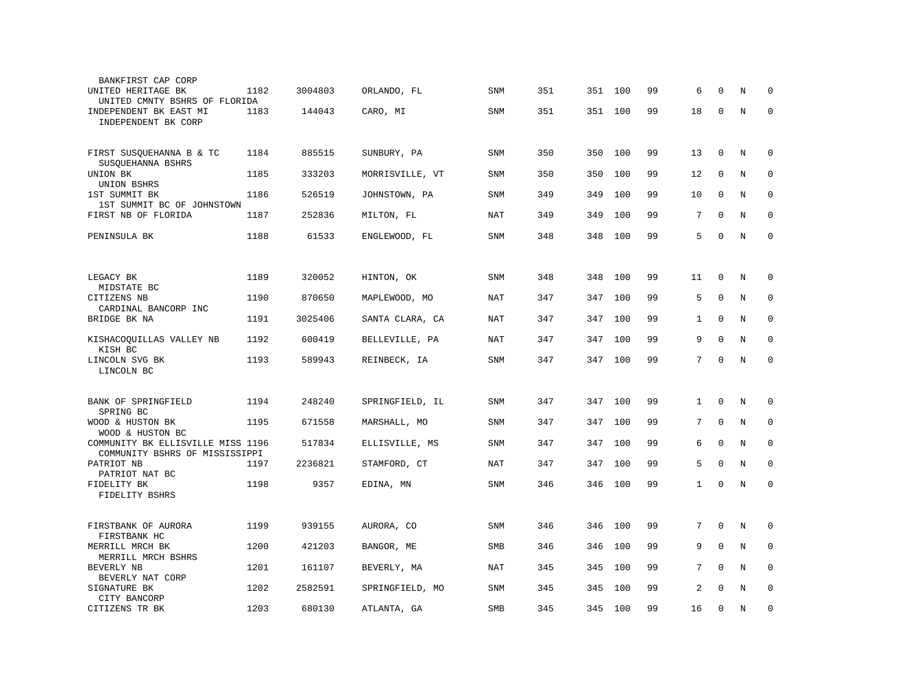| BANKFIRST CAP CORP                                                  |      |         |                 |            |     |         |     |    |                |              |             |              |
|---------------------------------------------------------------------|------|---------|-----------------|------------|-----|---------|-----|----|----------------|--------------|-------------|--------------|
| UNITED HERITAGE BK<br>UNITED CMNTY BSHRS OF FLORIDA                 | 1182 | 3004803 | ORLANDO, FL     | SNM        | 351 | 351     | 100 | 99 | 6              | $\Omega$     | N           | $\Omega$     |
| INDEPENDENT BK EAST MI<br>INDEPENDENT BK CORP                       | 1183 | 144043  | CARO, MI        | SNM        | 351 | 351     | 100 | 99 | 18             | $\mathbf 0$  | N           | $\mathbf 0$  |
| FIRST SUSQUEHANNA B & TC<br>SUSQUEHANNA BSHRS                       | 1184 | 885515  | SUNBURY, PA     | <b>SNM</b> | 350 | 350     | 100 | 99 | 13             | $\mathbf 0$  | N           | 0            |
| UNION BK<br>UNION BSHRS                                             | 1185 | 333203  | MORRISVILLE, VT | SNM        | 350 | 350     | 100 | 99 | 12             | $\mathbf 0$  | N           | $\mathbf 0$  |
| 1ST SUMMIT BK<br>1ST SUMMIT BC OF JOHNSTOWN                         | 1186 | 526519  | JOHNSTOWN, PA   | <b>SNM</b> | 349 | 349     | 100 | 99 | 10             | $\mathbf 0$  | N           | $\mathbf 0$  |
| FIRST NB OF FLORIDA                                                 | 1187 | 252836  | MILTON, FL      | <b>NAT</b> | 349 | 349     | 100 | 99 | 7              | $\Omega$     | N           | $\mathbf 0$  |
| PENINSULA BK                                                        | 1188 | 61533   | ENGLEWOOD, FL   | SNM        | 348 | 348     | 100 | 99 | 5              | $\Omega$     | $\rm N$     | $\Omega$     |
|                                                                     |      |         |                 |            |     |         |     |    |                |              |             |              |
| LEGACY BK<br>MIDSTATE BC                                            | 1189 | 320052  | HINTON, OK      | SNM        | 348 | 348     | 100 | 99 | 11             | $\mathbf 0$  | N           | 0            |
| CITIZENS NB<br>CARDINAL BANCORP INC                                 | 1190 | 870650  | MAPLEWOOD, MO   | <b>NAT</b> | 347 | 347     | 100 | 99 | 5              | $\mathbf 0$  | N           | 0            |
| BRIDGE BK NA                                                        | 1191 | 3025406 | SANTA CLARA, CA | <b>NAT</b> | 347 | 347     | 100 | 99 | $\mathbf{1}$   | $\mathbf{0}$ | $\mathbf N$ | $\mathbf 0$  |
| KISHACOQUILLAS VALLEY NB<br>KISH BC                                 | 1192 | 600419  | BELLEVILLE, PA  | NAT        | 347 | 347     | 100 | 99 | 9              | $\Omega$     | N           | $\Omega$     |
| LINCOLN SVG BK<br>LINCOLN BC                                        | 1193 | 589943  | REINBECK, IA    | <b>SNM</b> | 347 | 347 100 |     | 99 | 7              | $\mathbf 0$  | N           | $\mathbf 0$  |
|                                                                     |      |         |                 |            |     |         |     |    |                |              |             |              |
| BANK OF SPRINGFIELD<br>SPRING BC                                    | 1194 | 248240  | SPRINGFIELD, IL | SNM        | 347 | 347     | 100 | 99 | $\mathbf{1}$   | $\Omega$     | N           | $\mathbf 0$  |
| WOOD & HUSTON BK<br>WOOD & HUSTON BC                                | 1195 | 671558  | MARSHALL, MO    | SNM        | 347 | 347     | 100 | 99 | 7              | $\mathbf{0}$ | N           | $\mathbf 0$  |
| COMMUNITY BK ELLISVILLE MISS 1196<br>COMMUNITY BSHRS OF MISSISSIPPI |      | 517834  | ELLISVILLE, MS  | <b>SNM</b> | 347 | 347     | 100 | 99 | 6              | $\mathbf 0$  | N           | 0            |
| PATRIOT NB<br>PATRIOT NAT BC                                        | 1197 | 2236821 | STAMFORD, CT    | <b>NAT</b> | 347 | 347     | 100 | 99 | 5              | $\mathbf 0$  | N           | $\mathbf{0}$ |
| FIDELITY BK<br>FIDELITY BSHRS                                       | 1198 | 9357    | EDINA, MN       | <b>SNM</b> | 346 | 346     | 100 | 99 | $\mathbf{1}$   | $\Omega$     | N           | $\Omega$     |
|                                                                     |      |         |                 |            |     |         |     |    |                |              |             |              |
| FIRSTBANK OF AURORA<br>FIRSTBANK HC                                 | 1199 | 939155  | AURORA, CO      | SNM        | 346 | 346     | 100 | 99 | 7              | $\Omega$     | N           | $\mathbf 0$  |
| MERRILL MRCH BK<br>MERRILL MRCH BSHRS                               | 1200 | 421203  | BANGOR, ME      | <b>SMB</b> | 346 | 346     | 100 | 99 | 9              | $\mathbf 0$  | N           | $\mathbf 0$  |
| BEVERLY NB<br>BEVERLY NAT CORP                                      | 1201 | 161107  | BEVERLY, MA     | NAT        | 345 | 345     | 100 | 99 | 7              | $\Omega$     | N           | $\mathbf 0$  |
| SIGNATURE BK<br>CITY BANCORP                                        | 1202 | 2582591 | SPRINGFIELD, MO | <b>SNM</b> | 345 | 345     | 100 | 99 | $\overline{a}$ | $\Omega$     | N           | $\mathbf 0$  |
| CITIZENS TR BK                                                      | 1203 | 680130  | ATLANTA, GA     | SMB        | 345 | 345     | 100 | 99 | 16             | 0            | N           | $\mathbf 0$  |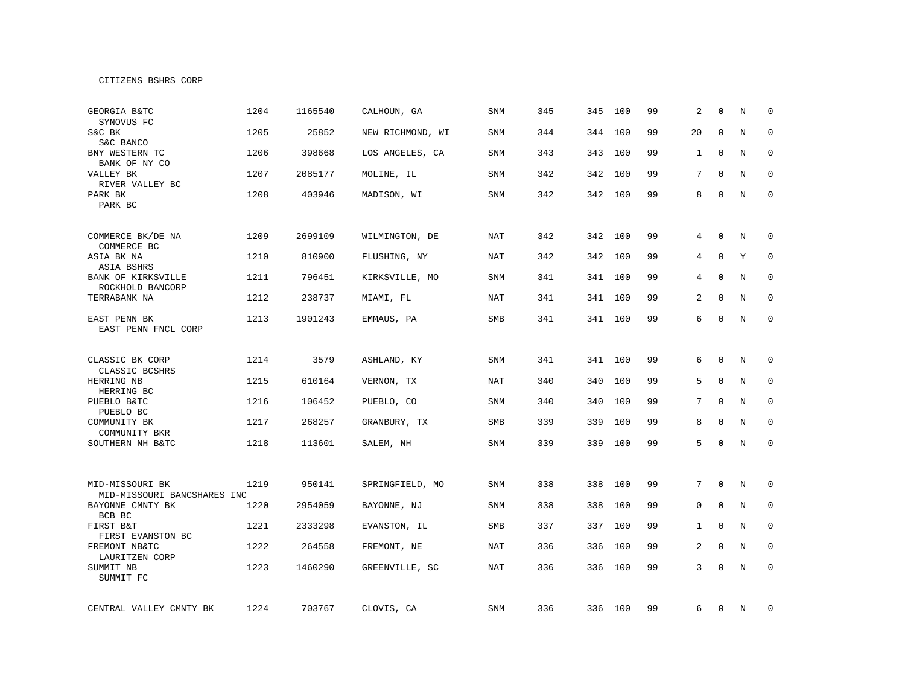| GEORGIA B&TC<br>SYNOVUS FC                     | 1204 | 1165540 | CALHOUN, GA      | <b>SNM</b> | 345 | 345 | 100     | 99 | 2               | $\Omega$     | N       | $\mathbf 0$ |
|------------------------------------------------|------|---------|------------------|------------|-----|-----|---------|----|-----------------|--------------|---------|-------------|
| S&C BK<br>S&C BANCO                            | 1205 | 25852   | NEW RICHMOND, WI | <b>SNM</b> | 344 | 344 | 100     | 99 | 20              | $\mathbf{0}$ | N       | $\mathbf 0$ |
| BNY WESTERN TC<br>BANK OF NY CO                | 1206 | 398668  | LOS ANGELES, CA  | <b>SNM</b> | 343 | 343 | 100     | 99 | 1               | $\mathbf 0$  | N       | $\mathbf 0$ |
| VALLEY BK<br>RIVER VALLEY BC                   | 1207 | 2085177 | MOLINE, IL       | <b>SNM</b> | 342 | 342 | 100     | 99 | 7               | $\Omega$     | N       | 0           |
| PARK BK<br>PARK BC                             | 1208 | 403946  | MADISON, WI      | SNM        | 342 |     | 342 100 | 99 | 8               | 0            | N       | $\mathbf 0$ |
| COMMERCE BK/DE NA<br>COMMERCE BC               | 1209 | 2699109 | WILMINGTON, DE   | NAT        | 342 |     | 342 100 | 99 | 4               | 0            | Ν       | 0           |
| ASIA BK NA<br>ASIA BSHRS                       | 1210 | 810900  | FLUSHING, NY     | NAT        | 342 |     | 342 100 | 99 | 4               | $\mathbf 0$  | Υ       | 0           |
| BANK OF KIRKSVILLE<br>ROCKHOLD BANCORP         | 1211 | 796451  | KIRKSVILLE, MO   | <b>SNM</b> | 341 |     | 341 100 | 99 | 4               | $\Omega$     | N       | $\mathbf 0$ |
| TERRABANK NA                                   | 1212 | 238737  | MIAMI, FL        | <b>NAT</b> | 341 |     | 341 100 | 99 | 2               | $\mathbf 0$  | $\rm N$ | $\mathbf 0$ |
| EAST PENN BK<br>EAST PENN FNCL CORP            | 1213 | 1901243 | EMMAUS, PA       | SMB        | 341 |     | 341 100 | 99 | 6               | $\mathbf 0$  | N       | $\mathbf 0$ |
| CLASSIC BK CORP                                | 1214 | 3579    | ASHLAND, KY      | <b>SNM</b> | 341 |     | 341 100 | 99 | 6               | $\mathbf 0$  | N       | $\mathbf 0$ |
| CLASSIC BCSHRS<br>HERRING NB                   | 1215 | 610164  | VERNON, TX       | NAT        | 340 | 340 | 100     | 99 | 5               | $\mathbf 0$  | N       | $\mathbf 0$ |
| HERRING BC<br>PUEBLO B&TC<br>PUEBLO BC         | 1216 | 106452  | PUEBLO, CO       | SNM        | 340 | 340 | 100     | 99 | 7               | $\mathbf 0$  | N       | $\mathbf 0$ |
| COMMUNITY BK<br>COMMUNITY BKR                  | 1217 | 268257  | GRANBURY, TX     | SMB        | 339 | 339 | 100     | 99 | 8               | $\mathbf 0$  | N       | 0           |
| SOUTHERN NH B&TC                               | 1218 | 113601  | SALEM, NH        | SNM        | 339 |     | 339 100 | 99 | 5               | 0            | N       | $\mathbf 0$ |
|                                                |      |         |                  |            |     |     |         |    |                 |              |         |             |
| MID-MISSOURI BK<br>MID-MISSOURI BANCSHARES INC | 1219 | 950141  | SPRINGFIELD, MO  | SNM        | 338 | 338 | 100     | 99 | $7\overline{ }$ | $\mathbf 0$  | N       | 0           |
| BAYONNE CMNTY BK<br>BCB BC                     | 1220 | 2954059 | BAYONNE, NJ      | SNM        | 338 | 338 | 100     | 99 | $\mathbf 0$     | $\mathbf 0$  | N       | $\mathbf 0$ |
| FIRST B&T<br>FIRST EVANSTON BC                 | 1221 | 2333298 | EVANSTON, IL     | <b>SMB</b> | 337 |     | 337 100 | 99 | $\mathbf{1}$    | $\mathbf 0$  | N       | 0           |
| FREMONT NB&TC<br>LAURITZEN CORP                | 1222 | 264558  | FREMONT, NE      | NAT        | 336 | 336 | 100     | 99 | 2               | $\mathbf 0$  | N       | $\mathbf 0$ |
| SUMMIT NB<br>SUMMIT FC                         | 1223 | 1460290 | GREENVILLE, SC   | NAT        | 336 | 336 | 100     | 99 | 3               | $\mathsf 0$  | N       | $\mathbf 0$ |
| CENTRAL VALLEY CMNTY BK                        | 1224 | 703767  | CLOVIS, CA       | SNM        | 336 |     | 336 100 | 99 | 6               | 0            | N       | 0           |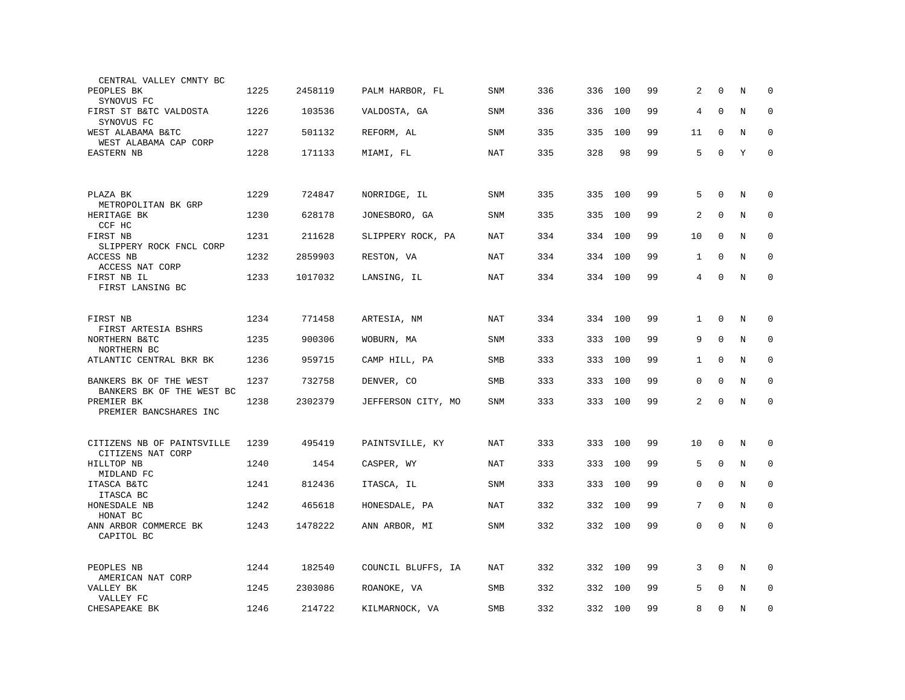| CENTRAL VALLEY CMNTY BC                             |      |         |                    |            |     |     |         |    |              |              |         |              |
|-----------------------------------------------------|------|---------|--------------------|------------|-----|-----|---------|----|--------------|--------------|---------|--------------|
| PEOPLES BK<br>SYNOVUS FC                            | 1225 | 2458119 | PALM HARBOR, FL    | <b>SNM</b> | 336 | 336 | 100     | 99 | 2            | $\Omega$     | N       | $\Omega$     |
| FIRST ST B&TC VALDOSTA<br>SYNOVUS FC                | 1226 | 103536  | VALDOSTA, GA       | SNM        | 336 | 336 | 100     | 99 | 4            | $\mathbf{0}$ | N       | $\mathbf 0$  |
| WEST ALABAMA B&TC<br>WEST ALABAMA CAP CORP          | 1227 | 501132  | REFORM, AL         | SNM        | 335 | 335 | 100     | 99 | 11           | $\mathbf{0}$ | N       | $\mathbf 0$  |
| <b>EASTERN NB</b>                                   | 1228 | 171133  | MIAMI, FL          | NAT        | 335 | 328 | 98      | 99 | 5            | $\mathbf 0$  | Y       | $\mathbf 0$  |
|                                                     |      |         |                    |            |     |     |         |    |              |              |         |              |
| PLAZA BK<br>METROPOLITAN BK GRP                     | 1229 | 724847  | NORRIDGE, IL       | SNM        | 335 | 335 | 100     | 99 | 5            | $\mathbf 0$  | N       | $\mathbf 0$  |
| HERITAGE BK<br>CCF HC                               | 1230 | 628178  | JONESBORO, GA      | SNM        | 335 | 335 | 100     | 99 | 2            | $\mathbf{0}$ | N       | 0            |
| FIRST NB<br>SLIPPERY ROCK FNCL CORP                 | 1231 | 211628  | SLIPPERY ROCK, PA  | NAT        | 334 | 334 | 100     | 99 | 10           | $\mathbf 0$  | N       | $\mathbf 0$  |
| ACCESS NB<br>ACCESS NAT CORP                        | 1232 | 2859903 | RESTON, VA         | NAT        | 334 | 334 | 100     | 99 | 1            | $\Omega$     | N       | $\Omega$     |
| FIRST NB IL<br>FIRST LANSING BC                     | 1233 | 1017032 | LANSING, IL        | NAT        | 334 |     | 334 100 | 99 | 4            | $\Omega$     | N       | $\Omega$     |
|                                                     |      |         |                    |            |     |     |         |    |              |              |         |              |
| FIRST NB<br>FIRST ARTESIA BSHRS                     | 1234 | 771458  | ARTESIA, NM        | NAT        | 334 | 334 | 100     | 99 | $\mathbf{1}$ | $\mathbf{0}$ | N       | 0            |
| NORTHERN B&TC<br>NORTHERN BC                        | 1235 | 900306  | WOBURN, MA         | SNM        | 333 | 333 | 100     | 99 | 9            | $\mathbf{0}$ | N       | $\mathbf{0}$ |
| ATLANTIC CENTRAL BKR BK                             | 1236 | 959715  | CAMP HILL, PA      | <b>SMB</b> | 333 | 333 | 100     | 99 | $\mathbf{1}$ | $\Omega$     | N       | $\Omega$     |
| BANKERS BK OF THE WEST<br>BANKERS BK OF THE WEST BC | 1237 | 732758  | DENVER, CO         | SMB        | 333 | 333 | 100     | 99 | 0            | $\mathbf 0$  | N       | $\mathbf 0$  |
| PREMIER BK<br>PREMIER BANCSHARES INC                | 1238 | 2302379 | JEFFERSON CITY, MO | SNM        | 333 |     | 333 100 | 99 | 2            | $\mathbf 0$  | N       | $\mathbf 0$  |
|                                                     |      |         |                    |            |     |     |         |    |              |              |         |              |
| CITIZENS NB OF PAINTSVILLE<br>CITIZENS NAT CORP     | 1239 | 495419  | PAINTSVILLE, KY    | NAT        | 333 | 333 | 100     | 99 | 10           | $\Omega$     | N       | $\Omega$     |
| HILLTOP NB<br>MIDLAND FC                            | 1240 | 1454    | CASPER, WY         | NAT        | 333 | 333 | 100     | 99 | 5            | $\mathbf 0$  | N       | 0            |
| ITASCA B&TC<br>ITASCA BC                            | 1241 | 812436  | ITASCA, IL         | SNM        | 333 | 333 | 100     | 99 | 0            | $\mathbf{0}$ | N       | $\mathbf 0$  |
| HONESDALE NB<br>HONAT BC                            | 1242 | 465618  | HONESDALE, PA      | <b>NAT</b> | 332 | 332 | 100     | 99 | 7            | $\mathbf{0}$ | N       | $\mathbf 0$  |
| ANN ARBOR COMMERCE BK<br>CAPITOL BC                 | 1243 | 1478222 | ANN ARBOR, MI      | SNM        | 332 | 332 | 100     | 99 | 0            | $\mathbf 0$  | N       | $\Omega$     |
| PEOPLES NB<br>AMERICAN NAT CORP                     | 1244 | 182540  | COUNCIL BLUFFS, IA | <b>NAT</b> | 332 | 332 | 100     | 99 | 3            | $\mathbf 0$  | $\rm N$ | 0            |
| VALLEY BK<br>VALLEY FC                              | 1245 | 2303086 | ROANOKE, VA        | <b>SMB</b> | 332 | 332 | 100     | 99 | 5            | $\mathbf 0$  | N       | $\mathbf 0$  |
| CHESAPEAKE BK                                       | 1246 | 214722  | KILMARNOCK, VA     | <b>SMB</b> | 332 |     | 332 100 | 99 | 8            | $\Omega$     | N       | $\Omega$     |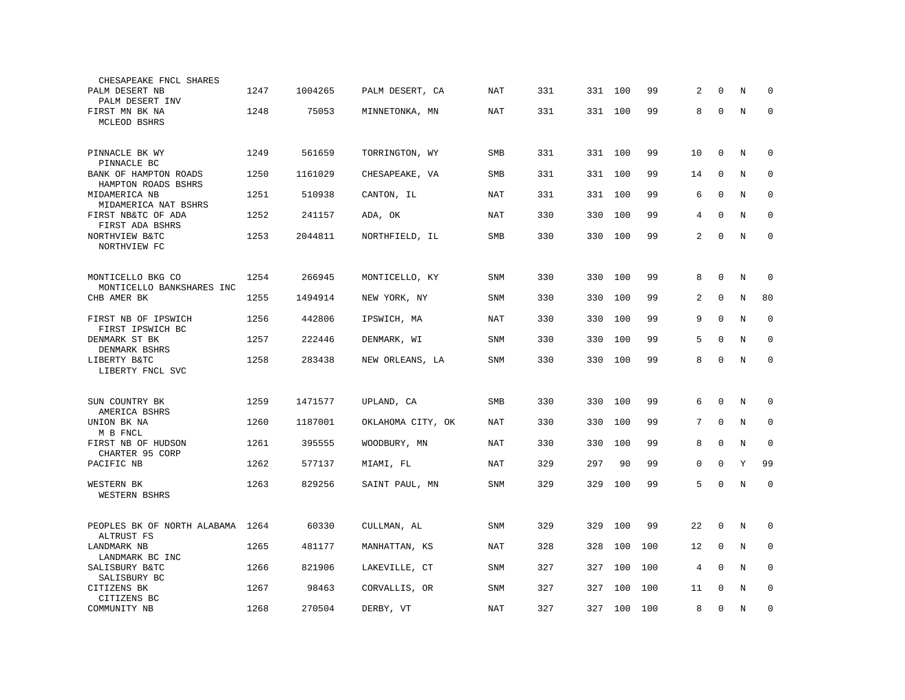| CHESAPEAKE FNCL SHARES                         |      |         |                   |            |     |     |         |     |                |              |         |             |
|------------------------------------------------|------|---------|-------------------|------------|-----|-----|---------|-----|----------------|--------------|---------|-------------|
| PALM DESERT NB<br>PALM DESERT INV              | 1247 | 1004265 | PALM DESERT, CA   | NAT        | 331 | 331 | 100     | 99  | 2              | $\Omega$     | N       | $\Omega$    |
| FIRST MN BK NA<br>MCLEOD BSHRS                 | 1248 | 75053   | MINNETONKA, MN    | <b>NAT</b> | 331 | 331 | 100     | 99  | 8              | $\mathbf{0}$ | N       | $\mathbf 0$ |
| PINNACLE BK WY<br>PINNACLE BC                  | 1249 | 561659  | TORRINGTON, WY    | SMB        | 331 |     | 331 100 | 99  | 10             | $\mathbf 0$  | N       | 0           |
| BANK OF HAMPTON ROADS<br>HAMPTON ROADS BSHRS   | 1250 | 1161029 | CHESAPEAKE, VA    | SMB        | 331 | 331 | 100     | 99  | 14             | 0            | N       | $\Omega$    |
| MIDAMERICA NB<br>MIDAMERICA NAT BSHRS          | 1251 | 510938  | CANTON, IL        | <b>NAT</b> | 331 | 331 | 100     | 99  | 6              | $\mathbf 0$  | N       | $\mathbf 0$ |
| FIRST NB&TC OF ADA<br>FIRST ADA BSHRS          | 1252 | 241157  | ADA, OK           | NAT        | 330 | 330 | 100     | 99  | 4              | $\Omega$     | N       | $\mathbf 0$ |
| NORTHVIEW B&TC<br>NORTHVIEW FC                 | 1253 | 2044811 | NORTHFIELD, IL    | <b>SMB</b> | 330 | 330 | 100     | 99  | 2              | $\mathbf 0$  | N       | $\mathbf 0$ |
| MONTICELLO BKG CO<br>MONTICELLO BANKSHARES INC | 1254 | 266945  | MONTICELLO, KY    | <b>SNM</b> | 330 | 330 | 100     | 99  | 8              | $\mathbf{0}$ | N       | 0           |
| CHB AMER BK                                    | 1255 | 1494914 | NEW YORK, NY      | <b>SNM</b> | 330 | 330 | 100     | 99  | $\overline{a}$ | $\Omega$     | N       | 80          |
| FIRST NB OF IPSWICH<br>FIRST IPSWICH BC        | 1256 | 442806  | IPSWICH, MA       | NAT        | 330 | 330 | 100     | 99  | 9              | $\mathbf{0}$ | N       | $\mathbf 0$ |
| DENMARK ST BK<br>DENMARK BSHRS                 | 1257 | 222446  | DENMARK, WI       | <b>SNM</b> | 330 | 330 | 100     | 99  | 5              | $\mathbf 0$  | N       | $\mathbf 0$ |
| LIBERTY B&TC<br>LIBERTY FNCL SVC               | 1258 | 283438  | NEW ORLEANS, LA   | SNM        | 330 | 330 | 100     | 99  | 8              | $\mathbf 0$  | $\rm N$ | $\mathbf 0$ |
| SUN COUNTRY BK<br>AMERICA BSHRS                | 1259 | 1471577 | UPLAND, CA        | <b>SMB</b> | 330 | 330 | 100     | 99  | 6              | $\Omega$     | N       | $\mathbf 0$ |
| UNION BK NA<br>M B FNCL                        | 1260 | 1187001 | OKLAHOMA CITY, OK | <b>NAT</b> | 330 | 330 | 100     | 99  | 7              | $\mathbf 0$  | N       | $\mathbf 0$ |
| FIRST NB OF HUDSON<br>CHARTER 95 CORP          | 1261 | 395555  | WOODBURY, MN      | NAT        | 330 | 330 | 100     | 99  | 8              | $\Omega$     | N       | $\mathbf 0$ |
| PACIFIC NB                                     | 1262 | 577137  | MIAMI, FL         | NAT        | 329 | 297 | 90      | 99  | 0              | $\Omega$     | Y       | 99          |
| WESTERN BK<br>WESTERN BSHRS                    | 1263 | 829256  | SAINT PAUL, MN    | <b>SNM</b> | 329 | 329 | 100     | 99  | 5              | $\Omega$     | N       | $\Omega$    |
| PEOPLES BK OF NORTH ALABAMA<br>ALTRUST FS      | 1264 | 60330   | CULLMAN, AL       | <b>SNM</b> | 329 | 329 | 100     | 99  | 22             | $\mathbf 0$  | N       | $\mathbf 0$ |
| LANDMARK NB<br>LANDMARK BC INC                 | 1265 | 481177  | MANHATTAN, KS     | <b>NAT</b> | 328 | 328 | 100     | 100 | 12             | $\mathbf 0$  | N       | $\mathbf 0$ |
| SALISBURY B&TC<br>SALISBURY BC                 | 1266 | 821906  | LAKEVILLE, CT     | SNM        | 327 | 327 | 100     | 100 | 4              | $\Omega$     | N       | 0           |
| CITIZENS BK<br>CITIZENS BC                     | 1267 | 98463   | CORVALLIS, OR     | <b>SNM</b> | 327 | 327 | 100     | 100 | 11             | $\Omega$     | N       | $\mathbf 0$ |
| COMMUNITY NB                                   | 1268 | 270504  | DERBY, VT         | NAT        | 327 | 327 | 100     | 100 | 8              | $\mathbf 0$  | N       | $\mathbf 0$ |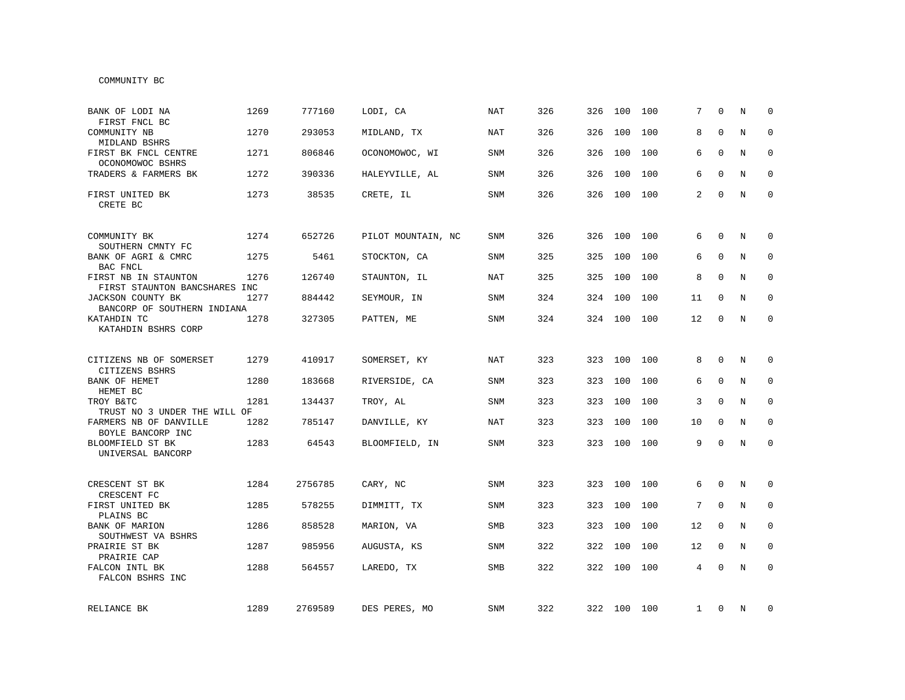| BANK OF LODI NA<br>FIRST FNCL BC                      | 1269 | 777160  | LODI, CA           | <b>NAT</b> | 326 | 326 | 100         | 100 | 7            | $\Omega$    | N | $\Omega$     |
|-------------------------------------------------------|------|---------|--------------------|------------|-----|-----|-------------|-----|--------------|-------------|---|--------------|
| COMMUNITY NB<br>MIDLAND BSHRS                         | 1270 | 293053  | MIDLAND, TX        | NAT        | 326 | 326 | 100         | 100 | 8            | $\Omega$    | N | $\mathbf 0$  |
| FIRST BK FNCL CENTRE<br>OCONOMOWOC BSHRS              | 1271 | 806846  | OCONOMOWOC, WI     | SNM        | 326 | 326 | 100         | 100 | 6            | $\Omega$    | N | $\mathbf 0$  |
| TRADERS & FARMERS BK                                  | 1272 | 390336  | HALEYVILLE, AL     | SNM        | 326 | 326 | 100         | 100 | 6            | $\Omega$    | N | $\mathbf 0$  |
| FIRST UNITED BK<br>CRETE BC                           | 1273 | 38535   | CRETE, IL          | SNM        | 326 |     | 326 100     | 100 | 2            | $\Omega$    | N | $\mathbf 0$  |
| COMMUNITY BK<br>SOUTHERN CMNTY FC                     | 1274 | 652726  | PILOT MOUNTAIN, NC | <b>SNM</b> | 326 | 326 | 100         | 100 | 6            | $\Omega$    | N | $\mathbf 0$  |
| BANK OF AGRI & CMRC<br>BAC FNCL                       | 1275 | 5461    | STOCKTON, CA       | <b>SNM</b> | 325 | 325 | 100         | 100 | 6            | $\Omega$    | N | $\mathbf 0$  |
| FIRST NB IN STAUNTON<br>FIRST STAUNTON BANCSHARES INC | 1276 | 126740  | STAUNTON, IL       | <b>NAT</b> | 325 | 325 | 100         | 100 | 8            | $\Omega$    | N | $\mathbf 0$  |
| JACKSON COUNTY BK<br>BANCORP OF SOUTHERN INDIANA      | 1277 | 884442  | SEYMOUR, IN        | <b>SNM</b> | 324 | 324 | 100         | 100 | 11           | 0           | N | $\mathbf 0$  |
| KATAHDIN TC<br>KATAHDIN BSHRS CORP                    | 1278 | 327305  | PATTEN, ME         | <b>SNM</b> | 324 |     | 324 100     | 100 | 12           | $\mathbf 0$ | N | $\mathbf 0$  |
| CITIZENS NB OF SOMERSET                               | 1279 | 410917  | SOMERSET, KY       | NAT        | 323 | 323 | 100         | 100 | 8            | $\Omega$    | N | $\Omega$     |
| CITIZENS BSHRS<br>BANK OF HEMET<br>HEMET BC           | 1280 | 183668  | RIVERSIDE, CA      | SNM        | 323 | 323 | 100         | 100 | 6            | $\Omega$    | N | $\Omega$     |
| TROY B&TC<br>TRUST NO 3 UNDER THE WILL OF             | 1281 | 134437  | TROY, AL           | SNM        | 323 | 323 | 100         | 100 | 3            | $\mathbf 0$ | N | $\mathbf 0$  |
| FARMERS NB OF DANVILLE<br>BOYLE BANCORP INC           | 1282 | 785147  | DANVILLE, KY       | NAT        | 323 | 323 | 100         | 100 | 10           | 0           | N | $\mathbf 0$  |
| BLOOMFIELD ST BK<br>UNIVERSAL BANCORP                 | 1283 | 64543   | BLOOMFIELD, IN     | SNM        | 323 |     | 323 100     | 100 | 9            | $\Omega$    | N | $\mathbf 0$  |
| CRESCENT ST BK<br>CRESCENT FC                         | 1284 | 2756785 | CARY, NC           | SNM        | 323 | 323 | 100         | 100 | 6            | 0           | N | 0            |
| FIRST UNITED BK<br>PLAINS BC                          | 1285 | 578255  | DIMMITT, TX        | <b>SNM</b> | 323 | 323 | 100         | 100 | 7            | $\Omega$    | N | $\mathbf{0}$ |
| BANK OF MARION<br>SOUTHWEST VA BSHRS                  | 1286 | 858528  | MARION, VA         | SMB        | 323 | 323 | 100         | 100 | 12           | $\mathbf 0$ | N | 0            |
| PRAIRIE ST BK<br>PRAIRIE CAP                          | 1287 | 985956  | AUGUSTA, KS        | SNM        | 322 | 322 | 100         | 100 | 12           | 0           | N | $\mathbf 0$  |
| FALCON INTL BK<br>FALCON BSHRS INC                    | 1288 | 564557  | LAREDO, TX         | SMB        | 322 | 322 | 100         | 100 | 4            | $\Omega$    | N | $\mathbf 0$  |
| RELIANCE BK                                           | 1289 | 2769589 | DES PERES, MO      | SNM        | 322 |     | 322 100 100 |     | $\mathbf{1}$ | 0           | N | 0            |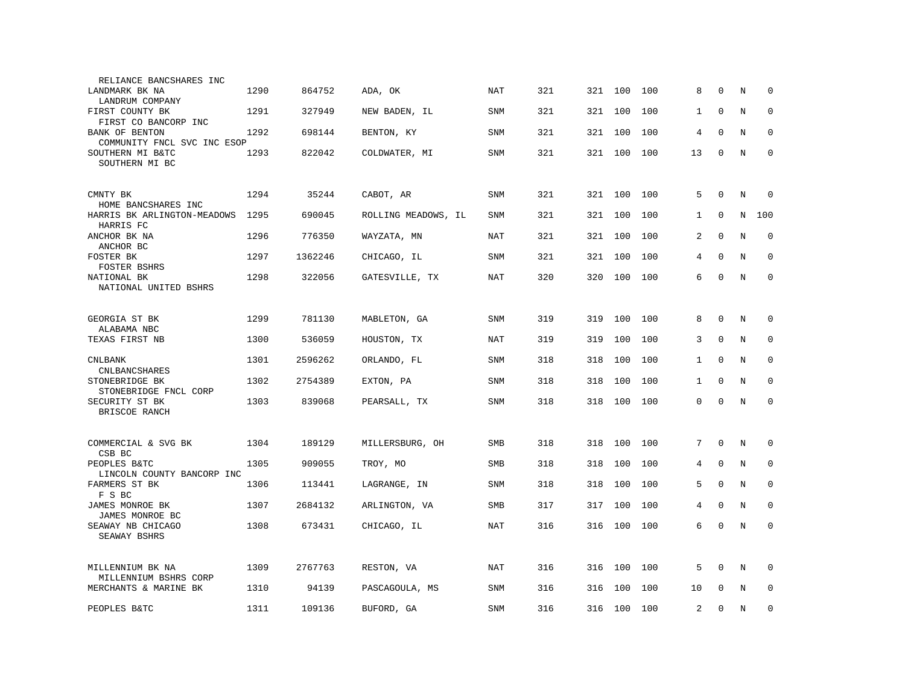| RELIANCE BANCSHARES INC                       |      |         |                     |            |     |     |         |     |                |              |         |             |
|-----------------------------------------------|------|---------|---------------------|------------|-----|-----|---------|-----|----------------|--------------|---------|-------------|
| LANDMARK BK NA<br>LANDRUM COMPANY             | 1290 | 864752  | ADA, OK             | NAT        | 321 |     | 321 100 | 100 | 8              | 0            | N       | 0           |
| FIRST COUNTY BK<br>FIRST CO BANCORP INC       | 1291 | 327949  | NEW BADEN, IL       | <b>SNM</b> | 321 | 321 | 100     | 100 | $\mathbf{1}$   | $\Omega$     | N       | $\Omega$    |
| BANK OF BENTON<br>COMMUNITY FNCL SVC INC ESOP | 1292 | 698144  | BENTON, KY          | <b>SNM</b> | 321 | 321 | 100     | 100 | 4              | $\mathbf 0$  | N       | $\mathbf 0$ |
| SOUTHERN MI B&TC<br>SOUTHERN MI BC            | 1293 | 822042  | COLDWATER, MI       | SNM        | 321 | 321 | 100     | 100 | 13             | $\mathbf 0$  | N       | $\mathbf 0$ |
| CMNTY BK<br>HOME BANCSHARES INC               | 1294 | 35244   | CABOT, AR           | SNM        | 321 | 321 | 100     | 100 | 5              | $\mathbf 0$  | N       | $\Omega$    |
| HARRIS BK ARLINGTON-MEADOWS<br>HARRIS FC      | 1295 | 690045  | ROLLING MEADOWS, IL | SNM        | 321 | 321 | 100     | 100 | $\mathbf{1}$   | $\mathbf 0$  | N       | 100         |
| ANCHOR BK NA<br>ANCHOR BC                     | 1296 | 776350  | WAYZATA, MN         | <b>NAT</b> | 321 | 321 | 100     | 100 | 2              | $\mathbf{0}$ | N       | $\mathbf 0$ |
| FOSTER BK<br>FOSTER BSHRS                     | 1297 | 1362246 | CHICAGO, IL         | SNM        | 321 | 321 | 100     | 100 | 4              | $\Omega$     | N       | $\Omega$    |
| NATIONAL BK<br>NATIONAL UNITED BSHRS          | 1298 | 322056  | GATESVILLE, TX      | NAT        | 320 | 320 | 100     | 100 | 6              | $\mathbf 0$  | N       | $\mathbf 0$ |
| GEORGIA ST BK<br>ALABAMA NBC                  | 1299 | 781130  | MABLETON, GA        | <b>SNM</b> | 319 | 319 | 100     | 100 | 8              | $\mathbf 0$  | N       | 0           |
| TEXAS FIRST NB                                | 1300 | 536059  | HOUSTON, TX         | <b>NAT</b> | 319 | 319 | 100     | 100 | 3              | $\mathbf{0}$ | N       | 0           |
| <b>CNLBANK</b><br><b>CNLBANCSHARES</b>        | 1301 | 2596262 | ORLANDO, FL         | <b>SNM</b> | 318 | 318 | 100     | 100 | $\mathbf{1}$   | $\mathbf{0}$ | N       | $\mathbf 0$ |
| STONEBRIDGE BK<br>STONEBRIDGE FNCL CORP       | 1302 | 2754389 | EXTON, PA           | <b>SNM</b> | 318 | 318 | 100     | 100 | $\mathbf{1}$   | $\Omega$     | N       | $\mathbf 0$ |
| SECURITY ST BK<br>BRISCOE RANCH               | 1303 | 839068  | PEARSALL, TX        | SNM        | 318 | 318 | 100     | 100 | 0              | $\mathbf{0}$ | N       | $\mathbf 0$ |
| COMMERCIAL & SVG BK<br>CSB BC                 | 1304 | 189129  | MILLERSBURG, OH     | <b>SMB</b> | 318 | 318 | 100     | 100 | 7              | $\Omega$     | N       | $\Omega$    |
| PEOPLES B&TC<br>LINCOLN COUNTY BANCORP INC    | 1305 | 909055  | TROY, MO            | SMB        | 318 | 318 | 100     | 100 | 4              | $\mathbf 0$  | $\rm N$ | 0           |
| FARMERS ST BK<br>F S BC                       | 1306 | 113441  | LAGRANGE, IN        | <b>SNM</b> | 318 | 318 | 100     | 100 | 5              | $\mathbf 0$  | N       | $\mathbf 0$ |
| JAMES MONROE BK<br>JAMES MONROE BC            | 1307 | 2684132 | ARLINGTON, VA       | <b>SMB</b> | 317 | 317 | 100     | 100 | 4              | $\mathbf 0$  | N       | $\mathbf 0$ |
| SEAWAY NB CHICAGO<br>SEAWAY BSHRS             | 1308 | 673431  | CHICAGO, IL         | NAT        | 316 | 316 | 100     | 100 | 6              | $\mathbf 0$  | N       | $\mathbf 0$ |
| MILLENNIUM BK NA<br>MILLENNIUM BSHRS CORP     | 1309 | 2767763 | RESTON, VA          | NAT        | 316 | 316 | 100     | 100 | 5              | $\mathbf 0$  | N       | 0           |
| MERCHANTS & MARINE BK                         | 1310 | 94139   | PASCAGOULA, MS      | SNM        | 316 | 316 | 100     | 100 | 10             | $\mathbf 0$  | N       | $\mathbf 0$ |
| PEOPLES B&TC                                  | 1311 | 109136  | BUFORD, GA          | <b>SNM</b> | 316 | 316 | 100     | 100 | $\overline{a}$ | $\mathbf{0}$ | N       | $\mathbf 0$ |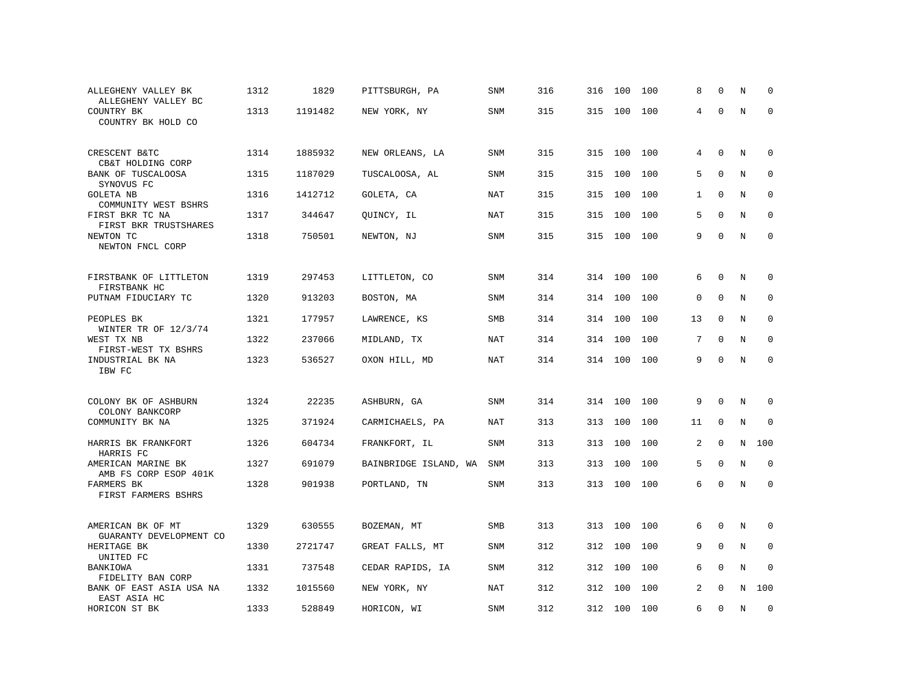| ALLEGHENY VALLEY BK<br>ALLEGHENY VALLEY BC        | 1312 | 1829    | PITTSBURGH, PA        | SNM        | 316 | 316 | 100 | 100 | 8            | $\mathbf 0$  | N       | $\mathbf 0$ |
|---------------------------------------------------|------|---------|-----------------------|------------|-----|-----|-----|-----|--------------|--------------|---------|-------------|
| COUNTRY BK<br>COUNTRY BK HOLD CO                  | 1313 | 1191482 | NEW YORK, NY          | SNM        | 315 | 315 | 100 | 100 | 4            | $\Omega$     | $\rm N$ | $\mathbf 0$ |
| CRESCENT B&TC<br>CB&T HOLDING CORP                | 1314 | 1885932 | NEW ORLEANS, LA       | <b>SNM</b> | 315 | 315 | 100 | 100 | 4            | $\mathbf 0$  | N       | $\mathbf 0$ |
| BANK OF TUSCALOOSA<br>SYNOVUS FC                  | 1315 | 1187029 | TUSCALOOSA, AL        | SNM        | 315 | 315 | 100 | 100 | 5            | $\mathbf 0$  | N       | 0           |
| <b>GOLETA NB</b><br>COMMUNITY WEST BSHRS          | 1316 | 1412712 | GOLETA, CA            | NAT        | 315 | 315 | 100 | 100 | $\mathbf{1}$ | $\mathbf 0$  | N       | $\mathbf 0$ |
| FIRST BKR TC NA<br>FIRST BKR TRUSTSHARES          | 1317 | 344647  | QUINCY, IL            | <b>NAT</b> | 315 | 315 | 100 | 100 | 5            | $\mathbf{0}$ | N       | $\mathbf 0$ |
| NEWTON TC<br>NEWTON FNCL CORP                     | 1318 | 750501  | NEWTON, NJ            | <b>SNM</b> | 315 | 315 | 100 | 100 | 9            | $\mathbf 0$  | N       | $\mathbf 0$ |
| FIRSTBANK OF LITTLETON<br>FIRSTBANK HC            | 1319 | 297453  | LITTLETON, CO         | <b>SNM</b> | 314 | 314 | 100 | 100 | 6            | $\Omega$     | N       | $\Omega$    |
| PUTNAM FIDUCIARY TC                               | 1320 | 913203  | BOSTON, MA            | SNM        | 314 | 314 | 100 | 100 | $\mathbf 0$  | $\mathbf{0}$ | N       | $\mathbf 0$ |
| PEOPLES BK                                        | 1321 | 177957  | LAWRENCE, KS          | <b>SMB</b> | 314 | 314 | 100 | 100 | 13           | $\Omega$     | N       | $\mathbf 0$ |
| WINTER TR OF 12/3/74<br>WEST TX NB                | 1322 | 237066  | MIDLAND, TX           | NAT        | 314 | 314 | 100 | 100 | 7            | $\mathbf{0}$ | N       | $\mathbf 0$ |
| FIRST-WEST TX BSHRS<br>INDUSTRIAL BK NA<br>IBW FC | 1323 | 536527  | OXON HILL, MD         | NAT        | 314 | 314 | 100 | 100 | 9            | $\Omega$     | N       | $\Omega$    |
| COLONY BK OF ASHBURN<br>COLONY BANKCORP           | 1324 | 22235   | ASHBURN, GA           | SNM        | 314 | 314 | 100 | 100 | 9            | $\mathbf 0$  | N       | $\mathbf 0$ |
| COMMUNITY BK NA                                   | 1325 | 371924  | CARMICHAELS, PA       | NAT        | 313 | 313 | 100 | 100 | 11           | $\mathbf 0$  | N       | $\mathbf 0$ |
| HARRIS BK FRANKFORT<br>HARRIS FC                  | 1326 | 604734  | FRANKFORT, IL         | <b>SNM</b> | 313 | 313 | 100 | 100 | 2            | $\mathbf 0$  | N       | 100         |
| AMERICAN MARINE BK<br>AMB FS CORP ESOP 401K       | 1327 | 691079  | BAINBRIDGE ISLAND, WA | <b>SNM</b> | 313 | 313 | 100 | 100 | 5            | $\Omega$     | N       | $\Omega$    |
| FARMERS BK<br>FIRST FARMERS BSHRS                 | 1328 | 901938  | PORTLAND, TN          | SNM        | 313 | 313 | 100 | 100 | 6            | $\mathbf 0$  | N       | $\Omega$    |
| AMERICAN BK OF MT<br>GUARANTY DEVELOPMENT CO      | 1329 | 630555  | BOZEMAN, MT           | SMB        | 313 | 313 | 100 | 100 | 6            | $\mathbf 0$  | N       | 0           |
| HERITAGE BK<br>UNITED FC                          | 1330 | 2721747 | GREAT FALLS, MT       | SNM        | 312 | 312 | 100 | 100 | 9            | $\mathbf 0$  | N       | 0           |
| BANKIOWA<br>FIDELITY BAN CORP                     | 1331 | 737548  | CEDAR RAPIDS, IA      | <b>SNM</b> | 312 | 312 | 100 | 100 | 6            | $\mathbf 0$  | N       | $\mathbf 0$ |
| BANK OF EAST ASIA USA NA<br>EAST ASIA HC          | 1332 | 1015560 | NEW YORK, NY          | NAT        | 312 | 312 | 100 | 100 | 2            | $\Omega$     | N       | 100         |
| HORICON ST BK                                     | 1333 | 528849  | HORICON, WI           | <b>SNM</b> | 312 | 312 | 100 | 100 | 6            | $\Omega$     | N       | $\Omega$    |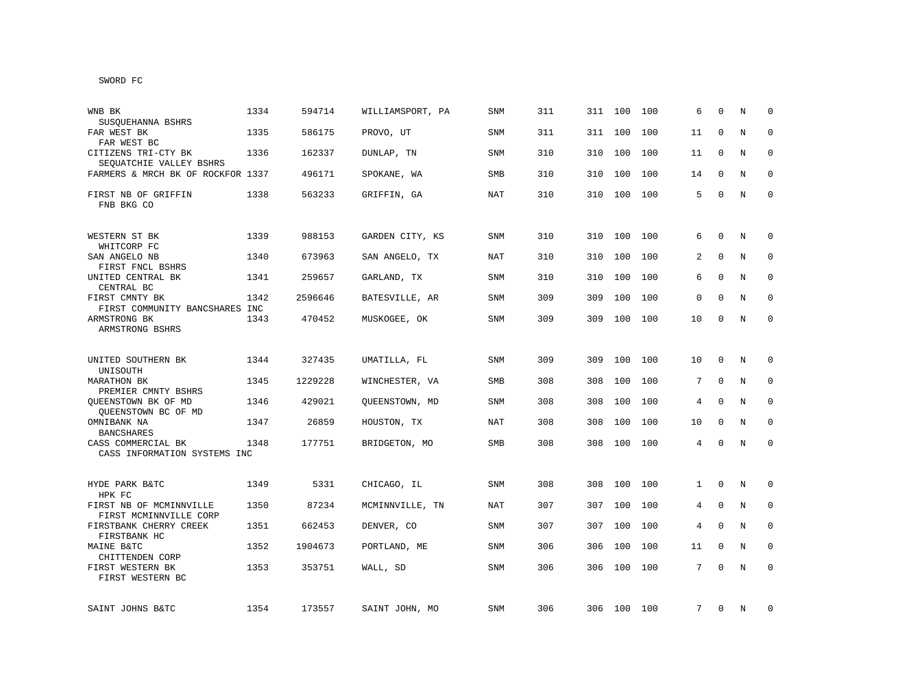| WNB BK<br>SUSOUEHANNA BSHRS                        | 1334 | 594714  | WILLIAMSPORT, PA | <b>SNM</b> | 311 | 311 | 100 | 100 | 6        | $\Omega$    | N       | $\Omega$     |
|----------------------------------------------------|------|---------|------------------|------------|-----|-----|-----|-----|----------|-------------|---------|--------------|
| FAR WEST BK<br>FAR WEST BC                         | 1335 | 586175  | PROVO, UT        | SNM        | 311 | 311 | 100 | 100 | 11       | $\Omega$    | N       | $\mathbf 0$  |
| CITIZENS TRI-CTY BK<br>SEQUATCHIE VALLEY BSHRS     | 1336 | 162337  | DUNLAP, TN       | SNM        | 310 | 310 | 100 | 100 | 11       | $\Omega$    | N       | $\mathbf 0$  |
| FARMERS & MRCH BK OF ROCKFOR 1337                  |      | 496171  | SPOKANE, WA      | SMB        | 310 | 310 | 100 | 100 | 14       | $\Omega$    | N       | $\mathbf 0$  |
| FIRST NB OF GRIFFIN<br>FNB BKG CO                  | 1338 | 563233  | GRIFFIN, GA      | <b>NAT</b> | 310 | 310 | 100 | 100 | 5        | $\Omega$    | N       | $\mathbf{0}$ |
| WESTERN ST BK<br>WHITCORP FC                       | 1339 | 988153  | GARDEN CITY, KS  | <b>SNM</b> | 310 | 310 | 100 | 100 | 6        | $\Omega$    | N       | $\Omega$     |
| SAN ANGELO NB<br>FIRST FNCL BSHRS                  | 1340 | 673963  | SAN ANGELO, TX   | <b>NAT</b> | 310 | 310 | 100 | 100 | 2        | $\Omega$    | N       | $\mathbf 0$  |
| UNITED CENTRAL BK<br>CENTRAL BC                    | 1341 | 259657  | GARLAND, TX      | SNM        | 310 | 310 | 100 | 100 | 6        | $\Omega$    | N       | $\mathbf 0$  |
| FIRST CMNTY BK<br>FIRST COMMUNITY BANCSHARES INC   | 1342 | 2596646 | BATESVILLE, AR   | SNM        | 309 | 309 | 100 | 100 | $\Omega$ | $\Omega$    | N       | $\mathbf 0$  |
| ARMSTRONG BK<br>ARMSTRONG BSHRS                    | 1343 | 470452  | MUSKOGEE, OK     | <b>SNM</b> | 309 | 309 | 100 | 100 | 10       | $\mathbf 0$ | N       | $\mathbf 0$  |
| UNITED SOUTHERN BK                                 | 1344 | 327435  | UMATILLA, FL     | SNM        | 309 | 309 | 100 | 100 | 10       | $\Omega$    | N       | $\Omega$     |
| UNISOUTH<br>MARATHON BK<br>PREMIER CMNTY BSHRS     | 1345 | 1229228 | WINCHESTER, VA   | <b>SMB</b> | 308 | 308 | 100 | 100 | 7        | $\Omega$    | N       | $\mathbf 0$  |
| QUEENSTOWN BK OF MD<br>QUEENSTOWN BC OF MD         | 1346 | 429021  | QUEENSTOWN, MD   | <b>SNM</b> | 308 | 308 | 100 | 100 | 4        | $\mathbf 0$ | N       | $\mathbf 0$  |
| OMNIBANK NA<br><b>BANCSHARES</b>                   | 1347 | 26859   | HOUSTON, TX      | NAT        | 308 | 308 | 100 | 100 | 10       | $\Omega$    | N       | 0            |
| CASS COMMERCIAL BK<br>CASS INFORMATION SYSTEMS INC | 1348 | 177751  | BRIDGETON, MO    | <b>SMB</b> | 308 | 308 | 100 | 100 | 4        | $\mathbf 0$ | N       | $\mathbf{0}$ |
| HYDE PARK B&TC<br>HPK FC                           | 1349 | 5331    | CHICAGO, IL      | SNM        | 308 | 308 | 100 | 100 | 1        | $\mathbf 0$ | N       | 0            |
| FIRST NB OF MCMINNVILLE<br>FIRST MCMINNVILLE CORP  | 1350 | 87234   | MCMINNVILLE, TN  | NAT        | 307 | 307 | 100 | 100 | 4        | $\Omega$    | N       | $\mathbf 0$  |
| FIRSTBANK CHERRY CREEK<br>FIRSTBANK HC             | 1351 | 662453  | DENVER, CO       | SNM        | 307 | 307 | 100 | 100 | 4        | $\mathbf 0$ | N       | 0            |
| MAINE B&TC<br>CHITTENDEN CORP                      | 1352 | 1904673 | PORTLAND, ME     | SNM        | 306 | 306 | 100 | 100 | 11       | 0           | N       | 0            |
| FIRST WESTERN BK<br>FIRST WESTERN BC               | 1353 | 353751  | WALL, SD         | SNM        | 306 | 306 | 100 | 100 | 7        | $\mathbf 0$ | $\rm N$ | $\mathbf 0$  |
| SAINT JOHNS B&TC                                   | 1354 | 173557  | SAINT JOHN, MO   | SNM        | 306 | 306 | 100 | 100 | 7        | 0           | Ν       | $\mathbf 0$  |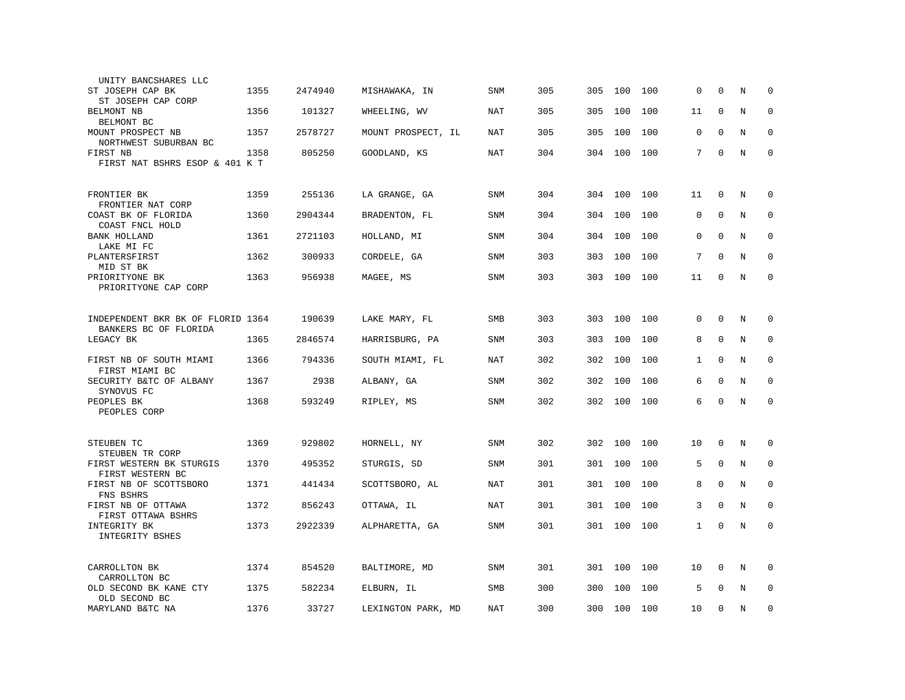| UNITY BANCSHARES LLC                                       |      |         |                    |            |     |     |     |     |              |             |   |             |
|------------------------------------------------------------|------|---------|--------------------|------------|-----|-----|-----|-----|--------------|-------------|---|-------------|
| ST JOSEPH CAP BK<br>ST JOSEPH CAP CORP                     | 1355 | 2474940 | MISHAWAKA, IN      | <b>SNM</b> | 305 | 305 | 100 | 100 | 0            | $\Omega$    | N | $\Omega$    |
| BELMONT NB<br>BELMONT BC                                   | 1356 | 101327  | WHEELING, WV       | NAT        | 305 | 305 | 100 | 100 | 11           | $\Omega$    | N | 0           |
| MOUNT PROSPECT NB<br>NORTHWEST SUBURBAN BC                 | 1357 | 2578727 | MOUNT PROSPECT, IL | NAT        | 305 | 305 | 100 | 100 | $\mathbf 0$  | $\mathbf 0$ | N | 0           |
| FIRST NB<br>FIRST NAT BSHRS ESOP & 401 K T                 | 1358 | 805250  | GOODLAND, KS       | <b>NAT</b> | 304 | 304 | 100 | 100 | 7            | $\mathbf 0$ | N | $\mathbf 0$ |
|                                                            |      |         |                    |            |     |     |     |     |              |             |   |             |
| FRONTIER BK<br>FRONTIER NAT CORP                           | 1359 | 255136  | LA GRANGE, GA      | <b>SNM</b> | 304 | 304 | 100 | 100 | 11           | $\mathbf 0$ | N | $\mathbf 0$ |
| COAST BK OF FLORIDA<br>COAST FNCL HOLD                     | 1360 | 2904344 | BRADENTON, FL      | SNM        | 304 | 304 | 100 | 100 | $\mathbf 0$  | $\Omega$    | N | $\mathbf 0$ |
| <b>BANK HOLLAND</b><br>LAKE MI FC                          | 1361 | 2721103 | HOLLAND, MI        | <b>SNM</b> | 304 | 304 | 100 | 100 | 0            | $\Omega$    | N | $\Omega$    |
| PLANTERSFIRST<br>MID ST BK                                 | 1362 | 300933  | CORDELE, GA        | SNM        | 303 | 303 | 100 | 100 | 7            | $\Omega$    | N | $\mathbf 0$ |
| PRIORITYONE BK<br>PRIORITYONE CAP CORP                     | 1363 | 956938  | MAGEE, MS          | SNM        | 303 | 303 | 100 | 100 | 11           | $\mathbf 0$ | N | $\mathbf 0$ |
|                                                            |      |         |                    |            |     |     |     |     |              |             |   |             |
| INDEPENDENT BKR BK OF FLORID 1364<br>BANKERS BC OF FLORIDA |      | 190639  | LAKE MARY, FL      | <b>SMB</b> | 303 | 303 | 100 | 100 | $\mathbf 0$  | $\mathbf 0$ | N | $\mathbf 0$ |
| LEGACY BK                                                  | 1365 | 2846574 | HARRISBURG, PA     | SNM        | 303 | 303 | 100 | 100 | 8            | $\mathbf 0$ | N | $\mathbf 0$ |
| FIRST NB OF SOUTH MIAMI<br>FIRST MIAMI BC                  | 1366 | 794336  | SOUTH MIAMI, FL    | NAT        | 302 | 302 | 100 | 100 | $\mathbf{1}$ | $\Omega$    | N | $\Omega$    |
| SECURITY B&TC OF ALBANY<br>SYNOVUS FC                      | 1367 | 2938    | ALBANY, GA         | SNM        | 302 | 302 | 100 | 100 | 6            | $\Omega$    | N | 0           |
| PEOPLES BK<br>PEOPLES CORP                                 | 1368 | 593249  | RIPLEY, MS         | SNM        | 302 | 302 | 100 | 100 | 6            | $\mathbf 0$ | N | $\mathbf 0$ |
|                                                            |      |         |                    |            |     |     |     |     |              |             |   |             |
| STEUBEN TC<br>STEUBEN TR CORP                              | 1369 | 929802  | HORNELL, NY        | SNM        | 302 | 302 | 100 | 100 | 10           | $\mathbf 0$ | N | $\Omega$    |
| FIRST WESTERN BK STURGIS<br>FIRST WESTERN BC               | 1370 | 495352  | STURGIS, SD        | <b>SNM</b> | 301 | 301 | 100 | 100 | 5            | $\mathbf 0$ | N | $\mathbf 0$ |
| FIRST NB OF SCOTTSBORO<br>FNS BSHRS                        | 1371 | 441434  | SCOTTSBORO, AL     | NAT        | 301 | 301 | 100 | 100 | 8            | $\Omega$    | N | $\mathbf 0$ |
| FIRST NB OF OTTAWA<br>FIRST OTTAWA BSHRS                   | 1372 | 856243  | OTTAWA, IL         | NAT        | 301 | 301 | 100 | 100 | 3            | $\mathbf 0$ | N | $\mathbf 0$ |
| INTEGRITY BK<br>INTEGRITY BSHES                            | 1373 | 2922339 | ALPHARETTA, GA     | SNM        | 301 | 301 | 100 | 100 | $\mathbf{1}$ | $\mathbf 0$ | N | $\mathbf 0$ |
|                                                            |      |         |                    |            |     |     |     |     |              |             |   |             |
| CARROLLTON BK<br>CARROLLTON BC                             | 1374 | 854520  | BALTIMORE, MD      | SNM        | 301 | 301 | 100 | 100 | 10           | $\mathbf 0$ | N | $\mathbf 0$ |
| OLD SECOND BK KANE CTY<br>OLD SECOND BC                    | 1375 | 582234  | ELBURN, IL         | <b>SMB</b> | 300 | 300 | 100 | 100 | 5            | $\Omega$    | N | $\mathbf 0$ |
| MARYLAND B&TC NA                                           | 1376 | 33727   | LEXINGTON PARK, MD | NAT        | 300 | 300 | 100 | 100 | 10           | $\Omega$    | N | $\Omega$    |